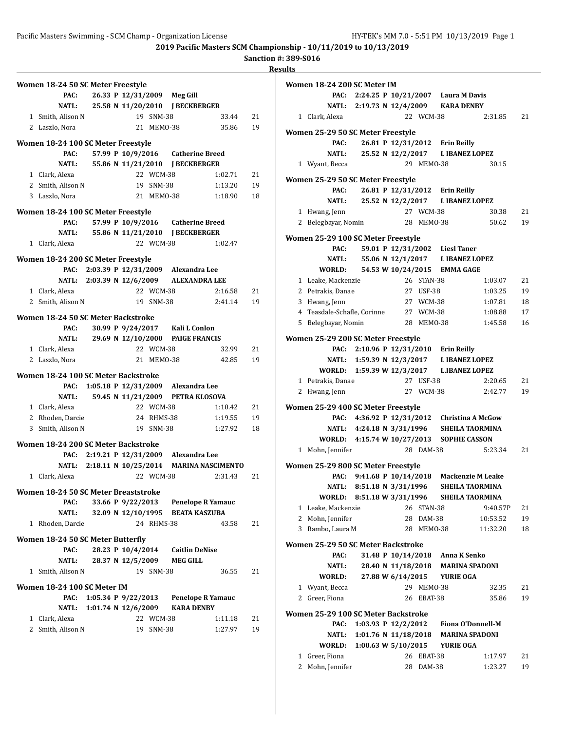**Sanction #: 389-S016**

| Women 18-24 50 SC Meter Freestyle    |  |                       |            |                                              |         |    |
|--------------------------------------|--|-----------------------|------------|----------------------------------------------|---------|----|
| PAC:                                 |  |                       |            | 26.33 P 12/31/2009 Meg Gill                  |         |    |
|                                      |  |                       |            | NATL: 25.58 N 11/20/2010 J BECKBERGER        |         |    |
| 1 Smith, Alison N                    |  |                       | 19 SNM-38  |                                              | 33.44   | 21 |
| 2 Laszlo, Nora                       |  |                       | 21 MEMO-38 |                                              | 35.86   | 19 |
|                                      |  |                       |            |                                              |         |    |
| Women 18-24 100 SC Meter Freestyle   |  |                       |            |                                              |         |    |
| PAC:                                 |  |                       |            | 57.99 P 10/9/2016 Catherine Breed            |         |    |
| <b>NATL:</b>                         |  |                       |            | 55.86 N 11/21/2010 J BECKBERGER              |         |    |
| 1 Clark. Alexa                       |  |                       | 22 WCM-38  |                                              | 1:02.71 | 21 |
| 2 Smith, Alison N                    |  |                       | 19 SNM-38  |                                              | 1:13.20 | 19 |
| 3 Laszlo, Nora                       |  |                       | 21 MEMO-38 |                                              | 1:18.90 | 18 |
| Women 18-24 100 SC Meter Freestyle   |  |                       |            |                                              |         |    |
| PAC:                                 |  |                       |            | 57.99 P 10/9/2016 Catherine Breed            |         |    |
| NATL: 55.86 N 11/21/2010             |  |                       |            | <b>J BECKBERGER</b>                          |         |    |
| 1 Clark, Alexa                       |  |                       | 22 WCM-38  |                                              | 1:02.47 |    |
|                                      |  |                       |            |                                              |         |    |
| Women 18-24 200 SC Meter Freestyle   |  |                       |            |                                              |         |    |
|                                      |  |                       |            | PAC: 2:03.39 P 12/31/2009 Alexandra Lee      |         |    |
|                                      |  |                       |            | NATL: 2:03.39 N 12/6/2009 ALEXANDRA LEE      |         |    |
| 1 Clark, Alexa                       |  |                       | 22 WCM-38  |                                              | 2:16.58 | 21 |
| 2 Smith, Alison N                    |  |                       | 19 SNM-38  |                                              | 2:41.14 | 19 |
| Women 18-24 50 SC Meter Backstroke   |  |                       |            |                                              |         |    |
| PAC:                                 |  |                       |            | 30.99 P 9/24/2017 Kali L Conlon              |         |    |
| <b>NATL:</b>                         |  |                       |            | 29.69 N 12/10/2000 PAIGE FRANCIS             |         |    |
| 1 Clark, Alexa                       |  |                       | 22 WCM-38  |                                              | 32.99   | 21 |
| 2 Laszlo, Nora                       |  |                       | 21 MEMO-38 |                                              | 42.85   | 19 |
|                                      |  |                       |            |                                              |         |    |
| Women 18-24 100 SC Meter Backstroke  |  |                       |            |                                              |         |    |
|                                      |  |                       |            | PAC: 1:05.18 P 12/31/2009 Alexandra Lee      |         |    |
| <b>NATL:</b>                         |  |                       |            | 59.45 N 11/21/2009 PETRA KLOSOVA             |         |    |
| 1 Clark, Alexa                       |  |                       | 22 WCM-38  |                                              | 1:10.42 | 21 |
| 2 Rhoden, Darcie                     |  |                       | 24 RHMS-38 |                                              | 1:19.55 | 19 |
| 3 Smith, Alison N                    |  |                       | 19 SNM-38  |                                              | 1:27.92 | 18 |
| Women 18-24 200 SC Meter Backstroke  |  |                       |            |                                              |         |    |
|                                      |  |                       |            | PAC: 2:19.21 P 12/31/2009 Alexandra Lee      |         |    |
|                                      |  |                       |            |                                              |         |    |
|                                      |  |                       | 22 WCM-38  | NATL: 2:18.11 N 10/25/2014 MARINA NASCIMENTO |         |    |
| 1 Clark, Alexa                       |  |                       |            |                                              | 2:31.43 | 21 |
| Women 18-24 50 SC Meter Breaststroke |  |                       |            |                                              |         |    |
| PAC:                                 |  |                       |            | 33.66 P 9/22/2013 Penelope R Yamauc          |         |    |
| NATL:                                |  |                       |            | 32.09 N 12/10/1995 BEATA KASZUBA             |         |    |
| 1 Rhoden, Darcie                     |  |                       | 24 RHMS-38 |                                              | 43.58   | 21 |
|                                      |  |                       |            |                                              |         |    |
| Women 18-24 50 SC Meter Butterfly    |  |                       |            |                                              |         |    |
| PAC:                                 |  | 28.23 P 10/4/2014     |            | <b>Caitlin DeNise</b>                        |         |    |
| NATL:                                |  | 28.37 N 12/5/2009     |            | <b>MEG GILL</b>                              |         |    |
| 1 Smith, Alison N                    |  |                       | 19 SNM-38  |                                              | 36.55   | 21 |
| Women 18-24 100 SC Meter IM          |  |                       |            |                                              |         |    |
| PAC:                                 |  | 1:05.34 P $9/22/2013$ |            | <b>Penelope R Yamauc</b>                     |         |    |
| <b>NATL:</b>                         |  | 1:01.74 N $12/6/2009$ |            | <b>KARA DENBY</b>                            |         |    |
| 1 Clark, Alexa                       |  |                       | 22 WCM-38  |                                              | 1:11.18 | 21 |
| 2 Smith, Alison N                    |  |                       | 19 SNM-38  |                                              | 1:27.97 | 19 |
|                                      |  |                       |            |                                              |         |    |
|                                      |  |                       |            |                                              |         |    |

|                                                                             | Women 18-24 200 SC Meter IM               |                                          |  |                    |            |                                  |                                             |    |  |  |
|-----------------------------------------------------------------------------|-------------------------------------------|------------------------------------------|--|--------------------|------------|----------------------------------|---------------------------------------------|----|--|--|
|                                                                             |                                           | PAC: 2:24.25 P 10/21/2007 Laura M Davis  |  |                    |            |                                  |                                             |    |  |  |
|                                                                             |                                           | NATL: 2:19.73 N 12/4/2009 KARA DENBY     |  |                    |            |                                  |                                             |    |  |  |
|                                                                             | 1 Clark, Alexa                            |                                          |  |                    | 22 WCM-38  |                                  | 2:31.85                                     | 21 |  |  |
|                                                                             | Women 25-29 50 SC Meter Freestyle         |                                          |  |                    |            |                                  |                                             |    |  |  |
|                                                                             | PAC:                                      |                                          |  |                    |            | 26.81 P 12/31/2012 Erin Reilly   |                                             |    |  |  |
|                                                                             | NATL:                                     |                                          |  | 25.52 N 12/2/2017  |            | <b>LIBANEZ LOPEZ</b>             |                                             |    |  |  |
|                                                                             | 1 Wyant, Becca                            |                                          |  |                    | 29 MEMO-38 |                                  | 30.15                                       |    |  |  |
|                                                                             |                                           |                                          |  |                    |            |                                  |                                             |    |  |  |
|                                                                             | Women 25-29 50 SC Meter Freestyle         |                                          |  |                    |            |                                  |                                             |    |  |  |
|                                                                             | PAC:                                      |                                          |  |                    |            | 26.81 P 12/31/2012 Erin Reilly   |                                             |    |  |  |
|                                                                             |                                           | NATL: 25.52 N 12/2/2017 L IBANEZ LOPEZ   |  |                    |            |                                  |                                             |    |  |  |
|                                                                             | 1 Hwang, Jenn                             |                                          |  |                    | 27 WCM-38  |                                  | 30.38                                       | 21 |  |  |
|                                                                             | 2 Belegbayar, Nomin                       |                                          |  |                    | 28 MEMO-38 |                                  | 50.62                                       | 19 |  |  |
|                                                                             | Women 25-29 100 SC Meter Freestyle        |                                          |  |                    |            |                                  |                                             |    |  |  |
|                                                                             | PAC:                                      |                                          |  |                    |            | 59.01 P 12/31/2002 Liesl Taner   |                                             |    |  |  |
|                                                                             | NATL:                                     |                                          |  |                    |            | 55.06 N 12/1/2017 L IBANEZ LOPEZ |                                             |    |  |  |
|                                                                             | WORLD:                                    |                                          |  |                    |            | 54.53 W 10/24/2015 EMMA GAGE     |                                             |    |  |  |
|                                                                             | 1 Leake, Mackenzie                        |                                          |  | 26 STAN-38         |            |                                  | 1:03.07                                     | 21 |  |  |
|                                                                             | 2 Petrakis, Danae                         |                                          |  |                    | 27 USF-38  |                                  | 1:03.25                                     | 19 |  |  |
|                                                                             | 3 Hwang, Jenn                             |                                          |  |                    | 27 WCM-38  |                                  | 1:07.81                                     | 18 |  |  |
|                                                                             | 4 Teasdale-Schafle, Corinne 27 WCM-38     |                                          |  |                    |            |                                  | 1:08.88                                     | 17 |  |  |
|                                                                             | 5 Belegbayar, Nomin                       |                                          |  | 28 MEMO-38         |            |                                  | 1:45.58                                     | 16 |  |  |
|                                                                             |                                           |                                          |  |                    |            |                                  |                                             |    |  |  |
| Women 25-29 200 SC Meter Freestyle<br>PAC: 2:10.96 P 12/31/2010 Erin Reilly |                                           |                                          |  |                    |            |                                  |                                             |    |  |  |
|                                                                             |                                           | NATL: 1:59.39 N 12/3/2017 L IBANEZ LOPEZ |  |                    |            |                                  |                                             |    |  |  |
|                                                                             | WORLD: 1:59.39 W 12/3/2017 L.IBANEZ LOPEZ |                                          |  |                    |            |                                  |                                             |    |  |  |
|                                                                             |                                           |                                          |  |                    |            |                                  |                                             |    |  |  |
|                                                                             | 1 Petrakis, Danae                         |                                          |  |                    | 27 USF-38  |                                  | 2:20.65                                     | 21 |  |  |
|                                                                             | 2 Hwang, Jenn                             |                                          |  |                    | 27 WCM-38  |                                  | 2:42.77                                     | 19 |  |  |
|                                                                             | Women 25-29 400 SC Meter Freestyle        |                                          |  |                    |            |                                  |                                             |    |  |  |
|                                                                             |                                           |                                          |  |                    |            |                                  | PAC: 4:36.92 P 12/31/2012 Christina A McGow |    |  |  |
|                                                                             |                                           | NATL: 4:24.18 N 3/31/1996                |  |                    |            |                                  | <b>SHEILA TAORMINA</b>                      |    |  |  |
|                                                                             | WORLD: 4:15.74 W 10/27/2013 SOPHIE CASSON |                                          |  |                    |            |                                  |                                             |    |  |  |
|                                                                             | 1 Mohn, Jennifer                          |                                          |  |                    | 28 DAM-38  |                                  | 5:23.34                                     | 21 |  |  |
|                                                                             |                                           |                                          |  |                    |            |                                  |                                             |    |  |  |
|                                                                             | Women 25-29 800 SC Meter Freestyle        |                                          |  |                    |            |                                  | PAC: 9:41.68 P 10/14/2018 Mackenzie M Leake |    |  |  |
|                                                                             |                                           | NATL: 8:51.18 N 3/31/1996                |  |                    |            |                                  | <b>SHEILA TAORMINA</b>                      |    |  |  |
|                                                                             | WORLD:                                    | 8:51.18 W 3/31/1996                      |  |                    |            |                                  | <b>SHEILA TAORMINA</b>                      |    |  |  |
|                                                                             | 1 Leake, Mackenzie                        |                                          |  |                    | 26 STAN-38 |                                  | 9:40.57P                                    | 21 |  |  |
|                                                                             | 2 Mohn, Jennifer                          |                                          |  |                    | 28 DAM-38  |                                  | 10:53.52                                    | 19 |  |  |
|                                                                             | 3 Rambo, Laura M                          |                                          |  |                    | 28 MEM0-38 |                                  | 11:32.20                                    | 18 |  |  |
|                                                                             |                                           |                                          |  |                    |            |                                  |                                             |    |  |  |
|                                                                             | Women 25-29 50 SC Meter Backstroke        |                                          |  |                    |            |                                  |                                             |    |  |  |
|                                                                             | PAC:                                      |                                          |  | 31.48 P 10/14/2018 |            | Anna K Senko                     |                                             |    |  |  |
|                                                                             | <b>NATL:</b>                              |                                          |  | 28.40 N 11/18/2018 |            |                                  | <b>MARINA SPADONI</b>                       |    |  |  |
|                                                                             | WORLD:                                    |                                          |  | 27.88 W 6/14/2015  |            | <b>YURIE OGA</b>                 |                                             |    |  |  |
|                                                                             | 1 Wyant, Becca                            |                                          |  |                    | 29 MEMO-38 |                                  | 32.35                                       | 21 |  |  |
|                                                                             | 2 Greer, Fiona                            |                                          |  |                    | 26 EBAT-38 |                                  | 35.86                                       | 19 |  |  |
|                                                                             | Women 25-29 100 SC Meter Backstroke       |                                          |  |                    |            |                                  |                                             |    |  |  |
|                                                                             | PAC:                                      | 1:03.93 P $12/2/2012$                    |  |                    |            |                                  | <b>Fiona O'Donnell-M</b>                    |    |  |  |
|                                                                             | NATL:                                     | 1:01.76 N 11/18/2018                     |  |                    |            |                                  | <b>MARINA SPADONI</b>                       |    |  |  |
|                                                                             | WORLD:                                    | 1:00.63 W 5/10/2015                      |  |                    |            | <b>YURIE OGA</b>                 |                                             |    |  |  |
| 1                                                                           | Greer, Fiona                              |                                          |  |                    | 26 EBAT-38 |                                  | 1:17.97                                     | 21 |  |  |
| 2                                                                           | Mohn, Jennifer                            |                                          |  | 28                 | DAM-38     |                                  | 1:23.27                                     | 19 |  |  |
|                                                                             |                                           |                                          |  |                    |            |                                  |                                             |    |  |  |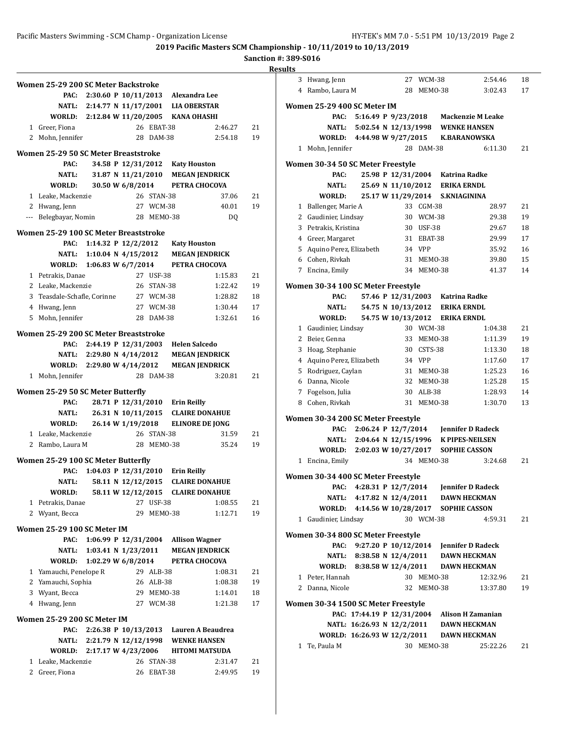# **Sanction #: 389-S016**

|   | Women 25-29 200 SC Meter Backstroke       |                           |                                          |            |                                         |                                        |    |
|---|-------------------------------------------|---------------------------|------------------------------------------|------------|-----------------------------------------|----------------------------------------|----|
|   |                                           |                           |                                          |            | PAC: 2:30.60 P 10/11/2013 Alexandra Lee |                                        |    |
|   |                                           |                           |                                          |            | NATL: 2:14.77 N 11/17/2001 LIA OBERSTAR |                                        |    |
|   | WORLD: 2:12.84 W 11/20/2005 KANA OHASHI   |                           |                                          |            |                                         |                                        |    |
|   | 1 Greer, Fiona                            |                           |                                          | 26 EBAT-38 |                                         | 2:46.27                                | 21 |
|   | 2 Mohn, Jennifer                          |                           |                                          | 28 DAM-38  |                                         | 2:54.18                                | 19 |
|   |                                           |                           |                                          |            |                                         |                                        |    |
|   | Women 25-29 50 SC Meter Breaststroke      |                           |                                          |            |                                         |                                        |    |
|   | PAC:<br><b>NATL:</b>                      |                           | 34.58 P 12/31/2012<br>31.87 N 11/21/2010 |            | <b>Katy Houston</b>                     |                                        |    |
|   | WORLD:                                    |                           | 30.50 W 6/8/2014                         |            |                                         | <b>MEGAN JENDRICK</b><br>PETRA CHOCOVA |    |
|   | 1 Leake, Mackenzie                        |                           |                                          | 26 STAN-38 |                                         | 37.06                                  | 21 |
|   | 2 Hwang, Jenn                             |                           |                                          | 27 WCM-38  |                                         | 40.01                                  | 19 |
|   | --- Belegbayar, Nomin                     |                           |                                          | 28 MEM0-38 |                                         | DQ                                     |    |
|   |                                           |                           |                                          |            |                                         |                                        |    |
|   | Women 25-29 100 SC Meter Breaststroke     |                           |                                          |            |                                         |                                        |    |
|   | PAC:                                      |                           | 1:14.32 P 12/2/2012                      |            | <b>Katy Houston</b>                     |                                        |    |
|   |                                           | NATL: 1:10.04 N 4/15/2012 |                                          |            |                                         | <b>MEGAN JENDRICK</b>                  |    |
|   | WORLD: 1:06.83 W 6/7/2014                 |                           |                                          |            |                                         | PETRA CHOCOVA                          |    |
|   | 1 Petrakis, Danae                         |                           |                                          | 27 USF-38  |                                         | 1:15.83                                | 21 |
|   | 2 Leake, Mackenzie                        |                           |                                          | 26 STAN-38 |                                         | 1:22.42                                | 19 |
|   | 3 Teasdale-Schafle, Corinne               |                           |                                          | 27 WCM-38  |                                         | 1:28.82                                | 18 |
|   | 4 Hwang, Jenn                             |                           |                                          | 27 WCM-38  |                                         | 1:30.44                                | 17 |
|   | 5 Mohn, Jennifer                          |                           |                                          | 28 DAM-38  |                                         | 1:32.61                                | 16 |
|   | Women 25-29 200 SC Meter Breaststroke     |                           |                                          |            |                                         |                                        |    |
|   | PAC:                                      |                           | 2:44.19 P 12/31/2003                     |            | <b>Helen Salcedo</b>                    |                                        |    |
|   |                                           | NATL: 2:29.80 N 4/14/2012 |                                          |            |                                         | <b>MEGAN JENDRICK</b>                  |    |
|   | WORLD: 2:29.80 W 4/14/2012                |                           |                                          |            |                                         | <b>MEGAN JENDRICK</b>                  |    |
|   | 1 Mohn, Jennifer                          |                           |                                          | 28 DAM-38  |                                         | 3:20.81                                | 21 |
|   |                                           |                           |                                          |            |                                         |                                        |    |
|   | Women 25-29 50 SC Meter Butterfly<br>PAC: |                           |                                          |            |                                         |                                        |    |
|   | <b>NATL:</b>                              |                           | 26.31 N 10/11/2015                       |            | 28.71 P 12/31/2010 Erin Reilly          | <b>CLAIRE DONAHUE</b>                  |    |
|   | WORLD:                                    |                           | 26.14 W 1/19/2018                        |            |                                         | <b>ELINORE DE IONG</b>                 |    |
|   | 1 Leake, Mackenzie                        |                           |                                          | 26 STAN-38 |                                         | 31.59                                  | 21 |
|   | 2 Rambo, Laura M                          |                           |                                          | 28 MEMO-38 |                                         | 35.24                                  | 19 |
|   |                                           |                           |                                          |            |                                         |                                        |    |
|   | Women 25-29 100 SC Meter Butterfly        |                           |                                          |            |                                         |                                        |    |
|   | PAC:                                      |                           | 1:04.03 P 12/31/2010                     |            | <b>Erin Reilly</b>                      |                                        |    |
|   | NATL:                                     |                           | 58.11 N 12/12/2015                       |            |                                         | <b>CLAIRE DONAHUE</b>                  |    |
|   | WORLD:                                    |                           | 58.11 W 12/12/2015                       |            |                                         | <b>CLAIRE DONAHUE</b>                  |    |
|   | 1 Petrakis, Danae                         |                           |                                          | 27 USF-38  |                                         | 1:08.55                                | 21 |
|   | 2 Wyant, Becca                            |                           | 29                                       | MEMO-38    |                                         | 1:12.71                                | 19 |
|   | Women 25-29 100 SC Meter IM               |                           |                                          |            |                                         |                                        |    |
|   | PAC:                                      |                           | 1:06.99 P 12/31/2004                     |            | <b>Allison Wagner</b>                   |                                        |    |
|   | NATL:                                     |                           | 1:03.41 N 1/23/2011                      |            |                                         | <b>MEGAN JENDRICK</b>                  |    |
|   | WORLD:                                    |                           | 1:02.29 W 6/8/2014                       |            |                                         | PETRA CHOCOVA                          |    |
|   | 1 Yamauchi, Penelope R                    |                           |                                          | 29 ALB-38  |                                         | 1:08.31                                | 21 |
|   | 2 Yamauchi, Sophia                        |                           |                                          | 26 ALB-38  |                                         | 1:08.38                                | 19 |
|   | 3 Wyant, Becca                            |                           |                                          | 29 MEMO-38 |                                         | 1:14.01                                | 18 |
|   | 4 Hwang, Jenn                             |                           |                                          | 27 WCM-38  |                                         | 1:21.38                                | 17 |
|   |                                           |                           |                                          |            |                                         |                                        |    |
|   | Women 25-29 200 SC Meter IM               |                           |                                          |            |                                         |                                        |    |
|   | PAC:                                      |                           |                                          |            |                                         | 2:26.38 P 10/13/2013 Lauren A Beaudrea |    |
|   | NATL:                                     | 2:21.79 N 12/12/1998      |                                          |            |                                         | <b>WENKE HANSEN</b>                    |    |
|   | WORLD:                                    | 2:17.17 W 4/23/2006       |                                          |            |                                         | <b>HITOMI MATSUDA</b>                  |    |
| 1 | Leake, Mackenzie                          |                           | 26                                       | STAN-38    |                                         | 2:31.47                                | 21 |
| 2 | Greer, Fiona                              |                           | 26                                       | EBAT-38    |                                         | 2:49.95                                | 19 |

| <b>Results</b> |                                           |                           |  |            |                                  |                                              |    |
|----------------|-------------------------------------------|---------------------------|--|------------|----------------------------------|----------------------------------------------|----|
|                | 3 Hwang, Jenn                             |                           |  | 27 WCM-38  |                                  | 2:54.46                                      | 18 |
|                | 4 Rambo, Laura M                          |                           |  | 28 MEM0-38 |                                  | 3:02.43                                      | 17 |
|                | Women 25-29 400 SC Meter IM               |                           |  |            |                                  |                                              |    |
|                | PAC:                                      |                           |  |            |                                  | 5:16.49 P 9/23/2018 Mackenzie M Leake        |    |
|                |                                           |                           |  |            |                                  | NATL: 5:02.54 N 12/13/1998 WENKE HANSEN      |    |
|                |                                           |                           |  |            |                                  | WORLD: 4:44.98 W 9/27/2015 K.BARANOWSKA      |    |
|                | 1 Mohn, Jennifer                          |                           |  | 28 DAM-38  |                                  | 6:11.30                                      | 21 |
|                | Women 30-34 50 SC Meter Freestyle         |                           |  |            |                                  |                                              |    |
|                | PAC:                                      |                           |  |            | 25.98 P 12/31/2004 Katrina Radke |                                              |    |
|                | <b>NATL:</b>                              |                           |  |            | 25.69 N 11/10/2012 ERIKA ERNDL   |                                              |    |
|                | WORLD:                                    |                           |  |            | 25.17 W 11/29/2014 S.KNIAGININA  |                                              |    |
|                | 1 Ballenger, Marie A                      |                           |  | 33 CGM-38  |                                  | 28.97                                        | 21 |
|                | 2 Gaudinier, Lindsay                      |                           |  | 30 WCM-38  |                                  | 29.38                                        | 19 |
|                | 3 Petrakis, Kristina                      |                           |  | 30 USF-38  |                                  | 29.67                                        | 18 |
|                | 4 Greer, Margaret                         |                           |  | 31 EBAT-38 |                                  | 29.99                                        | 17 |
|                | 5 Aquino Perez, Elizabeth                 |                           |  | 34 VPP     |                                  | 35.92                                        | 16 |
|                | 6 Cohen, Rivkah                           |                           |  | 31 MEMO-38 |                                  | 39.80                                        | 15 |
|                | 7 Encina, Emily                           |                           |  | 34 MEMO-38 |                                  | 41.37                                        | 14 |
|                | Women 30-34 100 SC Meter Freestyle        |                           |  |            |                                  |                                              |    |
|                | PAC:                                      |                           |  |            | 57.46 P 12/31/2003 Katrina Radke |                                              |    |
|                | <b>NATL:</b>                              |                           |  |            | 54.75 N 10/13/2012 ERIKA ERNDL   |                                              |    |
|                | WORLD:                                    |                           |  |            | 54.75 W 10/13/2012 ERIKA ERNDL   |                                              |    |
|                | 1 Gaudinier, Lindsay                      |                           |  | 30 WCM-38  |                                  | 1:04.38                                      | 21 |
|                | 2 Beier, Genna                            |                           |  | 33 MEM0-38 |                                  | 1:11.39                                      | 19 |
|                | 3 Hoag, Stephanie                         |                           |  | 30 CSTS-38 |                                  | 1:13.30                                      | 18 |
|                | 4 Aquino Perez, Elizabeth                 |                           |  | 34 VPP     |                                  | 1:17.60                                      | 17 |
|                | 5 Rodriguez, Caylan                       |                           |  | 31 MEMO-38 |                                  | 1:25.23                                      | 16 |
|                | 6 Danna, Nicole                           |                           |  | 32 MEM0-38 |                                  | 1:25.28                                      | 15 |
|                | 7 Fogelson, Julia                         |                           |  | 30 ALB-38  |                                  | 1:28.93                                      | 14 |
|                | 8 Cohen, Rivkah                           |                           |  |            | 31 MEMO-38                       | 1:30.70                                      | 13 |
|                | Women 30-34 200 SC Meter Freestyle        |                           |  |            |                                  |                                              |    |
|                | PAC:                                      |                           |  |            |                                  |                                              |    |
|                |                                           |                           |  |            |                                  | NATL: 2:04.64 N 12/15/1996 K PIPES-NEILSEN   |    |
|                | WORLD: 2:02.03 W 10/27/2017 SOPHIE CASSON |                           |  |            |                                  |                                              |    |
|                | 1 Encina, Emily                           |                           |  | 34 MEMO-38 |                                  | 3:24.68                                      | 21 |
|                | Women 30-34 400 SC Meter Freestyle        |                           |  |            |                                  |                                              |    |
|                |                                           |                           |  |            |                                  | PAC: 4:28.31 P 12/7/2014 Jennifer D Radeck   |    |
|                |                                           |                           |  |            |                                  | NATL: 4:17.82 N 12/4/2011 DAWN HECKMAN       |    |
|                | WORLD: 4:14.56 W 10/28/2017 SOPHIE CASSON |                           |  |            |                                  |                                              |    |
|                | 1 Gaudinier, Lindsay                      |                           |  | 30 WCM-38  |                                  | 4:59.31                                      | 21 |
|                | Women 30-34 800 SC Meter Freestyle        |                           |  |            |                                  |                                              |    |
|                | PAC:                                      |                           |  |            |                                  | 9:27.20 P 10/12/2014 Jennifer D Radeck       |    |
|                |                                           | NATL: 8:38.58 N 12/4/2011 |  |            |                                  | DAWN HECKMAN                                 |    |
|                | WORLD: 8:38.58 W 12/4/2011                |                           |  |            |                                  | <b>DAWN HECKMAN</b>                          |    |
|                | 1 Peter, Hannah                           |                           |  | 30 MEMO-38 |                                  | 12:32.96                                     | 21 |
|                | 2 Danna, Nicole                           |                           |  | 32 MEMO-38 |                                  | 13:37.80                                     | 19 |
|                | Women 30-34 1500 SC Meter Freestyle       |                           |  |            |                                  |                                              |    |
|                |                                           |                           |  |            |                                  | PAC: 17:44.19 P 12/31/2004 Alison H Zamanian |    |
|                |                                           |                           |  |            |                                  | NATL: 16:26.93 N 12/2/2011 DAWN HECKMAN      |    |
|                | WORLD: 16:26.93 W 12/2/2011               |                           |  |            |                                  | <b>DAWN HECKMAN</b>                          |    |
|                | 1 Te, Paula M                             |                           |  | 30 MEMO-38 |                                  | 25:22.26                                     | 21 |
|                |                                           |                           |  |            |                                  |                                              |    |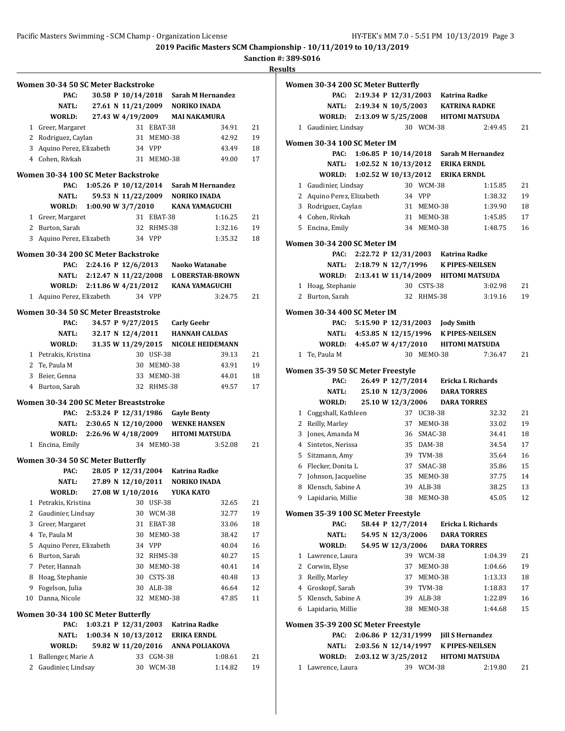# **Sanction #: 389-S016**

|    | Women 30-34 50 SC Meter Backstroke          |                            |                      |               |                                  |                                        |    |
|----|---------------------------------------------|----------------------------|----------------------|---------------|----------------------------------|----------------------------------------|----|
|    | PAC:                                        |                            | 30.58 P 10/14/2018   |               |                                  | Sarah M Hernandez                      |    |
|    | NATL:                                       |                            |                      |               | 27.61 N 11/21/2009 NORIKO INADA  |                                        |    |
|    | WORLD:                                      |                            | 27.43 W 4/19/2009    |               |                                  | <b>MAI NAKAMURA</b>                    |    |
|    | 1 Greer, Margaret                           |                            |                      | 31 EBAT-38    |                                  | 34.91                                  | 21 |
|    | 2 Rodriguez, Caylan                         |                            |                      | 31 MEMO-38    |                                  | 42.92                                  | 19 |
|    | 3 Aquino Perez, Elizabeth                   |                            |                      | 34 VPP        |                                  | 43.49                                  | 18 |
|    | 4 Cohen, Rivkah                             |                            |                      | 31 MEM0-38    |                                  | 49.00                                  | 17 |
|    | Women 30-34 100 SC Meter Backstroke         |                            |                      |               |                                  |                                        |    |
|    | PAC:                                        |                            |                      |               |                                  | 1:05.26 P 10/12/2014 Sarah M Hernandez |    |
|    | NATL:                                       |                            |                      |               | 59.53 N 11/22/2009 NORIKO INADA  |                                        |    |
|    | WORLD:                                      | 1:00.90 W 3/7/2010         |                      |               |                                  | <b>KANA YAMAGUCHI</b>                  |    |
|    | 1 Greer, Margaret                           |                            |                      | 31 EBAT-38    |                                  | 1:16.25                                | 21 |
|    |                                             |                            |                      | 32 RHMS-38    |                                  | 1:32.16                                | 19 |
|    | 2 Burton, Sarah                             |                            |                      |               |                                  |                                        |    |
| 3  | Aquino Perez, Elizabeth                     |                            |                      | 34 VPP        |                                  | 1:35.32                                | 18 |
|    | Women 30-34 200 SC Meter Backstroke<br>PAC: | 2:24.16 P 12/6/2013        |                      |               |                                  | Naoko Watanabe                         |    |
|    |                                             |                            |                      |               |                                  |                                        |    |
|    |                                             | NATL: 2:12.47 N 11/22/2008 |                      |               |                                  | <b>L OBERSTAR-BROWN</b>                |    |
|    | WORLD: 2:11.86 W 4/21/2012                  |                            |                      |               |                                  | <b>KANA YAMAGUCHI</b>                  |    |
|    | 1 Aquino Perez, Elizabeth                   |                            |                      | 34 VPP        |                                  | 3:24.75                                | 21 |
|    | Women 30-34 50 SC Meter Breaststroke        |                            |                      |               |                                  |                                        |    |
|    | PAC:                                        |                            | 34.57 P 9/27/2015    |               | <b>Carly Geehr</b>               |                                        |    |
|    | NATL:                                       |                            | 32.17 N 12/4/2011    |               |                                  | <b>HANNAH CALDAS</b>                   |    |
|    | WORLD:                                      |                            | 31.35 W 11/29/2015   |               |                                  | <b>NICOLE HEIDEMANN</b>                |    |
|    | 1 Petrakis, Kristina                        |                            |                      | 30 USF-38     |                                  | 39.13                                  | 21 |
|    | 2 Te, Paula M                               |                            |                      | 30 MEMO-38    |                                  | 43.91                                  | 19 |
|    | 3 Beier, Genna                              |                            |                      | 33 MEMO-38    |                                  | 44.01                                  | 18 |
|    | 4 Burton, Sarah                             |                            |                      | 32 RHMS-38    |                                  | 49.57                                  | 17 |
|    | Women 30-34 200 SC Meter Breaststroke       |                            |                      |               |                                  |                                        |    |
|    | PAC:                                        | 2:53.24 P 12/31/1986       |                      |               | <b>Gayle Benty</b>               |                                        |    |
|    |                                             | NATL: 2:30.65 N 12/10/2000 |                      |               |                                  | <b>WENKE HANSEN</b>                    |    |
|    | WORLD: 2:26.96 W 4/18/2009                  |                            |                      |               |                                  | <b>HITOMI MATSUDA</b>                  |    |
|    | 1 Encina, Emily                             |                            |                      | 34 MEMO-38    |                                  | 3:52.08                                | 21 |
|    |                                             |                            |                      |               |                                  |                                        |    |
|    | Women 30-34 50 SC Meter Butterfly<br>PAC:   |                            |                      |               | 28.05 P 12/31/2004 Katrina Radke |                                        |    |
|    | <b>NATL:</b>                                |                            | 27.89 N 12/10/2011   |               |                                  |                                        |    |
|    |                                             |                            | 27.08 W 1/10/2016    |               | <b>NORIKO INADA</b>              |                                        |    |
|    | WORLD:                                      |                            |                      |               | YUKA KATO                        |                                        |    |
| 1  | Petrakis, Kristina                          |                            | 30                   | USF-38        |                                  | 32.65                                  | 21 |
| 2  | Gaudinier, Lindsay                          |                            | 30                   | <b>WCM-38</b> |                                  | 32.77                                  | 19 |
| 3  | Greer, Margaret                             |                            | 31                   | EBAT-38       |                                  | 33.06                                  | 18 |
| 4  | Te, Paula M                                 |                            | 30                   | MEMO-38       |                                  | 38.42                                  | 17 |
| 5  | Aquino Perez, Elizabeth                     |                            |                      | 34 VPP        |                                  | 40.04                                  | 16 |
| 6  | Burton, Sarah                               |                            | 32                   | RHMS-38       |                                  | 40.27                                  | 15 |
| 7  | Peter, Hannah                               |                            | 30                   | MEMO-38       |                                  | 40.41                                  | 14 |
| 8  | Hoag, Stephanie                             |                            | 30                   | CSTS-38       |                                  | 40.48                                  | 13 |
| 9  | Fogelson, Julia                             |                            | 30                   | ALB-38        |                                  | 46.64                                  | 12 |
| 10 | Danna, Nicole                               |                            | 32                   | MEMO-38       |                                  | 47.85                                  | 11 |
|    | Women 30-34 100 SC Meter Butterfly          |                            |                      |               |                                  |                                        |    |
|    | PAC:                                        |                            | 1:03.21 P 12/31/2003 |               | <b>Katrina Radke</b>             |                                        |    |
|    | NATL:                                       |                            | 1:00.34 N 10/13/2012 |               | <b>ERIKA ERNDL</b>               |                                        |    |
|    | WORLD:                                      |                            | 59.82 W 11/20/2016   |               |                                  | <b>ANNA POLIAKOVA</b>                  |    |
| 1  | Ballenger, Marie A                          |                            | 33                   | CGM-38        |                                  | 1:08.61                                | 21 |
| 2  | Gaudinier, Lindsay                          |                            |                      | 30 WCM-38     |                                  | 1:14.82                                | 19 |

|              | Women 30-34 200 SC Meter Butterfly         |                        |                   |            |                                            |                                        |    |
|--------------|--------------------------------------------|------------------------|-------------------|------------|--------------------------------------------|----------------------------------------|----|
|              | PAC:                                       |                        |                   |            | 2:19.34 P 12/31/2003 Katrina Radke         |                                        |    |
|              | <b>NATL:</b>                               |                        |                   |            | 2:19.34 N 10/5/2003 KATRINA RADKE          |                                        |    |
|              | <b>WORLD:</b>                              | 2:13.09 W 5/25/2008    |                   |            |                                            | <b>HITOMI MATSUDA</b>                  |    |
| 1            | Gaudinier, Lindsay                         |                        |                   | 30 WCM-38  |                                            | 2:49.45                                | 21 |
|              | Women 30-34 100 SC Meter IM                |                        |                   |            |                                            |                                        |    |
|              | PAC:                                       |                        |                   |            |                                            | 1:06.85 P 10/14/2018 Sarah M Hernandez |    |
|              | NATL:                                      | 1:02.52 N $10/13/2012$ |                   |            | <b>ERIKA ERNDL</b>                         |                                        |    |
|              | WORLD:                                     | 1:02.52 W 10/13/2012   |                   |            | <b>ERIKA ERNDL</b>                         |                                        |    |
|              | 1 Gaudinier, Lindsay                       |                        |                   | 30 WCM-38  |                                            | 1:15.85                                | 21 |
|              | 2 Aquino Perez, Elizabeth                  |                        |                   | 34 VPP     |                                            | 1:38.32                                | 19 |
|              | 3 Rodriguez, Caylan                        |                        |                   | 31 MEM0-38 |                                            | 1:39.90                                | 18 |
|              | 4 Cohen, Rivkah                            |                        |                   | 31 MEMO-38 |                                            | 1:45.85                                | 17 |
|              | 5 Encina, Emily                            |                        |                   | 34 MEMO-38 |                                            | 1:48.75                                | 16 |
|              | Women 30-34 200 SC Meter IM                |                        |                   |            |                                            |                                        |    |
|              | PAC:                                       |                        |                   |            | 2:22.72 P 12/31/2003 Katrina Radke         |                                        |    |
|              | <b>NATL:</b>                               |                        |                   |            | 2:18.79 N 12/7/1996 K PIPES-NEILSEN        |                                        |    |
|              | WORLD:                                     | 2:13.41 W 11/14/2009   |                   |            |                                            | <b>HITOMI MATSUDA</b>                  |    |
| $\mathbf{1}$ | Hoag, Stephanie                            |                        |                   | 30 CSTS-38 |                                            | 3:02.98                                | 21 |
| $\mathbf{2}$ | Burton, Sarah                              |                        |                   | 32 RHMS-38 |                                            | 3:19.16                                | 19 |
|              | Women 30-34 400 SC Meter IM                |                        |                   |            |                                            |                                        |    |
|              | PAC:                                       |                        |                   |            | 5:15.90 P 12/31/2003 Jody Smith            |                                        |    |
|              |                                            |                        |                   |            | NATL: 4:53.85 N 12/15/1996 K PIPES-NEILSEN |                                        |    |
|              | WORLD: 4:45.07 W 4/17/2010                 |                        |                   |            |                                            | <b>HITOMI MATSUDA</b>                  |    |
| $\mathbf{1}$ | Te, Paula M                                |                        |                   | 30 MEMO-38 |                                            | 7:36.47                                | 21 |
|              |                                            |                        |                   |            |                                            |                                        |    |
|              | Women 35-39 50 SC Meter Freestyle<br>PAC:  |                        |                   |            | 26.49 P 12/7/2014 Ericka L Richards        |                                        |    |
|              | NATL:                                      |                        | 25.10 N 12/3/2006 |            | <b>DARA TORRES</b>                         |                                        |    |
|              | WORLD:                                     |                        | 25.10 W 12/3/2006 |            | <b>DARA TORRES</b>                         |                                        |    |
| $\mathbf{1}$ | Coggshall, Kathleen                        |                        |                   | 37 UC38-38 |                                            | 32.32                                  | 21 |
|              | 2 Reilly, Marley                           |                        | 37                | MEMO-38    |                                            | 33.02                                  | 19 |
|              | 3 Jones, Amanda M                          |                        |                   | 36 SMAC-38 |                                            | 34.41                                  | 18 |
|              | 4 Sintetos, Nerissa                        |                        |                   | 35 DAM-38  |                                            | 34.54                                  | 17 |
| 5.           | Sitzmann, Amy                              |                        |                   | 39 TVM-38  |                                            | 35.64                                  | 16 |
|              | 6 Flecker, Donita L                        |                        |                   | 37 SMAC-38 |                                            | 35.86                                  | 15 |
| 7            | Johnson, Jacqueline                        |                        |                   | 35 MEMO-38 |                                            | 37.75                                  | 14 |
| 8            | Klensch, Sabine A                          |                        | 39                | $ALB-38$   |                                            | 38.25                                  | 13 |
|              | 9 Lapidario, Millie                        |                        |                   | 38 MEMO-38 |                                            | 45.05                                  | 12 |
|              |                                            |                        |                   |            |                                            |                                        |    |
|              | Women 35-39 100 SC Meter Freestyle<br>PAC: |                        | 58.44 P 12/7/2014 |            | Ericka L Richards                          |                                        |    |
|              | NATL:                                      |                        | 54.95 N 12/3/2006 |            | <b>DARA TORRES</b>                         |                                        |    |
|              | WORLD:                                     |                        | 54.95 W 12/3/2006 |            | <b>DARA TORRES</b>                         |                                        |    |
| 1            | Lawrence, Laura                            |                        |                   | 39 WCM-38  |                                            | 1:04.39                                | 21 |
|              | 2 Corwin, Elyse                            |                        | 37                | MEMO-38    |                                            | 1:04.66                                | 19 |
|              | 3 Reilly, Marley                           |                        |                   | 37 MEMO-38 |                                            | 1:13.33                                | 18 |
|              | 4 Groskopf, Sarah                          |                        |                   | 39 TVM-38  |                                            | 1:18.83                                | 17 |
|              | 5 Klensch, Sabine A                        |                        | 39                | ALB-38     |                                            | 1:22.89                                | 16 |
|              | 6 Lapidario, Millie                        |                        | 38                | MEMO-38    |                                            | 1:44.68                                | 15 |
|              |                                            |                        |                   |            |                                            |                                        |    |
|              | Women 35-39 200 SC Meter Freestyle<br>PAC: | 2:06.86 P 12/31/1999   |                   |            | <b>Jill S Hernandez</b>                    |                                        |    |
|              | NATL:                                      | 2:03.56 N 12/14/1997   |                   |            | <b>K PIPES-NEILSEN</b>                     |                                        |    |
|              | WORLD: 2:03.12 W 3/25/2012                 |                        |                   |            |                                            | <b>HITOMI MATSUDA</b>                  |    |
| $\mathbf{1}$ | Lawrence, Laura                            |                        |                   | 39 WCM-38  |                                            | 2:19.80                                | 21 |
|              |                                            |                        |                   |            |                                            |                                        |    |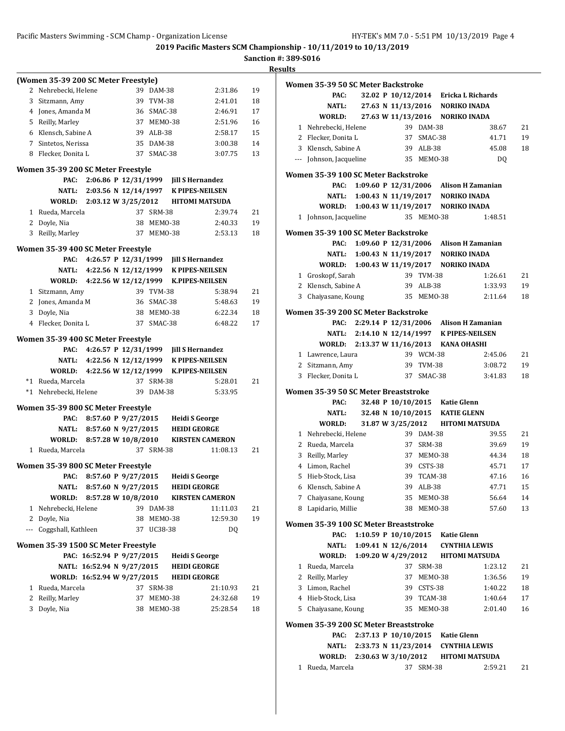**2019 Pacific Masters SCM Championship - 10/11/2019 to 10/13/2019**

**Sanction #: 389-S016 Results**

|                | (Women 35-39 200 SC Meter Freestyle) |                                             |    |               |                                      |                        |    |
|----------------|--------------------------------------|---------------------------------------------|----|---------------|--------------------------------------|------------------------|----|
| 2              | Nehrebecki, Helene                   |                                             |    | 39 DAM-38     |                                      | 2:31.86                | 19 |
|                | 3 Sitzmann, Amy                      |                                             | 39 | <b>TVM-38</b> |                                      | 2:41.01                | 18 |
|                | 4 Jones, Amanda M                    |                                             |    | 36 SMAC-38    |                                      | 2:46.91                | 17 |
|                | 5 Reilly, Marley                     |                                             |    | 37 MEMO-38    |                                      | 2:51.96                | 16 |
|                | 6 Klensch, Sabine A                  |                                             |    | 39 ALB-38     |                                      | 2:58.17                | 15 |
|                | 7 Sintetos, Nerissa                  |                                             |    | 35 DAM-38     |                                      | 3:00.38                | 14 |
| 8              | Flecker, Donita L                    |                                             | 37 | SMAC-38       |                                      | 3:07.75                | 13 |
|                |                                      |                                             |    |               |                                      |                        |    |
|                | Women 35-39 200 SC Meter Freestyle   |                                             |    |               |                                      |                        |    |
|                | PAC:                                 | 2:06.86 P 12/31/1999                        |    |               | <b>Jill S Hernandez</b>              |                        |    |
|                |                                      | NATL: 2:03.56 N 12/14/1997                  |    |               | <b>K PIPES-NEILSEN</b>               |                        |    |
|                | WORLD:                               | 2:03.12 W 3/25/2012                         |    |               | <b>HITOMI MATSUDA</b>                |                        |    |
|                | 1 Rueda, Marcela                     |                                             | 37 | <b>SRM-38</b> |                                      | 2:39.74                | 21 |
|                | 2 Doyle, Nia                         |                                             |    | 38 MEMO-38    |                                      | 2:40.33                | 19 |
| 3              | Reilly, Marley                       |                                             | 37 | MEMO-38       |                                      | 2:53.13                | 18 |
|                | Women 35-39 400 SC Meter Freestyle   |                                             |    |               |                                      |                        |    |
|                | PAC:                                 | 4:26.57 P 12/31/1999                        |    |               | <b>Jill S Hernandez</b>              |                        |    |
|                |                                      | NATL: 4:22.56 N 12/12/1999 K PIPES-NEILSEN  |    |               |                                      |                        |    |
|                |                                      | WORLD: 4:22.56 W 12/12/1999 K.PIPES-NEILSEN |    |               |                                      |                        |    |
|                | 1 Sitzmann, Amy                      |                                             |    | 39 TVM-38     |                                      | 5:38.94                | 21 |
|                | 2 Jones, Amanda M                    |                                             |    | 36 SMAC-38    |                                      | 5:48.63                | 19 |
|                | 3 Doyle, Nia                         |                                             |    | 38 MEMO-38    |                                      | 6:22.34                | 18 |
|                | 4 Flecker, Donita L                  |                                             | 37 | SMAC-38       |                                      | 6:48.22                | 17 |
|                |                                      |                                             |    |               |                                      |                        |    |
|                | Women 35-39 400 SC Meter Freestyle   |                                             |    |               |                                      |                        |    |
|                | PAC:                                 | 4:26.57 P 12/31/1999                        |    |               | <b>Jill S Hernandez</b>              |                        |    |
|                | NATL:                                |                                             |    |               | 4:22.56 N 12/12/1999 K PIPES-NEILSEN |                        |    |
|                | WORLD:                               | 4:22.56 W 12/12/1999 K.PIPES-NEILSEN        |    |               |                                      |                        |    |
|                | *1 Rueda, Marcela                    |                                             |    | 37 SRM-38     |                                      | 5:28.01                | 21 |
|                | *1 Nehrebecki, Helene                |                                             |    | 39 DAM-38     |                                      | 5:33.95                |    |
|                | Women 35-39 800 SC Meter Freestyle   |                                             |    |               |                                      |                        |    |
|                | PAC:                                 | 8:57.60 P 9/27/2015                         |    |               | <b>Heidi S George</b>                |                        |    |
|                |                                      | NATL: 8:57.60 N 9/27/2015                   |    |               | <b>HEIDI GEORGE</b>                  |                        |    |
|                | WORLD:                               | 8:57.28 W 10/8/2010                         |    |               |                                      | <b>KIRSTEN CAMERON</b> |    |
|                | 1 Rueda, Marcela                     |                                             |    | 37 SRM-38     |                                      | 11:08.13               | 21 |
|                |                                      |                                             |    |               |                                      |                        |    |
|                | Women 35-39 800 SC Meter Freestyle   |                                             |    |               |                                      |                        |    |
|                | PAC:                                 | 8:57.60 P 9/27/2015                         |    |               | <b>Heidi S George</b>                |                        |    |
|                | NATL:                                | 8:57.60 N 9/27/2015                         |    |               | <b>HEIDI GEORGE</b>                  |                        |    |
|                | <b>WORLD:</b>                        | 8:57.28 W 10/8/2010                         |    |               |                                      | <b>KIRSTEN CAMERON</b> |    |
| $\mathbf{1}$   | Nehrebecki, Helene                   |                                             |    | 39 DAM-38     |                                      | 11:11.03               | 21 |
|                | 2 Doyle, Nia                         |                                             |    | 38 MEMO-38    |                                      | 12:59.30               | 19 |
|                | --- Coggshall, Kathleen              |                                             | 37 | UC38-38       |                                      | DQ                     |    |
|                | Women 35-39 1500 SC Meter Freestyle  |                                             |    |               |                                      |                        |    |
|                |                                      | PAC: 16:52.94 P 9/27/2015                   |    |               | <b>Heidi S George</b>                |                        |    |
|                |                                      | NATL: 16:52.94 N 9/27/2015                  |    |               | <b>HEIDI GEORGE</b>                  |                        |    |
|                |                                      | WORLD: 16:52.94 W 9/27/2015                 |    |               | <b>HEIDI GEORGE</b>                  |                        |    |
| 1              | Rueda, Marcela                       |                                             | 37 | SRM-38        |                                      | 21:10.93               | 21 |
| $\overline{2}$ | Reilly, Marley                       |                                             | 37 | MEMO-38       |                                      | 24:32.68               | 19 |
| 3              | Doyle, Nia                           |                                             | 38 | MEMO-38       |                                      | 25:28.54               | 18 |
|                |                                      |                                             |    |               |                                      |                        |    |
|                |                                      |                                             |    |               |                                      |                        |    |
|                |                                      |                                             |    |               |                                      |                        |    |

|   | Women 35-39 50 SC Meter Backstroke                |                        |                   |            |                                      |                                        |    |
|---|---------------------------------------------------|------------------------|-------------------|------------|--------------------------------------|----------------------------------------|----|
|   | PAC:                                              |                        |                   |            |                                      | 32.02 P 10/12/2014 Ericka L Richards   |    |
|   | NATL:                                             |                        |                   |            | 27.63 N 11/13/2016 NORIKO INADA      |                                        |    |
|   | WORLD:                                            |                        |                   |            | 27.63 W 11/13/2016 NORIKO INADA      |                                        |    |
|   | 1 Nehrebecki, Helene                              |                        |                   | 39 DAM-38  |                                      | 38.67                                  | 21 |
|   | 2 Flecker, Donita L                               |                        |                   | 37 SMAC-38 |                                      | 41.71                                  | 19 |
|   | 3 Klensch, Sabine A                               |                        |                   | 39 ALB-38  |                                      | 45.08                                  | 18 |
|   | --- Johnson, Jacqueline                           |                        |                   | 35 MEMO-38 |                                      | DQ                                     |    |
|   |                                                   |                        |                   |            |                                      |                                        |    |
|   | Women 35-39 100 SC Meter Backstroke               |                        |                   |            |                                      |                                        |    |
|   | PAC:                                              |                        |                   |            |                                      | 1:09.60 P 12/31/2006 Alison H Zamanian |    |
|   | NATL:<br>WORLD: 1:00.43 W 11/19/2017 NORIKO INADA |                        |                   |            | 1:00.43 N 11/19/2017 NORIKO INADA    |                                        |    |
|   | 1 Johnson, Jacqueline                             |                        |                   | 35 MEMO-38 |                                      | 1:48.51                                |    |
|   |                                                   |                        |                   |            |                                      |                                        |    |
|   | Women 35-39 100 SC Meter Backstroke               |                        |                   |            |                                      |                                        |    |
|   | PAC:                                              |                        |                   |            |                                      | 1:09.60 P 12/31/2006 Alison H Zamanian |    |
|   | <b>NATL:</b>                                      |                        |                   |            | 1:00.43 N 11/19/2017 NORIKO INADA    |                                        |    |
|   | <b>WORLD:</b>                                     |                        |                   |            | 1:00.43 W 11/19/2017 NORIKO INADA    |                                        |    |
|   | 1 Groskopf, Sarah                                 |                        |                   | 39 TVM-38  |                                      | 1:26.61                                | 21 |
|   | 2 Klensch, Sabine A                               |                        |                   | 39 ALB-38  |                                      | 1:33.93                                | 19 |
|   | 3 Chaiyasane, Koung                               |                        |                   | 35 MEMO-38 |                                      | 2:11.64                                | 18 |
|   | Women 35-39 200 SC Meter Backstroke               |                        |                   |            |                                      |                                        |    |
|   | PAC:                                              |                        |                   |            |                                      | 2:29.14 P 12/31/2006 Alison H Zamanian |    |
|   | <b>NATL:</b>                                      |                        |                   |            | 2:14.10 N 12/14/1997 K PIPES-NEILSEN |                                        |    |
|   | WORLD:                                            |                        |                   |            | 2:13.37 W 11/16/2013 KANA OHASHI     |                                        |    |
| 1 | Lawrence, Laura                                   |                        |                   | 39 WCM-38  |                                      | 2:45.06                                | 21 |
| 2 | Sitzmann, Amy                                     |                        |                   | 39 TVM-38  |                                      | 3:08.72                                | 19 |
| 3 | Flecker, Donita L                                 |                        |                   | 37 SMAC-38 |                                      | 3:41.83                                | 18 |
|   |                                                   |                        |                   |            |                                      |                                        |    |
|   | Women 35-39 50 SC Meter Breaststroke<br>PAC:      |                        |                   |            | 32.48 P 10/10/2015 Katie Glenn       |                                        |    |
|   | <b>NATL:</b>                                      |                        |                   |            | 32.48 N 10/10/2015 KATIE GLENN       |                                        |    |
|   | WORLD:                                            |                        | 31.87 W 3/25/2012 |            |                                      | <b>HITOMI MATSUDA</b>                  |    |
|   | 1 Nehrebecki, Helene                              |                        |                   | 39 DAM-38  |                                      | 39.55                                  | 21 |
|   | 2 Rueda, Marcela                                  |                        |                   | 37 SRM-38  |                                      | 39.69                                  | 19 |
|   | 3 Reilly, Marley                                  |                        |                   | 37 MEMO-38 |                                      | 44.34                                  | 18 |
|   | 4 Limon, Rachel                                   |                        |                   | 39 CSTS-38 |                                      | 45.71                                  | 17 |
|   | 5 Hieb-Stock, Lisa                                |                        |                   | 39 TCAM-38 |                                      | 47.16                                  | 16 |
|   | 6 Klensch, Sabine A                               |                        |                   | 39 ALB-38  |                                      | 47.71                                  | 15 |
|   | 7 Chaiyasane, Koung                               |                        | 35                | MEMO-38    |                                      | 56.64                                  | 14 |
| 8 | Lapidario, Millie                                 |                        | 38                | MEMO-38    |                                      | 57.60                                  | 13 |
|   |                                                   |                        |                   |            |                                      |                                        |    |
|   | Women 35-39 100 SC Meter Breaststroke             |                        |                   |            |                                      |                                        |    |
|   | PAC:                                              | 1:10.59 P $10/10/2015$ |                   |            | <b>Katie Glenn</b>                   |                                        |    |
|   | NATL:                                             | 1:09.41 N $12/6/2014$  |                   |            | <b>CYNTHIA LEWIS</b>                 |                                        |    |
|   | WORLD:                                            | 1:09.20 W 4/29/2012    |                   |            |                                      | <b>HITOMI MATSUDA</b>                  |    |
| 1 | Rueda, Marcela                                    |                        | 37                | SRM-38     |                                      | 1:23.12                                | 21 |
|   | 2 Reilly, Marley                                  |                        | 37                | MEMO-38    |                                      | 1:36.56                                | 19 |
| 3 | Limon, Rachel                                     |                        |                   | 39 CSTS-38 |                                      | 1:40.22                                | 18 |
|   | 4 Hieb-Stock, Lisa                                |                        |                   | 39 TCAM-38 |                                      | 1:40.64                                | 17 |
| 5 | Chaiyasane, Koung                                 |                        | 35                | MEMO-38    |                                      | 2:01.40                                | 16 |
|   | Women 35-39 200 SC Meter Breaststroke             |                        |                   |            |                                      |                                        |    |
|   | PAC:                                              | 2:37.13 P 10/10/2015   |                   |            | Katie Glenn                          |                                        |    |
|   | NATL:                                             | 2:33.73 N 11/23/2014   |                   |            | <b>CYNTHIA LEWIS</b>                 |                                        |    |
|   | WORLD: 2:30.63 W 3/10/2012                        |                        |                   |            |                                      | <b>HITOMI MATSUDA</b>                  |    |

1 Rueda, Marcela 37 SRM-38 2:59.21 21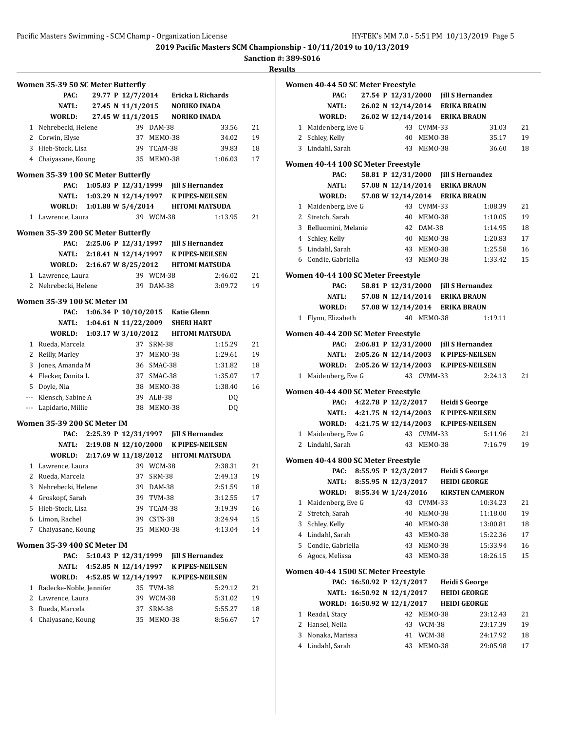$\overline{\phantom{0}}$ 

**2019 Pacific Masters SCM Championship - 10/11/2019 to 10/13/2019**

**Sanction #: 389-S016**

|              | Women 35-39 50 SC Meter Butterfly  |                      |                      |               |                                       |                                            |    |
|--------------|------------------------------------|----------------------|----------------------|---------------|---------------------------------------|--------------------------------------------|----|
|              | PAC:                               |                      |                      |               |                                       | 29.77 P 12/7/2014 Ericka L Richards        |    |
|              | NATL:                              |                      |                      |               | 27.45 N 11/1/2015 NORIKO INADA        |                                            |    |
|              | WORLD:                             |                      | 27.45 W 11/1/2015    |               | NORIKO INADA                          |                                            |    |
|              | 1 Nehrebecki, Helene               |                      |                      | 39 DAM-38     |                                       | 33.56                                      | 21 |
|              | 2 Corwin, Elyse                    |                      |                      | 37 MEMO-38    |                                       | 34.02                                      | 19 |
|              | 3 Hieb-Stock, Lisa                 |                      |                      | 39 TCAM-38    |                                       | 39.83                                      | 18 |
|              | 4 Chaiyasane, Koung                |                      |                      | 35 MEM0-38    |                                       | 1:06.03                                    | 17 |
|              |                                    |                      |                      |               |                                       |                                            |    |
|              | Women 35-39 100 SC Meter Butterfly |                      |                      |               |                                       |                                            |    |
|              | PAC:                               |                      |                      |               | 1:05.83 P 12/31/1999 Jill S Hernandez |                                            |    |
|              |                                    |                      |                      |               |                                       | NATL: 1:03.29 N 12/14/1997 K PIPES-NEILSEN |    |
|              | WORLD: 1:01.88 W 5/4/2014          |                      |                      |               |                                       | HITOMI MATSUDA                             |    |
|              | 1 Lawrence, Laura                  |                      |                      | 39 WCM-38     |                                       | 1:13.95                                    | 21 |
|              | Women 35-39 200 SC Meter Butterfly |                      |                      |               |                                       |                                            |    |
|              | PAC:                               |                      |                      |               | 2:25.06 P 12/31/1997 Jill S Hernandez |                                            |    |
|              | <b>NATL:</b>                       |                      |                      |               |                                       | 2:18.41 N 12/14/1997 K PIPES-NEILSEN       |    |
|              | WORLD:                             |                      |                      |               |                                       | 2:16.67 W 8/25/2012 HITOMI MATSUDA         |    |
|              | 1 Lawrence, Laura                  |                      |                      | 39 WCM-38     |                                       | 2:46.02                                    | 21 |
|              | 2 Nehrebecki, Helene               |                      |                      | 39 DAM-38     |                                       | 3:09.72                                    | 19 |
|              |                                    |                      |                      |               |                                       |                                            |    |
|              | Women 35-39 100 SC Meter IM        |                      |                      |               |                                       |                                            |    |
|              | PAC:                               |                      |                      |               | 1:06.34 P 10/10/2015 Katie Glenn      |                                            |    |
|              | NATL:                              |                      |                      |               | 1:04.61 N 11/22/2009 SHERI HART       |                                            |    |
|              |                                    |                      |                      |               |                                       | WORLD: 1:03.17 W 3/10/2012 HITOMI MATSUDA  |    |
| 1            | Rueda, Marcela                     |                      |                      | 37 SRM-38     |                                       | 1:15.29                                    | 21 |
|              | 2 Reilly, Marley                   |                      |                      | 37 MEM0-38    |                                       | 1:29.61                                    | 19 |
| 3            | Jones, Amanda M                    |                      |                      | 36 SMAC-38    |                                       | 1:31.82                                    | 18 |
|              | 4 Flecker, Donita L                |                      |                      | 37 SMAC-38    |                                       | 1:35.07                                    | 17 |
|              | 5 Doyle, Nia                       |                      |                      | 38 MEM0-38    |                                       | 1:38.40                                    | 16 |
|              | --- Klensch, Sabine A              |                      |                      | 39 ALB-38     |                                       | DQ                                         |    |
|              | --- Lapidario, Millie              |                      |                      | 38 MEMO-38    |                                       | DQ                                         |    |
|              | Women 35-39 200 SC Meter IM        |                      |                      |               |                                       |                                            |    |
|              | PAC:                               |                      |                      |               | 2:25.39 P 12/31/1997 Jill S Hernandez |                                            |    |
|              |                                    |                      |                      |               |                                       | NATL: 2:19.08 N 12/10/2000 K PIPES-NEILSEN |    |
|              | WORLD:                             |                      |                      |               |                                       | 2:17.69 W 11/18/2012 HITOMI MATSUDA        |    |
| $\mathbf{1}$ | Lawrence, Laura                    |                      |                      | 39 WCM-38     |                                       | 2:38.31                                    | 21 |
| 2            | Rueda, Marcela                     |                      |                      | 37 SRM-38     |                                       | 2:49.13                                    | 19 |
|              | 3 Nehrebecki, Helene               |                      |                      | 39 DAM-38     |                                       | 2:51.59                                    | 18 |
| 4            | Groskopf, Sarah                    |                      |                      | 39 TVM-38     |                                       | 3:12.55                                    | 17 |
| 5            | Hieb-Stock, Lisa                   |                      | 39                   | TCAM-38       |                                       | 3:19.39                                    | 16 |
| 6            | Limon, Rachel                      |                      | 39                   | CSTS-38       |                                       | 3:24.94                                    | 15 |
| 7            | Chaiyasane, Koung                  |                      | 35                   | MEMO-38       |                                       | 4:13.04                                    | 14 |
|              |                                    |                      |                      |               |                                       |                                            |    |
|              | Women 35-39 400 SC Meter IM        |                      |                      |               |                                       |                                            |    |
|              | PAC:                               |                      | 5:10.43 P 12/31/1999 |               | <b>Jill S Hernandez</b>               |                                            |    |
|              | NATL:                              | 4:52.85 N 12/14/1997 |                      |               |                                       | <b>K PIPES-NEILSEN</b>                     |    |
|              | WORLD:                             |                      | 4:52.85 W 12/14/1997 |               |                                       | <b>K.PIPES-NEILSEN</b>                     |    |
| 1            | Radecke-Noble, Jennifer            |                      | 35                   | TVM-38        |                                       | 5:29.12                                    | 21 |
| 2            | Lawrence, Laura                    |                      |                      | 39 WCM-38     |                                       | 5:31.02                                    | 19 |
| 3            | Rueda, Marcela                     |                      | 37                   | <b>SRM-38</b> |                                       | 5:55.27                                    | 18 |
| 4            | Chaiyasane, Koung                  |                      | 35                   | MEMO-38       |                                       | 8:56.67                                    | 17 |
|              |                                    |                      |                      |               |                                       |                                            |    |
|              |                                    |                      |                      |               |                                       |                                            |    |

|              | Women 40-44 50 SC Meter Freestyle           |                                |                                |            |                                            |    |
|--------------|---------------------------------------------|--------------------------------|--------------------------------|------------|--------------------------------------------|----|
|              | PAC:                                        |                                |                                |            | 27.54 P 12/31/2000 Jill S Hernandez        |    |
|              | <b>NATL:</b>                                |                                | 26.02 N 12/14/2014 ERIKA BRAUN |            |                                            |    |
|              | WORLD:                                      | 26.02 W 12/14/2014 ERIKA BRAUN |                                |            |                                            |    |
|              | 1 Maidenberg, Eve G                         |                                |                                | 43 CVMM-33 | 31.03                                      | 21 |
|              | 2 Schley, Kelly                             |                                |                                | 40 MEMO-38 | 35.17                                      | 19 |
|              | 3 Lindahl, Sarah                            |                                |                                | 43 MEMO-38 | 36.60                                      | 18 |
|              | Women 40-44 100 SC Meter Freestyle          |                                |                                |            |                                            |    |
|              | PAC:                                        |                                |                                |            | 58.81 P 12/31/2000 Jill S Hernandez        |    |
|              | <b>NATL:</b>                                |                                | 57.08 N 12/14/2014 ERIKA BRAUN |            |                                            |    |
|              | WORLD:                                      |                                | 57.08 W 12/14/2014 ERIKA BRAUN |            |                                            |    |
|              | 1 Maidenberg, Eve G                         |                                |                                | 43 CVMM-33 | 1:08.39                                    | 21 |
|              | 2 Stretch, Sarah                            |                                |                                | 40 MEMO-38 | 1:10.05                                    | 19 |
|              | 3 Belluomini, Melanie                       |                                |                                | 42 DAM-38  | 1:14.95                                    | 18 |
|              | 4 Schley, Kelly                             |                                |                                | 40 MEMO-38 | 1:20.83                                    | 17 |
|              | 5 Lindahl, Sarah                            |                                |                                | 43 MEMO-38 | 1:25.58                                    | 16 |
|              | 6 Condie, Gabriella                         |                                |                                | 43 MEMO-38 | 1:33.42                                    | 15 |
|              | Women 40-44 100 SC Meter Freestyle          |                                |                                |            |                                            |    |
|              | PAC:                                        |                                |                                |            | 58.81 P 12/31/2000 Jill S Hernandez        |    |
|              | <b>NATL:</b>                                |                                | 57.08 N 12/14/2014 ERIKA BRAUN |            |                                            |    |
|              | <b>WORLD:</b>                               |                                | 57.08 W 12/14/2014 ERIKA BRAUN |            |                                            |    |
| $\mathbf{1}$ | Flynn, Elizabeth                            |                                |                                | 40 MEMO-38 | 1:19.11                                    |    |
|              | Women 40-44 200 SC Meter Freestyle          |                                |                                |            |                                            |    |
|              | PAC:                                        |                                |                                |            | 2:06.81 P 12/31/2000 Jill S Hernandez      |    |
|              |                                             |                                |                                |            | NATL: 2:05.26 N 12/14/2003 K PIPES-NEILSEN |    |
|              | WORLD: 2:05.26 W 12/14/2003 K.PIPES-NEILSEN |                                |                                |            |                                            |    |
|              | 1 Maidenberg, Eve G                         |                                |                                | 43 CVMM-33 | 2:24.13                                    | 21 |
|              | Women 40-44 400 SC Meter Freestyle          |                                |                                |            |                                            |    |
|              | PAC:                                        |                                |                                |            | 4:22.78 P 12/2/2017 Heidi S George         |    |
|              |                                             |                                |                                |            | NATL: 4:21.75 N 12/14/2003 K PIPES-NEILSEN |    |
|              | <b>WORLD:</b>                               |                                |                                |            | 4:21.75 W 12/14/2003 K.PIPES-NEILSEN       |    |
|              | 1 Maidenberg, Eve G                         |                                |                                | 43 CVMM-33 | 5:11.96                                    | 21 |
|              | 2 Lindahl, Sarah                            |                                |                                | 43 MEM0-38 | 7:16.79                                    | 19 |
|              |                                             |                                |                                |            |                                            |    |
|              | Women 40-44 800 SC Meter Freestyle<br>PAC:  |                                |                                |            | 8:55.95 P 12/3/2017 Heidi S George         |    |
|              | NATL: 8:55.95 N 12/3/2017 HEIDI GEORGE      |                                |                                |            |                                            |    |
|              | WORLD:                                      | 8:55.34 W 1/24/2016            |                                |            | <b>KIRSTEN CAMERON</b>                     |    |
| 1            | Maidenberg, Eve G                           |                                | 43                             | CVMM-33    | 10:34.23                                   | 21 |
| 2            | Stretch, Sarah                              |                                | 40                             | MEMO-38    | 11:18.00                                   | 19 |
| 3            | Schley, Kelly                               |                                | 40                             | MEMO-38    | 13:00.81                                   | 18 |
|              | 4 Lindahl, Sarah                            |                                | 43                             | MEMO-38    | 15:22.36                                   | 17 |
| 5            | Condie, Gabriella                           |                                | 43                             | MEMO-38    | 15:33.94                                   | 16 |
| 6            | Agocs, Melissa                              |                                | 43                             | MEMO-38    | 18:26.15                                   | 15 |
|              |                                             |                                |                                |            |                                            |    |
|              | Women 40-44 1500 SC Meter Freestyle         |                                |                                |            |                                            |    |
|              | NATL: 16:50.92 N 12/1/2017                  | PAC: 16:50.92 P 12/1/2017      |                                |            | <b>Heidi S George</b>                      |    |
|              | WORLD: 16:50.92 W 12/1/2017                 |                                |                                |            | <b>HEIDI GEORGE</b><br><b>HEIDI GEORGE</b> |    |
| 1            | Readal, Stacy                               |                                | 42                             | MEMO-38    | 23:12.43                                   | 21 |
| 2            | Hansel, Neila                               |                                | 43                             | WCM-38     | 23:17.39                                   | 19 |
| 3            | Nonaka, Marissa                             |                                | 41                             | WCM-38     | 24:17.92                                   | 18 |
|              | 4 Lindahl, Sarah                            |                                | 43                             | MEMO-38    | 29:05.98                                   | 17 |
|              |                                             |                                |                                |            |                                            |    |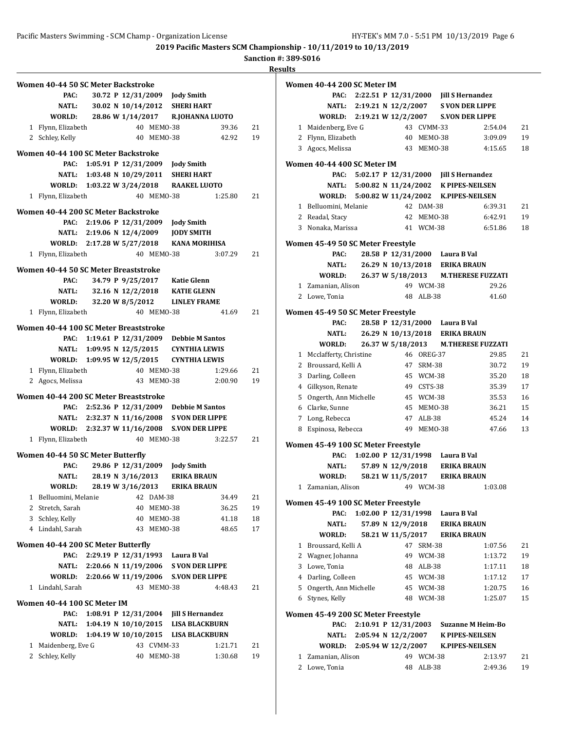**2019 Pacific Masters SCM Championship - 10/11/2019 to 10/13/2019**

**Sanction #: 389-S016**

| Women 40-44 50 SC Meter Backstroke    |                           |                        |            |                                            |         |    |
|---------------------------------------|---------------------------|------------------------|------------|--------------------------------------------|---------|----|
| PAC:                                  |                           |                        |            | 30.72 P 12/31/2009 Jody Smith              |         |    |
| <b>NATL:</b>                          |                           |                        |            | 30.02 N 10/14/2012 SHERI HART              |         |    |
| WORLD:                                |                           |                        |            | 28.86 W 1/14/2017 R.JOHANNA LUOTO          |         |    |
| 1 Flynn, Elizabeth                    |                           |                        | 40 MEMO-38 |                                            | 39.36   | 21 |
| 2 Schley, Kelly                       |                           |                        | 40 MEMO-38 |                                            | 42.92   | 19 |
| Women 40-44 100 SC Meter Backstroke   |                           |                        |            |                                            |         |    |
| PAC:                                  |                           |                        |            | 1:05.91 P 12/31/2009 Jody Smith            |         |    |
|                                       |                           |                        |            | NATL: 1:03.48 N 10/29/2011 SHERI HART      |         |    |
|                                       |                           |                        |            | WORLD: 1:03.22 W 3/24/2018 RAAKEL LUOTO    |         |    |
| 1 Flynn, Elizabeth                    |                           |                        | 40 MEMO-38 |                                            | 1:25.80 | 21 |
|                                       |                           |                        |            |                                            |         |    |
| Women 40-44 200 SC Meter Backstroke   |                           |                        |            |                                            |         |    |
|                                       | PAC: 2:19.06 P 12/31/2009 |                        |            | <b>Jody Smith</b>                          |         |    |
|                                       |                           |                        |            | NATL: 2:19.06 N 12/4/2009 JODY SMITH       |         |    |
| WORLD: 2:17.28 W 5/27/2018            |                           |                        |            | <b>KANA MORIHISA</b>                       |         |    |
| 1 Flynn, Elizabeth                    |                           |                        | 40 MEMO-38 |                                            | 3:07.29 | 21 |
| Women 40-44 50 SC Meter Breaststroke  |                           |                        |            |                                            |         |    |
| PAC:                                  |                           |                        |            | 34.79 P 9/25/2017 Katie Glenn              |         |    |
| <b>NATL:</b>                          |                           | 32.16 N 12/2/2018      |            | <b>KATIE GLENN</b>                         |         |    |
| <b>WORLD:</b>                         |                           | 32.20 W 8/5/2012       |            | <b>LINLEY FRAME</b>                        |         |    |
| 1 Flynn, Elizabeth                    |                           |                        | 40 MEMO-38 |                                            | 41.69   | 21 |
| Women 40-44 100 SC Meter Breaststroke |                           |                        |            |                                            |         |    |
|                                       |                           |                        |            | PAC: 1:19.61 P 12/31/2009 Debbie M Santos  |         |    |
|                                       |                           |                        |            | NATL: 1:09.95 N 12/5/2015 CYNTHIA LEWIS    |         |    |
| WORLD: 1:09.95 W 12/5/2015            |                           |                        |            | CYNTHIA LEWIS                              |         |    |
| 1 Flynn, Elizabeth                    |                           |                        | 40 MEMO-38 |                                            | 1:29.66 | 21 |
| 2 Agocs, Melissa                      |                           |                        | 43 MEMO-38 |                                            | 2:00.90 | 19 |
|                                       |                           |                        |            |                                            |         |    |
| Women 40-44 200 SC Meter Breaststroke |                           |                        |            |                                            |         |    |
| PAC:                                  |                           |                        |            | 2:52.36 P 12/31/2009 Debbie M Santos       |         |    |
|                                       |                           |                        |            | NATL: 2:32.37 N 11/16/2008 S VON DER LIPPE |         |    |
| WORLD: 2:32.37 W 11/16/2008           |                           |                        |            | <b>S.VON DER LIPPE</b>                     |         |    |
| 1 Flynn, Elizabeth                    |                           |                        | 40 MEMO-38 |                                            | 3:22.57 | 21 |
| Women 40-44 50 SC Meter Butterfly     |                           |                        |            |                                            |         |    |
| PAC:                                  |                           | 29.86 P 12/31/2009     |            | <b>Jody Smith</b>                          |         |    |
| <b>NATL:</b>                          | 28.19 N 3/16/2013         |                        |            | <b>ERIKA BRAUN</b>                         |         |    |
| <b>WORLD:</b>                         |                           |                        |            | 28.19 W 3/16/2013 ERIKA BRAUN              |         |    |
| 1 Belluomini, Melanie                 |                           |                        | 42 DAM-38  |                                            | 34.49   | 21 |
| 2 Stretch, Sarah                      |                           | 40                     | MEMO-38    |                                            | 36.25   | 19 |
| 3 Schley, Kelly                       |                           | 40                     | MEMO-38    |                                            | 41.18   | 18 |
| 4 Lindahl, Sarah                      |                           | 43                     | MEMO-38    |                                            | 48.65   | 17 |
| Women 40-44 200 SC Meter Butterfly    |                           |                        |            |                                            |         |    |
| PAC:                                  | 2:29.19 P 12/31/1993      |                        |            | Laura B Val                                |         |    |
|                                       |                           |                        |            | NATL: 2:20.66 N 11/19/2006 S VON DER LIPPE |         |    |
| WORLD: 2:20.66 W 11/19/2006           |                           |                        |            | <b>S.VON DER LIPPE</b>                     |         |    |
| 1 Lindahl, Sarah                      |                           |                        | 43 MEMO-38 |                                            | 4:48.43 | 21 |
|                                       |                           |                        |            |                                            |         |    |
| Women 40-44 100 SC Meter IM           |                           |                        |            |                                            |         |    |
| PAC:                                  |                           | 1:08.91 P $12/31/2004$ |            | <b>Jill S Hernandez</b>                    |         |    |
| NATL:                                 | 1:04.19 N 10/10/2015      |                        |            | <b>LISA BLACKBURN</b>                      |         |    |
| WORLD:                                | 1:04.19 W 10/10/2015      |                        |            | LISA BLACKBURN                             |         |    |
| 1 Maidenberg, Eve G                   |                           |                        | 43 CVMM-33 |                                            | 1:21.71 | 21 |
| 2 Schley, Kelly                       |                           | 40                     | MEMO-38    |                                            | 1:30.68 | 19 |

|              | Women 40-44 200 SC Meter IM                |  |                                |            |                                          |                                            |          |
|--------------|--------------------------------------------|--|--------------------------------|------------|------------------------------------------|--------------------------------------------|----------|
|              | PAC:                                       |  |                                |            | 2:22.51 P 12/31/2000 Jill S Hernandez    |                                            |          |
|              | <b>NATL:</b>                               |  |                                |            |                                          | 2:19.21 N 12/2/2007 S VON DER LIPPE        |          |
|              | WORLD:                                     |  | 2:19.21 W 12/2/2007            |            |                                          | <b>S.VON DER LIPPE</b>                     |          |
| $\mathbf{1}$ | Maidenberg, Eve G                          |  |                                | 43 CVMM-33 |                                          | 2:54.04                                    | 21       |
|              | 2 Flynn, Elizabeth                         |  |                                | 40 MEMO-38 |                                          | 3:09.09                                    | 19       |
|              | 3 Agocs, Melissa                           |  |                                | 43 MEMO-38 |                                          | 4:15.65                                    | 18       |
|              |                                            |  |                                |            |                                          |                                            |          |
|              | Women 40-44 400 SC Meter IM<br>PAC:        |  | 5:02.17 P 12/31/2000           |            | <b>Jill S Hernandez</b>                  |                                            |          |
|              |                                            |  |                                |            |                                          | NATL: 5:00.82 N 11/24/2002 K PIPES-NEILSEN |          |
|              | WORLD: 5:00.82 W 11/24/2002                |  |                                |            |                                          | <b>K.PIPES-NEILSEN</b>                     |          |
|              |                                            |  |                                |            |                                          |                                            |          |
|              | 1 Belluomini, Melanie                      |  |                                | 42 DAM-38  |                                          | 6:39.31                                    | 21<br>19 |
|              | 2 Readal, Stacy                            |  |                                | 42 MEMO-38 |                                          | 6:42.91<br>6:51.86                         | 18       |
|              | 3 Nonaka, Marissa                          |  |                                | 41 WCM-38  |                                          |                                            |          |
|              | Women 45-49 50 SC Meter Freestyle          |  |                                |            |                                          |                                            |          |
|              | PAC:                                       |  |                                |            | 28.58 P 12/31/2000 Laura B Val           |                                            |          |
|              | NATL:                                      |  |                                |            | 26.29 N 10/13/2018 ERIKA BRAUN           |                                            |          |
|              | WORLD:                                     |  | 26.37 W 5/18/2013              |            |                                          | <b>M.THERESE FUZZATI</b>                   |          |
|              | 1 Zamanian, Alison                         |  |                                | 49 WCM-38  |                                          | 29.26                                      |          |
|              | 2 Lowe, Tonia                              |  |                                | 48 ALB-38  |                                          | 41.60                                      |          |
|              | Women 45-49 50 SC Meter Freestyle          |  |                                |            |                                          |                                            |          |
|              | PAC:                                       |  |                                |            | 28.58 P 12/31/2000 Laura B Val           |                                            |          |
|              | NATL:                                      |  | 26.29 N 10/13/2018             |            | <b>ERIKA BRAUN</b>                       |                                            |          |
|              | WORLD:                                     |  | 26.37 W 5/18/2013              |            |                                          | <b>M.THERESE FUZZATI</b>                   |          |
|              | 1 Mcclafferty, Christine                   |  |                                | 46 OREG-37 |                                          | 29.85                                      | 21       |
|              | 2 Broussard, Kelli A                       |  |                                | 47 SRM-38  |                                          | 30.72                                      | 19       |
|              | 3 Darling, Colleen                         |  |                                | 45 WCM-38  |                                          | 35.20                                      | 18       |
|              | 4 Gilkyson, Renate                         |  |                                | 49 CSTS-38 |                                          | 35.39                                      | 17       |
|              | 5 Ongerth, Ann Michelle                    |  |                                | 45 WCM-38  |                                          | 35.53                                      | 16       |
|              | 6 Clarke, Sunne                            |  |                                | 45 MEMO-38 |                                          | 36.21                                      | 15       |
|              | 7 Long, Rebecca                            |  |                                | 47 ALB-38  |                                          | 45.24                                      | 14       |
|              | 8 Espinosa, Rebecca                        |  |                                | 49 MEM0-38 |                                          | 47.66                                      | 13       |
|              |                                            |  |                                |            |                                          |                                            |          |
|              | Women 45-49 100 SC Meter Freestyle<br>PAC: |  |                                |            |                                          |                                            |          |
|              | <b>NATL:</b>                               |  | 57.89 N 12/9/2018              |            | 1:02.00 P 12/31/1998 Laura B Val         |                                            |          |
|              | WORLD:                                     |  |                                |            | <b>ERIKA BRAUN</b><br><b>ERIKA BRAUN</b> |                                            |          |
| 1            | Zamanian, Alison                           |  | 58.21 W 11/5/2017              | 49 WCM-38  |                                          | 1:03.08                                    |          |
|              |                                            |  |                                |            |                                          |                                            |          |
|              | Women 45-49 100 SC Meter Freestyle         |  |                                |            |                                          |                                            |          |
|              | PAC:                                       |  | 1:02.00 P 12/31/1998           |            | Laura B Val                              |                                            |          |
|              | NATL:                                      |  | 57.89 N 12/9/2018              |            | <b>ERIKA BRAUN</b>                       |                                            |          |
|              | WORLD:                                     |  | 58.21 W 11/5/2017              |            | <b>ERIKA BRAUN</b>                       |                                            |          |
|              | 1 Broussard, Kelli A                       |  |                                | 47 SRM-38  |                                          | 1:07.56                                    | 21       |
|              | 2 Wagner, Johanna                          |  |                                | 49 WCM-38  |                                          | 1:13.72                                    | 19       |
|              | 3 Lowe, Tonia                              |  |                                | 48 ALB-38  |                                          | 1:17.11                                    | 18       |
|              | 4 Darling, Colleen                         |  |                                | 45 WCM-38  |                                          | 1:17.12                                    | 17       |
|              | 5 Ongerth, Ann Michelle                    |  |                                | 45 WCM-38  |                                          | 1:20.75                                    | 16       |
|              | 6 Stynes, Kelly                            |  |                                | 48 WCM-38  |                                          | 1:25.07                                    | 15       |
|              | Women 45-49 200 SC Meter Freestyle         |  |                                |            |                                          |                                            |          |
|              | PAC:                                       |  | 2:10.91 P 12/31/2003           |            |                                          | <b>Suzanne M Heim-Bo</b>                   |          |
|              | NATL:                                      |  | $2:05.94 \text{ N } 12/2/2007$ |            |                                          | <b>K PIPES-NEILSEN</b>                     |          |
|              | WORLD:                                     |  | 2:05.94 W 12/2/2007            |            |                                          | <b>K.PIPES-NEILSEN</b>                     |          |
| 1            | Zamanian, Alison                           |  |                                | 49 WCM-38  |                                          | 2:13.97                                    | 21       |
|              | 2 Lowe, Tonia                              |  |                                | 48 ALB-38  |                                          | 2:49.36                                    | 19       |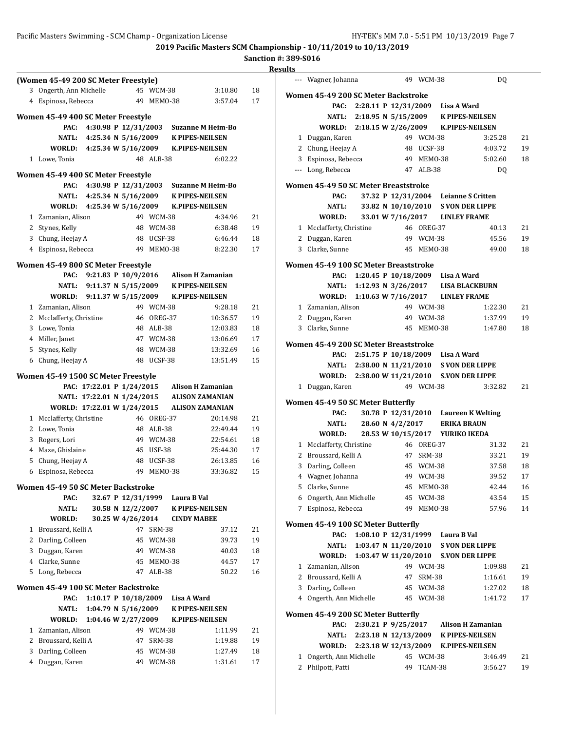|                | (Women 45-49 200 SC Meter Freestyle) |                                            |                    |            |             |                                                    |    |
|----------------|--------------------------------------|--------------------------------------------|--------------------|------------|-------------|----------------------------------------------------|----|
| 3              | Ongerth, Ann Michelle                |                                            |                    | 45 WCM-38  |             | 3:10.80                                            | 18 |
| 4              | Espinosa, Rebecca                    |                                            | 49                 | MEMO-38    |             | 3:57.04                                            | 17 |
|                |                                      |                                            |                    |            |             |                                                    |    |
|                | Women 45-49 400 SC Meter Freestyle   |                                            |                    |            |             |                                                    |    |
|                | PAC:                                 | 4:30.98 P 12/31/2003                       |                    |            |             | <b>Suzanne M Heim-Bo</b>                           |    |
|                | NATL:                                | 4:25.34 N 5/16/2009                        |                    |            |             | <b>K PIPES-NEILSEN</b>                             |    |
|                | WORLD:                               | 4:25.34 W 5/16/2009                        |                    |            |             | <b>K.PIPES-NEILSEN</b>                             |    |
|                | 1 Lowe, Tonia                        |                                            |                    | 48 ALB-38  |             | 6:02.22                                            |    |
|                | Women 45-49 400 SC Meter Freestyle   |                                            |                    |            |             |                                                    |    |
|                | PAC:                                 | 4:30.98 P 12/31/2003                       |                    |            |             | <b>Suzanne M Heim-Bo</b>                           |    |
|                |                                      | NATL: 4:25.34 N 5/16/2009                  |                    |            |             | <b>K PIPES-NEILSEN</b>                             |    |
|                | WORLD:                               | 4:25.34 W 5/16/2009                        |                    |            |             | <b>K.PIPES-NEILSEN</b>                             |    |
|                | 1 Zamanian, Alison                   |                                            |                    | 49 WCM-38  |             | 4:34.96                                            | 21 |
|                | 2 Stynes, Kelly                      |                                            |                    | 48 WCM-38  |             | 6:38.48                                            | 19 |
|                | 3 Chung, Heejay A                    |                                            |                    | 48 UCSF-38 |             | 6:46.44                                            | 18 |
|                | 4 Espinosa, Rebecca                  |                                            |                    | 49 MEM0-38 |             | 8:22.30                                            | 17 |
|                |                                      |                                            |                    |            |             |                                                    |    |
|                | Women 45-49 800 SC Meter Freestyle   |                                            |                    |            |             |                                                    |    |
|                | PAC:<br>NATL:                        | 9:21.83 P 10/9/2016<br>9:11.37 N 5/15/2009 |                    |            |             | <b>Alison H Zamanian</b><br><b>K PIPES-NEILSEN</b> |    |
|                | <b>WORLD:</b>                        | 9:11.37 W 5/15/2009                        |                    |            |             | <b>K.PIPES-NEILSEN</b>                             |    |
|                | 1 Zamanian, Alison                   |                                            |                    | 49 WCM-38  |             | 9:28.18                                            | 21 |
|                | 2 Mcclafferty, Christine             |                                            |                    | 46 OREG-37 |             | 10:36.57                                           | 19 |
| 3              | Lowe, Tonia                          |                                            |                    | 48 ALB-38  |             | 12:03.83                                           | 18 |
|                | 4 Miller, Janet                      |                                            |                    | 47 WCM-38  |             | 13:06.69                                           | 17 |
| 5              | Stynes, Kelly                        |                                            |                    | 48 WCM-38  |             | 13:32.69                                           | 16 |
| 6              | Chung, Heejay A                      |                                            |                    | 48 UCSF-38 |             | 13:51.49                                           | 15 |
|                |                                      |                                            |                    |            |             |                                                    |    |
|                | Women 45-49 1500 SC Meter Freestyle  |                                            |                    |            |             |                                                    |    |
|                |                                      | PAC: 17:22.01 P 1/24/2015                  |                    |            |             | <b>Alison H Zamanian</b>                           |    |
|                |                                      | NATL: 17:22.01 N 1/24/2015                 |                    |            |             | <b>ALISON ZAMANIAN</b>                             |    |
|                | WORLD: 17:22.01 W 1/24/2015          |                                            |                    |            |             | <b>ALISON ZAMANIAN</b>                             |    |
|                | 1 Mcclafferty, Christine             |                                            |                    | 46 OREG-37 |             | 20:14.98                                           | 21 |
|                | 2 Lowe, Tonia                        |                                            |                    | 48 ALB-38  |             | 22:49.44                                           | 19 |
| 3              | Rogers, Lori                         |                                            |                    | 49 WCM-38  |             | 22:54.61                                           | 18 |
| $\overline{4}$ | Maze, Ghislaine                      |                                            |                    | 45 USF-38  |             | 25:44.30                                           | 17 |
| 5              | Chung, Heejay A                      |                                            |                    | 48 UCSF-38 |             | 26:13.85                                           | 16 |
| 6              | Espinosa, Rebecca                    |                                            |                    | 49 MEMO-38 |             | 33:36.82                                           | 15 |
|                | Women 45-49 50 SC Meter Backstroke   |                                            |                    |            |             |                                                    |    |
|                | PAC:                                 |                                            | 32.67 P 12/31/1999 |            | Laura B Val |                                                    |    |
|                | <b>NATL:</b>                         |                                            | 30.58 N 12/2/2007  |            |             | <b>K PIPES-NEILSEN</b>                             |    |
|                | WORLD:                               |                                            | 30.25 W 4/26/2014  |            |             | <b>CINDY MABEE</b>                                 |    |
| 1              | Broussard, Kelli A                   |                                            |                    | 47 SRM-38  |             | 37.12                                              | 21 |
| 2              | Darling, Colleen                     |                                            |                    | 45 WCM-38  |             | 39.73                                              | 19 |
| 3              | Duggan, Karen                        |                                            |                    | 49 WCM-38  |             | 40.03                                              | 18 |
| 4              | Clarke, Sunne                        |                                            |                    | 45 MEMO-38 |             | 44.57                                              | 17 |
|                | 5 Long, Rebecca                      |                                            |                    | 47 ALB-38  |             | 50.22                                              | 16 |
|                | Women 45-49 100 SC Meter Backstroke  |                                            |                    |            |             |                                                    |    |
|                | PAC:                                 | 1:10.17 P 10/18/2009                       |                    |            | Lisa A Ward |                                                    |    |
|                | <b>NATL:</b>                         | 1:04.79 N 5/16/2009                        |                    |            |             | <b>K PIPES-NEILSEN</b>                             |    |
|                | WORLD:                               | 1:04.46 W 2/27/2009                        |                    |            |             | <b>K.PIPES-NEILSEN</b>                             |    |
|                | 1 Zamanian, Alison                   |                                            |                    | 49 WCM-38  |             | 1:11.99                                            | 21 |
| 2              | Broussard, Kelli A                   |                                            |                    | 47 SRM-38  |             | 1:19.88                                            | 19 |
| 3              | Darling, Colleen                     |                                            |                    | 45 WCM-38  |             | 1:27.49                                            | 18 |
| 4              | Duggan, Karen                        |                                            |                    | 49 WCM-38  |             | 1:31.61                                            | 17 |
|                |                                      |                                            |                    |            |             |                                                    |    |
|                |                                      |                                            |                    |            |             |                                                    |    |

|                       | Wagner, Johanna                              |                      |                      | 49 WCM-38     |                                      | DQ                                   |    |
|-----------------------|----------------------------------------------|----------------------|----------------------|---------------|--------------------------------------|--------------------------------------|----|
|                       | Women 45-49 200 SC Meter Backstroke          |                      |                      |               |                                      |                                      |    |
|                       | PAC:                                         |                      |                      |               | 2:28.11 P 12/31/2009 Lisa A Ward     |                                      |    |
|                       | NATL:                                        |                      |                      |               | 2:18.95 N 5/15/2009 K PIPES-NEILSEN  |                                      |    |
|                       | WORLD:                                       | 2:18.15 W 2/26/2009  |                      |               | K.PIPES-NEILSEN                      |                                      |    |
|                       | 1 Duggan, Karen                              |                      |                      | 49 WCM-38     |                                      | 3:25.28                              | 21 |
|                       | 2 Chung, Heejay A                            |                      |                      | 48 UCSF-38    |                                      | 4:03.72                              | 19 |
|                       | 3 Espinosa, Rebecca                          |                      |                      | 49 MEMO-38    |                                      | 5:02.60                              | 18 |
|                       | --- Long, Rebecca                            |                      |                      | 47 ALB-38     |                                      | DQ                                   |    |
|                       |                                              |                      |                      |               |                                      |                                      |    |
|                       | Women 45-49 50 SC Meter Breaststroke<br>PAC: |                      |                      |               | 37.32 P 12/31/2004 Leianne S Critten |                                      |    |
|                       | NATL:                                        |                      |                      |               | 33.82 N 10/10/2010 S VON DER LIPPE   |                                      |    |
|                       | WORLD:                                       |                      |                      |               | 33.01 W 7/16/2017 LINLEY FRAME       |                                      |    |
|                       | 1 Mcclafferty, Christine                     |                      |                      | 46 OREG-37    |                                      | 40.13                                | 21 |
| $\mathbf{2}^{\prime}$ | Duggan, Karen                                |                      |                      | 49 WCM-38     |                                      | 45.56                                | 19 |
| 3                     | Clarke, Sunne                                |                      | 45                   | MEMO-38       |                                      | 49.00                                | 18 |
|                       |                                              |                      |                      |               |                                      |                                      |    |
|                       | Women 45-49 100 SC Meter Breaststroke        |                      |                      |               |                                      |                                      |    |
|                       | PAC:                                         |                      |                      |               | 1:20.45 P 10/18/2009 Lisa A Ward     |                                      |    |
|                       | NATL:                                        |                      |                      |               | 1:12.93 N 3/26/2017 LISA BLACKBURN   |                                      |    |
|                       | <b>WORLD:</b>                                |                      |                      |               | 1:10.63 W 7/16/2017 LINLEY FRAME     |                                      |    |
|                       | 1 Zamanian, Alison                           |                      |                      | 49 WCM-38     |                                      | 1:22.30                              | 21 |
|                       | 2 Duggan, Karen                              |                      |                      | 49 WCM-38     |                                      | 1:37.99                              | 19 |
| 3                     | Clarke, Sunne                                |                      | 45                   | MEMO-38       |                                      | 1:47.80                              | 18 |
|                       | Women 45-49 200 SC Meter Breaststroke        |                      |                      |               |                                      |                                      |    |
|                       | PAC:                                         |                      |                      |               | 2:51.75 P 10/18/2009 Lisa A Ward     |                                      |    |
|                       | NATL:                                        |                      |                      |               | 2:38.00 N 11/21/2010 S VON DER LIPPE |                                      |    |
|                       | <b>WORLD:</b>                                | 2:38.00 W 11/21/2010 |                      |               | <b>S.VON DER LIPPE</b>               |                                      |    |
| 1                     | Duggan, Karen                                |                      |                      | 49 WCM-38     |                                      | 3:32.82                              | 21 |
|                       |                                              |                      |                      |               |                                      |                                      |    |
|                       | Women 45-49 50 SC Meter Butterfly            |                      |                      |               |                                      |                                      |    |
|                       | PAC:<br>NATL:                                |                      | 28.60 N 4/2/2017     |               | <b>ERIKA BRAUN</b>                   | 30.78 P 12/31/2010 Laureen K Welting |    |
|                       | WORLD:                                       |                      |                      |               | 28.53 W 10/15/2017 YURIKO IKEDA      |                                      |    |
|                       | 1 Mcclafferty, Christine                     |                      |                      | 46 OREG-37    |                                      | 31.32                                | 21 |
|                       | 2 Broussard, Kelli A                         |                      |                      | 47 SRM-38     |                                      | 33.21                                | 19 |
| 3                     | Darling, Colleen                             |                      |                      | 45 WCM-38     |                                      | 37.58                                | 18 |
|                       | 4 Wagner, Johanna                            |                      |                      | 49 WCM-38     |                                      | 39.52                                | 17 |
|                       | 5 Clarke, Sunne                              |                      |                      | 45 MEMO-38    |                                      | 42.44                                | 16 |
| 6                     | Ongerth, Ann Michelle                        |                      |                      | 45 WCM-38     |                                      | 43.54                                | 15 |
| $7^{\circ}$           | Espinosa, Rebecca                            |                      | 49                   | MEMO-38       |                                      | 57.96                                | 14 |
|                       |                                              |                      |                      |               |                                      |                                      |    |
|                       | Women 45-49 100 SC Meter Butterfly           |                      |                      |               |                                      |                                      |    |
|                       | PAC:                                         |                      | 1:08.10 P 12/31/1999 |               | Laura B Val                          |                                      |    |
|                       | NATL:                                        |                      | 1:03.47 N 11/20/2010 |               | <b>S VON DER LIPPE</b>               |                                      |    |
|                       | WORLD:                                       |                      | 1:03.47 W 11/20/2010 |               | <b>S.VON DER LIPPE</b>               |                                      |    |
| 1                     | Zamanian, Alison                             |                      |                      | 49 WCM-38     |                                      | 1:09.88                              | 21 |
|                       | 2 Broussard, Kelli A                         |                      | 47                   | <b>SRM-38</b> |                                      | 1:16.61                              | 19 |
| 3                     | Darling, Colleen                             |                      |                      | 45 WCM-38     |                                      | 1:27.02                              | 18 |
| 4                     | Ongerth, Ann Michelle                        |                      |                      | 45 WCM-38     |                                      | 1:41.72                              | 17 |
|                       | Women 45-49 200 SC Meter Butterfly           |                      |                      |               |                                      |                                      |    |
|                       | PAC:                                         |                      | 2:30.21 P 9/25/2017  |               |                                      | <b>Alison H Zamanian</b>             |    |
|                       | NATL:                                        |                      |                      |               | 2:23.18 N 12/13/2009 K PIPES-NEILSEN |                                      |    |
|                       | <b>WORLD:</b>                                |                      | 2:23.18 W 12/13/2009 |               |                                      | <b>K.PIPES-NEILSEN</b>               |    |
| 1                     | Ongerth, Ann Michelle                        |                      |                      | 45 WCM-38     |                                      | 3:46.49                              | 21 |
| 2                     | Philpott, Patti                              |                      | 49                   | TCAM-38       |                                      | 3:56.27                              | 19 |
|                       |                                              |                      |                      |               |                                      |                                      |    |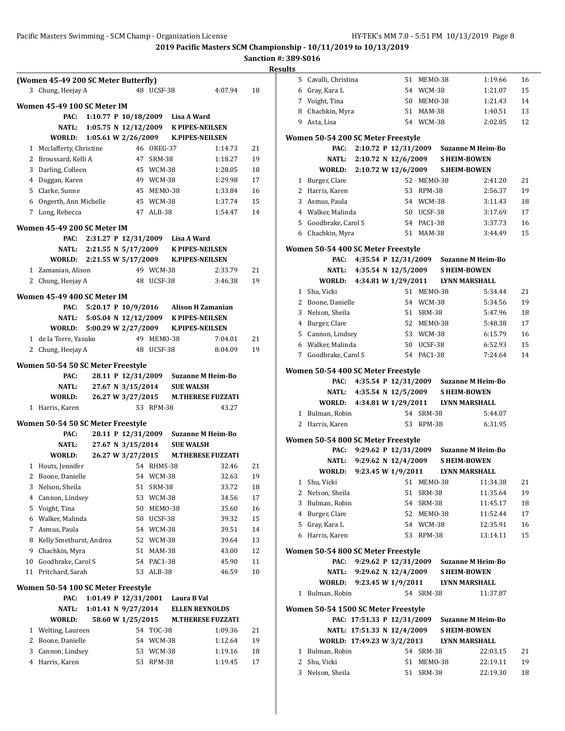**2019 to 10/13/2019** 

| Sanction #: 389-S016<br><b>Results</b><br>5 Caval |                                                                                                                                                                                                                                 |
|---------------------------------------------------|---------------------------------------------------------------------------------------------------------------------------------------------------------------------------------------------------------------------------------|
|                                                   |                                                                                                                                                                                                                                 |
|                                                   |                                                                                                                                                                                                                                 |
|                                                   | 6 Gray,                                                                                                                                                                                                                         |
| 7 Voigh                                           |                                                                                                                                                                                                                                 |
| 8 Chacl                                           |                                                                                                                                                                                                                                 |
| 9 Asta,                                           |                                                                                                                                                                                                                                 |
|                                                   |                                                                                                                                                                                                                                 |
|                                                   |                                                                                                                                                                                                                                 |
|                                                   |                                                                                                                                                                                                                                 |
|                                                   | V                                                                                                                                                                                                                               |
|                                                   |                                                                                                                                                                                                                                 |
|                                                   |                                                                                                                                                                                                                                 |
|                                                   |                                                                                                                                                                                                                                 |
|                                                   |                                                                                                                                                                                                                                 |
|                                                   |                                                                                                                                                                                                                                 |
| 6 Chacl                                           |                                                                                                                                                                                                                                 |
|                                                   |                                                                                                                                                                                                                                 |
|                                                   |                                                                                                                                                                                                                                 |
|                                                   |                                                                                                                                                                                                                                 |
|                                                   |                                                                                                                                                                                                                                 |
|                                                   | M                                                                                                                                                                                                                               |
|                                                   |                                                                                                                                                                                                                                 |
|                                                   |                                                                                                                                                                                                                                 |
|                                                   |                                                                                                                                                                                                                                 |
|                                                   |                                                                                                                                                                                                                                 |
|                                                   |                                                                                                                                                                                                                                 |
|                                                   |                                                                                                                                                                                                                                 |
|                                                   |                                                                                                                                                                                                                                 |
|                                                   |                                                                                                                                                                                                                                 |
|                                                   |                                                                                                                                                                                                                                 |
|                                                   |                                                                                                                                                                                                                                 |
|                                                   | V                                                                                                                                                                                                                               |
|                                                   |                                                                                                                                                                                                                                 |
|                                                   |                                                                                                                                                                                                                                 |
| Women 50                                          |                                                                                                                                                                                                                                 |
|                                                   |                                                                                                                                                                                                                                 |
|                                                   |                                                                                                                                                                                                                                 |
|                                                   | V                                                                                                                                                                                                                               |
| $1$ Shu,                                          |                                                                                                                                                                                                                                 |
| 2                                                 | Nelso                                                                                                                                                                                                                           |
|                                                   | Bulm                                                                                                                                                                                                                            |
|                                                   | <b>Burg</b>                                                                                                                                                                                                                     |
|                                                   | Gray,                                                                                                                                                                                                                           |
|                                                   | Harri                                                                                                                                                                                                                           |
| <b>Women 50</b>                                   |                                                                                                                                                                                                                                 |
|                                                   |                                                                                                                                                                                                                                 |
|                                                   |                                                                                                                                                                                                                                 |
|                                                   | V                                                                                                                                                                                                                               |
| 1 Bulm                                            |                                                                                                                                                                                                                                 |
|                                                   |                                                                                                                                                                                                                                 |
|                                                   |                                                                                                                                                                                                                                 |
|                                                   |                                                                                                                                                                                                                                 |
|                                                   | V                                                                                                                                                                                                                               |
|                                                   |                                                                                                                                                                                                                                 |
| 1 Bulm                                            |                                                                                                                                                                                                                                 |
|                                                   | Women 50<br>1 Burg<br>2 Harri<br>3 Asmu<br>4 Walk<br>5 Good<br><b>Women 50</b><br>$1$ Shu,<br>2 Boon<br>3 Nelsc<br>4 Burg<br>5 Cann<br>6 Walk<br>7 Good<br><b>Women 50</b><br>1 Bulm<br>2 Harri<br>3<br>4<br>5<br>6<br>Women 50 |

|   | 5 Cavalli, Christina                |                            | 51 | MEMO-38    | 1:19.66                                | 16 |
|---|-------------------------------------|----------------------------|----|------------|----------------------------------------|----|
|   | 6 Gray, Kara L                      |                            |    | 54 WCM-38  | 1:21.07                                | 15 |
|   | 7 Voight, Tina                      |                            |    | 50 MEMO-38 | 1:21.43                                | 14 |
|   | 8 Chachkin, Myra                    |                            |    | 51 MAM-38  | 1:40.51                                | 13 |
|   | 9 Asta, Lisa                        |                            |    | 54 WCM-38  | 2:02.85                                | 12 |
|   | Women 50-54 200 SC Meter Freestyle  |                            |    |            |                                        |    |
|   | PAC:                                |                            |    |            | 2:10.72 P 12/31/2009 Suzanne M Heim-Bo |    |
|   | NATL:                               | 2:10.72 N 12/6/2009        |    |            | <b>SHEIM-BOWEN</b>                     |    |
|   | WORLD: 2:10.72 W 12/6/2009          |                            |    |            | <b>S.HEIM-BOWEN</b>                    |    |
|   | 1 Burger, Clare                     |                            |    | 52 MEMO-38 | 2:41.20                                | 21 |
|   | 2 Harris, Karen                     |                            |    | 53 RPM-38  | 2:56.37                                | 19 |
|   | 3 Asmus, Paula                      |                            |    | 54 WCM-38  | 3:11.43                                | 18 |
|   | 4 Walker, Malinda                   |                            |    | 50 UCSF-38 | 3:17.69                                | 17 |
|   | 5 Goodbrake, Carol S                |                            |    | 54 PAC1-38 | 3:37.73                                | 16 |
|   | 6 Chachkin, Myra                    |                            |    | 51 MAM-38  | 3:44.49                                | 15 |
|   | Women 50-54 400 SC Meter Freestyle  |                            |    |            |                                        |    |
|   | PAC:                                |                            |    |            | 4:35.54 P 12/31/2009 Suzanne M Heim-Bo |    |
|   | NATL:                               | 4:35.54 N 12/5/2009        |    |            | <b>SHEIM-BOWEN</b>                     |    |
|   | WORLD: 4:34.81 W 1/29/2011          |                            |    |            | LYNN MARSHALL                          |    |
|   | 1 Shu, Vicki                        |                            |    | 51 MEMO-38 | 5:34.44                                | 21 |
|   | 2 Boone, Danielle                   |                            |    | 54 WCM-38  | 5:34.56                                | 19 |
|   | 3 Nelson, Sheila                    |                            |    | 51 SRM-38  | 5:47.96                                | 18 |
|   | 4 Burger, Clare                     |                            |    | 52 MEM0-38 | 5:48.38                                | 17 |
|   | 5 Cannon, Lindsey                   |                            |    | 53 WCM-38  | 6:15.79                                | 16 |
|   | 6 Walker, Malinda                   |                            |    | 50 UCSF-38 | 6:52.93                                | 15 |
|   | 7 Goodbrake, Carol S                |                            |    | 54 PAC1-38 | 7:24.64                                | 14 |
|   | Women 50-54 400 SC Meter Freestyle  |                            |    |            |                                        |    |
|   | PAC:                                |                            |    |            | 4:35.54 P 12/31/2009 Suzanne M Heim-Bo |    |
|   | NATL:                               | 4:35.54 N 12/5/2009        |    |            | <b>SHEIM-BOWEN</b>                     |    |
|   | WORLD:                              |                            |    |            | 4:34.81 W 1/29/2011 LYNN MARSHALL      |    |
| 1 | Bulman, Robin                       |                            |    | 54 SRM-38  | 5:44.07                                |    |
|   | 2 Harris, Karen                     |                            |    | 53 RPM-38  | 6:31.95                                |    |
|   |                                     |                            |    |            |                                        |    |
|   | Women 50-54 800 SC Meter Freestyle  |                            |    |            |                                        |    |
|   | PAC:                                |                            |    |            | 9:29.62 P 12/31/2009 Suzanne M Heim-Bo |    |
|   | WORLD: 9:23.45 W 1/9/2011           | NATL: 9:29.62 N 12/4/2009  |    |            | <b>SHEIM-BOWEN</b><br>LYNN MARSHALL    |    |
|   | 1 Shu, Vicki                        |                            |    | 51 MEM0-38 | 11:34.38                               | 21 |
|   | 2 Nelson, Sheila                    |                            |    | 51 SRM-38  | 11:35.64                               | 19 |
| 3 | Bulman, Robin                       |                            |    | 54 SRM-38  | 11:45.17                               | 18 |
|   | 4 Burger, Clare                     |                            |    | 52 MEM0-38 | 11:52.44                               | 17 |
|   | 5 Gray, Kara L                      |                            |    | 54 WCM-38  | 12:35.91                               | 16 |
|   | 6 Harris, Karen                     |                            |    | 53 RPM-38  | 13:14.11                               | 15 |
|   |                                     |                            |    |            |                                        |    |
|   | Women 50-54 800 SC Meter Freestyle  |                            |    |            |                                        |    |
|   | PAC:                                |                            |    |            | 9:29.62 P 12/31/2009 Suzanne M Heim-Bo |    |
|   |                                     | NATL: 9:29.62 N 12/4/2009  |    |            | <b>SHEIM-BOWEN</b>                     |    |
|   | WORLD: 9:23.45 W 1/9/2011           |                            |    |            | <b>LYNN MARSHALL</b>                   |    |
|   | 1 Bulman, Robin                     |                            |    | 54 SRM-38  | 11:37.87                               |    |
|   | Women 50-54 1500 SC Meter Freestyle |                            |    |            |                                        |    |
|   |                                     | PAC: 17:51.33 P 12/31/2009 |    |            | <b>Suzanne M Heim-Bo</b>               |    |
|   |                                     | NATL: 17:51.33 N 12/4/2009 |    |            | <b>SHEIM-BOWEN</b>                     |    |
|   | WORLD: 17:49.23 W 3/2/2013          |                            |    |            | LYNN MARSHALL                          |    |
|   | 1 Bulman, Robin                     |                            |    | 54 SRM-38  | 22:03.15                               | 21 |
|   | 2 Shu, Vicki                        |                            |    | 51 MEMO-38 | 22:19.11                               | 19 |

3 Nelson, Sheila 51 SRM-38 22:19.30 18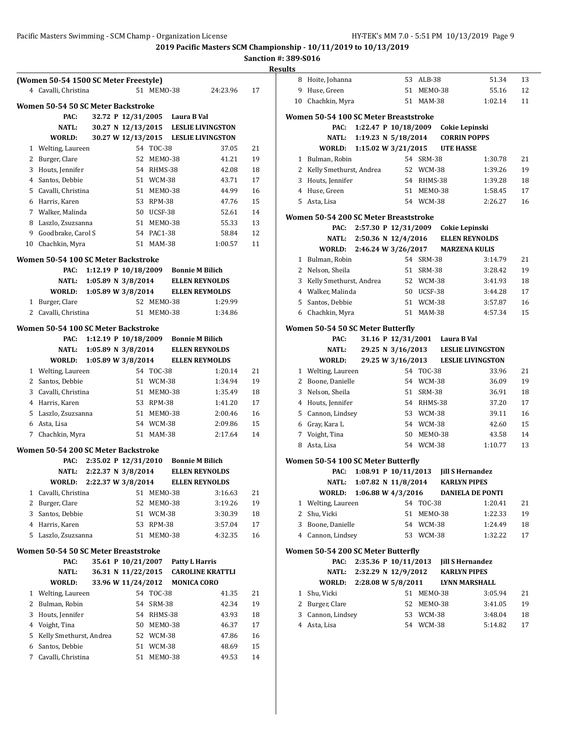|              | (Women 50-54 1500 SC Meter Freestyle)     |                          |                      |                          |                                |                                      |          |
|--------------|-------------------------------------------|--------------------------|----------------------|--------------------------|--------------------------------|--------------------------------------|----------|
|              | 4 Cavalli, Christina                      |                          |                      | 51 MEM0-38               |                                | 24:23.96                             | 17       |
|              |                                           |                          |                      |                          |                                |                                      |          |
|              | <b>Women 50-54 50 SC Meter Backstroke</b> |                          |                      |                          |                                |                                      |          |
|              | PAC:                                      |                          |                      |                          | 32.72 P 12/31/2005 Laura B Val |                                      |          |
|              | NATL:                                     |                          |                      |                          |                                | 30.27 N 12/13/2015 LESLIE LIVINGSTON |          |
|              | WORLD:                                    |                          |                      |                          |                                | 30.27 W 12/13/2015 LESLIE LIVINGSTON |          |
|              | 1 Welting, Laureen                        |                          |                      | 54 TOC-38                |                                | 37.05                                | 21       |
| 3            | 2 Burger, Clare                           |                          |                      | 52 MEMO-38<br>54 RHMS-38 |                                | 41.21                                | 19       |
|              | Houts, Jennifer<br>4 Santos, Debbie       |                          |                      | 51 WCM-38                |                                | 42.08<br>43.71                       | 18       |
|              |                                           |                          |                      | 51 MEM0-38               |                                |                                      | 17       |
| 5.           | Cavalli, Christina                        |                          |                      | 53 RPM-38                |                                | 44.99<br>47.76                       | 16<br>15 |
|              | 6 Harris, Karen                           |                          |                      | 50 UCSF-38               |                                |                                      |          |
|              | 7 Walker, Malinda                         |                          |                      | 51 MEM0-38               |                                | 52.61                                | 14       |
| 8<br>9       | Laszlo, Zsuzsanna<br>Goodbrake, Carol S   |                          |                      | 54 PAC1-38               |                                | 55.33<br>58.84                       | 13<br>12 |
| 10           | Chachkin, Myra                            |                          |                      | 51 MAM-38                |                                | 1:00.57                              | 11       |
|              |                                           |                          |                      |                          |                                |                                      |          |
|              | Women 50-54 100 SC Meter Backstroke       |                          |                      |                          |                                |                                      |          |
|              | PAC:                                      |                          |                      |                          |                                | 1:12.19 P 10/18/2009 Bonnie M Bilich |          |
|              | NATL:                                     |                          | 1:05.89 N $3/8/2014$ |                          |                                | <b>ELLEN REYNOLDS</b>                |          |
|              | WORLD: 1:05.89 W 3/8/2014                 |                          |                      |                          |                                | <b>ELLEN REYMOLDS</b>                |          |
| 1            | Burger, Clare                             |                          |                      | 52 MEM0-38               |                                | 1:29.99                              |          |
|              | 2 Cavalli, Christina                      |                          |                      | 51 MEMO-38               |                                | 1:34.86                              |          |
|              | Women 50-54 100 SC Meter Backstroke       |                          |                      |                          |                                |                                      |          |
|              | PAC:                                      |                          |                      |                          |                                | 1:12.19 P 10/18/2009 Bonnie M Bilich |          |
|              |                                           | NATL: 1:05.89 N 3/8/2014 |                      |                          |                                | <b>ELLEN REYNOLDS</b>                |          |
|              | WORLD:                                    | 1:05.89 W 3/8/2014       |                      |                          |                                | <b>ELLEN REYMOLDS</b>                |          |
|              | 1 Welting, Laureen                        |                          |                      | 54 TOC-38                |                                | 1:20.14                              | 21       |
|              | 2 Santos, Debbie                          |                          |                      | 51 WCM-38                |                                | 1:34.94                              | 19       |
|              | 3 Cavalli, Christina                      |                          |                      | 51 MEMO-38               |                                | 1:35.49                              | 18       |
|              | 4 Harris, Karen                           |                          |                      | 53 RPM-38                |                                | 1:41.20                              | 17       |
|              | 5 Laszlo, Zsuzsanna                       |                          |                      | 51 MEMO-38               |                                | 2:00.46                              | 16       |
|              | 6 Asta, Lisa                              |                          |                      | 54 WCM-38                |                                | 2:09.86                              | 15       |
| 7            | Chachkin, Myra                            |                          |                      | 51 MAM-38                |                                | 2:17.64                              | 14       |
|              | Women 50-54 200 SC Meter Backstroke       |                          |                      |                          |                                |                                      |          |
|              | PAC:                                      |                          |                      |                          |                                | 2:35.02 P 12/31/2010 Bonnie M Bilich |          |
|              | <b>NATL:</b>                              |                          | 2:22.37 N 3/8/2014   |                          |                                | <b>ELLEN REYNOLDS</b>                |          |
|              | WORLD:                                    |                          | 2:22.37 W 3/8/2014   |                          |                                | <b>ELLEN REYNOLDS</b>                |          |
| $\mathbf{1}$ | Cavalli, Christina                        |                          |                      | 51 MEMO-38               |                                | 3:16.63                              | 21       |
| 2            | Burger, Clare                             |                          |                      | 52 MEM0-38               |                                | 3:19.26                              | 19       |
| 3            | Santos, Debbie                            |                          |                      | 51 WCM-38                |                                | 3:30.39                              | 18       |
| 4            | Harris, Karen                             |                          |                      | 53 RPM-38                |                                | 3:57.04                              | 17       |
| 5            | Laszlo, Zsuzsanna                         |                          | 51                   | MEMO-38                  |                                | 4:32.35                              | 16       |
|              | Women 50-54 50 SC Meter Breaststroke      |                          |                      |                          |                                |                                      |          |
|              | PAC:                                      |                          | 35.61 P 10/21/2007   |                          | <b>Patty L Harris</b>          |                                      |          |
|              | <b>NATL:</b>                              |                          | 36.31 N 11/22/2015   |                          |                                | <b>CAROLINE KRATTLI</b>              |          |
|              | WORLD:                                    |                          | 33.96 W 11/24/2012   |                          |                                | <b>MONICA CORO</b>                   |          |
| 1            | Welting, Laureen                          |                          |                      | 54 TOC-38                |                                | 41.35                                | 21       |
| 2            | Bulman, Robin                             |                          | 54                   | <b>SRM-38</b>            |                                | 42.34                                | 19       |
| 3            | Houts, Jennifer                           |                          |                      | 54 RHMS-38               |                                | 43.93                                | 18       |
| 4            | Voight, Tina                              |                          |                      | 50 MEMO-38               |                                | 46.37                                | 17       |
| 5            | Kelly Smethurst, Andrea                   |                          |                      | 52 WCM-38                |                                | 47.86                                | 16       |
| 6            | Santos, Debbie                            |                          |                      | 51 WCM-38                |                                | 48.69                                | 15       |
| 7            | Cavalli, Christina                        |                          | 51                   | MEMO-38                  |                                | 49.53                                | 14       |
|              |                                           |                          |                      |                          |                                |                                      |          |

| lts          |                                       |                                                                                 |                         |                  |                          |          |
|--------------|---------------------------------------|---------------------------------------------------------------------------------|-------------------------|------------------|--------------------------|----------|
| 8            | Hoite, Johanna                        |                                                                                 | 53 ALB-38               |                  | 51.34                    | 13       |
| 9            | Huse, Green                           | 51                                                                              | MEMO-38                 |                  | 55.16                    | 12       |
| 10           | Chachkin, Myra                        |                                                                                 | 51 MAM-38               |                  | 1:02.14                  | 11       |
|              | Women 50-54 100 SC Meter Breaststroke |                                                                                 |                         |                  |                          |          |
|              | PAC:                                  | 1:22.47 P 10/18/2009 Cokie Lepinski                                             |                         |                  |                          |          |
|              | NATL:                                 | 1:19.23 N 5/18/2014                                                             |                         |                  | <b>CORRIN POPPS</b>      |          |
|              | <b>WORLD:</b>                         | 1:15.02 W 3/21/2015                                                             |                         | <b>UTE HASSE</b> |                          |          |
| $\mathbf{1}$ | Bulman, Robin                         |                                                                                 | 54 SRM-38               |                  | 1:30.78                  | 21       |
| 2            | Kelly Smethurst, Andrea               |                                                                                 | 52 WCM-38               |                  | 1:39.26                  | 19       |
|              | 3 Houts, Jennifer                     |                                                                                 | 54 RHMS-38              |                  | 1:39.28                  | 18       |
|              | 4 Huse, Green                         |                                                                                 | 51 MEMO-38              |                  | 1:58.45                  | 17       |
|              | 5 Asta, Lisa                          |                                                                                 | 54 WCM-38               |                  | 2:26.27                  | 16       |
|              | Women 50-54 200 SC Meter Breaststroke |                                                                                 |                         |                  |                          |          |
|              | PAC:                                  | 2:57.30 P 12/31/2009                                                            |                         | Cokie Lepinski   |                          |          |
|              | NATL:                                 | 2:50.36 N 12/4/2016                                                             |                         |                  | <b>ELLEN REYNOLDS</b>    |          |
|              | <b>WORLD:</b>                         | 2:46.24 W 3/26/2017                                                             |                         |                  | <b>MARZENA KULIS</b>     |          |
|              | 1 Bulman, Robin                       |                                                                                 | 54 SRM-38               |                  | 3:14.79                  | 21       |
|              | 2 Nelson, Sheila                      |                                                                                 | 51 SRM-38               |                  | 3:28.42                  | 19       |
| 3            | Kelly Smethurst, Andrea               |                                                                                 | 52 WCM-38               |                  | 3:41.93                  | 18       |
|              | 4 Walker, Malinda                     |                                                                                 | 50 UCSF-38              |                  | 3:44.28                  | 17       |
| 5            | Santos, Debbie                        |                                                                                 | 51 WCM-38               |                  | 3:57.87                  | 16       |
| 6            | Chachkin, Myra                        |                                                                                 | 51 MAM-38               |                  | 4:57.34                  | 15       |
|              | Women 50-54 50 SC Meter Butterfly     |                                                                                 |                         |                  |                          |          |
|              | PAC:                                  | 31.16 P 12/31/2001                                                              |                         | Laura B Val      |                          |          |
|              | NATL:                                 | 29.25 N 3/16/2013                                                               |                         |                  | <b>LESLIE LIVINGSTON</b> |          |
|              | WORLD:                                | 29.25 W 3/16/2013                                                               |                         |                  | <b>LESLIE LIVINGSTON</b> |          |
|              | 1 Welting, Laureen                    |                                                                                 | 54 TOC-38               |                  | 33.96                    | 21       |
|              | 2 Boone, Danielle                     |                                                                                 | 54 WCM-38               |                  | 36.09                    | 19       |
| 3            | Nelson, Sheila<br>4 Houts, Jennifer   |                                                                                 | 51 SRM-38               |                  | 36.91                    | 18       |
| 5            | Cannon, Lindsey                       |                                                                                 | 54 RHMS-38<br>53 WCM-38 |                  | 37.20<br>39.11           | 17<br>16 |
|              | 6 Gray, Kara L                        |                                                                                 | 54 WCM-38               |                  | 42.60                    | 15       |
|              | 7 Voight, Tina                        |                                                                                 | 50 MEMO-38              |                  | 43.58                    | 14       |
|              | 8 Asta, Lisa                          |                                                                                 | 54 WCM-38               |                  | 1:10.77                  | 13       |
|              |                                       |                                                                                 |                         |                  |                          |          |
|              | Women 50-54 100 SC Meter Butterfly    |                                                                                 |                         |                  |                          |          |
|              | PAC:                                  | 1:08.91 P 10/11/2013 Jill S Hernandez<br>NATL: 1:07.82 N 11/8/2014 KARLYN PIPES |                         |                  |                          |          |
|              | <b>WORLD:</b>                         | 1:06.88 W 4/3/2016                                                              |                         |                  | <b>DANIELA DE PONTI</b>  |          |
| 1            | Welting, Laureen                      |                                                                                 | 54 TOC-38               |                  | 1:20.41                  | 21       |
| 2            | Shu, Vicki                            | 51                                                                              | MEMO-38                 |                  | 1:22.33                  | 19       |
|              | 3 Boone, Danielle                     |                                                                                 | 54 WCM-38               |                  | 1:24.49                  | 18       |
|              | 4 Cannon, Lindsey                     |                                                                                 | 53 WCM-38               |                  | 1:32.22                  | 17       |
|              | Women 50-54 200 SC Meter Butterfly    |                                                                                 |                         |                  |                          |          |
|              | PAC:                                  | 2:35.36 P 10/11/2013 Jill S Hernandez                                           |                         |                  |                          |          |
|              |                                       | NATL: 2:32.29 N 12/9/2012 KARLYN PIPES                                          |                         |                  |                          |          |
|              | WORLD: 2:28.08 W 5/8/2011             |                                                                                 |                         |                  | LYNN MARSHALL            |          |
|              | 1 Shu, Vicki                          |                                                                                 | 51 MEMO-38              |                  | 3:05.94                  | 21       |
|              | 2 Burger, Clare                       |                                                                                 | 52 MEMO-38              |                  | 3:41.05                  | 19       |
|              | 3 Cannon, Lindsey                     |                                                                                 | 53 WCM-38               |                  | 3:48.04                  | 18       |
|              | 4 Asta, Lisa                          |                                                                                 | 54 WCM-38               |                  | 5:14.82                  | 17       |
|              |                                       |                                                                                 |                         |                  |                          |          |
|              |                                       |                                                                                 |                         |                  |                          |          |
|              |                                       |                                                                                 |                         |                  |                          |          |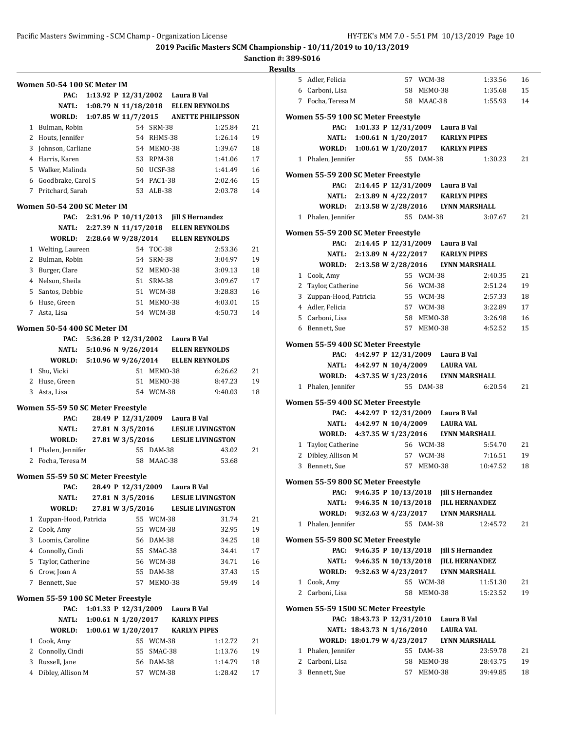|              | Women 50-54 100 SC Meter IM               |                        |                                      |                         |                                  |                                       |          |
|--------------|-------------------------------------------|------------------------|--------------------------------------|-------------------------|----------------------------------|---------------------------------------|----------|
|              | PAC:                                      |                        |                                      |                         | 1:13.92 P 12/31/2002 Laura B Val |                                       |          |
|              | NATL:                                     |                        |                                      |                         |                                  | 1:08.79 N 11/18/2018 ELLEN REYNOLDS   |          |
|              | WORLD:                                    |                        |                                      |                         |                                  | 1:07.85 W 11/7/2015 ANETTE PHILIPSSON |          |
|              | 1 Bulman, Robin                           |                        |                                      | 54 SRM-38               |                                  | 1:25.84                               | 21       |
|              | 2 Houts, Jennifer                         |                        |                                      | 54 RHMS-38              |                                  | 1:26.14                               | 19       |
|              | 3 Johnson, Carliane<br>4 Harris, Karen    |                        |                                      | 54 MEMO-38              |                                  | 1:39.67                               | 18       |
|              | 5 Walker, Malinda                         |                        |                                      | 53 RPM-38<br>50 UCSF-38 |                                  | 1:41.06<br>1:41.49                    | 17<br>16 |
|              | 6 Goodbrake, Carol S                      |                        |                                      | 54 PAC1-38              |                                  | 2:02.46                               | 15       |
|              | 7 Pritchard, Sarah                        |                        |                                      | 53 ALB-38               |                                  | 2:03.78                               | 14       |
|              | Women 50-54 200 SC Meter IM               |                        |                                      |                         |                                  |                                       |          |
|              | PAC:                                      |                        |                                      |                         |                                  | 2:31.96 P 10/11/2013 Jill S Hernandez |          |
|              | NATL:                                     |                        |                                      |                         |                                  | 2:27.39 N 11/17/2018 ELLEN REYNOLDS   |          |
|              | WORLD: 2:28.64 W 9/28/2014                |                        |                                      |                         |                                  | <b>ELLEN REYNOLDS</b>                 |          |
|              | 1 Welting, Laureen                        |                        |                                      | 54 TOC-38               |                                  | 2:53.36                               | 21       |
|              | 2 Bulman, Robin                           |                        |                                      | 54 SRM-38               |                                  | 3:04.97                               | 19       |
|              | 3 Burger, Clare                           |                        |                                      | 52 MEM0-38              |                                  | 3:09.13                               | 18       |
|              | 4 Nelson, Sheila                          |                        |                                      | 51 SRM-38               |                                  | 3:09.67                               | 17       |
|              | 5 Santos, Debbie                          |                        |                                      | 51 WCM-38               |                                  | 3:28.83                               | 16       |
|              | 6 Huse, Green                             |                        |                                      | 51 MEM0-38              |                                  | 4:03.01                               | 15       |
| 7            | Asta, Lisa                                |                        |                                      | 54 WCM-38               |                                  | 4:50.73                               | 14       |
|              | Women 50-54 400 SC Meter IM               |                        |                                      |                         |                                  |                                       |          |
|              | PAC:                                      |                        |                                      |                         | 5:36.28 P 12/31/2002 Laura B Val |                                       |          |
|              | NATL:                                     |                        |                                      |                         |                                  | 5:10.96 N 9/26/2014 ELLEN REYNOLDS    |          |
|              | WORLD:                                    | 5:10.96 W 9/26/2014    |                                      |                         |                                  | <b>ELLEN REYNOLDS</b>                 |          |
|              | 1 Shu, Vicki                              |                        |                                      | 51 MEMO-38              |                                  | 6:26.62                               | 21       |
|              | 2 Huse, Green                             |                        |                                      | 51 MEM0-38              |                                  | 8:47.23                               | 19       |
|              | 3 Asta, Lisa                              |                        |                                      | 54 WCM-38               |                                  | 9:40.03                               | 18       |
|              | Women 55-59 50 SC Meter Freestyle         |                        |                                      |                         |                                  |                                       |          |
|              | PAC:<br><b>NATL:</b>                      |                        |                                      |                         | 28.49 P 12/31/2009 Laura B Val   | <b>LESLIE LIVINGSTON</b>              |          |
|              | WORLD:                                    |                        | 27.81 N 3/5/2016<br>27.81 W 3/5/2016 |                         |                                  | <b>LESLIE LIVINGSTON</b>              |          |
|              | 1 Phalen, Jennifer                        |                        |                                      | 55 DAM-38               |                                  | 43.02                                 | 21       |
| $\mathbf{2}$ | Focha, Teresa M                           |                        |                                      | 58 MAAC-38              |                                  | 53.68                                 |          |
|              |                                           |                        |                                      |                         |                                  |                                       |          |
|              | Women 55-59 50 SC Meter Freestyle<br>PAC: |                        |                                      |                         | 28.49 P 12/31/2009 Laura B Val   |                                       |          |
|              | NATL:                                     |                        | 27.81 N 3/5/2016                     |                         |                                  | <b>LESLIE LIVINGSTON</b>              |          |
|              | WORLD:                                    |                        | 27.81 W 3/5/2016                     |                         |                                  | <b>LESLIE LIVINGSTON</b>              |          |
| 1            | Zuppan-Hood, Patricia                     |                        |                                      | 55 WCM-38               |                                  | 31.74                                 | 21       |
| 2            | Cook, Amy                                 |                        | 55                                   | WCM-38                  |                                  | 32.95                                 | 19       |
| 3            | Loomis, Caroline                          |                        | 56                                   | DAM-38                  |                                  | 34.25                                 | 18       |
|              | 4 Connolly, Cindi                         |                        | 55                                   | SMAC-38                 |                                  | 34.41                                 | 17       |
|              | 5 Taylor, Catherine                       |                        |                                      | 56 WCM-38               |                                  | 34.71                                 | 16       |
|              | 6 Crow, Joan A                            |                        | 55                                   | DAM-38                  |                                  | 37.43                                 | 15       |
| 7            | Bennett, Sue                              |                        | 57                                   | MEMO-38                 |                                  | 59.49                                 | 14       |
|              | Women 55-59 100 SC Meter Freestyle        |                        |                                      |                         |                                  |                                       |          |
|              | PAC:                                      | 1:01.33 P $12/31/2009$ |                                      |                         | Laura B Val                      |                                       |          |
|              | NATL:                                     | 1:00.61 N 1/20/2017    |                                      |                         | <b>KARLYN PIPES</b>              |                                       |          |
|              | <b>WORLD:</b>                             | 1:00.61 W 1/20/2017    |                                      |                         | <b>KARLYN PIPES</b>              |                                       |          |
| 1            | Cook, Amy                                 |                        | 55                                   | WCM-38                  |                                  | 1:12.72                               | 21       |
| 2            | Connolly, Cindi                           |                        | 55                                   | SMAC-38                 |                                  | 1:13.76                               | 19       |
| 3            | Russell, Jane                             |                        | 56                                   | DAM-38                  |                                  | 1:14.79                               | 18       |
| 4            | Dibley, Allison M                         |                        | 57                                   | <b>WCM-38</b>           |                                  | 1:28.42                               | 17       |

|   | 5 Adler, Felicia                           |                                                                                   |  | 57 WCM-38                |                                  | 1:33.56               | 16       |
|---|--------------------------------------------|-----------------------------------------------------------------------------------|--|--------------------------|----------------------------------|-----------------------|----------|
|   | 6 Carboni, Lisa                            |                                                                                   |  | 58 MEMO-38               |                                  | 1:35.68               | 15       |
|   | 7 Focha, Teresa M                          |                                                                                   |  | 58 MAAC-38               |                                  | 1:55.93               | 14       |
|   |                                            |                                                                                   |  |                          |                                  |                       |          |
|   | Women 55-59 100 SC Meter Freestyle<br>PAC: |                                                                                   |  |                          |                                  |                       |          |
|   |                                            | 1:01.33 P 12/31/2009 Laura B Val                                                  |  |                          |                                  |                       |          |
|   |                                            | NATL: 1:00.61 N 1/20/2017 KARLYN PIPES<br>WORLD: 1:00.61 W 1/20/2017 KARLYN PIPES |  |                          |                                  |                       |          |
|   | 1 Phalen, Jennifer                         |                                                                                   |  | 55 DAM-38                |                                  | 1:30.23               | 21       |
|   |                                            |                                                                                   |  |                          |                                  |                       |          |
|   | Women 55-59 200 SC Meter Freestyle         |                                                                                   |  |                          |                                  |                       |          |
|   | PAC:                                       |                                                                                   |  |                          | 2:14.45 P 12/31/2009 Laura B Val |                       |          |
|   |                                            | NATL: 2:13.89 N 4/22/2017 KARLYN PIPES                                            |  |                          |                                  |                       |          |
|   |                                            | WORLD: 2:13.58 W 2/28/2016 LYNN MARSHALL                                          |  |                          |                                  |                       |          |
|   | 1 Phalen, Jennifer                         |                                                                                   |  | 55 DAM-38                |                                  | 3:07.67               | 21       |
|   | Women 55-59 200 SC Meter Freestyle         |                                                                                   |  |                          |                                  |                       |          |
|   |                                            | PAC: 2:14.45 P 12/31/2009 Laura B Val                                             |  |                          |                                  |                       |          |
|   |                                            | NATL: 2:13.89 N 4/22/2017 KARLYN PIPES                                            |  |                          |                                  |                       |          |
|   |                                            | WORLD: 2:13.58 W 2/28/2016 LYNN MARSHALL                                          |  |                          |                                  |                       |          |
|   | 1 Cook, Amy                                |                                                                                   |  | 55 WCM-38                |                                  | 2:40.35               | 21       |
|   | 2 Taylor, Catherine                        |                                                                                   |  | 56 WCM-38                |                                  | 2:51.24               | 19       |
|   | 3 Zuppan-Hood, Patricia                    |                                                                                   |  | 55 WCM-38                |                                  | 2:57.33               | 18       |
|   | 4 Adler, Felicia                           |                                                                                   |  | 57 WCM-38                |                                  | 3:22.89               | 17       |
|   | 5 Carboni, Lisa                            |                                                                                   |  | 58 MEMO-38               |                                  | 3:26.98               | 16       |
|   | 6 Bennett, Sue                             |                                                                                   |  | 57 MEMO-38               |                                  | 4:52.52               | 15       |
|   | Women 55-59 400 SC Meter Freestyle         |                                                                                   |  |                          |                                  |                       |          |
|   |                                            | PAC: 4:42.97 P 12/31/2009 Laura B Val                                             |  |                          |                                  |                       |          |
|   |                                            | NATL: 4:42.97 N 10/4/2009 LAURA VAL                                               |  |                          |                                  |                       |          |
|   |                                            | WORLD: 4:37.35 W 1/23/2016 LYNN MARSHALL                                          |  |                          |                                  |                       |          |
|   | 1 Phalen, Jennifer                         |                                                                                   |  | 55 DAM-38                |                                  | 6:20.54               | 21       |
|   | Women 55-59 400 SC Meter Freestyle         |                                                                                   |  |                          |                                  |                       |          |
|   |                                            | PAC: 4:42.97 P 12/31/2009 Laura B Val                                             |  |                          |                                  |                       |          |
|   |                                            | NATL: 4:42.97 N 10/4/2009 LAURA VAL                                               |  |                          |                                  |                       |          |
|   |                                            | WORLD: 4:37.35 W 1/23/2016 LYNN MARSHALL                                          |  |                          |                                  |                       |          |
|   | 1 Taylor, Catherine                        |                                                                                   |  | 56 WCM-38                |                                  | 5:54.70               | 21       |
|   | 2 Dibley, Allison M                        |                                                                                   |  | 57 WCM-38                |                                  | 7:16.51               | 19       |
|   | 3 Bennett, Sue                             |                                                                                   |  | 57 MEMO-38               |                                  | 10:47.52              | 18       |
|   | Women 55-59 800 SC Meter Freestyle         |                                                                                   |  |                          |                                  |                       |          |
|   | PAC:                                       | 9:46.35 P 10/13/2018                                                              |  |                          | <b>Jill S Hernandez</b>          |                       |          |
|   | <b>NATL:</b>                               | 9:46.35 N 10/13/2018                                                              |  |                          |                                  | <b>JILL HERNANDEZ</b> |          |
|   |                                            | WORLD: 9:32.63 W 4/23/2017                                                        |  |                          |                                  | <b>LYNN MARSHALL</b>  |          |
|   | 1 Phalen, Jennifer                         |                                                                                   |  | 55 DAM-38                |                                  | 12:45.72              | 21       |
|   |                                            |                                                                                   |  |                          |                                  |                       |          |
|   | Women 55-59 800 SC Meter Freestyle<br>PAC: | 9:46.35 P 10/13/2018                                                              |  |                          | <b>Jill S Hernandez</b>          |                       |          |
|   |                                            | NATL: 9:46.35 N 10/13/2018 JILL HERNANDEZ                                         |  |                          |                                  |                       |          |
|   |                                            | WORLD: 9:32.63 W 4/23/2017                                                        |  |                          |                                  | LYNN MARSHALL         |          |
| 1 | Cook, Amy                                  |                                                                                   |  | 55 WCM-38                |                                  | 11:51.30              | 21       |
|   | 2 Carboni, Lisa                            |                                                                                   |  | 58 MEMO-38               |                                  | 15:23.52              | 19       |
|   |                                            |                                                                                   |  |                          |                                  |                       |          |
|   | Women 55-59 1500 SC Meter Freestyle        |                                                                                   |  |                          |                                  |                       |          |
|   |                                            | PAC: 18:43.73 P 12/31/2010                                                        |  |                          | Laura B Val                      |                       |          |
|   |                                            | NATL: 18:43.73 N 1/16/2010                                                        |  |                          | LAURA VAL                        |                       |          |
|   |                                            | WORLD: 18:01.79 W 4/23/2017                                                       |  |                          |                                  | LYNN MARSHALL         |          |
|   | 1 Phalen, Jennifer                         |                                                                                   |  | 55 DAM-38                |                                  | 23:59.78              | 21       |
|   | 2 Carboni, Lisa<br>3 Bennett, Sue          |                                                                                   |  | 58 MEM0-38<br>57 MEMO-38 |                                  | 28:43.75<br>39:49.85  | 19<br>18 |
|   |                                            |                                                                                   |  |                          |                                  |                       |          |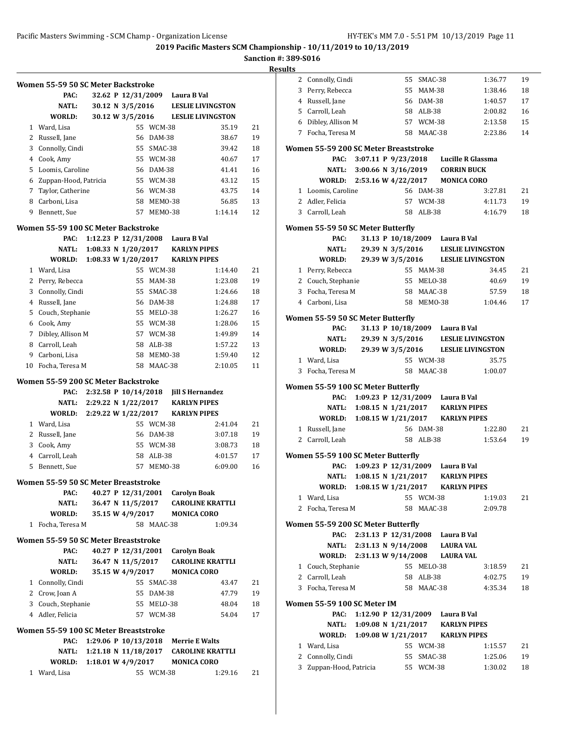**Sanction #: 389-S016**

|              | Women 55-59 50 SC Meter Backstroke           |                            |                                       |            |                                 |                          |    |
|--------------|----------------------------------------------|----------------------------|---------------------------------------|------------|---------------------------------|--------------------------|----|
|              | PAC:                                         |                            | 32.62 P 12/31/2009                    |            | Laura B Val                     |                          |    |
|              | NATL:                                        |                            | 30.12 N 3/5/2016                      |            |                                 | <b>LESLIE LIVINGSTON</b> |    |
|              | WORLD:                                       |                            | 30.12 W 3/5/2016                      |            |                                 | <b>LESLIE LIVINGSTON</b> |    |
| $\mathbf{1}$ | Ward, Lisa                                   |                            | 55                                    | WCM-38     |                                 | 35.19                    | 21 |
|              | 2 Russell, Jane                              |                            | 56                                    | DAM-38     |                                 | 38.67                    | 19 |
|              | 3 Connolly, Cindi                            |                            | 55                                    | SMAC-38    |                                 | 39.42                    | 18 |
|              | 4 Cook, Amy                                  |                            | 55                                    | WCM-38     |                                 | 40.67                    | 17 |
| 5            | Loomis, Caroline                             |                            | 56                                    | DAM-38     |                                 | 41.41                    | 16 |
| 6            | Zuppan-Hood, Patricia                        |                            | 55                                    | WCM-38     |                                 | 43.12                    | 15 |
|              | 7 Taylor, Catherine                          |                            | 56                                    | WCM-38     |                                 | 43.75                    | 14 |
|              | 8 Carboni, Lisa                              |                            | 58                                    | MEMO-38    |                                 | 56.85                    | 13 |
| 9            | Bennett, Sue                                 |                            | 57                                    | MEMO-38    |                                 | 1:14.14                  | 12 |
|              | Women 55-59 100 SC Meter Backstroke          |                            |                                       |            |                                 |                          |    |
|              | PAC:                                         | 1:12.23 P 12/31/2008       |                                       |            | Laura B Val                     |                          |    |
|              | <b>NATL:</b>                                 | 1:08.33 N 1/20/2017        |                                       |            | <b>KARLYN PIPES</b>             |                          |    |
|              | WORLD:                                       | 1:08.33 W 1/20/2017        |                                       |            | <b>KARLYN PIPES</b>             |                          |    |
| 1            | Ward, Lisa                                   |                            |                                       | 55 WCM-38  |                                 | 1:14.40                  | 21 |
| 2            | Perry, Rebecca                               |                            | 55                                    | MAM-38     |                                 | 1:23.08                  | 19 |
| 3            | Connolly, Cindi                              |                            | 55                                    | SMAC-38    |                                 | 1:24.66                  | 18 |
| 4            | Russell, Jane                                |                            | 56                                    | DAM-38     |                                 | 1:24.88                  | 17 |
| 5            | Couch, Stephanie                             |                            | 55                                    | MELO-38    |                                 | 1:26.27                  | 16 |
| 6            | Cook, Amy                                    |                            | 55                                    | WCM-38     |                                 | 1:28.06                  | 15 |
| 7            | Dibley, Allison M                            |                            |                                       | 57 WCM-38  |                                 | 1:49.89                  | 14 |
|              | 8 Carroll, Leah                              |                            | 58                                    | ALB-38     |                                 | 1:57.22                  | 13 |
| 9            | Carboni, Lisa                                |                            | 58                                    | MEMO-38    |                                 | 1:59.40                  | 12 |
| 10           | Focha, Teresa M                              |                            | 58                                    | MAAC-38    |                                 | 2:10.05                  | 11 |
|              | Women 55-59 200 SC Meter Backstroke          |                            |                                       |            |                                 |                          |    |
|              | PAC:                                         | 2:32.58 P 10/14/2018       |                                       |            | <b>Jill S Hernandez</b>         |                          |    |
|              | NATL:                                        | 2:29.22 N 1/22/2017        |                                       |            | <b>KARLYN PIPES</b>             |                          |    |
|              | WORLD:                                       | 2:29.22 W 1/22/2017        |                                       |            | <b>KARLYN PIPES</b>             |                          |    |
|              | 1 Ward, Lisa                                 |                            |                                       | 55 WCM-38  |                                 | 2:41.04                  | 21 |
|              | 2 Russell, Jane                              |                            | 56                                    | DAM-38     |                                 | 3:07.18                  | 19 |
|              | 3 Cook, Amy                                  |                            | 55                                    | WCM-38     |                                 | 3:08.73                  | 18 |
|              |                                              |                            |                                       |            |                                 |                          |    |
| 4            | Carroll, Leah                                |                            | 58                                    | ALB-38     |                                 | 4:01.57                  | 17 |
| 5            | Bennett, Sue                                 |                            | 57                                    | MEMO-38    |                                 | 6:09.00                  | 16 |
|              |                                              |                            |                                       |            |                                 |                          |    |
|              | Women 55-59 50 SC Meter Breaststroke<br>PAC: |                            |                                       |            |                                 |                          |    |
|              | <b>NATL:</b>                                 |                            |                                       |            | 40.27 P 12/31/2001 Carolyn Boak | <b>CAROLINE KRATTLI</b>  |    |
|              | <b>WORLD:</b>                                |                            | 36.47 N 11/5/2017<br>35.15 W 4/9/2017 |            | <b>MONICA CORO</b>              |                          |    |
| 1            | Focha, Teresa M                              |                            |                                       | 58 MAAC-38 |                                 | 1:09.34                  |    |
|              |                                              |                            |                                       |            |                                 |                          |    |
|              | Women 55-59 50 SC Meter Breaststroke         |                            |                                       |            |                                 |                          |    |
|              | PAC:                                         |                            | 40.27 P 12/31/2001                    |            | <b>Carolyn Boak</b>             |                          |    |
|              | <b>NATL:</b>                                 |                            | 36.47 N 11/5/2017                     |            |                                 | <b>CAROLINE KRATTLI</b>  |    |
|              | WORLD:                                       |                            | 35.15 W 4/9/2017                      | 55 SMAC-38 | <b>MONICA CORO</b>              | 43.47                    | 21 |
|              | 1 Connolly, Cindi                            |                            |                                       | 55 DAM-38  |                                 | 47.79                    | 19 |
|              | 2 Crow, Joan A                               |                            |                                       | 55 MELO-38 |                                 | 48.04                    | 18 |
|              | 3 Couch, Stephanie<br>4 Adler, Felicia       |                            |                                       | 57 WCM-38  |                                 | 54.04                    | 17 |
|              |                                              |                            |                                       |            |                                 |                          |    |
|              | Women 55-59 100 SC Meter Breaststroke        |                            |                                       |            |                                 |                          |    |
|              | PAC:                                         | 1:29.06 P 10/13/2018       |                                       |            | <b>Merrie E Walts</b>           |                          |    |
|              | WORLD: 1:18.01 W 4/9/2017                    | NATL: 1:21.18 N 11/18/2017 |                                       |            | <b>MONICA CORO</b>              | <b>CAROLINE KRATTLI</b>  |    |

| 2 | Connolly, Cindi                            |                           | 55               | SMAC-38    |                                        | 1:36.77                  | 19 |
|---|--------------------------------------------|---------------------------|------------------|------------|----------------------------------------|--------------------------|----|
| 3 | Perry, Rebecca                             |                           |                  | 55 MAM-38  |                                        | 1:38.46                  | 18 |
|   | 4 Russell, Jane                            |                           |                  | 56 DAM-38  |                                        | 1:40.57                  | 17 |
|   | 5 Carroll, Leah                            |                           |                  | 58 ALB-38  |                                        | 2:00.82                  | 16 |
|   | 6 Dibley, Allison M                        |                           |                  | 57 WCM-38  |                                        | 2:13.58                  | 15 |
|   | 7 Focha, Teresa M                          |                           |                  | 58 MAAC-38 |                                        | 2:23.86                  | 14 |
|   | Women 55-59 200 SC Meter Breaststroke      |                           |                  |            |                                        |                          |    |
|   | PAC:                                       | 3:07.11 P 9/23/2018       |                  |            | Lucille R Glassma                      |                          |    |
|   |                                            | NATL: 3:00.66 N 3/16/2019 |                  |            | <b>CORRIN BUCK</b>                     |                          |    |
|   | WORLD: 2:53.16 W 4/22/2017 MONICA CORO     |                           |                  |            |                                        |                          |    |
|   | 1 Loomis, Caroline                         |                           |                  | 56 DAM-38  |                                        | 3:27.81                  | 21 |
|   | 2 Adler, Felicia                           |                           |                  | 57 WCM-38  |                                        | 4:11.73                  | 19 |
|   | 3 Carroll, Leah                            |                           |                  | 58 ALB-38  |                                        | 4:16.79                  | 18 |
|   | Women 55-59 50 SC Meter Butterfly          |                           |                  |            |                                        |                          |    |
|   | PAC:                                       |                           |                  |            | 31.13 P 10/18/2009 Laura B Val         |                          |    |
|   | <b>NATL:</b>                               |                           | 29.39 N 3/5/2016 |            |                                        | <b>LESLIE LIVINGSTON</b> |    |
|   | WORLD:                                     |                           | 29.39 W 3/5/2016 |            |                                        | <b>LESLIE LIVINGSTON</b> |    |
|   | 1 Perry, Rebecca                           |                           |                  | 55 MAM-38  |                                        | 34.45                    | 21 |
|   | 2 Couch, Stephanie                         |                           |                  | 55 MELO-38 |                                        | 40.69                    | 19 |
|   | 3 Focha, Teresa M                          |                           |                  | 58 MAAC-38 |                                        | 57.59                    | 18 |
|   | 4 Carboni, Lisa                            |                           |                  | 58 MEMO-38 |                                        | 1:04.46                  | 17 |
|   | Women 55-59 50 SC Meter Butterfly          |                           |                  |            |                                        |                          |    |
|   | PAC:                                       |                           |                  |            | 31.13 P 10/18/2009 Laura B Val         |                          |    |
|   | NATL:                                      |                           | 29.39 N 3/5/2016 |            |                                        | <b>LESLIE LIVINGSTON</b> |    |
|   | WORLD:                                     |                           | 29.39 W 3/5/2016 |            |                                        | <b>LESLIE LIVINGSTON</b> |    |
|   | 1 Ward, Lisa                               |                           |                  | 55 WCM-38  |                                        | 35.75                    |    |
| 3 | Focha, Teresa M                            |                           | 58               | MAAC-38    |                                        | 1:00.07                  |    |
|   | Women 55-59 100 SC Meter Butterfly         |                           |                  |            |                                        |                          |    |
|   | PAC:                                       |                           |                  |            | 1:09.23 P 12/31/2009 Laura B Val       |                          |    |
|   |                                            |                           |                  |            | NATL: 1:08.15 N 1/21/2017 KARLYN PIPES |                          |    |
|   | WORLD: 1:08.15 W 1/21/2017 KARLYN PIPES    |                           |                  |            |                                        |                          |    |
|   | 1 Russell, Jane                            |                           |                  | 56 DAM-38  |                                        | 1:22.80                  | 21 |
|   | 2 Carroll, Leah                            |                           |                  | 58 ALB-38  |                                        | 1:53.64                  | 19 |
|   | Women 55-59 100 SC Meter Butterfly         |                           |                  |            |                                        |                          |    |
|   | PAC:                                       |                           |                  |            | 1:09.23 P 12/31/2009 Laura B Val       |                          |    |
|   |                                            |                           |                  |            | NATL: 1:08.15 N 1/21/2017 KARLYN PIPES |                          |    |
|   | WORLD: 1:08.15 W 1/21/2017 KARLYN PIPES    |                           |                  |            |                                        |                          |    |
|   | 1 Ward, Lisa                               |                           |                  | 55 WCM-38  |                                        | 1:19.03                  | 21 |
|   | 2 Focha, Teresa M                          |                           |                  | 58 MAAC-38 |                                        | 2:09.78                  |    |
|   |                                            |                           |                  |            |                                        |                          |    |
|   | Women 55-59 200 SC Meter Butterfly<br>PAC: |                           |                  |            | 2:31.13 P 12/31/2008 Laura B Val       |                          |    |
|   |                                            |                           |                  |            | NATL: 2:31.13 N 9/14/2008 LAURA VAL    |                          |    |
|   | WORLD: 2:31.13 W 9/14/2008 LAURA VAL       |                           |                  |            |                                        |                          |    |
|   | 1 Couch, Stephanie                         |                           |                  | 55 MELO-38 |                                        | 3:18.59                  | 21 |
|   | 2 Carroll, Leah                            |                           |                  | 58 ALB-38  |                                        | 4:02.75                  | 19 |
|   | 3 Focha, Teresa M                          |                           |                  | 58 MAAC-38 |                                        | 4:35.34                  | 18 |
|   |                                            |                           |                  |            |                                        |                          |    |
|   | Women 55-59 100 SC Meter IM<br>PAC:        |                           |                  |            | 1:12.90 P 12/31/2009 Laura B Val       |                          |    |
|   | NATL:                                      |                           |                  |            | 1:09.08 N 1/21/2017 KARLYN PIPES       |                          |    |
|   | WORLD: 1:09.08 W 1/21/2017 KARLYN PIPES    |                           |                  |            |                                        |                          |    |
|   | 1 Ward, Lisa                               |                           |                  | 55 WCM-38  |                                        | 1:15.57                  | 21 |
|   | 2 Connolly, Cindi                          |                           |                  | 55 SMAC-38 |                                        | 1:25.06                  | 19 |
|   | 3 Zuppan-Hood, Patricia 55 WCM-38          |                           |                  |            |                                        | 1:30.02                  | 18 |
|   |                                            |                           |                  |            |                                        |                          |    |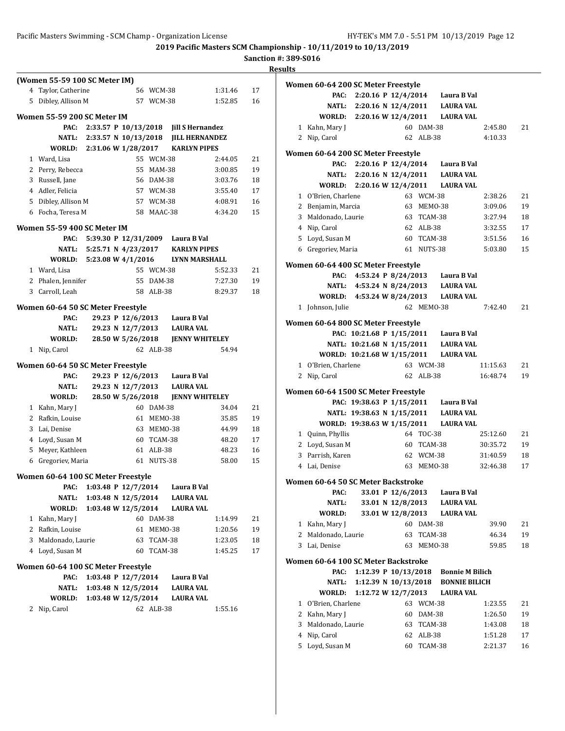**2019 Pacific Masters SCM Championship - 10/11/2019 to 10/13/2019**

|  | anction #: 389-S016 |  |
|--|---------------------|--|
|  |                     |  |

|    |                                         |                                            |                     |                                           |                                      | <b>Sanction #: 38</b> | <b>Results</b> |
|----|-----------------------------------------|--------------------------------------------|---------------------|-------------------------------------------|--------------------------------------|-----------------------|----------------|
|    | (Women 55-59 100 SC Meter IM)           |                                            |                     |                                           |                                      |                       |                |
|    | 4 Taylor, Catherine                     |                                            |                     | 56 WCM-38                                 | 1:31.46                              | 17                    | Wo             |
|    | 5 Dibley, Allison M                     |                                            |                     | 57 WCM-38                                 | 1:52.85                              | 16                    |                |
|    |                                         |                                            |                     |                                           |                                      |                       |                |
|    | Women 55-59 200 SC Meter IM             |                                            |                     |                                           |                                      |                       |                |
|    | PAC:                                    |                                            |                     | 2:33.57 P 10/13/2018 Jill S Hernandez     |                                      |                       |                |
|    |                                         |                                            |                     | NATL: 2:33.57 N 10/13/2018 JILL HERNANDEZ |                                      |                       |                |
|    |                                         |                                            |                     | WORLD: 2:31.06 W 1/28/2017 KARLYN PIPES   |                                      |                       | Wo             |
|    | 1 Ward, Lisa                            |                                            |                     | 55 WCM-38                                 | 2:44.05                              | 21                    |                |
|    | 2 Perry, Rebecca                        |                                            |                     | 55 MAM-38                                 | 3:00.85                              | 19                    |                |
|    | 3 Russell, Jane                         |                                            |                     | 56 DAM-38<br>57 WCM-38                    | 3:03.76                              | 18                    |                |
|    | 4 Adler, Felicia<br>5 Dibley, Allison M |                                            |                     | 57 WCM-38                                 | 3:55.40<br>4:08.91                   | 17<br>16              |                |
|    | 6 Focha, Teresa M                       |                                            |                     | 58 MAAC-38                                | 4:34.20                              | 15                    |                |
|    |                                         |                                            |                     |                                           |                                      |                       |                |
|    | Women 55-59 400 SC Meter IM             |                                            |                     |                                           |                                      |                       |                |
|    | PAC:                                    |                                            |                     | 5:39.30 P 12/31/2009 Laura B Val          |                                      |                       |                |
|    | NATL:                                   |                                            |                     | 5:25.71 N 4/23/2017 KARLYN PIPES          |                                      |                       |                |
|    |                                         |                                            |                     | WORLD: 5:23.08 W 4/1/2016 LYNN MARSHALL   |                                      |                       | Wo             |
|    | 1 Ward, Lisa                            |                                            |                     | 55 WCM-38                                 | 5:52.33                              | 21                    |                |
|    | 2 Phalen, Jennifer                      |                                            |                     | 55 DAM-38                                 | 7:27.30                              | 19                    |                |
|    | 3 Carroll, Leah                         |                                            |                     | 58 ALB-38                                 | 8:29.37                              | 18                    |                |
|    | Women 60-64 50 SC Meter Freestyle       |                                            |                     |                                           |                                      |                       |                |
|    | PAC:                                    |                                            |                     | 29.23 P 12/6/2013 Laura B Val             |                                      |                       |                |
|    | NATL:                                   |                                            |                     | 29.23 N 12/7/2013 LAURA VAL               |                                      |                       | Wo             |
|    | WORLD:                                  |                                            |                     |                                           |                                      |                       |                |
|    | 1 Nip, Carol                            |                                            |                     | 62 ALB-38                                 | 54.94                                |                       |                |
|    | Women 60-64 50 SC Meter Freestyle       |                                            |                     |                                           |                                      |                       |                |
|    | PAC:                                    |                                            |                     | 29.23 P 12/6/2013 Laura B Val             |                                      |                       |                |
|    | NATL:                                   |                                            |                     | 29.23 N 12/7/2013 LAURA VAL               |                                      |                       |                |
|    | WORLD:                                  |                                            | 28.50 W 5/26/2018   |                                           | <b>JENNY WHITELEY</b>                |                       | Wo             |
|    | 1 Kahn, Mary J                          |                                            |                     | 60 DAM-38                                 | 34.04                                | 21                    |                |
|    | 2 Rafkin, Louise                        |                                            |                     | 61 MEMO-38                                | 35.85                                | 19                    |                |
|    | 3 Lai, Denise                           |                                            |                     | 63 MEM0-38                                | 44.99                                | 18                    |                |
|    | 4 Loyd, Susan M                         |                                            |                     | 60 TCAM-38                                | 48.20                                | 17                    |                |
| 5. | Meyer, Kathleen                         |                                            |                     | 61 ALB-38                                 | 48.23                                | 16                    |                |
|    | 6 Gregoriev, Maria                      |                                            |                     | 61 NUTS-38                                | 58.00                                | 15                    |                |
|    |                                         |                                            |                     |                                           |                                      |                       |                |
|    | Women 60-64 100 SC Meter Freestyle      |                                            |                     |                                           |                                      |                       | Wo             |
|    | PAC:                                    | 1:03.48 P 12/7/2014                        |                     | Laura B Val                               |                                      |                       |                |
|    | NATL:                                   | 1:03.48 N 12/5/2014<br>1:03.48 W 12/5/2014 |                     |                                           | <b>LAURA VAL</b><br><b>LAURA VAL</b> |                       |                |
|    | WORLD:                                  |                                            |                     |                                           |                                      |                       |                |
|    | 1 Kahn, Mary J<br>2 Rafkin, Louise      |                                            | 61                  | 60 DAM-38<br>MEMO-38                      | 1:14.99<br>1:20.56                   | 21<br>19              |                |
| 3  | Maldonado, Laurie                       |                                            |                     | 63 TCAM-38                                | 1:23.05                              | 18                    |                |
|    | 4 Loyd, Susan M                         |                                            |                     | 60 TCAM-38                                | 1:45.25                              | 17                    |                |
|    |                                         |                                            |                     |                                           |                                      |                       | Wo             |
|    | Women 60-64 100 SC Meter Freestyle      |                                            |                     |                                           |                                      |                       |                |
|    |                                         |                                            |                     |                                           | Laura B Val                          |                       |                |
|    | PAC:                                    |                                            | 1:03.48 P 12/7/2014 |                                           |                                      |                       |                |
|    | NATL:                                   | 1:03.48 N 12/5/2014                        |                     |                                           | <b>LAURA VAL</b>                     |                       |                |
|    | WORLD:<br>2 Nip, Carol                  | 1:03.48 W 12/5/2014                        |                     | 62 ALB-38                                 | <b>LAURA VAL</b><br>1:55.16          |                       |                |

|   | Women 60-64 200 SC Meter Freestyle  |                             |            |                                       |          |    |
|---|-------------------------------------|-----------------------------|------------|---------------------------------------|----------|----|
|   | PAC:                                |                             |            | 2:20.16 P 12/4/2014 Laura B Val       |          |    |
|   |                                     |                             |            | NATL: 2:20.16 N 12/4/2011 LAURA VAL   |          |    |
|   |                                     | WORLD: 2:20.16 W 12/4/2011  |            | LAURA VAL                             |          |    |
|   | 1 Kahn, Mary J                      |                             | 60 DAM-38  |                                       | 2:45.80  | 21 |
|   | Nip, Carol<br>2                     |                             | 62 ALB-38  |                                       | 4:10.33  |    |
|   |                                     |                             |            |                                       |          |    |
|   | Women 60-64 200 SC Meter Freestyle  |                             |            |                                       |          |    |
|   | PAC:                                |                             |            | 2:20.16 P 12/4/2014 Laura B Val       |          |    |
|   |                                     | NATL: 2:20.16 N 12/4/2011   |            | <b>LAURA VAL</b>                      |          |    |
|   | <b>WORLD:</b>                       |                             |            | 2:20.16 W 12/4/2011 LAURA VAL         |          |    |
|   | 1 O'Brien, Charlene                 |                             | 63 WCM-38  |                                       | 2:38.26  | 21 |
|   | 2 Benjamin, Marcia                  |                             | 63 MEMO-38 |                                       | 3:09.06  | 19 |
| 3 | Maldonado, Laurie                   |                             | 63 TCAM-38 |                                       | 3:27.94  | 18 |
|   | 4 Nip, Carol                        |                             | 62 ALB-38  |                                       | 3:32.55  | 17 |
|   | 5 Loyd, Susan M                     |                             | 60 TCAM-38 |                                       | 3:51.56  | 16 |
|   | 6 Gregoriev, Maria                  |                             | 61 NUTS-38 |                                       | 5:03.80  | 15 |
|   | Women 60-64 400 SC Meter Freestyle  |                             |            |                                       |          |    |
|   | PAC:                                |                             |            | 4:53.24 P 8/24/2013 Laura B Val       |          |    |
|   |                                     | NATL: 4:53.24 N 8/24/2013   |            | LAURA VAL                             |          |    |
|   |                                     | WORLD: 4:53.24 W 8/24/2013  |            | <b>LAURA VAL</b>                      |          |    |
|   | 1 Johnson, Julie                    |                             | 62 MEM0-38 |                                       | 7:42.40  | 21 |
|   | Women 60-64 800 SC Meter Freestyle  |                             |            |                                       |          |    |
|   |                                     |                             |            | PAC: 10:21.68 P 1/15/2011 Laura B Val |          |    |
|   |                                     | NATL: 10:21.68 N 1/15/2011  |            | <b>LAURA VAL</b>                      |          |    |
|   |                                     | WORLD: 10:21.68 W 1/15/2011 |            | <b>LAURA VAL</b>                      |          |    |
| 1 | O'Brien, Charlene                   |                             | 63 WCM-38  |                                       | 11:15.63 | 21 |
|   | 2 Nip, Carol                        |                             | 62 ALB-38  |                                       | 16:48.74 | 19 |
|   |                                     |                             |            |                                       |          |    |
|   | Women 60-64 1500 SC Meter Freestyle |                             |            |                                       |          |    |
|   |                                     |                             |            | PAC: 19:38.63 P 1/15/2011 Laura B Val |          |    |
|   |                                     | NATL: 19:38.63 N 1/15/2011  |            | <b>LAURA VAL</b>                      |          |    |
|   |                                     | WORLD: 19:38.63 W 1/15/2011 |            | <b>LAURA VAL</b>                      |          |    |
|   | 1 Quinn, Phyllis                    |                             | 64 TOC-38  |                                       | 25:12.60 | 21 |
|   | 2 Loyd, Susan M                     |                             | 60 TCAM-38 |                                       | 30:35.72 | 19 |
|   | 3 Parrish, Karen                    |                             | 62 WCM-38  |                                       | 31:40.59 | 18 |
|   | 4 Lai, Denise                       |                             | 63 MEMO-38 |                                       | 32:46.38 | 17 |
|   | Women 60-64 50 SC Meter Backstroke  |                             |            |                                       |          |    |
|   | PAC:                                | 33.01 P 12/6/2013           |            | Laura B Val                           |          |    |
|   | <b>NATL:</b>                        | 33.01 N 12/8/2013           |            | <b>LAURA VAL</b>                      |          |    |
|   | WORLD:                              | 33.01 W 12/8/2013           |            | <b>LAURA VAL</b>                      |          |    |
| 1 | Kahn, Mary J                        | 60                          | DAM-38     |                                       | 39.90    | 21 |
| 2 | Maldonado, Laurie                   | 63                          | TCAM-38    |                                       | 46.34    | 19 |
| 3 | Lai, Denise                         | 63                          | MEMO-38    |                                       | 59.85    | 18 |
|   | Women 60-64 100 SC Meter Backstroke |                             |            |                                       |          |    |
|   | PAC:                                | 1:12.39 P 10/13/2018        |            | <b>Bonnie M Bilich</b>                |          |    |
|   | NATL:                               | 1:12.39 N 10/13/2018        |            | <b>BONNIE BILICH</b>                  |          |    |
|   | WORLD:                              | 1:12.72 W 12/7/2013         |            | <b>LAURA VAL</b>                      |          |    |
| 1 | O'Brien, Charlene                   | 63                          | WCM-38     |                                       | 1:23.55  | 21 |
| 2 | Kahn, Mary J                        | 60                          | DAM-38     |                                       | 1:26.50  | 19 |
| 3 | Maldonado, Laurie                   | 63                          | TCAM-38    |                                       | 1:43.08  | 18 |
| 4 | Nip, Carol                          | 62                          | ALB-38     |                                       | 1:51.28  | 17 |
| 5 | Loyd, Susan M                       | 60                          | TCAM-38    |                                       | 2:21.37  | 16 |
|   |                                     |                             |            |                                       |          |    |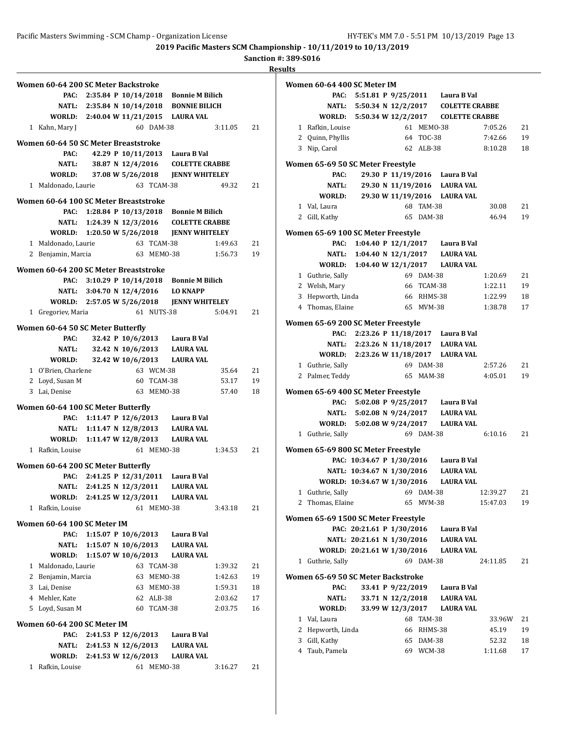**2019 Pacific Masters SCM Championship - 10/11/2019 to 10/13/2019**

**Sanction #: 389-S016**

| Women 60-64 200 SC Meter Backstroke           |                           |                   |                         |                                                                    |                    |          |
|-----------------------------------------------|---------------------------|-------------------|-------------------------|--------------------------------------------------------------------|--------------------|----------|
| PAC:                                          |                           |                   |                         | 2:35.84 P 10/14/2018 Bonnie M Bilich                               |                    |          |
|                                               |                           |                   |                         | NATL: 2:35.84 N 10/14/2018 BONNIE BILICH                           |                    |          |
|                                               |                           |                   |                         | WORLD: 2:40.04 W 11/21/2015 LAURA VAL                              |                    |          |
| 1 Kahn, Mary J                                |                           |                   | 60 DAM-38               |                                                                    | 3:11.05            | 21       |
| Women 60-64 50 SC Meter Breaststroke          |                           |                   |                         |                                                                    |                    |          |
| PAC:                                          |                           |                   |                         | 42.29 P 10/11/2013 Laura B Val                                     |                    |          |
| NATL:                                         |                           |                   |                         | 38.87 N 12/4/2016 COLETTE CRABBE                                   |                    |          |
| WORLD:                                        |                           | 37.08 W 5/26/2018 |                         | <b>JENNY WHITELEY</b>                                              |                    |          |
| 1 Maldonado, Laurie                           |                           |                   | 63 TCAM-38              |                                                                    | 49.32              | 21       |
|                                               |                           |                   |                         |                                                                    |                    |          |
| Women 60-64 100 SC Meter Breaststroke<br>PAC: |                           |                   |                         |                                                                    |                    |          |
|                                               | 1:28.84 P 10/13/2018      |                   |                         | <b>Bonnie M Bilich</b><br>NATL: 1:24.39 N 12/3/2016 COLETTE CRABBE |                    |          |
|                                               |                           |                   |                         | WORLD: 1:20.50 W 5/26/2018 JENNY WHITELEY                          |                    |          |
| 1 Maldonado, Laurie                           |                           |                   | 63 TCAM-38              |                                                                    | 1:49.63            | 21       |
| 2 Benjamin, Marcia                            |                           |                   | 63 MEMO-38              |                                                                    | 1:56.73            | 19       |
|                                               |                           |                   |                         |                                                                    |                    |          |
| Women 60-64 200 SC Meter Breaststroke         |                           |                   |                         |                                                                    |                    |          |
|                                               |                           |                   |                         | PAC: 3:10.29 P 10/14/2018 Bonnie M Bilich                          |                    |          |
|                                               |                           |                   |                         | NATL: 3:04.70 N 12/4/2016 LO KNAPP                                 |                    |          |
|                                               |                           |                   |                         | WORLD: 2:57.05 W 5/26/2018 JENNY WHITELEY                          |                    |          |
| 1 Gregoriev, Maria                            |                           |                   | 61 NUTS-38              |                                                                    | 5:04.91            | 21       |
| Women 60-64 50 SC Meter Butterfly             |                           |                   |                         |                                                                    |                    |          |
| PAC:                                          |                           |                   |                         | 32.42 P 10/6/2013 Laura B Val                                      |                    |          |
|                                               |                           |                   |                         | NATL: 32.42 N 10/6/2013 LAURA VAL                                  |                    |          |
| <b>WORLD:</b>                                 |                           | 32.42 W 10/6/2013 |                         | LAURA VAL                                                          |                    |          |
| 1 O'Brien, Charlene                           |                           |                   | 63 WCM-38               |                                                                    | 35.64              | 21       |
| 2 Loyd, Susan M                               |                           |                   | 60 TCAM-38              |                                                                    | 53.17              | 19       |
| 3 Lai, Denise                                 |                           |                   | 63 MEM0-38              |                                                                    | 57.40              | 18       |
| Women 60-64 100 SC Meter Butterfly            |                           |                   |                         |                                                                    |                    |          |
|                                               |                           |                   |                         | PAC: 1:11.47 P 12/6/2013 Laura B Val                               |                    |          |
|                                               |                           |                   |                         | NATL: 1:11.47 N 12/8/2013 LAURA VAL                                |                    |          |
|                                               |                           |                   |                         | WORLD: 1:11.47 W 12/8/2013 LAURA VAL                               |                    |          |
| 1 Rafkin, Louise                              |                           |                   | 61 MEMO-38              |                                                                    | 1:34.53            | 21       |
| Women 60-64 200 SC Meter Butterfly            |                           |                   |                         |                                                                    |                    |          |
|                                               |                           |                   |                         | PAC: 2:41.25 P 12/31/2011 Laura B Val                              |                    |          |
|                                               |                           |                   |                         | NATL: 2:41.25 N 12/3/2011 LAURA VAL                                |                    |          |
| WORLD:                                        | 2:41.25 W 12/3/2011       |                   |                         | <b>LAURA VAL</b>                                                   |                    |          |
| 1 Rafkin, Louise                              |                           |                   | 61 MEMO-38              |                                                                    | 3:43.18            | 21       |
|                                               |                           |                   |                         |                                                                    |                    |          |
| Women 60-64 100 SC Meter IM                   |                           |                   |                         |                                                                    |                    |          |
| PAC:                                          | 1:15.07 P $10/6/2013$     |                   |                         | Laura B Val                                                        |                    |          |
|                                               | NATL: 1:15.07 N 10/6/2013 |                   |                         | <b>LAURA VAL</b>                                                   |                    |          |
| WORLD:                                        | 1:15.07 W 10/6/2013       |                   |                         | <b>LAURA VAL</b>                                                   |                    |          |
| 1 Maldonado, Laurie                           |                           |                   | 63 TCAM-38              |                                                                    | 1:39.32            | 21       |
| 2 Benjamin, Marcia                            |                           |                   | 63 MEMO-38              |                                                                    | 1:42.63            | 19       |
| 3 Lai, Denise                                 |                           |                   | 63 MEMO-38              |                                                                    | 1:59.31            | 18       |
| 4 Mehler, Kate<br>5 Loyd, Susan M             |                           |                   | 62 ALB-38<br>60 TCAM-38 |                                                                    | 2:03.62<br>2:03.75 | 17<br>16 |
|                                               |                           |                   |                         |                                                                    |                    |          |
| Women 60-64 200 SC Meter IM                   |                           |                   |                         |                                                                    |                    |          |
| PAC:                                          | 2:41.53 P 12/6/2013       |                   |                         | Laura B Val                                                        |                    |          |
|                                               | NATL: 2:41.53 N 12/6/2013 |                   |                         | <b>LAURA VAL</b>                                                   |                    |          |
| WORLD: 2:41.53 W 12/6/2013                    |                           |                   |                         | <b>LAURA VAL</b>                                                   |                    |          |
| 1 Rafkin, Louise                              |                           |                   | 61 MEMO-38              |                                                                    | 3:16.27            | 21       |

|   | Women 60-64 400 SC Meter IM                |                            |                   |            |                                           |          |        |
|---|--------------------------------------------|----------------------------|-------------------|------------|-------------------------------------------|----------|--------|
|   | PAC:                                       |                            |                   |            | 5:51.81 P 9/25/2011 Laura B Val           |          |        |
|   |                                            |                            |                   |            | NATL: 5:50.34 N 12/2/2017 COLETTE CRABBE  |          |        |
|   |                                            |                            |                   |            | WORLD: 5:50.34 W 12/2/2017 COLETTE CRABBE |          |        |
|   | 1 Rafkin, Louise                           |                            |                   | 61 MEMO-38 |                                           | 7:05.26  | 21     |
|   | 2 Quinn, Phyllis                           |                            |                   | 64 TOC-38  |                                           | 7:42.66  | 19     |
|   | 3 Nip, Carol                               |                            |                   | 62 ALB-38  |                                           | 8:10.28  | 18     |
|   | Women 65-69 50 SC Meter Freestyle          |                            |                   |            |                                           |          |        |
|   | PAC:                                       |                            |                   |            | 29.30 P 11/19/2016 Laura B Val            |          |        |
|   | NATL:                                      |                            |                   |            | 29.30 N 11/19/2016 LAURA VAL              |          |        |
|   | WORLD:                                     |                            |                   |            | 29.30 W 11/19/2016 LAURA VAL              |          |        |
|   | 1 Val, Laura                               |                            |                   | 68 TAM-38  |                                           | 30.08    | 21     |
|   | 2 Gill, Kathy                              |                            |                   | 65 DAM-38  |                                           | 46.94    | 19     |
|   |                                            |                            |                   |            |                                           |          |        |
|   | Women 65-69 100 SC Meter Freestyle         |                            |                   |            |                                           |          |        |
|   | PAC:                                       |                            |                   |            | 1:04.40 P 12/1/2017 Laura B Val           |          |        |
|   | NATL:                                      |                            |                   |            | 1:04.40 N 12/1/2017 LAURA VAL             |          |        |
|   |                                            |                            |                   |            | WORLD: 1:04.40 W 12/1/2017 LAURA VAL      |          |        |
|   | 1 Guthrie, Sally                           |                            |                   | 69 DAM-38  |                                           | 1:20.69  | 21     |
|   | 2 Welsh, Mary                              |                            |                   | 66 TCAM-38 |                                           | 1:22.11  | 19     |
|   | 3 Hepworth, Linda                          |                            |                   | 66 RHMS-38 |                                           | 1:22.99  | 18     |
|   | 4 Thomas, Elaine                           |                            |                   | 65 MVM-38  |                                           | 1:38.78  | 17     |
|   | Women 65-69 200 SC Meter Freestyle         |                            |                   |            |                                           |          |        |
|   | PAC:                                       |                            |                   |            | 2:23.26 P 11/18/2017 Laura B Val          |          |        |
|   |                                            |                            |                   |            | NATL: 2:23.26 N 11/18/2017 LAURA VAL      |          |        |
|   |                                            |                            |                   |            | WORLD: 2:23.26 W 11/18/2017 LAURA VAL     |          |        |
| 1 | Guthrie, Sally                             |                            |                   | 69 DAM-38  |                                           | 2:57.26  | 21     |
|   | 2 Palmer, Teddy                            |                            |                   | 65 MAM-38  |                                           | 4:05.01  | 19     |
|   |                                            |                            |                   |            |                                           |          |        |
|   | Women 65-69 400 SC Meter Freestyle<br>PAC: | 5:02.08 P 9/25/2017        |                   |            | Laura B Val                               |          |        |
|   |                                            | NATL: 5:02.08 N 9/24/2017  |                   |            | LAURA VAL                                 |          |        |
|   | WORLD: 5:02.08 W 9/24/2017                 |                            |                   |            | <b>LAURA VAL</b>                          |          |        |
|   | 1 Guthrie, Sally                           |                            |                   | 69 DAM-38  |                                           | 6:10.16  | 21     |
|   |                                            |                            |                   |            |                                           |          |        |
|   | Women 65-69 800 SC Meter Freestyle         |                            |                   |            |                                           |          |        |
|   |                                            | PAC: 10:34.67 P 1/30/2016  |                   |            | Laura B Val                               |          |        |
|   |                                            | NATL: 10:34.67 N 1/30/2016 |                   |            | LAURA VAL                                 |          |        |
|   | WORLD: 10:34.67 W 1/30/2016                |                            |                   |            | <b>LAURA VAL</b>                          |          |        |
| 1 | Guthrie, Sally                             |                            |                   | 69 DAM-38  |                                           | 12:39.27 | 21     |
| 2 | Thomas, Elaine                             |                            | 65                | MVM-38     |                                           | 15:47.03 | 19     |
|   | Women 65-69 1500 SC Meter Freestyle        |                            |                   |            |                                           |          |        |
|   |                                            | PAC: 20:21.61 P 1/30/2016  |                   |            | Laura B Val                               |          |        |
|   |                                            | NATL: 20:21.61 N 1/30/2016 |                   |            | <b>LAURA VAL</b>                          |          |        |
|   | WORLD: 20:21.61 W 1/30/2016                |                            |                   |            | <b>LAURA VAL</b>                          |          |        |
| 1 | Guthrie, Sally                             |                            |                   | 69 DAM-38  |                                           | 24:11.85 | 21     |
|   |                                            |                            |                   |            |                                           |          |        |
|   | Women 65-69 50 SC Meter Backstroke         |                            |                   |            |                                           |          |        |
|   | PAC:                                       |                            | 33.41 P 9/22/2019 |            | Laura B Val                               |          |        |
|   | NATL:                                      |                            | 33.71 N 12/2/2018 |            | <b>LAURA VAL</b>                          |          |        |
|   | WORLD:                                     |                            | 33.99 W 12/3/2017 |            | <b>LAURA VAL</b>                          |          |        |
|   | 1 Val, Laura                               |                            |                   | 68 TAM-38  |                                           | 33.96W   | 21     |
|   | 2 Hepworth, Linda                          |                            |                   | 66 RHMS-38 |                                           | 45.19    | 19     |
|   | 3 Gill, Kathy                              |                            |                   | 65 DAM-38  |                                           | 52.32    | 18     |
|   | 4 Taub, Pamela                             |                            |                   | 69 WCM-38  |                                           | 1:11.68  | $17\,$ |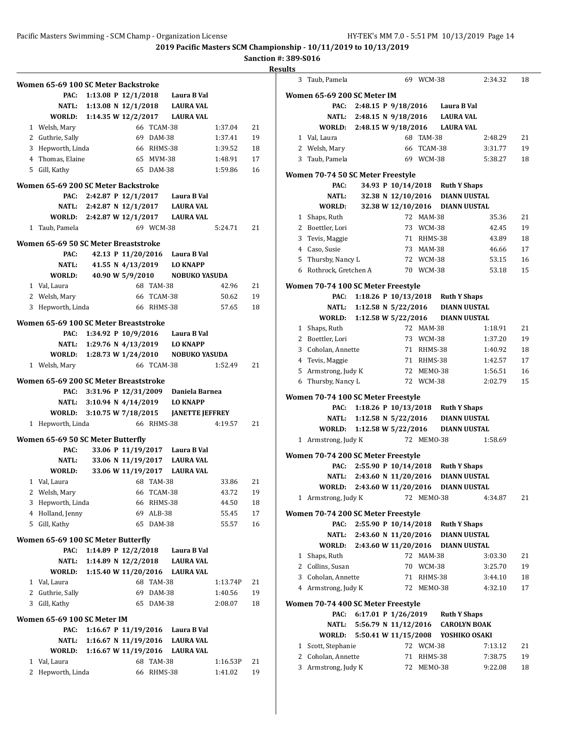#### **Sanction #: 389-S016**

**Result Women 65-69 100 SC Meter Backstroke PAC: 1:13.08 P 12/1/2018 Laura B Val NATL: 1:13.08 N 12/1/2018 LAURA VAL WORLD: 1:14.35 W 12/2/2017 LAURA VAL** 1 Welsh, Mary 66 TCAM-38 1:37.04 21 2 Guthrie, Sally 69 DAM-38 1:37.41 19 3 Hepworth, Linda 66 RHMS-38 1:39.52 18 4 Thomas, Elaine 65 MVM-38 1:48.91 17 5 Gill, Kathy 65 DAM-38 1:59.86 16 **Women 65-69 200 SC Meter Backstroke PAC: 2:42.87 P 12/1/2017 Laura B Val NATL: 2:42.87 N 12/1/2017 LAURA VAL WORLD: 2:42.87 W 12/1/2017 LAURA VAL** 1 Taub, Pamela 69 WCM-38 5:24.71 21 **Women 65-69 50 SC Meter Breaststroke PAC: 42.13 P 11/20/2016 Laura B Val NATL: 41.55 N 4/13/2019 LO KNAPP WORLD: 40.90 W 5/9/2010 NOBUKO YASUDA** 1 Val, Laura 68 TAM-38 42.96 21 2 Welsh, Mary 66 TCAM-38 50.62 19 3 Hepworth, Linda 66 RHMS-38 57.65 18 **Women 65-69 100 SC Meter Breaststroke PAC: 1:34.92 P 10/9/2016 Laura B Val NATL: 1:29.76 N 4/13/2019 LO KNAPP WORLD: 1:28.73 W 1/24/2010 NOBUKO YASUDA** 1 Welsh, Mary 66 TCAM-38 1:52.49 21 **Women 65-69 200 SC Meter Breaststroke PAC: 3:31.96 P 12/31/2009 Daniela Barnea NATL: 3:10.94 N 4/14/2019 LO KNAPP WORLD: 3:10.75 W 7/18/2015 JANETTE JEFFREY** 1 Hepworth, Linda 66 RHMS-38 4:19.57 21 **Women 65-69 50 SC Meter Butterfly PAC: 33.06 P 11/19/2017 Laura B Val NATL: 33.06 N 11/19/2017 LAURA VAL WORLD: 33.06 W 11/19/2017 LAURA VAL** 1 Val, Laura 68 TAM-38 33.86 21 2 Welsh, Mary 66 TCAM-38 43.72 19 3 Hepworth, Linda 66 RHMS-38 44.50 18 4 Holland, Jenny 69 ALB-38 55.45 17 5 Gill, Kathy 65 DAM-38 55.57 16 **Women 65-69 100 SC Meter Butterfly PAC: 1:14.89 P 12/2/2018 Laura B Val NATL: 1:14.89 N 12/2/2018 LAURA VAL WORLD: 1:15.40 W 11/20/2016 LAURA VAL** 1 Val, Laura 68 TAM-38 1:13.74P 21 2 Guthrie, Sally 69 DAM-38 1:40.56 19 3 Gill, Kathy 65 DAM-38 2:08.07 18 **Women 65-69 100 SC Meter IM PAC: 1:16.67 P 11/19/2016 Laura B Val NATL: 1:16.67 N 11/19/2016 LAURA VAL WORLD: 1:16.67 W 11/19/2016 LAURA VAL** 1 Val, Laura 68 TAM-38 1:16.53P 21 2 Hepworth, Linda 66 RHMS-38 1:41.02 19

| lts |                                    |                            |                    |            |                                           |         |    |
|-----|------------------------------------|----------------------------|--------------------|------------|-------------------------------------------|---------|----|
| 3   | Taub, Pamela                       |                            |                    | 69 WCM-38  |                                           | 2:34.32 | 18 |
|     | Women 65-69 200 SC Meter IM        |                            |                    |            |                                           |         |    |
|     | PAC:                               |                            |                    |            | 2:48.15 P 9/18/2016 Laura B Val           |         |    |
|     |                                    | NATL: 2:48.15 N 9/18/2016  |                    |            | <b>LAURA VAL</b>                          |         |    |
|     | WORLD:                             | 2:48.15 W 9/18/2016        |                    |            | <b>LAURA VAL</b>                          |         |    |
|     | 1 Val, Laura                       |                            |                    | 68 TAM-38  |                                           | 2:48.29 | 21 |
|     | 2 Welsh, Mary                      |                            | 66                 | TCAM-38    |                                           | 3:31.77 | 19 |
| 3   | Taub, Pamela                       |                            |                    | 69 WCM-38  |                                           | 5:38.27 | 18 |
|     |                                    |                            |                    |            |                                           |         |    |
|     | Women 70-74 50 SC Meter Freestyle  |                            |                    |            |                                           |         |    |
|     | PAC:                               |                            | 34.93 P 10/14/2018 |            | <b>Ruth Y Shaps</b>                       |         |    |
|     | <b>NATL:</b>                       |                            |                    |            | 32.38 N 12/10/2016 DIANN UUSTAL           |         |    |
|     | WORLD:                             |                            |                    |            | 32.38 W 12/10/2016 DIANN UUSTAL           |         |    |
| 1   | Shaps, Ruth                        |                            |                    | 72 MAM-38  |                                           | 35.36   | 21 |
|     | 2 Boettler, Lori                   |                            |                    | 73 WCM-38  |                                           | 42.45   | 19 |
| 3   | Tevis, Maggie                      |                            |                    | 71 RHMS-38 |                                           | 43.89   | 18 |
|     | 4 Caso, Susie                      |                            |                    | 73 MAM-38  |                                           | 46.66   | 17 |
|     | 5 Thursby, Nancy L                 |                            |                    | 72 WCM-38  |                                           | 53.15   | 16 |
|     | 6 Rothrock, Gretchen A             |                            |                    | 70 WCM-38  |                                           | 53.18   | 15 |
|     | Women 70-74 100 SC Meter Freestyle |                            |                    |            |                                           |         |    |
|     | PAC:                               |                            |                    |            | 1:18.26 P 10/13/2018 Ruth Y Shaps         |         |    |
|     | NATL:                              |                            |                    |            | 1:12.58 N 5/22/2016 DIANN UUSTAL          |         |    |
|     | WORLD: 1:12.58 W 5/22/2016         |                            |                    |            | DIANN UUSTAL                              |         |    |
|     | 1 Shaps, Ruth                      |                            |                    | 72 MAM-38  |                                           | 1:18.91 | 21 |
|     | 2 Boettler, Lori                   |                            |                    | 73 WCM-38  |                                           | 1:37.20 | 19 |
|     | 3 Coholan, Annette                 |                            |                    | 71 RHMS-38 |                                           | 1:40.92 | 18 |
|     | 4 Tevis, Maggie                    |                            |                    | 71 RHMS-38 |                                           | 1:42.57 | 17 |
|     | 5 Armstrong, Judy K                |                            |                    | 72 MEM0-38 |                                           | 1:56.51 | 16 |
|     | 6 Thursby, Nancy L                 |                            |                    | 72 WCM-38  |                                           | 2:02.79 | 15 |
|     |                                    |                            |                    |            |                                           |         |    |
|     | Women 70-74 100 SC Meter Freestyle |                            |                    |            |                                           |         |    |
|     | PAC:                               | 1:18.26 P 10/13/2018       |                    |            | <b>Ruth Y Shaps</b>                       |         |    |
|     | NATL:                              | 1:12.58 N $5/22/2016$      |                    |            | <b>DIANN UUSTAL</b>                       |         |    |
|     | WORLD:                             | 1:12.58 W 5/22/2016        |                    |            | DIANN UUSTAL                              |         |    |
|     | 1 Armstrong, Judy K                |                            |                    | 72 MEM0-38 |                                           | 1:58.69 |    |
|     | Women 70-74 200 SC Meter Freestyle |                            |                    |            |                                           |         |    |
|     | PAC:                               | 2:55.90 P 10/14/2018       |                    |            | <b>Ruth Y Shaps</b>                       |         |    |
|     | NATL:                              | 2:43.60 N 11/20/2016       |                    |            | <b>DIANN UUSTAL</b>                       |         |    |
|     | <b>WORLD:</b>                      | 2:43.60 W 11/20/2016       |                    |            | <b>DIANN UUSTAL</b>                       |         |    |
|     | 1 Armstrong, Judy K                |                            |                    | 72 MEM0-38 |                                           | 4:34.87 | 21 |
|     |                                    |                            |                    |            |                                           |         |    |
|     | Women 70-74 200 SC Meter Freestyle |                            |                    |            | <b>Ruth Y Shaps</b>                       |         |    |
|     | PAC:                               | 2:55.90 P 10/14/2018       |                    |            |                                           |         |    |
|     |                                    | NATL: 2:43.60 N 11/20/2016 |                    |            | <b>DIANN UUSTAL</b>                       |         |    |
|     |                                    |                            |                    |            | WORLD: 2:43.60 W 11/20/2016 DIANN UUSTAL  |         |    |
|     | 1 Shaps, Ruth                      |                            |                    | 72 MAM-38  |                                           | 3:03.30 | 21 |
|     | 2 Collins, Susan                   |                            |                    | 70 WCM-38  |                                           | 3:25.70 | 19 |
|     | 3 Coholan, Annette                 |                            |                    | 71 RHMS-38 |                                           | 3:44.10 | 18 |
|     | 4 Armstrong, Judy K                |                            |                    | 72 MEM0-38 |                                           | 4:32.10 | 17 |
|     | Women 70-74 400 SC Meter Freestyle |                            |                    |            |                                           |         |    |
|     | PAC:                               | 6:17.01 P 1/26/2019        |                    |            | <b>Ruth Y Shaps</b>                       |         |    |
|     |                                    |                            |                    |            | NATL: 5:56.79 N 11/12/2016 CAROLYN BOAK   |         |    |
|     |                                    |                            |                    |            | WORLD: 5:50.41 W 11/15/2008 YOSHIKO OSAKI |         |    |
| 1   | Scott, Stephanie                   |                            |                    | 72 WCM-38  |                                           | 7:13.12 | 21 |
| 2   | Coholan, Annette                   |                            |                    | 71 RHMS-38 |                                           | 7:38.75 | 19 |
|     | 3 Armstrong, Judy K                |                            |                    | 72 MEM0-38 |                                           | 9:22.08 | 18 |
|     |                                    |                            |                    |            |                                           |         |    |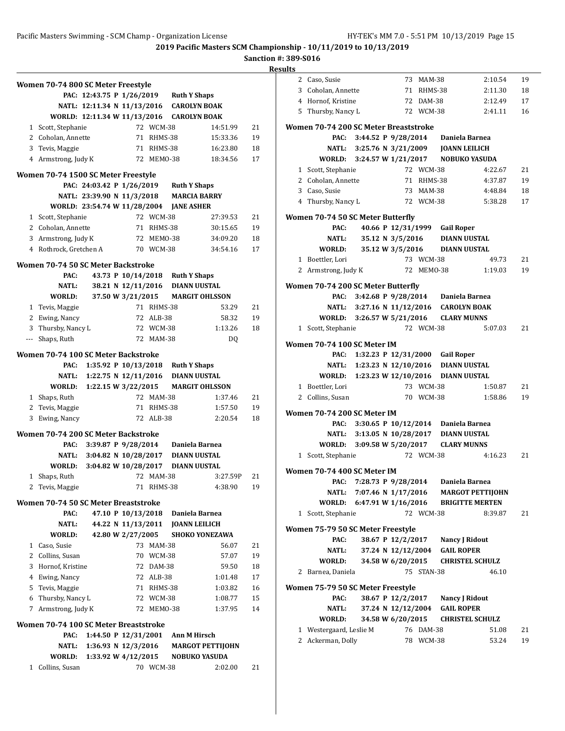**Sanction #: 389-S016**

|   | Women 70-74 800 SC Meter Freestyle         |                                           |                    |                     |                                    |                         |          |
|---|--------------------------------------------|-------------------------------------------|--------------------|---------------------|------------------------------------|-------------------------|----------|
|   |                                            | PAC: 12:43.75 P 1/26/2019 Ruth Y Shaps    |                    |                     |                                    |                         |          |
|   |                                            | NATL: 12:11.34 N 11/13/2016 CAROLYN BOAK  |                    |                     |                                    |                         |          |
|   |                                            | WORLD: 12:11.34 W 11/13/2016 CAROLYN BOAK |                    |                     |                                    |                         |          |
| 1 | Scott, Stephanie                           |                                           |                    | 72 WCM-38           |                                    | 14:51.99                | 21       |
|   | 2 Coholan, Annette                         |                                           | 71                 | RHMS-38             |                                    | 15:33.36                | 19       |
|   | 3 Tevis, Maggie                            |                                           |                    | 71 RHMS-38          |                                    | 16:23.80                | 18       |
|   | 4 Armstrong, Judy K                        |                                           |                    | 72 MEM0-38          |                                    | 18:34.56                | 17       |
|   | Women 70-74 1500 SC Meter Freestyle        |                                           |                    |                     |                                    |                         |          |
|   |                                            | PAC: 24:03.42 P 1/26/2019                 |                    |                     | <b>Ruth Y Shaps</b>                |                         |          |
|   |                                            | NATL: 23:39.90 N 11/3/2018                |                    |                     | <b>MARCIA BARRY</b>                |                         |          |
|   |                                            | WORLD: 23:54.74 W 11/28/2004 JANE ASHER   |                    |                     |                                    |                         |          |
|   | 1 Scott, Stephanie                         |                                           |                    | 72 WCM-38           |                                    | 27:39.53                | 21       |
|   | 2 Coholan, Annette                         |                                           | 71                 | RHMS-38             |                                    | 30:15.65                | 19       |
|   | 3 Armstrong, Judy K                        |                                           | 72                 | MEMO-38             |                                    | 34:09.20                | 18       |
|   | 4 Rothrock, Gretchen A                     |                                           |                    | 70 WCM-38           |                                    | 34:54.16                | 17       |
|   |                                            |                                           |                    |                     |                                    |                         |          |
|   | Women 70-74 50 SC Meter Backstroke         |                                           |                    |                     |                                    |                         |          |
|   | PAC:                                       |                                           |                    |                     | 43.73 P 10/14/2018 Ruth Y Shaps    |                         |          |
|   | NATL:                                      |                                           |                    |                     | 38.21 N 12/11/2016 DIANN UUSTAL    |                         |          |
|   | WORLD:                                     |                                           | 37.50 W 3/21/2015  |                     |                                    | <b>MARGIT OHLSSON</b>   |          |
|   | 1 Tevis, Maggie                            |                                           |                    | 71 RHMS-38          |                                    | 53.29                   | 21       |
|   | 2 Ewing, Nancy                             |                                           | 72                 | ALB-38<br>72 WCM-38 |                                    | 58.32<br>1:13.26        | 19<br>18 |
|   | 3 Thursby, Nancy L                         |                                           | 72                 | MAM-38              |                                    |                         |          |
|   | --- Shaps, Ruth                            |                                           |                    |                     |                                    | DQ                      |          |
|   | Women 70-74 100 SC Meter Backstroke        |                                           |                    |                     |                                    |                         |          |
|   | PAC:                                       | 1:35.92 P $10/13/2018$                    |                    |                     | <b>Ruth Y Shaps</b>                |                         |          |
|   | NATL:                                      | 1:22.75 N 12/11/2016                      |                    |                     | <b>DIANN UUSTAL</b>                |                         |          |
|   | WORLD:                                     | 1:22.15 W 3/22/2015                       |                    |                     |                                    | <b>MARGIT OHLSSON</b>   |          |
|   | 1 Shaps, Ruth                              |                                           |                    | 72 MAM-38           |                                    | 1:37.46                 | 21       |
|   | 2 Tevis, Maggie                            |                                           | 71                 | RHMS-38             |                                    | 1:57.50                 | 19       |
| 3 | Ewing, Nancy                               |                                           |                    | 72 ALB-38           |                                    | 2:20.54                 | 18       |
|   | <b>Women 70-74 200 SC Meter Backstroke</b> |                                           |                    |                     |                                    |                         |          |
|   | PAC:                                       |                                           |                    |                     | 3:39.87 P 9/28/2014 Daniela Barnea |                         |          |
|   | NATL:                                      | 3:04.82 N 10/28/2017 DIANN UUSTAL         |                    |                     |                                    |                         |          |
|   | WORLD:                                     | 3:04.82 W 10/28/2017                      |                    |                     | <b>DIANN UUSTAL</b>                |                         |          |
| 1 | Shaps, Ruth                                |                                           | 72                 | <b>MAM-38</b>       |                                    | 3:27.59P                | 21       |
| 2 | Tevis, Maggie                              |                                           |                    | 71 RHMS-38          |                                    | 4:38.90                 | 19       |
|   | Women 70-74 50 SC Meter Breaststroke       |                                           |                    |                     |                                    |                         |          |
|   | PAC:                                       |                                           | 47.10 P 10/13/2018 |                     | Daniela Barnea                     |                         |          |
|   | NATL:                                      |                                           | 44.22 N 11/13/2011 |                     | JOANN LEILICH                      |                         |          |
|   | <b>WORLD:</b>                              |                                           | 42.80 W 2/27/2005  |                     |                                    | <b>SHOKO YONEZAWA</b>   |          |
|   | 1 Caso, Susie                              |                                           |                    | 73 MAM-38           |                                    | 56.07                   | 21       |
|   | 2 Collins, Susan                           |                                           |                    | 70 WCM-38           |                                    | 57.07                   | 19       |
|   | 3 Hornof, Kristine                         |                                           |                    | 72 DAM-38           |                                    | 59.50                   | 18       |
|   | 4 Ewing, Nancy                             |                                           |                    | 72 ALB-38           |                                    | 1:01.48                 | 17       |
|   | 5 Tevis, Maggie                            |                                           |                    | 71 RHMS-38          |                                    | 1:03.82                 | 16       |
|   | 6 Thursby, Nancy L                         |                                           |                    | 72 WCM-38           |                                    | 1:08.77                 | 15       |
| 7 | Armstrong, Judy K                          |                                           | 72                 | MEMO-38             |                                    | 1:37.95                 | 14       |
|   |                                            |                                           |                    |                     |                                    |                         |          |
|   | Women 70-74 100 SC Meter Breaststroke      |                                           |                    |                     |                                    |                         |          |
|   | PAC:                                       | 1:44.50 P $12/31/2001$                    |                    |                     | Ann M Hirsch                       |                         |          |
|   | NATL:                                      | 1:36.93 N $12/3/2016$                     |                    |                     |                                    | <b>MARGOT PETTIJOHN</b> |          |
|   | WORLD:                                     | 1:33.92 W 4/12/2015                       |                    |                     |                                    | <b>NOBUKO YASUDA</b>    |          |
| 1 | Collins, Susan                             |                                           |                    | 70 WCM-38           |                                    | 2:02.00                 | 21       |

|              | 2 Caso, Susie                         |                            |                    | 73 MAM-38  |                                          | 2:10.54                 | 19 |
|--------------|---------------------------------------|----------------------------|--------------------|------------|------------------------------------------|-------------------------|----|
|              | 3 Coholan, Annette                    |                            |                    | 71 RHMS-38 |                                          | 2:11.30                 | 18 |
|              | 4 Hornof, Kristine                    |                            |                    | 72 DAM-38  |                                          | 2:12.49                 | 17 |
|              | 5 Thursby, Nancy L                    |                            |                    | 72 WCM-38  |                                          | 2:41.11                 | 16 |
|              |                                       |                            |                    |            |                                          |                         |    |
|              | Women 70-74 200 SC Meter Breaststroke |                            |                    |            |                                          |                         |    |
|              | PAC:                                  | 3:44.52 P 9/28/2014        |                    |            | Daniela Barnea                           |                         |    |
|              |                                       | NATL: 3:25.76 N 3/21/2009  |                    |            | <b>JOANN LEILICH</b>                     |                         |    |
|              |                                       |                            |                    |            | WORLD: 3:24.57 W 1/21/2017 NOBUKO YASUDA |                         |    |
|              | 1 Scott, Stephanie                    |                            |                    | 72 WCM-38  |                                          | 4:22.67                 | 21 |
|              | 2 Coholan, Annette                    |                            |                    | 71 RHMS-38 |                                          | 4:37.87                 | 19 |
|              | 3 Caso, Susie                         |                            |                    | 73 MAM-38  |                                          | 4:48.84                 | 18 |
|              | 4 Thursby, Nancy L                    |                            |                    | 72 WCM-38  |                                          | 5:38.28                 | 17 |
|              | Women 70-74 50 SC Meter Butterfly     |                            |                    |            |                                          |                         |    |
|              | PAC:                                  |                            |                    |            | 40.66 P 12/31/1999 Gail Roper            |                         |    |
|              | NATL:                                 |                            | 35.12 N 3/5/2016   |            | <b>DIANN UUSTAL</b>                      |                         |    |
|              | WORLD: 35.12 W 3/5/2016               |                            |                    |            | <b>DIANN UUSTAL</b>                      |                         |    |
|              | 1 Boettler, Lori                      |                            |                    | 73 WCM-38  |                                          | 49.73                   | 21 |
|              | 2 Armstrong, Judy K                   |                            |                    | 72 MEM0-38 |                                          | 1:19.03                 | 19 |
|              |                                       |                            |                    |            |                                          |                         |    |
|              | Women 70-74 200 SC Meter Butterfly    |                            |                    |            |                                          |                         |    |
|              |                                       |                            |                    |            | PAC: 3:42.68 P 9/28/2014 Daniela Barnea  |                         |    |
|              |                                       |                            |                    |            | NATL: 3:27.16 N 11/12/2016 CAROLYN BOAK  |                         |    |
|              |                                       |                            |                    |            | WORLD: 3:26.57 W 5/21/2016 CLARY MUNNS   |                         |    |
|              | 1 Scott, Stephanie                    |                            |                    | 72 WCM-38  |                                          | 5:07.03                 | 21 |
|              | Women 70-74 100 SC Meter IM           |                            |                    |            |                                          |                         |    |
|              | PAC:                                  |                            |                    |            | 1:32.23 P 12/31/2000 Gail Roper          |                         |    |
|              |                                       |                            |                    |            |                                          |                         |    |
|              |                                       | NATL: 1:23.23 N 12/10/2016 |                    |            | <b>DIANN UUSTAL</b>                      |                         |    |
|              | WORLD: 1:23.23 W 12/10/2016           |                            |                    |            | <b>DIANN UUSTAL</b>                      |                         |    |
|              | 1 Boettler, Lori                      |                            |                    | 73 WCM-38  |                                          | 1:50.87                 | 21 |
|              | 2 Collins, Susan                      |                            |                    | 70 WCM-38  |                                          | 1:58.86                 | 19 |
|              | Women 70-74 200 SC Meter IM           |                            |                    |            |                                          |                         |    |
|              | PAC:                                  |                            |                    |            | 3:30.65 P 10/12/2014 Daniela Barnea      |                         |    |
|              | NATL:                                 |                            |                    |            | 3:13.05 N 10/28/2017 DIANN UUSTAL        |                         |    |
|              |                                       |                            |                    |            | WORLD: 3:09.58 W 5/20/2017 CLARY MUNNS   |                         |    |
|              | 1 Scott, Stephanie                    |                            |                    | 72 WCM-38  |                                          | 4:16.23                 | 21 |
|              |                                       |                            |                    |            |                                          |                         |    |
|              | Women 70-74 400 SC Meter IM           |                            |                    |            |                                          |                         |    |
|              | PAC:                                  | 7:28.73 P 9/28/2014        |                    |            | Daniela Barnea                           |                         |    |
|              | NATL:                                 | 7:07.46 N 1/17/2016        |                    |            |                                          | <b>MARGOT PETTIJOHN</b> |    |
|              | WORLD:                                | 6:47.91 W 1/16/2016        |                    |            |                                          | <b>BRIGITTE MERTEN</b>  |    |
| 1            | Scott, Stephanie                      |                            |                    | 72 WCM-38  |                                          | 8:39.87                 | 21 |
|              | Women 75-79 50 SC Meter Freestyle     |                            |                    |            |                                          |                         |    |
|              | PAC:                                  |                            | 38.67 P 12/2/2017  |            | <b>Nancy J Ridout</b>                    |                         |    |
|              | NATL:                                 |                            | 37.24 N 12/12/2004 |            | <b>GAIL ROPER</b>                        |                         |    |
|              | WORLD:                                |                            | 34.58 W 6/20/2015  |            |                                          | <b>CHRISTEL SCHULZ</b>  |    |
| 2            | Barnea, Daniela                       |                            |                    | 75 STAN-38 |                                          | 46.10                   |    |
|              |                                       |                            |                    |            |                                          |                         |    |
|              | Women 75-79 50 SC Meter Freestyle     |                            |                    |            |                                          |                         |    |
|              | PAC:                                  |                            | 38.67 P 12/2/2017  |            | <b>Nancy J Ridout</b>                    |                         |    |
|              | NATL:                                 |                            | 37.24 N 12/12/2004 |            | <b>GAIL ROPER</b>                        |                         |    |
|              | WORLD:                                |                            | 34.58 W 6/20/2015  |            |                                          | <b>CHRISTEL SCHULZ</b>  |    |
| 1            | Westergaard, Leslie M                 |                            |                    | 76 DAM-38  |                                          | 51.08                   | 21 |
| $\mathbf{2}$ | Ackerman, Dolly                       |                            |                    | 78 WCM-38  |                                          | 53.24                   | 19 |
|              |                                       |                            |                    |            |                                          |                         |    |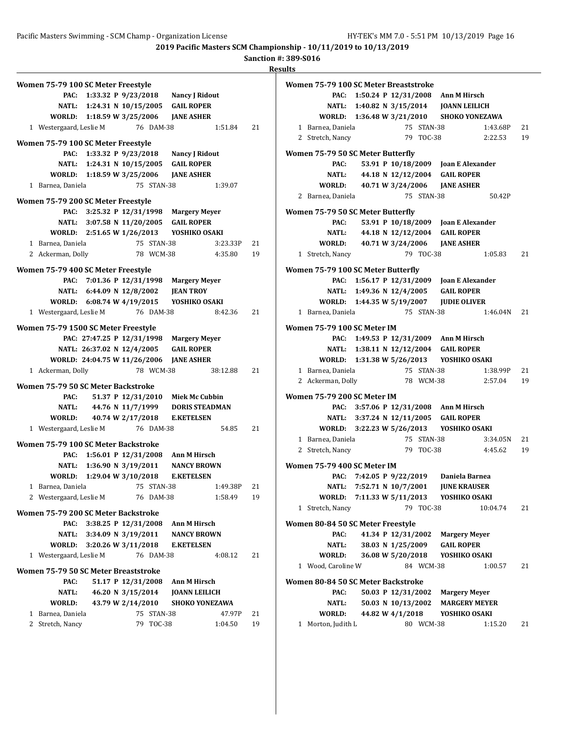**Sanction #: 389-S016**

|                                      |                                     |                      |                                            | Sanction #: 389 |           |
|--------------------------------------|-------------------------------------|----------------------|--------------------------------------------|-----------------|-----------|
|                                      |                                     |                      |                                            | <b>Results</b>  |           |
| Women 75-79 100 SC Meter Freestyle   |                                     |                      |                                            |                 | Woi       |
|                                      |                                     |                      | PAC: 1:33.32 P 9/23/2018 Nancy J Ridout    |                 |           |
|                                      |                                     |                      | NATL: 1:24.31 N 10/15/2005 GAIL ROPER      |                 |           |
|                                      |                                     |                      | WORLD: 1:18.59 W 3/25/2006 JANE ASHER      |                 |           |
| 1 Westergaard, Leslie M              |                                     | 76 DAM-38            | 1:51.84                                    | 21              |           |
| Women 75-79 100 SC Meter Freestyle   |                                     |                      |                                            |                 |           |
|                                      |                                     |                      | PAC: 1:33.32 P 9/23/2018 Nancy J Ridout    |                 | <b>Wo</b> |
|                                      |                                     |                      | NATL: 1:24.31 N 10/15/2005 GAIL ROPER      |                 |           |
|                                      |                                     |                      | WORLD: 1:18.59 W 3/25/2006 JANE ASHER      |                 |           |
| 1 Barnea, Daniela                    |                                     | 75 STAN-38           | 1:39.07                                    |                 |           |
| Women 75-79 200 SC Meter Freestyle   |                                     |                      |                                            |                 |           |
|                                      |                                     |                      | PAC: 3:25.32 P 12/31/1998 Margery Meyer    |                 | Wol       |
|                                      |                                     |                      | NATL: 3:07.58 N 11/20/2005 GAIL ROPER      |                 |           |
|                                      |                                     |                      | WORLD: 2:51.65 W 1/26/2013   YOSHIKO OSAKI |                 |           |
| 1 Barnea, Daniela                    |                                     | 75 STAN-38           | 3:23.33P                                   | 21              |           |
| 2 Ackerman, Dolly                    |                                     | 78 WCM-38            | 4:35.80                                    | 19              |           |
| Women 75-79 400 SC Meter Freestyle   |                                     |                      |                                            |                 | <b>Wo</b> |
|                                      |                                     |                      | PAC: 7:01.36 P 12/31/1998 Margery Meyer    |                 |           |
|                                      | NATL: 6:44.09 N 12/8/2002 JEAN TROY |                      |                                            |                 |           |
|                                      | WORLD: 6:08.74 W 4/19/2015          |                      | YOSHIKO OSAKI                              |                 |           |
| 1 Westergaard, Leslie M              |                                     | 76 DAM-38            | 8:42.36                                    | 21              |           |
|                                      |                                     |                      |                                            |                 |           |
| Women 75-79 1500 SC Meter Freestyle  | PAC: 27:47.25 P 12/31/1998          |                      |                                            |                 | Wor       |
|                                      | NATL: 26:37.02 N 12/4/2005          |                      | <b>Margery Meyer</b><br><b>GAIL ROPER</b>  |                 |           |
|                                      | WORLD: 24:04.75 W 11/26/2006        |                      | <b>JANE ASHER</b>                          |                 |           |
| 1 Ackerman, Dolly                    |                                     | 78 WCM-38            | 38:12.88                                   | 21              |           |
|                                      |                                     |                      |                                            |                 |           |
| Women 75-79 50 SC Meter Backstroke   |                                     |                      |                                            |                 |           |
| PAC:                                 |                                     | 51.37 P 12/31/2010   | <b>Miek Mc Cubbin</b>                      |                 | <b>Wo</b> |
|                                      | NATL: 44.76 N 11/7/1999             |                      | <b>DORIS STEADMAN</b>                      |                 |           |
| WORLD:                               |                                     |                      | 40.74 W 2/17/2018 E.KETELSEN               |                 |           |
| 1 Westergaard, Leslie M              |                                     | 76 DAM-38            | 54.85                                      | 21              |           |
| Women 75-79 100 SC Meter Backstroke  |                                     |                      |                                            |                 |           |
| PAC:                                 |                                     | 1:56.01 P 12/31/2008 | <b>Ann M Hirsch</b>                        |                 |           |
| NATL:                                | 1:36.90 N 3/19/2011                 |                      | <b>NANCY BROWN</b>                         |                 | Woi       |
| WORLD:                               |                                     | 1:29.04 W 3/10/2018  | <b>E.KETELSEN</b>                          |                 |           |
| 1 Barnea, Daniela                    |                                     | 75 STAN-38           | 1:49.38P                                   | 21              |           |
| 2 Westergaard, Leslie M              |                                     | 76 DAM-38            | 1:58.49                                    | 19              |           |
| Women 75-79 200 SC Meter Backstroke  |                                     |                      |                                            |                 |           |
| PAC:                                 |                                     | 3:38.25 P 12/31/2008 | <b>Ann M Hirsch</b>                        |                 | Woi       |
| <b>NATL:</b>                         | 3:34.09 N 3/19/2011                 |                      | <b>NANCY BROWN</b>                         |                 |           |
|                                      | WORLD: 3:20.26 W 3/11/2018          |                      | <b>E.KETELSEN</b>                          |                 |           |
| 1 Westergaard, Leslie M              |                                     | 76 DAM-38            | 4:08.12                                    | 21              |           |
| Women 75-79 50 SC Meter Breaststroke |                                     |                      |                                            |                 |           |
| PAC:                                 |                                     | 51.17 P 12/31/2008   | Ann M Hirsch                               |                 | Woi       |
| <b>NATL:</b>                         |                                     | 46.20 N 3/15/2014    | <b>JOANN LEILICH</b>                       |                 |           |
| WORLD:                               |                                     | 43.79 W 2/14/2010    | <b>SHOKO YONEZAWA</b>                      |                 |           |
| 1 Barnea, Daniela                    |                                     | 75 STAN-38           | 47.97P                                     | 21              |           |
| 2 Stretch, Nancy                     |                                     | 79 TOC-38            | 1:04.50                                    | 19              |           |
|                                      |                                     |                      |                                            |                 |           |

|              | Women 75-79 100 SC Meter Breaststroke      |                     |  |            |                                            |          |    |
|--------------|--------------------------------------------|---------------------|--|------------|--------------------------------------------|----------|----|
|              |                                            |                     |  |            | PAC: 1:50.24 P 12/31/2008 Ann M Hirsch     |          |    |
|              |                                            |                     |  |            | NATL: 1:40.82 N 3/15/2014 JOANN LEILICH    |          |    |
|              |                                            |                     |  |            | WORLD: 1:36.48 W 3/21/2010 SHOKO YONEZAWA  |          |    |
|              | 1 Barnea, Daniela                          |                     |  | 75 STAN-38 |                                            | 1:43.68P | 21 |
|              | 2 Stretch, Nancy                           |                     |  | 79 TOC-38  |                                            | 2:22.53  | 19 |
|              | Women 75-79 50 SC Meter Butterfly          |                     |  |            |                                            |          |    |
|              | PAC:                                       |                     |  |            | 53.91 P 10/18/2009 Joan E Alexander        |          |    |
|              | <b>NATL:</b>                               |                     |  |            | 44.18 N 12/12/2004 GAIL ROPER              |          |    |
|              | WORLD:                                     |                     |  |            | 40.71 W 3/24/2006 JANE ASHER               |          |    |
|              | 2 Barnea, Daniela                          |                     |  | 75 STAN-38 |                                            | 50.42P   |    |
|              |                                            |                     |  |            |                                            |          |    |
|              | Women 75-79 50 SC Meter Butterfly          |                     |  |            |                                            |          |    |
|              | PAC:                                       |                     |  |            | 53.91 P 10/18/2009 Joan E Alexander        |          |    |
|              |                                            |                     |  |            | NATL: 44.18 N 12/12/2004 GAIL ROPER        |          |    |
|              |                                            |                     |  |            | WORLD: 40.71 W 3/24/2006 JANE ASHER        |          |    |
|              | 1 Stretch, Nancy                           |                     |  | 79 TOC-38  |                                            | 1:05.83  | 21 |
|              |                                            |                     |  |            |                                            |          |    |
|              | Women 75-79 100 SC Meter Butterfly<br>PAC: |                     |  |            | 1:56.17 P 12/31/2009 Joan E Alexander      |          |    |
|              |                                            |                     |  |            | NATL: 1:49.36 N 12/4/2005 GAIL ROPER       |          |    |
|              |                                            |                     |  |            |                                            |          |    |
|              |                                            |                     |  |            | WORLD: 1:44.35 W 5/19/2007 JUDIE OLIVER    |          |    |
|              | 1 Barnea, Daniela                          |                     |  | 75 STAN-38 |                                            | 1:46.04N | 21 |
|              | Women 75-79 100 SC Meter IM                |                     |  |            |                                            |          |    |
|              |                                            |                     |  |            | PAC: 1:49.53 P 12/31/2009 Ann M Hirsch     |          |    |
|              |                                            |                     |  |            | NATL: 1:38.11 N 12/12/2004 GAIL ROPER      |          |    |
|              |                                            |                     |  |            | WORLD: 1:31.38 W 5/26/2013 YOSHIKO OSAKI   |          |    |
|              | 1 Barnea, Daniela                          |                     |  | 75 STAN-38 |                                            | 1:38.99P | 21 |
|              | 2 Ackerman, Dolly                          |                     |  | 78 WCM-38  |                                            | 2:57.04  | 19 |
|              |                                            |                     |  |            |                                            |          |    |
|              | Women 75-79 200 SC Meter IM                |                     |  |            |                                            |          |    |
|              |                                            |                     |  |            | PAC: 3:57.06 P 12/31/2008 Ann M Hirsch     |          |    |
|              |                                            |                     |  |            | NATL: 3:37.24 N 12/11/2005 GAIL ROPER      |          |    |
|              |                                            |                     |  |            | WORLD: 3:22.23 W 5/26/2013   YOSHIKO OSAKI |          |    |
|              | 1 Barnea, Daniela                          |                     |  | 75 STAN-38 |                                            | 3:34.05N | 21 |
|              | 2 Stretch, Nancy                           |                     |  | 79 TOC-38  |                                            | 4:45.62  | 19 |
|              |                                            |                     |  |            |                                            |          |    |
|              | Women 75-79 400 SC Meter IM                |                     |  |            | PAC: 7:42.05 P 9/22/2019 Daniela Barnea    |          |    |
|              |                                            |                     |  |            |                                            |          |    |
|              | <b>NATL:</b>                               | 7:52.71 N 10/7/2001 |  |            | <b>JUNE KRAUSER</b>                        |          |    |
|              | WORLD:                                     |                     |  |            | 7:11.33 W 5/11/2013 YOSHIKO OSAKI          |          |    |
| $\mathbf{1}$ | Stretch, Nancy                             |                     |  | 79 TOC-38  |                                            | 10:04.74 | 21 |
|              | Women 80-84 50 SC Meter Freestyle          |                     |  |            |                                            |          |    |
|              | PAC:                                       | 41.34 P 12/31/2002  |  |            | <b>Margery Meyer</b>                       |          |    |
|              | <b>NATL:</b>                               | 38.03 N 1/25/2009   |  |            | <b>GAIL ROPER</b>                          |          |    |
|              | WORLD:                                     | 36.08 W 5/20/2018   |  |            | YOSHIKO OSAKI                              |          |    |
|              | 1 Wood, Caroline W                         |                     |  | 84 WCM-38  |                                            | 1:00.57  | 21 |
|              |                                            |                     |  |            |                                            |          |    |
|              | Women 80-84 50 SC Meter Backstroke         |                     |  |            |                                            |          |    |
|              | PAC:                                       | 50.03 P 12/31/2002  |  |            | <b>Margery Meyer</b>                       |          |    |
|              | NATL:                                      | 50.03 N 10/13/2002  |  |            | <b>MARGERY MEYER</b>                       |          |    |
|              | WORLD:                                     | 44.82 W 4/1/2018    |  |            | YOSHIKO OSAKI                              |          |    |
| 1            | Morton, Judith L                           |                     |  | 80 WCM-38  |                                            | 1:15.20  | 21 |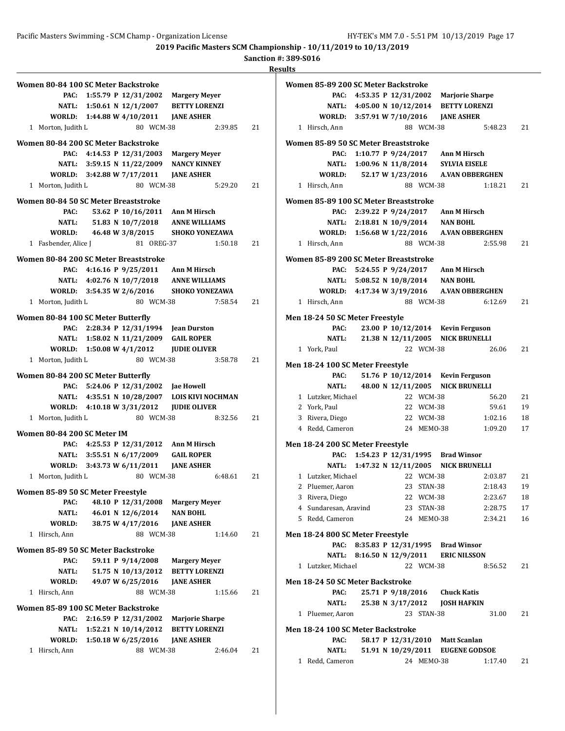**Sanction #: 389-S016**

| Women 80-84 100 SC Meter Backstroke         |                          |
|---------------------------------------------|--------------------------|
| 1:55.79 P 12/31/2002<br>PAC:                | <b>Margery Meyer</b>     |
| NATL: 1:50.61 N 12/1/2007                   | <b>BETTY LORENZI</b>     |
| WORLD: 1:44.88 W 4/10/2011                  | <b>JANE ASHER</b>        |
| 80 WCM-38<br>1 Morton, Judith L             | 2:39.85<br>21            |
| Women 80-84 200 SC Meter Backstroke         |                          |
| 4:14.53 P 12/31/2003<br>PAC:                | <b>Margery Meyer</b>     |
| NATL: 3:59.15 N 11/22/2009                  | <b>NANCY KINNEY</b>      |
| WORLD: 3:42.88 W 7/17/2011                  | <b>JANE ASHER</b>        |
| 1 Morton, Judith L<br>80 WCM-38             | 21<br>5:29.20            |
|                                             |                          |
| <b>Women 80-84 50 SC Meter Breaststroke</b> |                          |
| PAC:<br>53.62 P 10/16/2011 Ann M Hirsch     |                          |
| 51.83 N 10/7/2018<br><b>NATL:</b>           | <b>ANNE WILLIAMS</b>     |
| WORLD:<br>46.48 W 3/8/2015                  | <b>SHOKO YONEZAWA</b>    |
| 1 Fasbender, Alice J<br>81 OREG-37          | 1:50.18<br>21            |
| Women 80-84 200 SC Meter Breaststroke       |                          |
| PAC: 4:16.16 P 9/25/2011 Ann M Hirsch       |                          |
| NATL: 4:02.76 N 10/7/2018 ANNE WILLIAMS     |                          |
| WORLD: 3:54.35 W 2/6/2016                   | <b>SHOKO YONEZAWA</b>    |
| 1 Morton, Judith L<br>80 WCM-38             | 7:58.54<br>21            |
| Women 80-84 100 SC Meter Butterfly          |                          |
| PAC: 2:28.34 P 12/31/1994 Jean Durston      |                          |
| NATL: 1:58.02 N 11/21/2009                  | <b>GAIL ROPER</b>        |
| WORLD: 1:50.08 W 4/1/2012                   | <b>JUDIE OLIVER</b>      |
| 80 WCM-38                                   | 21                       |
| 1 Morton, Judith L                          | 3:58.78                  |
| Women 80-84 200 SC Meter Butterfly          |                          |
| 5:24.06 P 12/31/2002 Jae Howell<br>PAC:     |                          |
| NATL: 4:35.51 N 10/28/2007                  | <b>LOIS KIVI NOCHMAN</b> |
| WORLD: 4:10.18 W 3/31/2012                  | <b>JUDIE OLIVER</b>      |
| 1 Morton, Judith L<br>80 WCM-38             | 8:32.56<br>21            |
| Women 80-84 200 SC Meter IM                 |                          |
| PAC: 4:25.53 P 12/31/2012 Ann M Hirsch      |                          |
| NATL: 3:55.51 N 6/17/2009                   | <b>GAIL ROPER</b>        |
| WORLD: 3:43.73 W 6/11/2011                  | <b>IANE ASHER</b>        |
| 1 Morton, Judith L<br>80 WCM-38             | 21<br>6:48.61            |
|                                             |                          |
| Women 85-89 50 SC Meter Freestyle           |                          |
| PAC:<br>48.10 P 12/31/2008                  | <b>Margery Meyer</b>     |
| 46.01 N 12/6/2014<br>NATL:                  | <b>NAN BOHL</b>          |
| 38.75 W 4/17/2016<br>WORLD:                 | <b>JANE ASHER</b>        |
| 1 Hirsch, Ann<br>88 WCM-38                  | 1:14.60<br>21            |
| Women 85-89 50 SC Meter Backstroke          |                          |
| PAC:<br>59.11 P 9/14/2008                   | <b>Margery Meyer</b>     |
| 51.75 N 10/13/2012<br>NATL:                 | <b>BETTY LORENZI</b>     |
| 49.07 W 6/25/2016<br>WORLD:                 | <b>JANE ASHER</b>        |
| 1 Hirsch, Ann<br>88 WCM-38                  | 1:15.66<br>21            |
| Women 85-89 100 SC Meter Backstroke         |                          |
| 2:16.59 P 12/31/2002<br>PAC:                | <b>Marjorie Sharpe</b>   |
| 1:52.21 N 10/14/2012<br>NATL:               | <b>BETTY LORENZI</b>     |
| 1:50.18 W 6/25/2016<br>WORLD:               | <b>JANE ASHER</b>        |
| 1 Hirsch, Ann<br>88 WCM-38                  | 2:46.04<br>21            |
|                                             |                          |

|   | Women 85-89 200 SC Meter Backstroke     |                            |                   |            |                                            |         |    |
|---|-----------------------------------------|----------------------------|-------------------|------------|--------------------------------------------|---------|----|
|   | PAC:                                    |                            |                   |            | 4:53.35 P 12/31/2002 Marjorie Sharpe       |         |    |
|   |                                         |                            |                   |            | NATL: 4:05.00 N 10/12/2014 BETTY LORENZI   |         |    |
|   |                                         | WORLD: 3:57.91 W 7/10/2016 |                   |            | <b>JANE ASHER</b>                          |         |    |
|   | 1 Hirsch, Ann                           |                            |                   | 88 WCM-38  |                                            | 5:48.23 | 21 |
|   | Women 85-89 50 SC Meter Breaststroke    |                            |                   |            |                                            |         |    |
|   | PAC:                                    |                            |                   |            | 1:10.77 P 9/24/2017 Ann M Hirsch           |         |    |
|   | NATL:                                   |                            |                   |            | 1:00.96 N 11/8/2014 SYLVIA EISELE          |         |    |
|   |                                         |                            |                   |            | WORLD: 52.17 W 1/23/2016 A.VAN OBBERGHEN   |         |    |
|   | 1 Hirsch, Ann                           |                            |                   | 88 WCM-38  |                                            | 1:18.21 | 21 |
|   |                                         |                            |                   |            |                                            |         |    |
|   | Women 85-89 100 SC Meter Breaststroke   |                            |                   |            |                                            |         |    |
|   | PAC:                                    |                            |                   |            | 2:39.22 P 9/24/2017 Ann M Hirsch           |         |    |
|   |                                         |                            |                   |            | NATL: 2:18.81 N 10/9/2014 NAN BOHL         |         |    |
|   |                                         | WORLD: 1:56.68 W 1/22/2016 |                   |            | <b>A.VAN OBBERGHEN</b>                     |         |    |
|   | 1 Hirsch, Ann                           |                            |                   | 88 WCM-38  |                                            | 2:55.98 | 21 |
|   | Women 85-89 200 SC Meter Breaststroke   |                            |                   |            |                                            |         |    |
|   | PAC:                                    |                            |                   |            | 5:24.55 P 9/24/2017 Ann M Hirsch           |         |    |
|   |                                         |                            |                   |            | NATL: 5:08.52 N 10/8/2014 NAN BOHL         |         |    |
|   |                                         |                            |                   |            | WORLD: 4:17.34 W 3/19/2016 A.VAN OBBERGHEN |         |    |
|   | 1 Hirsch, Ann                           |                            |                   | 88 WCM-38  |                                            | 6:12.69 | 21 |
|   |                                         |                            |                   |            |                                            |         |    |
|   | Men 18-24 50 SC Meter Freestyle<br>PAC: |                            |                   |            | 23.00 P 10/12/2014 Kevin Ferguson          |         |    |
|   | <b>NATL:</b>                            |                            |                   |            | 21.38 N 12/11/2005 NICK BRUNELLI           |         |    |
|   |                                         |                            |                   | 22 WCM-38  |                                            | 26.06   | 21 |
|   | 1 York, Paul                            |                            |                   |            |                                            |         |    |
|   | Men 18-24 100 SC Meter Freestyle        |                            |                   |            |                                            |         |    |
|   | PAC:                                    |                            |                   |            | 51.76 P 10/12/2014 Kevin Ferguson          |         |    |
|   | NATL:                                   | 48.00 N 12/11/2005         |                   |            | <b>NICK BRUNELLI</b>                       |         |    |
|   | 1 Lutzker, Michael                      |                            |                   | 22 WCM-38  |                                            | 56.20   | 21 |
|   | 2 York, Paul                            |                            |                   | 22 WCM-38  |                                            | 59.61   | 19 |
|   | 3 Rivera, Diego                         |                            |                   | 22 WCM-38  |                                            | 1:02.16 | 18 |
|   | 4 Redd, Cameron                         |                            |                   | 24 MEM0-38 |                                            | 1:09.20 | 17 |
|   | Men 18-24 200 SC Meter Freestyle        |                            |                   |            |                                            |         |    |
|   |                                         |                            |                   |            | PAC: 1:54.23 P 12/31/1995 Brad Winsor      |         |    |
|   | NATL:                                   |                            |                   |            | 1:47.32 N 12/11/2005 NICK BRUNELLI         |         |    |
|   | 1 Lutzker, Michael                      |                            |                   | 22 WCM-38  |                                            | 2:03.87 | 21 |
|   | 2 Pluemer, Aaron                        |                            |                   | 23 STAN-38 |                                            | 2:18.43 | 19 |
|   | 3 Rivera, Diego                         |                            |                   | 22 WCM-38  |                                            | 2:23.67 | 18 |
|   | 4 Sundaresan, Aravind                   |                            |                   | 23 STAN-38 |                                            | 2:28.75 | 17 |
|   | 5 Redd, Cameron                         |                            |                   | 24 MEMO-38 |                                            | 2:34.21 | 16 |
|   |                                         |                            |                   |            |                                            |         |    |
|   | Men 18-24 800 SC Meter Freestyle        |                            |                   |            |                                            |         |    |
|   | PAC:                                    |                            |                   |            | 8:35.83 P 12/31/1995 Brad Winsor           |         |    |
|   | NATL:                                   |                            |                   |            | 8:16.50 N 12/9/2011 ERIC NILSSON           |         |    |
|   | 1 Lutzker, Michael                      |                            |                   | 22 WCM-38  |                                            | 8:56.52 | 21 |
|   | Men 18-24 50 SC Meter Backstroke        |                            |                   |            |                                            |         |    |
|   | PAC:                                    |                            |                   |            | 25.71 P 9/18/2016 Chuck Katis              |         |    |
|   | NATL:                                   |                            | 25.38 N 3/17/2012 |            | JOSH HAFKIN                                |         |    |
|   | 1 Pluemer, Aaron                        |                            |                   | 23 STAN-38 |                                            | 31.00   | 21 |
|   | Men 18-24 100 SC Meter Backstroke       |                            |                   |            |                                            |         |    |
|   | PAC:                                    |                            |                   |            | 58.17 P 12/31/2010 Matt Scanlan            |         |    |
|   | NATL:                                   |                            |                   |            | 51.91 N 10/29/2011 EUGENE GODSOE           |         |    |
| 1 | Redd, Cameron                           |                            |                   | 24 MEMO-38 |                                            | 1:17.40 | 21 |
|   |                                         |                            |                   |            |                                            |         |    |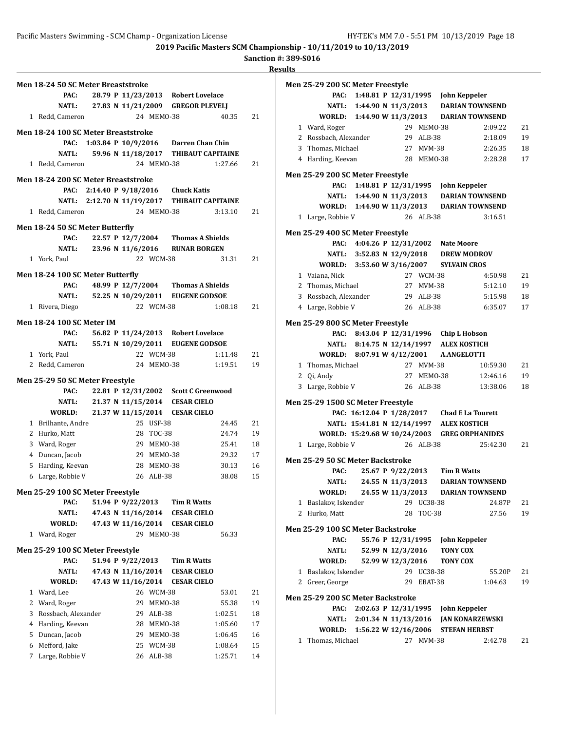#### **Sanction #: 389-S016**

|                | Men 18-24 50 SC Meter Breaststroke  |  |                    |            |                                              |         |    |
|----------------|-------------------------------------|--|--------------------|------------|----------------------------------------------|---------|----|
|                | PAC:                                |  |                    |            | 28.79 P 11/23/2013 Robert Lovelace           |         |    |
|                | <b>NATL:</b>                        |  |                    |            | 27.83 N 11/21/2009 GREGOR PLEVELJ            |         |    |
|                | 1 Redd, Cameron                     |  |                    | 24 MEMO-38 |                                              | 40.35   | 21 |
|                | Men 18-24 100 SC Meter Breaststroke |  |                    |            |                                              |         |    |
|                | PAC:                                |  |                    |            | 1:03.84 P 10/9/2016 Darren Chan Chin         |         |    |
|                | NATL:                               |  |                    |            | 59.96 N 11/18/2017 THIBAUT CAPITAINE         |         |    |
|                | 1 Redd, Cameron                     |  |                    | 24 MEMO-38 |                                              | 1:27.66 | 21 |
|                |                                     |  |                    |            |                                              |         |    |
|                | Men 18-24 200 SC Meter Breaststroke |  |                    |            |                                              |         |    |
|                |                                     |  |                    |            | PAC: 2:14.40 P 9/18/2016 Chuck Katis         |         |    |
|                | 1 Redd, Cameron                     |  |                    | 24 MEM0-38 | NATL: 2:12.70 N 11/19/2017 THIBAUT CAPITAINE | 3:13.10 | 21 |
|                |                                     |  |                    |            |                                              |         |    |
|                | Men 18-24 50 SC Meter Butterfly     |  |                    |            |                                              |         |    |
|                | PAC:                                |  |                    |            | 22.57 P 12/7/2004 Thomas A Shields           |         |    |
|                | NATL:                               |  |                    |            | 23.96 N 11/6/2016 RUNAR BORGEN               |         |    |
|                | 1 York, Paul                        |  |                    | 22 WCM-38  |                                              | 31.31   | 21 |
|                | Men 18-24 100 SC Meter Butterfly    |  |                    |            |                                              |         |    |
|                | PAC:                                |  | 48.99 P 12/7/2004  |            | <b>Thomas A Shields</b>                      |         |    |
|                |                                     |  |                    |            | NATL: 52.25 N 10/29/2011 EUGENE GODSOE       |         |    |
|                | 1 Rivera, Diego                     |  |                    | 22 WCM-38  |                                              | 1:08.18 | 21 |
|                | <b>Men 18-24 100 SC Meter IM</b>    |  |                    |            |                                              |         |    |
|                | PAC:                                |  |                    |            | 56.82 P 11/24/2013 Robert Lovelace           |         |    |
|                | <b>NATL:</b>                        |  |                    |            | 55.71 N 10/29/2011 EUGENE GODSOE             |         |    |
|                | 1 York, Paul                        |  |                    | 22 WCM-38  |                                              | 1:11.48 | 21 |
|                | 2 Redd, Cameron                     |  |                    | 24 MEMO-38 |                                              | 1:19.51 | 19 |
|                | Men 25-29 50 SC Meter Freestyle     |  |                    |            |                                              |         |    |
|                | PAC:                                |  |                    |            | 22.81 P 12/31/2002 Scott C Greenwood         |         |    |
|                | NATL:                               |  | 21.37 N 11/15/2014 |            | <b>CESAR CIELO</b>                           |         |    |
|                | WORLD:                              |  |                    |            | 21.37 W 11/15/2014 CESAR CIELO               |         |    |
|                | 1 Brilhante, Andre                  |  |                    | 25 USF-38  |                                              | 24.45   | 21 |
|                | 2 Hurko, Matt                       |  |                    | 28 TOC-38  |                                              | 24.74   | 19 |
|                | 3 Ward, Roger                       |  |                    | 29 MEMO-38 |                                              | 25.41   | 18 |
|                | 4 Duncan, Jacob                     |  |                    | 29 MEM0-38 |                                              | 29.32   | 17 |
|                | 5 Harding, Keevan                   |  |                    | 28 MEM0-38 |                                              | 30.13   | 16 |
|                | 6 Large, Robbie V                   |  |                    | 26 ALB-38  |                                              | 38.08   | 15 |
|                | Men 25-29 100 SC Meter Freestyle    |  |                    |            |                                              |         |    |
|                | PAC:                                |  | 51.94 P 9/22/2013  |            | Tim R Watts                                  |         |    |
|                | <b>NATL:</b>                        |  | 47.43 N 11/16/2014 |            | <b>CESAR CIELO</b>                           |         |    |
|                | WORLD:                              |  | 47.43 W 11/16/2014 |            | <b>CESAR CIELO</b>                           |         |    |
|                | 1 Ward, Roger                       |  |                    | 29 MEMO-38 |                                              | 56.33   |    |
|                | Men 25-29 100 SC Meter Freestyle    |  |                    |            |                                              |         |    |
|                | PAC:                                |  | 51.94 P 9/22/2013  |            | <b>Tim R Watts</b>                           |         |    |
|                | <b>NATL:</b>                        |  | 47.43 N 11/16/2014 |            | <b>CESAR CIELO</b>                           |         |    |
|                | WORLD:                              |  | 47.43 W 11/16/2014 |            | <b>CESAR CIELO</b>                           |         |    |
| $\mathbf{1}$   | Ward, Lee                           |  |                    | 26 WCM-38  |                                              | 53.01   | 21 |
|                | 2 Ward, Roger                       |  |                    | 29 MEMO-38 |                                              | 55.38   | 19 |
| 3              | Rossbach, Alexander                 |  |                    | 29 ALB-38  |                                              | 1:02.51 | 18 |
| $\overline{4}$ | Harding, Keevan                     |  |                    | 28 MEMO-38 |                                              | 1:05.60 | 17 |
|                | 5 Duncan, Jacob                     |  |                    | 29 MEMO-38 |                                              | 1:06.45 | 16 |
| 6              | Mefford, Jake                       |  |                    | 25 WCM-38  |                                              | 1:08.64 | 15 |
| 7              | Large, Robbie V                     |  |                    | 26 ALB-38  |                                              | 1:25.71 | 14 |

|              | Men 25-29 200 SC Meter Freestyle          |                            |                                              |            |                                              |          |    |
|--------------|-------------------------------------------|----------------------------|----------------------------------------------|------------|----------------------------------------------|----------|----|
|              | PAC:                                      |                            |                                              |            | 1:48.81 P 12/31/1995 John Keppeler           |          |    |
|              |                                           |                            |                                              |            | NATL: 1:44.90 N 11/3/2013 DARIAN TOWNSEND    |          |    |
|              |                                           | WORLD: 1:44.90 W 11/3/2013 |                                              |            | <b>DARIAN TOWNSEND</b>                       |          |    |
|              | 1 Ward, Roger                             |                            |                                              | 29 MEM0-38 |                                              | 2:09.22  | 21 |
|              | 2 Rossbach, Alexander                     |                            |                                              | 29 ALB-38  |                                              | 2:18.09  | 19 |
|              | 3 Thomas, Michael                         |                            |                                              | 27 MVM-38  |                                              | 2:26.35  | 18 |
|              | 4 Harding, Keevan                         |                            |                                              | 28 MEM0-38 |                                              | 2:28.28  | 17 |
|              |                                           |                            |                                              |            |                                              |          |    |
|              | Men 25-29 200 SC Meter Freestyle          |                            |                                              |            |                                              |          |    |
|              | PAC:                                      |                            | 1:48.81 P 12/31/1995                         |            | John Keppeler                                |          |    |
|              |                                           | NATL: 1:44.90 N 11/3/2013  |                                              |            | <b>DARIAN TOWNSEND</b>                       |          |    |
|              |                                           |                            |                                              |            | WORLD: 1:44.90 W 11/3/2013 DARIAN TOWNSEND   |          |    |
|              | 1 Large, Robbie V                         |                            |                                              | 26 ALB-38  |                                              | 3:16.51  |    |
|              | Men 25-29 400 SC Meter Freestyle          |                            |                                              |            |                                              |          |    |
|              |                                           |                            |                                              |            | PAC: 4:04.26 P 12/31/2002 Nate Moore         |          |    |
|              |                                           | NATL: 3:52.83 N 12/9/2018  |                                              |            | <b>DREW MODROV</b>                           |          |    |
|              |                                           | WORLD: 3:53.60 W 3/16/2007 |                                              |            | <b>SYLVAIN CROS</b>                          |          |    |
|              | 1 Vaiana, Nick                            |                            |                                              | 27 WCM-38  |                                              | 4:50.98  | 21 |
|              | 2 Thomas, Michael                         |                            |                                              | 27 MVM-38  |                                              | 5:12.10  | 19 |
|              | 3 Rossbach, Alexander                     |                            | 29 ALB-38                                    |            |                                              | 5:15.98  | 18 |
|              | 4 Large, Robbie V                         |                            |                                              | 26 ALB-38  |                                              | 6:35.07  | 17 |
|              |                                           |                            |                                              |            |                                              |          |    |
|              | Men 25-29 800 SC Meter Freestyle          |                            |                                              |            |                                              |          |    |
|              |                                           |                            |                                              |            | PAC: 8:43.04 P 12/31/1996 Chip L Hobson      |          |    |
|              |                                           |                            |                                              |            | NATL: 8:14.75 N 12/14/1997 ALEX KOSTICH      |          |    |
|              |                                           | WORLD: 8:07.91 W 4/12/2001 |                                              |            | <b>A.ANGELOTTI</b>                           |          |    |
|              | 1 Thomas, Michael                         |                            |                                              | 27 MVM-38  |                                              | 10:59.30 | 21 |
|              | 2 Qi, Andy                                |                            |                                              | 27 MEM0-38 |                                              | 12:46.16 | 19 |
|              | 3 Large, Robbie V                         |                            |                                              | 26 ALB-38  |                                              | 13:38.06 | 18 |
|              | Men 25-29 1500 SC Meter Freestyle         |                            |                                              |            |                                              |          |    |
|              |                                           |                            |                                              |            | PAC: 16:12.04 P 1/28/2017 Chad E La Tourett  |          |    |
|              |                                           |                            |                                              |            | NATL: 15:41.81 N 12/14/1997 ALEX KOSTICH     |          |    |
|              |                                           |                            |                                              |            | WORLD: 15:29.68 W 10/24/2003 GREG ORPHANIDES |          |    |
|              | 1 Large, Robbie V                         |                            |                                              | 26 ALB-38  |                                              | 25:42.30 | 21 |
|              |                                           |                            |                                              |            |                                              |          |    |
|              | Men 25-29 50 SC Meter Backstroke<br>PAC:  |                            | 25.67 P 9/22/2013                            |            | <b>Tim R Watts</b>                           |          |    |
|              | <b>NATL:</b>                              |                            | 24.55 N 11/3/2013                            |            | <b>DARIAN TOWNSEND</b>                       |          |    |
|              | <b>WORLD:</b>                             |                            | 24.55 W 11/3/2013                            |            |                                              |          |    |
|              | 1 Baslakov, Iskender                      |                            |                                              |            | <b>DARIAN TOWNSEND</b>                       |          |    |
|              |                                           |                            |                                              | 29 UC38-38 |                                              | 24.87P   | 21 |
|              | 2 Hurko, Matt                             |                            |                                              | 28 TOC-38  |                                              | 27.56    | 19 |
|              | Men 25-29 100 SC Meter Backstroke         |                            |                                              |            |                                              |          |    |
|              | PAC:                                      |                            | 55.76 P 12/31/1995                           |            | <b>John Keppeler</b>                         |          |    |
|              | NATL:                                     |                            | 52.99 N 12/3/2016                            |            | <b>TONY COX</b>                              |          |    |
|              | WORLD:                                    |                            | 52.99 W 12/3/2016                            |            | <b>TONY COX</b>                              |          |    |
| 1            | Baslakov, Iskender                        |                            |                                              | 29 UC38-38 |                                              | 55.20P   | 21 |
|              | 2 Greer, George                           |                            |                                              | 29 EBAT-38 |                                              | 1:04.63  | 19 |
|              |                                           |                            |                                              |            |                                              |          |    |
|              | Men 25-29 200 SC Meter Backstroke<br>PAC: |                            |                                              |            |                                              |          |    |
|              |                                           |                            | 2:02.63 P 12/31/1995                         |            | John Keppeler                                |          |    |
|              | NATL:                                     |                            | 2:01.34 N 11/13/2016<br>1:56.22 W 12/16/2006 |            | <b>JAN KONARZEWSKI</b>                       |          |    |
|              | WORLD:                                    |                            |                                              | 27 MVM-38  | <b>STEFAN HERBST</b>                         |          |    |
| $\mathbf{1}$ | Thomas, Michael                           |                            |                                              |            |                                              | 2:42.78  | 21 |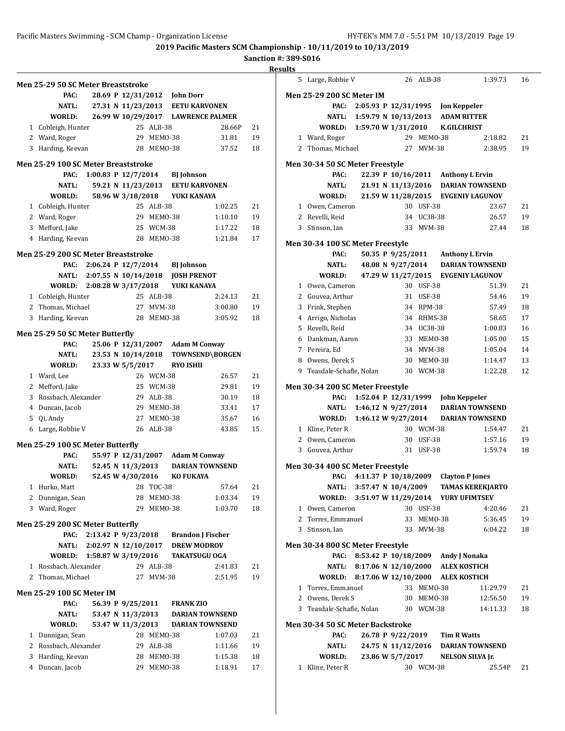# **Sanction #: 389-S016**

|                                     |                                  |    |            |                                  |                                    |    | <b>Results</b> |
|-------------------------------------|----------------------------------|----|------------|----------------------------------|------------------------------------|----|----------------|
| Men 25-29 50 SC Meter Breaststroke  |                                  |    |            |                                  |                                    |    |                |
| PAC:                                |                                  |    |            | 28.69 P 12/31/2012 John Dorr     |                                    |    | Mer            |
| NATL:                               |                                  |    |            |                                  | 27.31 N 11/23/2013 EETU KARVONEN   |    |                |
| WORLD:                              |                                  |    |            |                                  | 26.99 W 10/29/2017 LAWRENCE PALMER |    |                |
| 1 Cobleigh, Hunter                  |                                  |    | 25 ALB-38  |                                  | 28.66P                             | 21 |                |
| 2 Ward, Roger                       |                                  |    | 29 MEM0-38 |                                  | 31.81                              | 19 |                |
| 3 Harding, Keevan                   |                                  |    | 28 MEM0-38 |                                  | 37.52                              | 18 |                |
| Men 25-29 100 SC Meter Breaststroke |                                  |    |            |                                  |                                    |    | Mei            |
| PAC:                                | 1:00.83 P 12/7/2014 BJ Johnson   |    |            |                                  |                                    |    |                |
| <b>NATL:</b>                        |                                  |    |            |                                  | 59.21 N 11/23/2013 EETU KARVONEN   |    |                |
| WORLD:                              | 58.96 W 3/18/2018                |    |            | YUKI KANAYA                      |                                    |    |                |
| 1 Cobleigh, Hunter                  |                                  |    | 25 ALB-38  |                                  | 1:02.25                            | 21 |                |
| 2 Ward, Roger                       |                                  |    | 29 MEM0-38 |                                  | 1:10.10                            | 19 |                |
| 3 Mefford, Jake                     |                                  |    | 25 WCM-38  |                                  | 1:17.22                            | 18 |                |
| 4 Harding, Keevan                   |                                  |    | 28 MEMO-38 |                                  | 1:21.84                            | 17 |                |
|                                     |                                  |    |            |                                  |                                    |    | Mei            |
| Men 25-29 200 SC Meter Breaststroke |                                  |    |            |                                  |                                    |    |                |
| PAC:                                | 2:06.24 P 12/7/2014 BJ Johnson   |    |            |                                  |                                    |    |                |
| <b>NATL:</b>                        | 2:07.55 N 10/14/2018 JOSH PRENOT |    |            |                                  |                                    |    |                |
| WORLD:                              | 2:08.28 W 3/17/2018 YUKI KANAYA  |    |            |                                  |                                    |    |                |
| 1 Cobleigh, Hunter                  |                                  |    | 25 ALB-38  |                                  | 2:24.13                            | 21 |                |
| 2 Thomas, Michael                   |                                  |    | 27 MVM-38  |                                  | 3:00.80                            | 19 |                |
| 3 Harding, Keevan                   |                                  |    | 28 MEM0-38 |                                  | 3:05.92                            | 18 |                |
| Men 25-29 50 SC Meter Butterfly     |                                  |    |            |                                  |                                    |    |                |
| PAC:                                |                                  |    |            | 25.06 P 12/31/2007 Adam M Conway |                                    |    |                |
| <b>NATL:</b>                        |                                  |    |            |                                  | 23.53 N 10/14/2018 TOWNSEND\BORGEN |    |                |
| WORLD:                              | 23.33 W 5/5/2017                 |    |            | <b>RYO ISHII</b>                 |                                    |    |                |
| 1 Ward, Lee                         |                                  |    | 26 WCM-38  |                                  | 26.57                              | 21 |                |
| 2 Mefford, Jake                     |                                  |    | 25 WCM-38  |                                  | 29.81                              | 19 | Mer            |
| 3 Rossbach, Alexander               |                                  |    | 29 ALB-38  |                                  | 30.19                              | 18 |                |
| 4 Duncan, Jacob                     |                                  |    | 29 MEM0-38 |                                  | 33.41                              | 17 |                |
| 5 Qi, Andy                          |                                  |    | 27 MEM0-38 |                                  | 35.67                              | 16 |                |
| 6 Large, Robbie V                   |                                  |    | 26 ALB-38  |                                  | 43.85                              | 15 |                |
|                                     |                                  |    |            |                                  |                                    |    |                |
| Men 25-29 100 SC Meter Butterfly    |                                  |    |            |                                  |                                    |    |                |
| PAC:                                |                                  |    |            | 55.97 P 12/31/2007 Adam M Conway |                                    |    |                |
| <b>NATL:</b>                        |                                  |    |            |                                  | 52.45 N 11/3/2013 DARIAN TOWNSEND  |    | Mei            |
| WORLD: 52.45 W 4/30/2016 KO FUKAYA  |                                  |    |            |                                  |                                    |    |                |
| 1 Hurko, Matt                       |                                  |    | 28 TOC-38  |                                  | 57.64                              | 21 |                |
| Dunnigan, Sean<br>2                 |                                  |    | 28 MEM0-38 |                                  | 1:03.34                            | 19 |                |
| 3 Ward, Roger                       |                                  | 29 | MEMO-38    |                                  | 1:03.70                            | 18 |                |
| Men 25-29 200 SC Meter Butterfly    |                                  |    |            |                                  |                                    |    |                |
| PAC:                                | 2:13.42 P 9/23/2018              |    |            |                                  | <b>Brandon J Fischer</b>           |    |                |
| <b>NATL:</b>                        | 2:02.97 N 12/10/2017             |    |            |                                  | <b>DREW MODROV</b>                 |    | Mei            |
| WORLD:                              | 1:58.87 W 3/19/2016              |    |            |                                  | <b>TAKATSUGU OGA</b>               |    |                |
| 1 Rossbach, Alexander               |                                  |    | 29 ALB-38  |                                  | 2:41.83                            | 21 |                |
| Thomas, Michael<br>2                |                                  | 27 | MVM-38     |                                  | 2:51.95                            | 19 |                |
|                                     |                                  |    |            |                                  |                                    |    |                |
| <b>Men 25-29 100 SC Meter IM</b>    |                                  |    |            |                                  |                                    |    |                |
| PAC:                                | 56.39 P 9/25/2011                |    |            | <b>FRANK ZIO</b>                 |                                    |    |                |
| NATL:                               | 53.47 N 11/3/2013                |    |            |                                  | <b>DARIAN TOWNSEND</b>             |    |                |
| WORLD:                              | 53.47 W 11/3/2013                |    |            |                                  | <b>DARIAN TOWNSEND</b>             |    | Mei            |
| Dunnigan, Sean<br>$\mathbf{1}$      |                                  |    | 28 MEMO-38 |                                  | 1:07.03                            | 21 |                |
| $\mathbf{2}$<br>Rossbach, Alexander |                                  |    | 29 ALB-38  |                                  | 1:11.66                            | 19 |                |
| Harding, Keevan<br>3                |                                  |    | 28 MEMO-38 |                                  | 1:15.38                            | 18 |                |
| 4<br>Duncan, Jacob                  |                                  |    | 29 MEMO-38 |                                  | 1:18.91                            | 17 |                |
|                                     |                                  |    |            |                                  |                                    |    |                |

| 5 | Large, Robbie V                           |                                         |                    | 26 ALB-38  |                                      | 1:39.73                             | 16 |
|---|-------------------------------------------|-----------------------------------------|--------------------|------------|--------------------------------------|-------------------------------------|----|
|   | Men 25-29 200 SC Meter IM                 |                                         |                    |            |                                      |                                     |    |
|   | PAC:                                      |                                         |                    |            | 2:05.93 P 12/31/1995 Jon Keppeler    |                                     |    |
|   | <b>NATL:</b>                              |                                         |                    |            | 1:59.79 N 10/13/2013 ADAM RITTER     |                                     |    |
|   | WORLD:                                    | 1:59.70 W 1/31/2010                     |                    |            | <b>K.GILCHRIST</b>                   |                                     |    |
|   | 1 Ward, Roger                             |                                         |                    | 29 MEMO-38 |                                      | 2:18.82                             | 21 |
|   | 2 Thomas, Michael                         |                                         | 27                 | MVM-38     |                                      | 2:38.95                             | 19 |
|   |                                           |                                         |                    |            |                                      |                                     |    |
|   | Men 30-34 50 SC Meter Freestyle           |                                         |                    |            |                                      |                                     |    |
|   | PAC:                                      |                                         |                    |            |                                      | 22.39 P 10/16/2011 Anthony L Ervin  |    |
|   | <b>NATL:</b>                              |                                         | 21.91 N 11/13/2016 |            |                                      | <b>DARIAN TOWNSEND</b>              |    |
|   | WORLD:                                    |                                         |                    |            |                                      | 21.59 W 11/28/2015 EVGENIY LAGUNOV  |    |
|   | 1 Owen, Cameron                           |                                         |                    | 30 USF-38  |                                      | 23.67                               | 21 |
|   | 2 Revelli, Reid                           |                                         |                    | 34 UC38-38 |                                      | 26.57                               | 19 |
|   | 3 Stinson, Ian                            |                                         |                    | 33 MVM-38  |                                      | 27.44                               | 18 |
|   | Men 30-34 100 SC Meter Freestyle          |                                         |                    |            |                                      |                                     |    |
|   | PAC:                                      |                                         |                    |            |                                      | 50.35 P 9/25/2011 Anthony L Ervin   |    |
|   | NATL:                                     |                                         |                    |            |                                      | 48.08 N 9/27/2014 DARIAN TOWNSEND   |    |
|   | WORLD:                                    |                                         | 47.29 W 11/27/2015 |            |                                      | <b>EVGENIY LAGUNOV</b>              |    |
|   | 1 Owen, Cameron                           |                                         |                    | 30 USF-38  |                                      | 51.39                               | 21 |
|   | 2 Gouvea, Arthur                          |                                         |                    | 31 USF-38  |                                      | 54.46                               | 19 |
| 3 | Frink, Stephen                            |                                         |                    | 34 RPM-38  |                                      | 57.49                               | 18 |
|   | 4 Arrigo, Nicholas                        |                                         |                    | 34 RHMS-38 |                                      | 58.65                               | 17 |
|   | 5 Revelli, Reid                           |                                         |                    | 34 UC38-38 |                                      | 1:00.83                             | 16 |
|   | 6 Dankman, Aaron                          |                                         |                    | 33 MEM0-38 |                                      | 1:05.00                             | 15 |
|   | 7 Pereira, Ed                             |                                         |                    | 34 MVM-38  |                                      | 1:05.04                             | 14 |
|   | 8 Owens, Derek S                          |                                         |                    | 30 MEMO-38 |                                      | 1:14.47                             | 13 |
|   | 9 Teasdale-Schafle, Nolan                 |                                         |                    | 30 WCM-38  |                                      | 1:22.28                             | 12 |
|   |                                           |                                         |                    |            |                                      |                                     |    |
|   | Men 30-34 200 SC Meter Freestyle          |                                         |                    |            |                                      |                                     |    |
|   | PAC:                                      |                                         |                    |            | 1:52.04 P 12/31/1999 John Keppeler   |                                     |    |
|   | NATL:                                     |                                         |                    |            |                                      | 1:46.12 N 9/27/2014 DARIAN TOWNSEND |    |
|   | <b>WORLD:</b>                             | 1:46.12 W 9/27/2014                     |                    |            |                                      | <b>DARIAN TOWNSEND</b>              |    |
|   | 1 Kline, Peter R                          |                                         |                    | 30 WCM-38  |                                      | 1:54.47                             | 21 |
|   | 2 Owen, Cameron                           |                                         |                    | 30 USF-38  |                                      | 1:57.16                             | 19 |
|   | 3 Gouvea, Arthur                          |                                         |                    | 31 USF-38  |                                      | 1:59.74                             | 18 |
|   | Men 30-34 400 SC Meter Freestyle          |                                         |                    |            |                                      |                                     |    |
|   | PAC:                                      |                                         |                    |            | 4:11.37 P 10/18/2009 Clayton P Jones |                                     |    |
|   | <b>NATL:</b>                              | 3:57.47 N 10/4/2009                     |                    |            |                                      | <b>TAMAS KEREKJARTO</b>             |    |
|   | WORLD: 3:51.97 W 11/29/2014 YURY UFIMTSEV |                                         |                    |            |                                      |                                     |    |
|   | 1 Owen, Cameron                           |                                         |                    | 30 USF-38  |                                      | 4:20.46                             | 21 |
|   | 2 Torres, Emmanuel                        |                                         |                    | 33 MEMO-38 |                                      | 5:36.45                             | 19 |
|   | 3 Stinson, Ian                            |                                         |                    | 33 MVM-38  |                                      | 6:04.22                             | 18 |
|   |                                           |                                         |                    |            |                                      |                                     |    |
|   | Men 30-34 800 SC Meter Freestyle          |                                         |                    |            |                                      |                                     |    |
|   | PAC:                                      | 8:53.42 P 10/18/2009 Andy J Nonaka      |                    |            |                                      |                                     |    |
|   |                                           | NATL: 8:17.06 N 12/10/2000 ALEX KOSTICH |                    |            |                                      |                                     |    |
|   | WORLD: 8:17.06 W 12/10/2000 ALEX KOSTICH  |                                         |                    |            |                                      |                                     |    |
|   | 1 Torres, Emmanuel                        |                                         |                    | 33 MEMO-38 |                                      | 11:29.79                            | 21 |
|   | 2 Owens, Derek S                          |                                         |                    | 30 MEMO-38 |                                      | 12:56.50                            | 19 |
|   | 3 Teasdale-Schafle, Nolan                 |                                         |                    | 30 WCM-38  |                                      | 14:11.33                            | 18 |
|   | Men 30-34 50 SC Meter Backstroke          |                                         |                    |            |                                      |                                     |    |
|   | PAC:                                      |                                         |                    |            | 26.78 P 9/22/2019 Tim R Watts        |                                     |    |
|   | NATL:                                     |                                         |                    |            |                                      | 24.75 N 11/12/2016 DARIAN TOWNSEND  |    |
|   | <b>WORLD:</b>                             |                                         | 23.86 W 5/7/2017   |            |                                      | <b>NELSON SILVA Jr.</b>             |    |
|   | 1 Kline, Peter R                          |                                         |                    | 30 WCM-38  |                                      | 25.54P 21                           |    |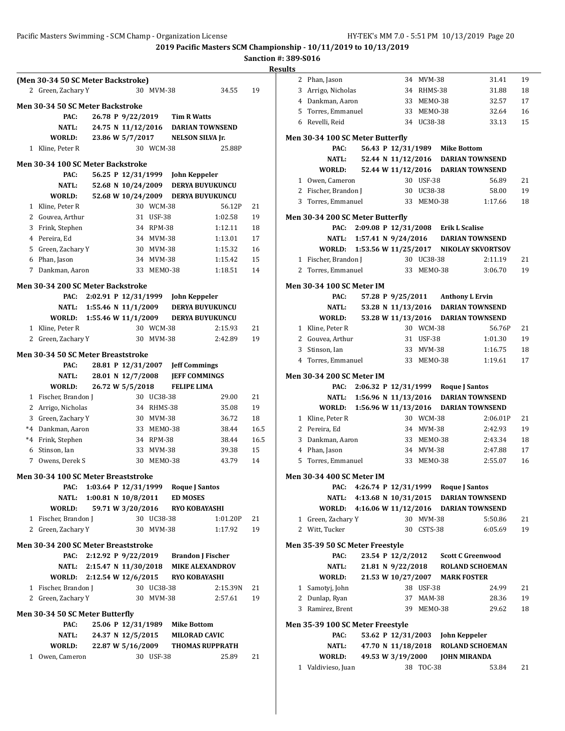# **Sanction #: 389-S016**

|                   |                                                                                                                                     |                                                                                                                                                                                                                                                                                                                                             |                                                                            |                                                                                                                                                                                                                                                                                                                        |                                                                                                                                                                                                                                                                                                                                                                                                     |                                                                                                                                                                                                                                                                                                                                                                                                                                                                                                                                                                                                                                                                                                                                                                          | Resul                      |
|-------------------|-------------------------------------------------------------------------------------------------------------------------------------|---------------------------------------------------------------------------------------------------------------------------------------------------------------------------------------------------------------------------------------------------------------------------------------------------------------------------------------------|----------------------------------------------------------------------------|------------------------------------------------------------------------------------------------------------------------------------------------------------------------------------------------------------------------------------------------------------------------------------------------------------------------|-----------------------------------------------------------------------------------------------------------------------------------------------------------------------------------------------------------------------------------------------------------------------------------------------------------------------------------------------------------------------------------------------------|--------------------------------------------------------------------------------------------------------------------------------------------------------------------------------------------------------------------------------------------------------------------------------------------------------------------------------------------------------------------------------------------------------------------------------------------------------------------------------------------------------------------------------------------------------------------------------------------------------------------------------------------------------------------------------------------------------------------------------------------------------------------------|----------------------------|
|                   |                                                                                                                                     |                                                                                                                                                                                                                                                                                                                                             |                                                                            |                                                                                                                                                                                                                                                                                                                        |                                                                                                                                                                                                                                                                                                                                                                                                     |                                                                                                                                                                                                                                                                                                                                                                                                                                                                                                                                                                                                                                                                                                                                                                          |                            |
|                   |                                                                                                                                     |                                                                                                                                                                                                                                                                                                                                             |                                                                            |                                                                                                                                                                                                                                                                                                                        |                                                                                                                                                                                                                                                                                                                                                                                                     |                                                                                                                                                                                                                                                                                                                                                                                                                                                                                                                                                                                                                                                                                                                                                                          |                            |
|                   |                                                                                                                                     |                                                                                                                                                                                                                                                                                                                                             |                                                                            |                                                                                                                                                                                                                                                                                                                        |                                                                                                                                                                                                                                                                                                                                                                                                     |                                                                                                                                                                                                                                                                                                                                                                                                                                                                                                                                                                                                                                                                                                                                                                          |                            |
| PAC:              |                                                                                                                                     |                                                                                                                                                                                                                                                                                                                                             |                                                                            |                                                                                                                                                                                                                                                                                                                        |                                                                                                                                                                                                                                                                                                                                                                                                     |                                                                                                                                                                                                                                                                                                                                                                                                                                                                                                                                                                                                                                                                                                                                                                          |                            |
|                   |                                                                                                                                     |                                                                                                                                                                                                                                                                                                                                             |                                                                            |                                                                                                                                                                                                                                                                                                                        |                                                                                                                                                                                                                                                                                                                                                                                                     |                                                                                                                                                                                                                                                                                                                                                                                                                                                                                                                                                                                                                                                                                                                                                                          |                            |
|                   |                                                                                                                                     |                                                                                                                                                                                                                                                                                                                                             |                                                                            |                                                                                                                                                                                                                                                                                                                        |                                                                                                                                                                                                                                                                                                                                                                                                     |                                                                                                                                                                                                                                                                                                                                                                                                                                                                                                                                                                                                                                                                                                                                                                          | N                          |
|                   |                                                                                                                                     |                                                                                                                                                                                                                                                                                                                                             |                                                                            |                                                                                                                                                                                                                                                                                                                        |                                                                                                                                                                                                                                                                                                                                                                                                     |                                                                                                                                                                                                                                                                                                                                                                                                                                                                                                                                                                                                                                                                                                                                                                          |                            |
|                   |                                                                                                                                     |                                                                                                                                                                                                                                                                                                                                             |                                                                            |                                                                                                                                                                                                                                                                                                                        |                                                                                                                                                                                                                                                                                                                                                                                                     |                                                                                                                                                                                                                                                                                                                                                                                                                                                                                                                                                                                                                                                                                                                                                                          |                            |
| PAC:              |                                                                                                                                     |                                                                                                                                                                                                                                                                                                                                             |                                                                            |                                                                                                                                                                                                                                                                                                                        |                                                                                                                                                                                                                                                                                                                                                                                                     |                                                                                                                                                                                                                                                                                                                                                                                                                                                                                                                                                                                                                                                                                                                                                                          |                            |
| <b>NATL:</b>      |                                                                                                                                     |                                                                                                                                                                                                                                                                                                                                             |                                                                            |                                                                                                                                                                                                                                                                                                                        |                                                                                                                                                                                                                                                                                                                                                                                                     |                                                                                                                                                                                                                                                                                                                                                                                                                                                                                                                                                                                                                                                                                                                                                                          |                            |
| WORLD:            |                                                                                                                                     |                                                                                                                                                                                                                                                                                                                                             |                                                                            |                                                                                                                                                                                                                                                                                                                        |                                                                                                                                                                                                                                                                                                                                                                                                     |                                                                                                                                                                                                                                                                                                                                                                                                                                                                                                                                                                                                                                                                                                                                                                          |                            |
| 1 Kline, Peter R  |                                                                                                                                     |                                                                                                                                                                                                                                                                                                                                             |                                                                            |                                                                                                                                                                                                                                                                                                                        | 56.12P                                                                                                                                                                                                                                                                                                                                                                                              | 21                                                                                                                                                                                                                                                                                                                                                                                                                                                                                                                                                                                                                                                                                                                                                                       |                            |
|                   |                                                                                                                                     |                                                                                                                                                                                                                                                                                                                                             |                                                                            |                                                                                                                                                                                                                                                                                                                        | 1:02.58                                                                                                                                                                                                                                                                                                                                                                                             | 19                                                                                                                                                                                                                                                                                                                                                                                                                                                                                                                                                                                                                                                                                                                                                                       | N                          |
| 3 Frink, Stephen  |                                                                                                                                     |                                                                                                                                                                                                                                                                                                                                             |                                                                            |                                                                                                                                                                                                                                                                                                                        | 1:12.11                                                                                                                                                                                                                                                                                                                                                                                             | 18                                                                                                                                                                                                                                                                                                                                                                                                                                                                                                                                                                                                                                                                                                                                                                       |                            |
| 4 Pereira, Ed     |                                                                                                                                     |                                                                                                                                                                                                                                                                                                                                             |                                                                            |                                                                                                                                                                                                                                                                                                                        | 1:13.01                                                                                                                                                                                                                                                                                                                                                                                             | 17                                                                                                                                                                                                                                                                                                                                                                                                                                                                                                                                                                                                                                                                                                                                                                       |                            |
|                   |                                                                                                                                     |                                                                                                                                                                                                                                                                                                                                             |                                                                            |                                                                                                                                                                                                                                                                                                                        | 1:15.32                                                                                                                                                                                                                                                                                                                                                                                             | 16                                                                                                                                                                                                                                                                                                                                                                                                                                                                                                                                                                                                                                                                                                                                                                       |                            |
|                   |                                                                                                                                     |                                                                                                                                                                                                                                                                                                                                             |                                                                            |                                                                                                                                                                                                                                                                                                                        | 1:15.42                                                                                                                                                                                                                                                                                                                                                                                             | 15                                                                                                                                                                                                                                                                                                                                                                                                                                                                                                                                                                                                                                                                                                                                                                       |                            |
|                   |                                                                                                                                     |                                                                                                                                                                                                                                                                                                                                             |                                                                            |                                                                                                                                                                                                                                                                                                                        | 1:18.51                                                                                                                                                                                                                                                                                                                                                                                             | 14                                                                                                                                                                                                                                                                                                                                                                                                                                                                                                                                                                                                                                                                                                                                                                       |                            |
|                   |                                                                                                                                     |                                                                                                                                                                                                                                                                                                                                             |                                                                            |                                                                                                                                                                                                                                                                                                                        |                                                                                                                                                                                                                                                                                                                                                                                                     |                                                                                                                                                                                                                                                                                                                                                                                                                                                                                                                                                                                                                                                                                                                                                                          | N                          |
|                   |                                                                                                                                     |                                                                                                                                                                                                                                                                                                                                             |                                                                            |                                                                                                                                                                                                                                                                                                                        |                                                                                                                                                                                                                                                                                                                                                                                                     |                                                                                                                                                                                                                                                                                                                                                                                                                                                                                                                                                                                                                                                                                                                                                                          |                            |
| NATL:             |                                                                                                                                     |                                                                                                                                                                                                                                                                                                                                             |                                                                            |                                                                                                                                                                                                                                                                                                                        |                                                                                                                                                                                                                                                                                                                                                                                                     |                                                                                                                                                                                                                                                                                                                                                                                                                                                                                                                                                                                                                                                                                                                                                                          |                            |
| WORLD:            |                                                                                                                                     |                                                                                                                                                                                                                                                                                                                                             |                                                                            |                                                                                                                                                                                                                                                                                                                        |                                                                                                                                                                                                                                                                                                                                                                                                     |                                                                                                                                                                                                                                                                                                                                                                                                                                                                                                                                                                                                                                                                                                                                                                          |                            |
| 1 Kline, Peter R  |                                                                                                                                     |                                                                                                                                                                                                                                                                                                                                             |                                                                            |                                                                                                                                                                                                                                                                                                                        | 2:15.93                                                                                                                                                                                                                                                                                                                                                                                             | 21                                                                                                                                                                                                                                                                                                                                                                                                                                                                                                                                                                                                                                                                                                                                                                       |                            |
|                   |                                                                                                                                     |                                                                                                                                                                                                                                                                                                                                             |                                                                            |                                                                                                                                                                                                                                                                                                                        | 2:42.89                                                                                                                                                                                                                                                                                                                                                                                             | 19                                                                                                                                                                                                                                                                                                                                                                                                                                                                                                                                                                                                                                                                                                                                                                       |                            |
|                   |                                                                                                                                     |                                                                                                                                                                                                                                                                                                                                             |                                                                            |                                                                                                                                                                                                                                                                                                                        |                                                                                                                                                                                                                                                                                                                                                                                                     |                                                                                                                                                                                                                                                                                                                                                                                                                                                                                                                                                                                                                                                                                                                                                                          |                            |
|                   |                                                                                                                                     |                                                                                                                                                                                                                                                                                                                                             |                                                                            |                                                                                                                                                                                                                                                                                                                        |                                                                                                                                                                                                                                                                                                                                                                                                     |                                                                                                                                                                                                                                                                                                                                                                                                                                                                                                                                                                                                                                                                                                                                                                          |                            |
|                   |                                                                                                                                     |                                                                                                                                                                                                                                                                                                                                             |                                                                            |                                                                                                                                                                                                                                                                                                                        |                                                                                                                                                                                                                                                                                                                                                                                                     |                                                                                                                                                                                                                                                                                                                                                                                                                                                                                                                                                                                                                                                                                                                                                                          | N                          |
|                   |                                                                                                                                     |                                                                                                                                                                                                                                                                                                                                             |                                                                            |                                                                                                                                                                                                                                                                                                                        |                                                                                                                                                                                                                                                                                                                                                                                                     |                                                                                                                                                                                                                                                                                                                                                                                                                                                                                                                                                                                                                                                                                                                                                                          |                            |
|                   |                                                                                                                                     |                                                                                                                                                                                                                                                                                                                                             |                                                                            |                                                                                                                                                                                                                                                                                                                        |                                                                                                                                                                                                                                                                                                                                                                                                     |                                                                                                                                                                                                                                                                                                                                                                                                                                                                                                                                                                                                                                                                                                                                                                          |                            |
|                   |                                                                                                                                     |                                                                                                                                                                                                                                                                                                                                             |                                                                            |                                                                                                                                                                                                                                                                                                                        |                                                                                                                                                                                                                                                                                                                                                                                                     | 19                                                                                                                                                                                                                                                                                                                                                                                                                                                                                                                                                                                                                                                                                                                                                                       |                            |
|                   |                                                                                                                                     |                                                                                                                                                                                                                                                                                                                                             |                                                                            |                                                                                                                                                                                                                                                                                                                        | 36.72                                                                                                                                                                                                                                                                                                                                                                                               | 18                                                                                                                                                                                                                                                                                                                                                                                                                                                                                                                                                                                                                                                                                                                                                                       |                            |
|                   |                                                                                                                                     |                                                                                                                                                                                                                                                                                                                                             |                                                                            |                                                                                                                                                                                                                                                                                                                        | 38.44                                                                                                                                                                                                                                                                                                                                                                                               | 16.5                                                                                                                                                                                                                                                                                                                                                                                                                                                                                                                                                                                                                                                                                                                                                                     |                            |
| *4 Frink, Stephen |                                                                                                                                     |                                                                                                                                                                                                                                                                                                                                             |                                                                            |                                                                                                                                                                                                                                                                                                                        | 38.44                                                                                                                                                                                                                                                                                                                                                                                               | 16.5                                                                                                                                                                                                                                                                                                                                                                                                                                                                                                                                                                                                                                                                                                                                                                     |                            |
| 6 Stinson, Ian    |                                                                                                                                     |                                                                                                                                                                                                                                                                                                                                             |                                                                            |                                                                                                                                                                                                                                                                                                                        | 39.38                                                                                                                                                                                                                                                                                                                                                                                               | 15                                                                                                                                                                                                                                                                                                                                                                                                                                                                                                                                                                                                                                                                                                                                                                       |                            |
|                   |                                                                                                                                     |                                                                                                                                                                                                                                                                                                                                             |                                                                            |                                                                                                                                                                                                                                                                                                                        | 43.79                                                                                                                                                                                                                                                                                                                                                                                               | 14                                                                                                                                                                                                                                                                                                                                                                                                                                                                                                                                                                                                                                                                                                                                                                       |                            |
|                   |                                                                                                                                     |                                                                                                                                                                                                                                                                                                                                             |                                                                            |                                                                                                                                                                                                                                                                                                                        |                                                                                                                                                                                                                                                                                                                                                                                                     |                                                                                                                                                                                                                                                                                                                                                                                                                                                                                                                                                                                                                                                                                                                                                                          |                            |
|                   |                                                                                                                                     |                                                                                                                                                                                                                                                                                                                                             |                                                                            |                                                                                                                                                                                                                                                                                                                        |                                                                                                                                                                                                                                                                                                                                                                                                     |                                                                                                                                                                                                                                                                                                                                                                                                                                                                                                                                                                                                                                                                                                                                                                          | N                          |
|                   |                                                                                                                                     |                                                                                                                                                                                                                                                                                                                                             |                                                                            |                                                                                                                                                                                                                                                                                                                        |                                                                                                                                                                                                                                                                                                                                                                                                     |                                                                                                                                                                                                                                                                                                                                                                                                                                                                                                                                                                                                                                                                                                                                                                          |                            |
|                   |                                                                                                                                     |                                                                                                                                                                                                                                                                                                                                             |                                                                            |                                                                                                                                                                                                                                                                                                                        |                                                                                                                                                                                                                                                                                                                                                                                                     |                                                                                                                                                                                                                                                                                                                                                                                                                                                                                                                                                                                                                                                                                                                                                                          |                            |
|                   |                                                                                                                                     |                                                                                                                                                                                                                                                                                                                                             |                                                                            |                                                                                                                                                                                                                                                                                                                        |                                                                                                                                                                                                                                                                                                                                                                                                     |                                                                                                                                                                                                                                                                                                                                                                                                                                                                                                                                                                                                                                                                                                                                                                          |                            |
|                   |                                                                                                                                     |                                                                                                                                                                                                                                                                                                                                             |                                                                            |                                                                                                                                                                                                                                                                                                                        |                                                                                                                                                                                                                                                                                                                                                                                                     |                                                                                                                                                                                                                                                                                                                                                                                                                                                                                                                                                                                                                                                                                                                                                                          |                            |
|                   |                                                                                                                                     |                                                                                                                                                                                                                                                                                                                                             |                                                                            |                                                                                                                                                                                                                                                                                                                        |                                                                                                                                                                                                                                                                                                                                                                                                     |                                                                                                                                                                                                                                                                                                                                                                                                                                                                                                                                                                                                                                                                                                                                                                          |                            |
|                   |                                                                                                                                     |                                                                                                                                                                                                                                                                                                                                             |                                                                            |                                                                                                                                                                                                                                                                                                                        |                                                                                                                                                                                                                                                                                                                                                                                                     |                                                                                                                                                                                                                                                                                                                                                                                                                                                                                                                                                                                                                                                                                                                                                                          | N                          |
|                   |                                                                                                                                     |                                                                                                                                                                                                                                                                                                                                             |                                                                            |                                                                                                                                                                                                                                                                                                                        |                                                                                                                                                                                                                                                                                                                                                                                                     |                                                                                                                                                                                                                                                                                                                                                                                                                                                                                                                                                                                                                                                                                                                                                                          |                            |
|                   |                                                                                                                                     |                                                                                                                                                                                                                                                                                                                                             |                                                                            |                                                                                                                                                                                                                                                                                                                        |                                                                                                                                                                                                                                                                                                                                                                                                     |                                                                                                                                                                                                                                                                                                                                                                                                                                                                                                                                                                                                                                                                                                                                                                          |                            |
|                   |                                                                                                                                     |                                                                                                                                                                                                                                                                                                                                             |                                                                            |                                                                                                                                                                                                                                                                                                                        |                                                                                                                                                                                                                                                                                                                                                                                                     |                                                                                                                                                                                                                                                                                                                                                                                                                                                                                                                                                                                                                                                                                                                                                                          |                            |
|                   |                                                                                                                                     |                                                                                                                                                                                                                                                                                                                                             |                                                                            |                                                                                                                                                                                                                                                                                                                        |                                                                                                                                                                                                                                                                                                                                                                                                     |                                                                                                                                                                                                                                                                                                                                                                                                                                                                                                                                                                                                                                                                                                                                                                          |                            |
|                   |                                                                                                                                     |                                                                                                                                                                                                                                                                                                                                             |                                                                            |                                                                                                                                                                                                                                                                                                                        | 2:57.61                                                                                                                                                                                                                                                                                                                                                                                             | 19                                                                                                                                                                                                                                                                                                                                                                                                                                                                                                                                                                                                                                                                                                                                                                       |                            |
|                   |                                                                                                                                     |                                                                                                                                                                                                                                                                                                                                             |                                                                            |                                                                                                                                                                                                                                                                                                                        |                                                                                                                                                                                                                                                                                                                                                                                                     |                                                                                                                                                                                                                                                                                                                                                                                                                                                                                                                                                                                                                                                                                                                                                                          |                            |
| PAC:              |                                                                                                                                     |                                                                                                                                                                                                                                                                                                                                             |                                                                            |                                                                                                                                                                                                                                                                                                                        |                                                                                                                                                                                                                                                                                                                                                                                                     |                                                                                                                                                                                                                                                                                                                                                                                                                                                                                                                                                                                                                                                                                                                                                                          | N                          |
| NATL:             |                                                                                                                                     |                                                                                                                                                                                                                                                                                                                                             |                                                                            |                                                                                                                                                                                                                                                                                                                        |                                                                                                                                                                                                                                                                                                                                                                                                     |                                                                                                                                                                                                                                                                                                                                                                                                                                                                                                                                                                                                                                                                                                                                                                          |                            |
| WORLD:            |                                                                                                                                     |                                                                                                                                                                                                                                                                                                                                             |                                                                            |                                                                                                                                                                                                                                                                                                                        |                                                                                                                                                                                                                                                                                                                                                                                                     |                                                                                                                                                                                                                                                                                                                                                                                                                                                                                                                                                                                                                                                                                                                                                                          |                            |
|                   |                                                                                                                                     |                                                                                                                                                                                                                                                                                                                                             |                                                                            |                                                                                                                                                                                                                                                                                                                        | 25.89                                                                                                                                                                                                                                                                                                                                                                                               | 21                                                                                                                                                                                                                                                                                                                                                                                                                                                                                                                                                                                                                                                                                                                                                                       |                            |
|                   |                                                                                                                                     |                                                                                                                                                                                                                                                                                                                                             |                                                                            |                                                                                                                                                                                                                                                                                                                        |                                                                                                                                                                                                                                                                                                                                                                                                     |                                                                                                                                                                                                                                                                                                                                                                                                                                                                                                                                                                                                                                                                                                                                                                          |                            |
|                   | <b>NATL:</b><br>WORLD:<br>1 Kline, Peter R<br>6 Phan, Jason<br>PAC:<br>WORLD:<br>PAC:<br>NATL:<br>WORLD:<br>PAC:<br>NATL:<br>WORLD: | 2 Green, Zachary Y<br>2 Gouvea, Arthur<br>5 Green, Zachary Y<br>7 Dankman, Aaron<br>2 Green, Zachary Y<br>NATL:<br>1 Fischer, Brandon J<br>2 Arrigo, Nicholas<br>3 Green, Zachary Y<br>*4 Dankman, Aaron<br>7 Owens, Derek S<br>1 Fischer, Brandon J<br>2 Green, Zachary Y<br>1 Fischer, Brandon J<br>2 Green, Zachary Y<br>1 Owen, Cameron | <b>Men 30-34 50 SC Meter Backstroke</b><br>Men 30-34 50 SC Meter Butterfly | (Men 30-34 50 SC Meter Backstroke)<br>23.86 W 5/7/2017<br>Men 30-34 100 SC Meter Backstroke<br>Men 30-34 200 SC Meter Backstroke<br>Men 30-34 50 SC Meter Breaststroke<br>26.72 W 5/5/2018<br>Men 30-34 100 SC Meter Breaststroke<br>Men 30-34 200 SC Meter Breaststroke<br>2:12.92 P 9/22/2019<br>2:12.54 W 12/6/2015 | 30 MVM-38<br>30 WCM-38<br>30 WCM-38<br>31 USF-38<br>34 RPM-38<br>34 MVM-38<br>30 MVM-38<br>34 MVM-38<br>33 MEMO-38<br>30 WCM-38<br>30 MVM-38<br>28.01 N 12/7/2008<br>30 UC38-38<br>34 RHMS-38<br>30 MVM-38<br>33 MEMO-38<br>34 RPM-38<br>33 MVM-38<br>30 MEMO-38<br>30 UC38-38<br>30 MVM-38<br>30 UC38-38<br>30 MVM-38<br>25.06 P 12/31/1989<br>24.37 N 12/5/2015<br>22.87 W 5/16/2009<br>30 USF-38 | 34.55<br>26.78 P 9/22/2019 Tim R Watts<br>24.75 N 11/12/2016 DARIAN TOWNSEND<br>NELSON SILVA Jr.<br>25.88P<br>56.25 P 12/31/1999 John Keppeler<br>52.68 N 10/24/2009 DERYA BUYUKUNCU<br>52.68 W 10/24/2009 DERYA BUYUKUNCU<br>PAC: 2:02.91 P 12/31/1999 John Keppeler<br>1:55.46 N 11/1/2009 DERYA BUYUKUNCU<br>1:55.46 W 11/1/2009 DERYA BUYUKUNCU<br>28.81 P 12/31/2007 Jeff Commings<br><b>JEFF COMMINGS</b><br><b>FELIPE LIMA</b><br>29.00<br>35.08<br>1:03.64 P 12/31/1999 Roque J Santos<br>1:00.81 N 10/8/2011 ED MOSES<br>59.71 W 3/20/2016 RYO KOBAYASHI<br>1:01.20P<br>1:17.92<br><b>Brandon J Fischer</b><br>2:15.47 N 11/30/2018 MIKE ALEXANDROV<br><b>RYO KOBAYASHI</b><br>2:15.39N<br><b>Mike Bottom</b><br><b>MILORAD CAVIC</b><br><b>THOMAS RUPPRATH</b> | 19<br>21<br>21<br>19<br>21 |

| lts |              |                                          |                      |                    |            |                                     |                                        |    |
|-----|--------------|------------------------------------------|----------------------|--------------------|------------|-------------------------------------|----------------------------------------|----|
|     |              | 2 Phan, Jason                            |                      |                    | 34 MVM-38  |                                     | 31.41                                  | 19 |
|     |              | 3 Arrigo, Nicholas                       |                      |                    | 34 RHMS-38 |                                     | 31.88                                  | 18 |
|     |              | 4 Dankman, Aaron                         |                      |                    | 33 MEMO-38 |                                     | 32.57                                  | 17 |
|     | 5            | Torres, Emmanuel                         |                      |                    | 33 MEMO-38 |                                     | 32.64                                  | 16 |
|     |              | 6 Revelli, Reid                          |                      |                    | 34 UC38-38 |                                     | 33.13                                  | 15 |
|     |              |                                          |                      |                    |            |                                     |                                        |    |
|     |              | Men 30-34 100 SC Meter Butterfly<br>PAC: |                      |                    |            | 56.43 P 12/31/1989 Mike Bottom      |                                        |    |
|     |              | NATL:                                    |                      | 52.44 N 11/12/2016 |            |                                     | <b>DARIAN TOWNSEND</b>                 |    |
|     |              | WORLD:                                   |                      |                    |            |                                     | 52.44 W 11/12/2016 DARIAN TOWNSEND     |    |
|     |              | 1 Owen, Cameron                          |                      |                    | 30 USF-38  |                                     | 56.89                                  | 21 |
|     |              | 2 Fischer, Brandon J                     |                      |                    | 30 UC38-38 |                                     | 58.00                                  | 19 |
|     |              | 3 Torres, Emmanuel                       |                      |                    | 33 MEM0-38 |                                     | 1:17.66                                | 18 |
|     |              |                                          |                      |                    |            |                                     |                                        |    |
|     |              | Men 30-34 200 SC Meter Butterfly         |                      |                    |            |                                     |                                        |    |
|     |              | PAC:                                     |                      |                    |            | 2:09.08 P 12/31/2008 Erik L Scalise |                                        |    |
|     |              | NATL:                                    |                      |                    |            |                                     | 1:57.41 N 9/24/2016 DARIAN TOWNSEND    |    |
|     |              | WORLD:                                   |                      |                    |            |                                     | 1:53.56 W 11/25/2017 NIKOLAY SKVORTSOV |    |
|     | 1            | Fischer, Brandon J                       |                      |                    | 30 UC38-38 |                                     | 2:11.19                                | 21 |
|     | 2            | Torres, Emmanuel                         |                      |                    | 33 MEMO-38 |                                     | 3:06.70                                | 19 |
|     |              | Men 30-34 100 SC Meter IM                |                      |                    |            |                                     |                                        |    |
|     |              | PAC:                                     |                      |                    |            | 57.28 P 9/25/2011 Anthony L Ervin   |                                        |    |
|     |              | NATL:                                    |                      | 53.28 N 11/13/2016 |            |                                     | <b>DARIAN TOWNSEND</b>                 |    |
|     |              | WORLD:                                   |                      | 53.28 W 11/13/2016 |            |                                     | <b>DARIAN TOWNSEND</b>                 |    |
|     |              | 1 Kline, Peter R                         |                      |                    | 30 WCM-38  |                                     | 56.76P                                 | 21 |
|     |              | 2 Gouvea, Arthur                         |                      |                    | 31 USF-38  |                                     | 1:01.30                                | 19 |
|     | 3            | Stinson, Ian                             |                      |                    | 33 MVM-38  |                                     | 1:16.75                                | 18 |
|     |              | 4 Torres, Emmanuel                       |                      |                    | 33 MEMO-38 |                                     | 1:19.61                                | 17 |
|     |              |                                          |                      |                    |            |                                     |                                        |    |
|     |              | Men 30-34 200 SC Meter IM                |                      |                    |            |                                     |                                        |    |
|     |              | PAC:                                     |                      |                    |            | 2:06.32 P 12/31/1999 Roque J Santos |                                        |    |
|     |              | NATL:                                    | 1:56.96 N 11/13/2016 |                    |            |                                     | <b>DARIAN TOWNSEND</b>                 |    |
|     |              | WORLD:                                   | 1:56.96 W 11/13/2016 |                    |            |                                     | <b>DARIAN TOWNSEND</b>                 |    |
|     |              | 1 Kline, Peter R                         |                      |                    | 30 WCM-38  |                                     | 2:06.01P                               | 21 |
|     |              | 2 Pereira, Ed                            |                      |                    | 34 MVM-38  |                                     | 2:42.93                                | 19 |
|     |              | 3 Dankman, Aaron                         |                      |                    | 33 MEM0-38 |                                     | 2:43.34                                | 18 |
|     |              | 4 Phan, Jason                            |                      |                    | 34 MVM-38  |                                     | 2:47.88                                | 17 |
|     | 5            | Torres, Emmanuel                         |                      | 33                 | MEMO-38    |                                     | 2:55.07                                | 16 |
|     |              | Men 30-34 400 SC Meter IM                |                      |                    |            |                                     |                                        |    |
|     |              | PAC:                                     | 4:26.74 P 12/31/1999 |                    |            | <b>Roque J Santos</b>               |                                        |    |
|     |              | NATL:                                    | 4:13.68 N 10/31/2015 |                    |            |                                     | <b>DARIAN TOWNSEND</b>                 |    |
|     |              | WORLD:                                   | 4:16.06 W 11/12/2016 |                    |            |                                     | <b>DARIAN TOWNSEND</b>                 |    |
|     | 1            | Green, Zachary Y                         |                      |                    | 30 MVM-38  |                                     | 5:50.86                                | 21 |
|     | 2            | Witt, Tucker                             |                      |                    | 30 CSTS-38 |                                     | 6:05.69                                | 19 |
|     |              | Men 35-39 50 SC Meter Freestyle          |                      |                    |            |                                     |                                        |    |
|     |              | PAC:                                     |                      | 23.54 P 12/2/2012  |            | <b>Scott C Greenwood</b>            |                                        |    |
|     |              | NATL:                                    |                      | 21.81 N 9/22/2018  |            |                                     | <b>ROLAND SCHOEMAN</b>                 |    |
|     |              | WORLD:                                   |                      | 21.53 W 10/27/2007 |            | <b>MARK FOSTER</b>                  |                                        |    |
|     | $\mathbf{1}$ | Samotyj, John                            |                      |                    | 38 USF-38  |                                     | 24.99                                  | 21 |
|     | 2            | Dunlap, Ryan                             |                      |                    | 37 MAM-38  |                                     | 28.36                                  | 19 |
|     |              | 3 Ramirez, Brent                         |                      |                    | 39 MEMO-38 |                                     | 29.62                                  | 18 |
|     |              |                                          |                      |                    |            |                                     |                                        |    |
|     |              | Men 35-39 100 SC Meter Freestyle         |                      |                    |            |                                     |                                        |    |
|     |              | PAC:                                     |                      | 53.62 P 12/31/2003 |            | <b>John Keppeler</b>                |                                        |    |
|     |              | NATL:                                    |                      | 47.70 N 11/18/2018 |            |                                     | <b>ROLAND SCHOEMAN</b>                 |    |
|     |              | WORLD:                                   |                      | 49.53 W 3/19/2000  |            | <b>JOHN MIRANDA</b>                 |                                        |    |
|     |              | 1 Valdivieso, Juan                       |                      |                    | 38 TOC-38  |                                     | 53.84                                  | 21 |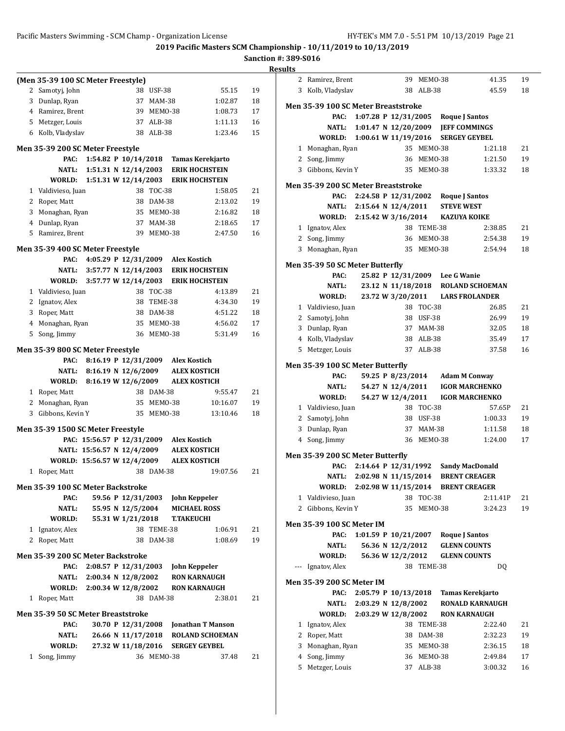**2019 Pacific Masters SCM Championship - 10/11/2019 to 10/13/2019**

|              | (Men 35-39 100 SC Meter Freestyle)       |                             |               |                                           |                        |    |
|--------------|------------------------------------------|-----------------------------|---------------|-------------------------------------------|------------------------|----|
| 2            | Samotyj, John                            |                             | 38 USF-38     |                                           | 55.15                  | 19 |
|              | 3 Dunlap, Ryan                           | 37                          | MAM-38        |                                           | 1:02.87                | 18 |
|              | 4 Ramirez, Brent                         | 39                          | MEMO-38       |                                           | 1:08.73                | 17 |
|              | 5 Metzger, Louis                         | 37                          | ALB-38        |                                           | 1:11.13                | 16 |
|              | 6 Kolb, Vladyslav                        | 38                          | $ALB-38$      |                                           | 1:23.46                | 15 |
|              |                                          |                             |               |                                           |                        |    |
|              | Men 35-39 200 SC Meter Freestyle         |                             |               |                                           |                        |    |
|              | PAC:                                     | 1:54.82 P 10/14/2018        |               | Tamas Kerekjarto<br><b>ERIK HOCHSTEIN</b> |                        |    |
|              | NATL:<br>WORLD:                          | 1:51.31 N $12/14/2003$      |               | <b>ERIK HOCHSTEIN</b>                     |                        |    |
|              | 1 Valdivieso, Juan                       | 1:51.31 W $12/14/2003$      | 38 TOC-38     |                                           | 1:58.05                | 21 |
|              | 2 Roper, Matt                            | 38                          | DAM-38        |                                           | 2:13.02                | 19 |
|              |                                          |                             | 35 MEMO-38    |                                           | 2:16.82                | 18 |
|              | 3 Monaghan, Ryan<br>4 Dunlap, Ryan       |                             | 37 MAM-38     |                                           | 2:18.65                | 17 |
|              | 5 Ramirez, Brent                         |                             | 39 MEMO-38    |                                           | 2:47.50                | 16 |
|              |                                          |                             |               |                                           |                        |    |
|              | Men 35-39 400 SC Meter Freestyle         |                             |               |                                           |                        |    |
|              | PAC:                                     | 4:05.29 P 12/31/2009        |               | <b>Alex Kostich</b>                       |                        |    |
|              | NATL:                                    | 3:57.77 N 12/14/2003        |               | <b>ERIK HOCHSTEIN</b>                     |                        |    |
|              | WORLD:                                   | 3:57.77 W 12/14/2003        |               | <b>ERIK HOCHSTEIN</b>                     |                        |    |
|              | 1 Valdivieso, Juan                       | 38                          | <b>TOC-38</b> |                                           | 4:13.89                | 21 |
|              | 2 Ignatov, Alex                          | 38                          | TEME-38       |                                           | 4:34.30                | 19 |
|              | 3 Roper, Matt                            |                             | 38 DAM-38     |                                           | 4:51.22                | 18 |
|              | 4 Monaghan, Ryan                         | 35                          | MEMO-38       |                                           | 4:56.02                | 17 |
| 5            | Song, Jimmy                              |                             | 36 MEMO-38    |                                           | 5:31.49                | 16 |
|              | Men 35-39 800 SC Meter Freestyle         |                             |               |                                           |                        |    |
|              | PAC:                                     | 8:16.19 P 12/31/2009        |               | <b>Alex Kostich</b>                       |                        |    |
|              | NATL:                                    | 8:16.19 N $12/6/2009$       |               | <b>ALEX KOSTICH</b>                       |                        |    |
|              | WORLD:                                   | 8:16.19 W 12/6/2009         |               | <b>ALEX KOSTICH</b>                       |                        |    |
|              | 1 Roper, Matt                            |                             | 38 DAM-38     |                                           | 9:55.47                | 21 |
|              | 2 Monaghan, Ryan                         |                             | 35 MEMO-38    |                                           | 10:16.07               | 19 |
| 3            | Gibbons, Kevin Y                         |                             | 35 MEMO-38    |                                           | 13:10.46               | 18 |
|              |                                          |                             |               |                                           |                        |    |
|              | Men 35-39 1500 SC Meter Freestyle        |                             |               |                                           |                        |    |
|              |                                          | PAC: 15:56.57 P 12/31/2009  |               | <b>Alex Kostich</b>                       |                        |    |
|              |                                          | NATL: 15:56.57 N 12/4/2009  |               | <b>ALEX KOSTICH</b>                       |                        |    |
|              |                                          | WORLD: 15:56.57 W 12/4/2009 |               | <b>ALEX KOSTICH</b>                       |                        |    |
| 1            | Roper, Matt                              | 38                          | DAM-38        |                                           | 19:07.56               | 21 |
|              | Men 35-39 100 SC Meter Backstroke        |                             |               |                                           |                        |    |
|              | PAC:                                     | 59.56 P 12/31/2003          |               | <b>John Keppeler</b>                      |                        |    |
|              | NATL:                                    | 55.95 N 12/5/2004           |               | <b>MICHAEL ROSS</b>                       |                        |    |
|              | WORLD:                                   | 55.31 W 1/21/2018           |               | <b>T.TAKEUCHI</b>                         |                        |    |
|              | 1 Ignatov, Alex                          |                             | 38 TEME-38    |                                           | 1:06.91                | 21 |
|              | 2 Roper, Matt                            |                             | 38 DAM-38     |                                           | 1:08.69                | 19 |
|              | <b>Men 35-39 200 SC Meter Backstroke</b> |                             |               |                                           |                        |    |
|              | PAC:                                     | 2:08.57 P 12/31/2003        |               | <b>John Keppeler</b>                      |                        |    |
|              | NATL:                                    | 2:00.34 N 12/8/2002         |               | <b>RON KARNAUGH</b>                       |                        |    |
|              | WORLD:                                   | 2:00.34 W 12/8/2002         |               | <b>RON KARNAUGH</b>                       |                        |    |
|              | 1 Roper, Matt                            |                             | 38 DAM-38     |                                           | 2:38.01                | 21 |
|              |                                          |                             |               |                                           |                        |    |
|              | Men 35-39 50 SC Meter Breaststroke       |                             |               |                                           |                        |    |
|              | PAC:                                     | 30.70 P 12/31/2008          |               | <b>Jonathan T Manson</b>                  |                        |    |
|              | NATL:                                    | 26.66 N 11/17/2018          |               |                                           | <b>ROLAND SCHOEMAN</b> |    |
|              | WORLD:                                   | 27.32 W 11/18/2016          |               | <b>SERGEY GEYBEL</b>                      |                        |    |
| $\mathbf{1}$ | Song, Jimmy                              |                             | 36 MEMO-38    |                                           | 37.48                  | 21 |
|              |                                          |                             |               |                                           |                        |    |

| .        |                                            |                      |                   |               |                                     |                                    |    |
|----------|--------------------------------------------|----------------------|-------------------|---------------|-------------------------------------|------------------------------------|----|
| 2        | Ramirez, Brent                             |                      | 39                | MEMO-38       |                                     | 41.35                              | 19 |
| 3        | Kolb, Vladyslav                            |                      |                   | 38 ALB-38     |                                     | 45.59                              | 18 |
|          |                                            |                      |                   |               |                                     |                                    |    |
|          | Men 35-39 100 SC Meter Breaststroke        |                      |                   |               |                                     |                                    |    |
|          | PAC:                                       |                      |                   |               | 1:07.28 P 12/31/2005 Roque J Santos |                                    |    |
|          | <b>NATL:</b>                               |                      |                   |               | 1:01.47 N 12/20/2009 JEFF COMMINGS  |                                    |    |
|          | WORLD:                                     | 1:00.61 W 11/19/2016 |                   |               | <b>SERGEY GEYBEL</b>                |                                    |    |
|          | 1 Monaghan, Ryan                           |                      |                   | 35 MEMO-38    |                                     | 1:21.18                            | 21 |
|          | 2 Song, Jimmy                              |                      |                   | 36 MEM0-38    |                                     | 1:21.50                            | 19 |
|          | 3 Gibbons, Kevin Y                         |                      |                   | 35 MEM0-38    |                                     | 1:33.32                            | 18 |
|          | <b>Men 35-39 200 SC Meter Breaststroke</b> |                      |                   |               |                                     |                                    |    |
|          | PAC:                                       |                      |                   |               | 2:24.58 P 12/31/2002 Roque J Santos |                                    |    |
|          | NATL:                                      | 2:15.64 N 12/4/2011  |                   |               | <b>STEVE WEST</b>                   |                                    |    |
|          | WORLD: 2:15.42 W 3/16/2014 KAZUYA KOIKE    |                      |                   |               |                                     |                                    |    |
|          | 1 Ignatov, Alex                            |                      |                   | 38 TEME-38    |                                     | 2:38.85                            | 21 |
|          | 2 Song, Jimmy                              |                      |                   | 36 MEMO-38    |                                     | 2:54.38                            | 19 |
| 3        | Monaghan, Ryan                             |                      |                   | 35 MEM0-38    |                                     | 2:54.94                            | 18 |
|          |                                            |                      |                   |               |                                     |                                    |    |
|          | Men 35-39 50 SC Meter Butterfly            |                      |                   |               |                                     |                                    |    |
|          | PAC:                                       |                      |                   |               | 25.82 P 12/31/2009 Lee G Wanie      |                                    |    |
|          | <b>NATL:</b>                               |                      |                   |               |                                     | 23.12 N 11/18/2018 ROLAND SCHOEMAN |    |
|          | WORLD:                                     |                      |                   |               | 23.72 W 3/20/2011 LARS FROLANDER    |                                    |    |
|          | 1 Valdivieso, Juan                         |                      |                   | 38 TOC-38     |                                     | 26.85                              | 21 |
|          | 2 Samotyj, John                            |                      |                   | 38 USF-38     |                                     | 26.99                              | 19 |
|          | 3 Dunlap, Ryan                             |                      |                   | 37 MAM-38     |                                     | 32.05                              | 18 |
|          | 4 Kolb, Vladyslav                          |                      |                   | 38 ALB-38     |                                     | 35.49                              | 17 |
| 5        | Metzger, Louis                             |                      | 37                | ALB-38        |                                     | 37.58                              | 16 |
|          | Men 35-39 100 SC Meter Butterfly           |                      |                   |               |                                     |                                    |    |
|          | PAC:                                       |                      |                   |               | 59.25 P 8/23/2014 Adam M Conway     |                                    |    |
|          | <b>NATL:</b>                               |                      | 54.27 N 12/4/2011 |               |                                     | <b>IGOR MARCHENKO</b>              |    |
|          | WORLD:                                     |                      | 54.27 W 12/4/2011 |               |                                     | <b>IGOR MARCHENKO</b>              |    |
|          | 1 Valdivieso, Juan                         |                      |                   | 38 TOC-38     |                                     | 57.65P                             | 21 |
|          | 2 Samotyj, John                            |                      |                   | 38 USF-38     |                                     | 1:00.33                            | 19 |
| 3        | Dunlap, Ryan                               |                      |                   | 37 MAM-38     |                                     | 1:11.58                            | 18 |
|          | 4 Song, Jimmy                              |                      | 36                | MEMO-38       |                                     | 1:24.00                            | 17 |
|          | Men 35-39 200 SC Meter Butterfly           |                      |                   |               |                                     |                                    |    |
|          | PAC:                                       | 2:14.64 P 12/31/1992 |                   |               | <b>Sandy MacDonald</b>              |                                    |    |
|          | <b>NATL:</b>                               | 2:02.98 N 11/15/2014 |                   |               | <b>BRENT CREAGER</b>                |                                    |    |
|          | WORLD:                                     |                      |                   |               | 2:02.98 W 11/15/2014 BRENT CREAGER  |                                    |    |
| 1        | Valdivieso, Juan                           |                      | 38                | <b>TOC-38</b> |                                     | 2:11.41P                           | 21 |
| 2        | Gibbons, Kevin Y                           |                      | 35                | MEMO-38       |                                     | 3:24.23                            | 19 |
|          |                                            |                      |                   |               |                                     |                                    |    |
|          | <b>Men 35-39 100 SC Meter IM</b>           |                      |                   |               |                                     |                                    |    |
|          | PAC:                                       |                      |                   |               | 1:01.59 P 10/21/2007 Roque J Santos |                                    |    |
|          |                                            |                      |                   |               |                                     |                                    |    |
|          | NATL:                                      |                      | 56.36 N 12/2/2012 |               | <b>GLENN COUNTS</b>                 |                                    |    |
|          | WORLD:                                     |                      | 56.36 W 12/2/2012 |               | <b>GLENN COUNTS</b>                 |                                    |    |
| $\cdots$ | Ignatov, Alex                              |                      |                   | 38 TEME-38    |                                     | DQ                                 |    |
|          | <b>Men 35-39 200 SC Meter IM</b>           |                      |                   |               |                                     |                                    |    |
|          | PAC:                                       | 2:05.79 P 10/13/2018 |                   |               | Tamas Kerekjarto                    |                                    |    |
|          | <b>NATL:</b>                               | 2:03.29 N 12/8/2002  |                   |               |                                     | <b>RONALD KARNAUGH</b>             |    |
|          | WORLD:                                     | 2:03.29 W 12/8/2002  |                   |               | <b>RON KARNAUGH</b>                 |                                    |    |
| 1        | Ignatov, Alex                              |                      | 38                | TEME-38       |                                     | 2:22.40                            | 21 |
| 2        | Roper, Matt                                |                      | 38                | DAM-38        |                                     | 2:32.23                            | 19 |
| 3        | Monaghan, Ryan                             |                      | 35                | MEMO-38       |                                     | 2:36.15                            | 18 |
| 4        | Song, Jimmy                                |                      |                   | 36 MEMO-38    |                                     | 2:49.84                            | 17 |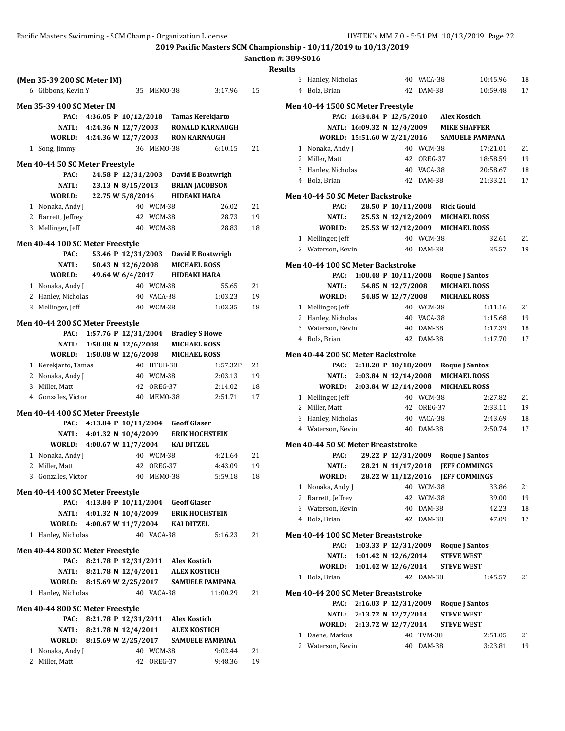|                | (Men 35-39 200 SC Meter IM)              |                                            |                    |            |                         |                        |    |
|----------------|------------------------------------------|--------------------------------------------|--------------------|------------|-------------------------|------------------------|----|
|                | 6 Gibbons, Kevin Y                       |                                            |                    | 35 MEMO-38 |                         | 3:17.96                | 15 |
|                | <b>Men 35-39 400 SC Meter IM</b>         |                                            |                    |            |                         |                        |    |
|                | PAC:                                     | 4:36.05 P 10/12/2018                       |                    |            | <b>Tamas Kerekjarto</b> |                        |    |
|                |                                          | 4:24.36 N 12/7/2003                        |                    |            |                         | <b>RONALD KARNAUGH</b> |    |
|                | NATL:<br>WORLD:                          | 4:24.36 W 12/7/2003                        |                    |            | <b>RON KARNAUGH</b>     |                        |    |
|                | 1 Song, Jimmy                            |                                            |                    | 36 MEM0-38 |                         | 6:10.15                | 21 |
|                |                                          |                                            |                    |            |                         |                        |    |
|                | Men 40-44 50 SC Meter Freestyle          |                                            |                    |            |                         |                        |    |
|                | PAC:                                     |                                            | 24.58 P 12/31/2003 |            | David E Boatwrigh       |                        |    |
|                | NATL:                                    |                                            | 23.13 N 8/15/2013  |            | <b>BRIAN JACOBSON</b>   |                        |    |
|                | WORLD:                                   | 22.75 W 5/8/2016                           |                    |            | <b>HIDEAKI HARA</b>     |                        |    |
|                | 1 Nonaka, Andy J                         |                                            |                    | 40 WCM-38  |                         | 26.02                  | 21 |
|                | 2 Barrett, Jeffrey                       |                                            | 42                 | WCM-38     |                         | 28.73                  | 19 |
|                | 3 Mellinger, Jeff                        |                                            | 40                 | WCM-38     |                         | 28.83                  | 18 |
|                | Men 40-44 100 SC Meter Freestyle         |                                            |                    |            |                         |                        |    |
|                | PAC:                                     |                                            | 53.46 P 12/31/2003 |            | David E Boatwrigh       |                        |    |
|                | <b>NATL:</b>                             |                                            | 50.43 N 12/6/2008  |            | <b>MICHAEL ROSS</b>     |                        |    |
|                | WORLD:                                   | 49.64 W 6/4/2017                           |                    |            | <b>HIDEAKI HARA</b>     |                        |    |
|                | 1 Nonaka, Andy J                         |                                            |                    | 40 WCM-38  |                         | 55.65                  | 21 |
|                | 2 Hanley, Nicholas                       |                                            | 40                 | VACA-38    |                         | 1:03.23                | 19 |
| 3              | Mellinger, Jeff                          |                                            | 40                 | WCM-38     |                         | 1:03.35                | 18 |
|                |                                          |                                            |                    |            |                         |                        |    |
|                | Men 40-44 200 SC Meter Freestyle         |                                            |                    |            |                         |                        |    |
|                | PAC:                                     | 1:57.76 P 12/31/2004                       |                    |            | <b>Bradley S Howe</b>   |                        |    |
|                | NATL:                                    | 1:50.08 N 12/6/2008                        |                    |            | <b>MICHAEL ROSS</b>     |                        |    |
|                | WORLD:                                   | 1:50.08 W 12/6/2008                        |                    |            | <b>MICHAEL ROSS</b>     |                        |    |
|                | 1 Kerekjarto, Tamas                      |                                            | 40                 | HTUB-38    |                         | 1:57.32P               | 21 |
|                | 2 Nonaka, Andy J                         |                                            |                    | 40 WCM-38  |                         | 2:03.13                | 19 |
|                | 3 Miller, Matt                           |                                            | 42                 | OREG-37    |                         | 2:14.02                | 18 |
|                | 4 Gonzales, Victor                       |                                            | 40                 | MEMO-38    |                         | 2:51.71                | 17 |
|                | Men 40-44 400 SC Meter Freestyle         |                                            |                    |            |                         |                        |    |
|                | PAC:                                     | 4:13.84 P 10/11/2004                       |                    |            | <b>Geoff Glaser</b>     |                        |    |
|                | <b>NATL:</b>                             | 4:01.32 N 10/4/2009                        |                    |            | <b>ERIK HOCHSTEIN</b>   |                        |    |
|                | WORLD:                                   | 4:00.67 W 11/7/2004                        |                    |            | <b>KAI DITZEL</b>       |                        |    |
|                | 1 Nonaka, Andy J                         |                                            |                    | 40 WCM-38  |                         | 4:21.64                | 21 |
| $\overline{2}$ | Miller, Matt                             |                                            | 42                 | OREG-37    |                         | 4:43.09                | 19 |
|                | 3 Gonzales, Victor                       |                                            |                    | 40 MEMO-38 |                         | 5:59.18                | 18 |
|                |                                          |                                            |                    |            |                         |                        |    |
|                | Men 40-44 400 SC Meter Freestyle         |                                            |                    |            |                         |                        |    |
|                | PAC:                                     | 4:13.84 P 10/11/2004 Geoff Glaser          |                    |            |                         |                        |    |
|                |                                          | NATL: 4:01.32 N 10/4/2009 ERIK HOCHSTEIN   |                    |            |                         |                        |    |
|                |                                          | WORLD: 4:00.67 W 11/7/2004 KAI DITZEL      |                    |            |                         |                        |    |
|                | 1 Hanley, Nicholas                       |                                            |                    | 40 VACA-38 |                         | 5:16.23                | 21 |
|                | Men 40-44 800 SC Meter Freestyle         |                                            |                    |            |                         |                        |    |
|                | PAC:                                     | 8:21.78 P 12/31/2011 Alex Kostich          |                    |            |                         |                        |    |
|                |                                          | NATL: 8:21.78 N 12/4/2011                  |                    |            | <b>ALEX KOSTICH</b>     |                        |    |
|                |                                          | WORLD: 8:15.69 W 2/25/2017                 |                    |            | <b>SAMUELE PAMPANA</b>  |                        |    |
|                | 1 Hanley, Nicholas                       |                                            |                    | 40 VACA-38 |                         | 11:00.29               | 21 |
|                |                                          |                                            |                    |            |                         |                        |    |
|                | Men 40-44 800 SC Meter Freestyle<br>PAC: | 8:21.78 P 12/31/2011 Alex Kostich          |                    |            |                         |                        |    |
|                |                                          | NATL: 8:21.78 N 12/4/2011 ALEX KOSTICH     |                    |            |                         |                        |    |
|                |                                          | WORLD: 8:15.69 W 2/25/2017 SAMUELE PAMPANA |                    |            |                         |                        |    |
|                | 1 Nonaka, Andy J                         |                                            |                    | 40 WCM-38  |                         | 9:02.44                | 21 |
|                | 2 Miller, Matt                           |                                            |                    | 42 OREG-37 |                         | 9:48.36                | 19 |
|                |                                          |                                            |                    |            |                         |                        |    |

|              | 3 Hanley, Nicholas                       |                           |                    | 40 VACA-38       |                                         | 10:45.96                                    | 18       |
|--------------|------------------------------------------|---------------------------|--------------------|------------------|-----------------------------------------|---------------------------------------------|----------|
|              | 4 Bolz, Brian                            |                           |                    | 42 DAM-38        |                                         | 10:59.48                                    | 17       |
|              |                                          |                           |                    |                  |                                         |                                             |          |
|              | Men 40-44 1500 SC Meter Freestyle        |                           |                    |                  |                                         |                                             |          |
|              |                                          |                           |                    |                  | PAC: 16:34.84 P 12/5/2010 Alex Kostich  |                                             |          |
|              |                                          |                           |                    |                  | NATL: 16:09.32 N 12/4/2009 MIKE SHAFFER |                                             |          |
|              |                                          |                           |                    |                  |                                         | WORLD: 15:51.60 W 2/21/2016 SAMUELE PAMPANA |          |
|              | 1 Nonaka, Andy J                         |                           |                    | 40 WCM-38        |                                         | 17:21.01                                    | 21       |
|              | 2 Miller, Matt                           |                           |                    | 42 OREG-37       |                                         | 18:58.59                                    | 19       |
|              | 3 Hanley, Nicholas                       |                           |                    | 40 VACA-38       |                                         | 20:58.67                                    | 18       |
|              | 4 Bolz, Brian                            |                           |                    | 42 DAM-38        |                                         | 21:33.21                                    | 17       |
|              | <b>Men 40-44 50 SC Meter Backstroke</b>  |                           |                    |                  |                                         |                                             |          |
|              | PAC:                                     |                           |                    |                  | 28.50 P 10/11/2008 Rick Gould           |                                             |          |
|              | NATL:                                    |                           |                    |                  | 25.53 N 12/12/2009 MICHAEL ROSS         |                                             |          |
|              | WORLD:                                   |                           |                    |                  | 25.53 W 12/12/2009 MICHAEL ROSS         |                                             |          |
|              | 1 Mellinger, Jeff                        |                           |                    | 40 WCM-38        |                                         | 32.61                                       | 21       |
|              | 2 Waterson, Kevin                        |                           |                    | 40 DAM-38        |                                         | 35.57                                       | 19       |
|              |                                          |                           |                    |                  |                                         |                                             |          |
|              | <b>Men 40-44 100 SC Meter Backstroke</b> |                           |                    |                  |                                         |                                             |          |
|              | PAC:                                     |                           |                    |                  | 1:00.48 P 10/11/2008 Roque J Santos     |                                             |          |
|              | NATL:                                    |                           | 54.85 N 12/7/2008  |                  | <b>MICHAEL ROSS</b>                     |                                             |          |
|              | <b>WORLD:</b>                            |                           | 54.85 W 12/7/2008  |                  | <b>MICHAEL ROSS</b>                     |                                             |          |
|              | 1 Mellinger, Jeff                        |                           |                    | 40 WCM-38        |                                         | 1:11.16                                     | 21       |
|              | 2 Hanley, Nicholas                       |                           |                    | 40 VACA-38       |                                         | 1:15.68                                     | 19       |
|              | 3 Waterson, Kevin                        |                           |                    | 40 DAM-38        |                                         | 1:17.39                                     | 18       |
|              | 4 Bolz, Brian                            |                           |                    | 42 DAM-38        |                                         | 1:17.70                                     | 17       |
|              | Men 40-44 200 SC Meter Backstroke        |                           |                    |                  |                                         |                                             |          |
|              | PAC:                                     |                           |                    |                  | 2:10.20 P 10/18/2009 Roque J Santos     |                                             |          |
|              |                                          |                           |                    |                  | NATL: 2:03.84 N 12/14/2008 MICHAEL ROSS |                                             |          |
|              | WORLD: 2:03.84 W 12/14/2008 MICHAEL ROSS |                           |                    |                  |                                         |                                             |          |
|              | 1 Mellinger, Jeff                        |                           |                    | 40 WCM-38        |                                         | 2:27.82                                     | 21       |
|              | 2 Miller, Matt                           |                           |                    | 42 OREG-37       |                                         | 2:33.11                                     | 19       |
|              |                                          |                           |                    | 40 VACA-38       |                                         | 2:43.69                                     |          |
|              | 3 Hanley, Nicholas<br>4 Waterson, Kevin  |                           |                    |                  |                                         |                                             | 18       |
|              |                                          |                           |                    |                  |                                         |                                             |          |
|              |                                          |                           |                    | 40 DAM-38        |                                         | 2:50.74                                     | 17       |
|              | Men 40-44 50 SC Meter Breaststroke       |                           |                    |                  |                                         |                                             |          |
|              | PAC:                                     |                           |                    |                  | 29.22 P 12/31/2009 Roque J Santos       |                                             |          |
|              | NATL:                                    |                           | 28.21 N 11/17/2018 |                  | <b>JEFF COMMINGS</b>                    |                                             |          |
|              | WORLD:                                   | 28.22 W 11/12/2016        |                    |                  | <b>JEFF COMMINGS</b>                    |                                             |          |
|              | 1 Nonaka, Andy J                         |                           |                    | 40 WCM-38        |                                         | 33.86                                       | 21       |
| 2            | Barrett, Jeffrey                         |                           |                    | 42 WCM-38        |                                         | 39.00                                       | 19       |
| 3            | Waterson, Kevin                          |                           | 40                 | DAM-38           |                                         | 42.23                                       | 18       |
|              | 4 Bolz, Brian                            |                           | 42                 | DAM-38           |                                         | 47.09                                       | 17       |
|              |                                          |                           |                    |                  |                                         |                                             |          |
|              | Men 40-44 100 SC Meter Breaststroke      |                           |                    |                  |                                         |                                             |          |
|              | PAC:                                     |                           |                    |                  | 1:03.33 P 12/31/2009 Roque J Santos     |                                             |          |
|              | NATL:                                    | 1:01.42 N $12/6/2014$     |                    |                  | <b>STEVE WEST</b>                       |                                             |          |
|              | WORLD:                                   | 1:01.42 W 12/6/2014       |                    |                  | <b>STEVE WEST</b>                       |                                             |          |
| $\mathbf{1}$ | Bolz, Brian                              |                           |                    | 42 DAM-38        |                                         | 1:45.57                                     | 21       |
|              |                                          |                           |                    |                  |                                         |                                             |          |
|              | Men 40-44 200 SC Meter Breaststroke      |                           |                    |                  |                                         |                                             |          |
|              | PAC:                                     | 2:16.03 P 12/31/2009      |                    |                  | <b>Roque J Santos</b>                   |                                             |          |
|              |                                          | NATL: 2:13.72 N 12/7/2014 |                    |                  | <b>STEVE WEST</b>                       |                                             |          |
|              | WORLD:                                   | 2:13.72 W 12/7/2014       |                    |                  | <b>STEVE WEST</b>                       |                                             |          |
| 2            | 1 Daene, Markus<br>Waterson, Kevin       |                           | 40<br>40           | TVM-38<br>DAM-38 |                                         | 2:51.05<br>3:23.81                          | 21<br>19 |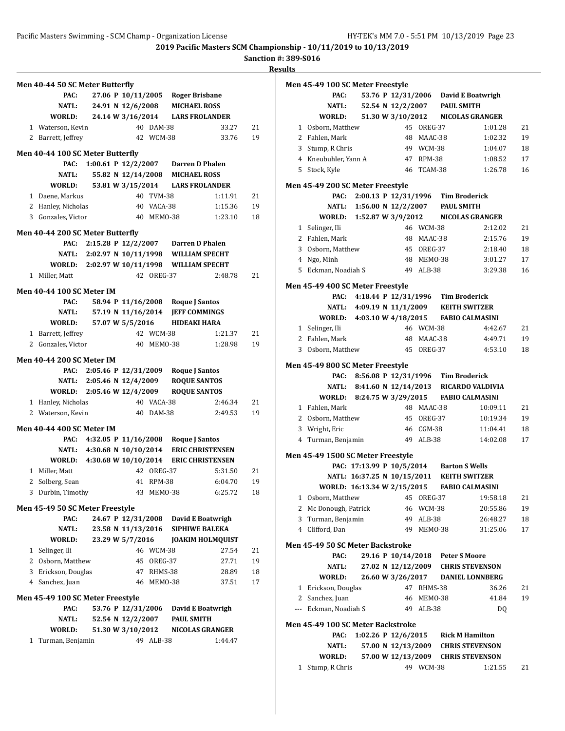**Sanction #: 389-S016**

**Results**

|   | Men 40-44 50 SC Meter Butterfly            |  |                    |                         |                                             |                                  |          |
|---|--------------------------------------------|--|--------------------|-------------------------|---------------------------------------------|----------------------------------|----------|
|   | PAC:                                       |  |                    |                         | 27.06 P 10/11/2005 Roger Brisbane           |                                  |          |
|   | <b>NATL:</b>                               |  |                    |                         | 24.91 N 12/6/2008 MICHAEL ROSS              |                                  |          |
|   | WORLD:                                     |  |                    |                         | 24.14 W 3/16/2014 LARS FROLANDER            |                                  |          |
|   | 1 Waterson, Kevin                          |  |                    | 40 DAM-38               |                                             | 33.27                            | 21       |
|   | 2 Barrett, Jeffrey                         |  |                    | 42 WCM-38               |                                             | 33.76                            | 19       |
|   | Men 40-44 100 SC Meter Butterfly           |  |                    |                         |                                             |                                  |          |
|   | PAC:                                       |  |                    |                         | 1:00.61 P 12/2/2007 Darren D Phalen         |                                  |          |
|   | NATL:                                      |  |                    |                         | 55.82 N 12/14/2008 MICHAEL ROSS             |                                  |          |
|   | WORLD:                                     |  |                    |                         | 53.81 W 3/15/2014 LARS FROLANDER            |                                  |          |
|   | 1 Daene, Markus                            |  |                    | 40 TVM-38               |                                             | 1:11.91                          | 21       |
|   | 2 Hanley, Nicholas                         |  |                    | 40 VACA-38              |                                             | 1:15.36                          | 19       |
|   | 3 Gonzales, Victor                         |  |                    | 40 MEMO-38              |                                             | 1:23.10                          | 18       |
|   | Men 40-44 200 SC Meter Butterfly           |  |                    |                         |                                             |                                  |          |
|   |                                            |  |                    |                         | PAC: 2:15.28 P 12/2/2007 Darren D Phalen    |                                  |          |
|   |                                            |  |                    |                         | NATL: 2:02.97 N 10/11/1998 WILLIAM SPECHT   |                                  |          |
|   | WORLD: 2:02.97 W 10/11/1998 WILLIAM SPECHT |  |                    |                         |                                             |                                  |          |
|   | 1 Miller, Matt                             |  |                    | 42 OREG-37              |                                             | 2:48.78                          | 21       |
|   |                                            |  |                    |                         |                                             |                                  |          |
|   | <b>Men 40-44 100 SC Meter IM</b>           |  |                    |                         |                                             |                                  |          |
|   | PAC:<br>NATL:                              |  |                    |                         | 58.94 P 11/16/2008 Roque J Santos           |                                  |          |
|   |                                            |  |                    |                         | 57.19 N 11/16/2014 JEFF COMMINGS            |                                  |          |
|   | WORLD:                                     |  | 57.07 W 5/5/2016   |                         | HIDEAKI HARA                                |                                  |          |
|   | 1 Barrett, Jeffrey                         |  |                    | 42 WCM-38<br>40 MEMO-38 |                                             | 1:21.37                          | 21<br>19 |
|   | 2 Gonzales, Victor                         |  |                    |                         |                                             | 1:28.98                          |          |
|   | <b>Men 40-44 200 SC Meter IM</b>           |  |                    |                         |                                             |                                  |          |
|   | PAC:                                       |  |                    |                         | 2:05.46 P 12/31/2009 Roque J Santos         |                                  |          |
|   |                                            |  |                    |                         | NATL: 2:05.46 N 12/4/2009 ROQUE SANTOS      |                                  |          |
|   | WORLD: 2:05.46 W 12/4/2009                 |  |                    |                         | <b>ROQUE SANTOS</b>                         |                                  |          |
|   | 1 Hanley, Nicholas                         |  |                    | 40 VACA-38              |                                             | 2:46.34                          | 21       |
|   | 2 Waterson, Kevin                          |  |                    | 40 DAM-38               |                                             | 2:49.53                          | 19       |
|   | <b>Men 40-44 400 SC Meter IM</b>           |  |                    |                         |                                             |                                  |          |
|   | PAC:                                       |  |                    |                         | 4:32.05 P 11/16/2008 Roque J Santos         |                                  |          |
|   |                                            |  |                    |                         | NATL: 4:30.68 N 10/10/2014 ERIC CHRISTENSEN |                                  |          |
|   | WORLD: 4:30.68 W 10/10/2014                |  |                    |                         |                                             | <b>ERIC CHRISTENSEN</b>          |          |
|   | 1 Miller, Matt                             |  |                    | 42 OREG-37              |                                             | 5:31.50                          | 21       |
|   | 2 Solberg, Sean                            |  |                    | 41 RPM-38               |                                             | 6:04.70                          | 19       |
|   | 3 Durbin, Timothy                          |  |                    | 43 MEMO-38              |                                             | 6:25.72                          | 18       |
|   |                                            |  |                    |                         |                                             |                                  |          |
|   | Men 45-49 50 SC Meter Freestyle<br>PAC:    |  |                    |                         | 24.67 P 12/31/2008 David E Boatwrigh        |                                  |          |
|   |                                            |  |                    |                         | 23.58 N 11/13/2016 SIPHIWE BALEKA           |                                  |          |
|   | NATL:                                      |  | 23.29 W 5/7/2016   |                         |                                             |                                  |          |
| 1 | WORLD:<br>Selinger, Ili                    |  |                    | 46 WCM-38               |                                             | <b>JOAKIM HOLMQUIST</b><br>27.54 | 21       |
|   | 2 Osborn, Matthew                          |  |                    | 45 OREG-37              |                                             | 27.71                            | 19       |
|   | 3 Erickson, Douglas                        |  |                    | 47 RHMS-38              |                                             | 28.89                            | 18       |
|   | 4 Sanchez, Juan                            |  |                    | 46 MEMO-38              |                                             | 37.51                            | 17       |
|   |                                            |  |                    |                         |                                             |                                  |          |
|   | Men 45-49 100 SC Meter Freestyle           |  |                    |                         |                                             |                                  |          |
|   | PAC:                                       |  | 53.76 P 12/31/2006 |                         | David E Boatwrigh                           |                                  |          |
|   | NATL:                                      |  | 52.54 N 12/2/2007  |                         | <b>PAUL SMITH</b>                           |                                  |          |
|   | WORLD:                                     |  | 51.30 W 3/10/2012  |                         |                                             | <b>NICOLAS GRANGER</b>           |          |
|   |                                            |  |                    |                         |                                             |                                  |          |

|   | Men 45-49 100 SC Meter Freestyle  |                                           |                    |            |                                  |                                             |    |
|---|-----------------------------------|-------------------------------------------|--------------------|------------|----------------------------------|---------------------------------------------|----|
|   | PAC:                              |                                           |                    |            |                                  | 53.76 P 12/31/2006 David E Boatwrigh        |    |
|   | <b>NATL:</b>                      |                                           |                    |            | 52.54 N 12/2/2007 PAUL SMITH     |                                             |    |
|   | WORLD:                            |                                           |                    |            |                                  | 51.30 W 3/10/2012 NICOLAS GRANGER           |    |
|   | 1 Osborn, Matthew                 |                                           |                    | 45 OREG-37 |                                  | 1:01.28                                     | 21 |
|   | 2 Fahlen, Mark                    |                                           |                    | 48 MAAC-38 |                                  | 1:02.32                                     | 19 |
|   | 3 Stump, R Chris                  |                                           |                    | 49 WCM-38  |                                  | 1:04.07                                     | 18 |
|   | 4 Kneubuhler, Yann A              |                                           |                    | 47 RPM-38  |                                  | 1:08.52                                     | 17 |
|   | 5 Stock, Kyle                     |                                           |                    | 46 TCAM-38 |                                  | 1:26.78                                     | 16 |
|   | Men 45-49 200 SC Meter Freestyle  |                                           |                    |            |                                  |                                             |    |
|   | PAC:                              | 2:00.13 P 12/31/1996 Tim Broderick        |                    |            |                                  |                                             |    |
|   |                                   | NATL: 1:56.00 N 12/2/2007                 |                    |            | <b>PAUL SMITH</b>                |                                             |    |
|   |                                   |                                           |                    |            |                                  | WORLD: 1:52.87 W 3/9/2012 NICOLAS GRANGER   |    |
|   | 1 Selinger, Ili                   |                                           |                    | 46 WCM-38  |                                  | 2:12.02                                     | 21 |
|   | 2 Fahlen, Mark                    |                                           |                    | 48 MAAC-38 |                                  | 2:15.76                                     | 19 |
|   | 3 Osborn, Matthew                 |                                           |                    | 45 OREG-37 |                                  | 2:18.40                                     | 18 |
|   | 4 Ngo, Minh                       |                                           |                    | 48 MEM0-38 |                                  | 3:01.27                                     | 17 |
|   | 5 Eckman, Noadiah S               |                                           |                    | 49 ALB-38  |                                  | 3:29.38                                     | 16 |
|   |                                   |                                           |                    |            |                                  |                                             |    |
|   | Men 45-49 400 SC Meter Freestyle  |                                           |                    |            |                                  |                                             |    |
|   | PAC:                              | 4:18.44 P 12/31/1996 Tim Broderick        |                    |            |                                  |                                             |    |
|   |                                   |                                           |                    |            |                                  | NATL: 4:09.19 N 11/1/2009 KEITH SWITZER     |    |
|   | WORLD: 4:03.10 W 4/18/2015        |                                           |                    |            |                                  | <b>FABIO CALMASINI</b>                      |    |
|   | 1 Selinger, Ili                   |                                           |                    | 46 WCM-38  |                                  | 4:42.67                                     | 21 |
|   | 2 Fahlen, Mark                    |                                           |                    | 48 MAAC-38 |                                  | 4:49.71                                     | 19 |
|   | 3 Osborn, Matthew                 |                                           |                    | 45 OREG-37 |                                  | 4:53.10                                     | 18 |
|   | Men 45-49 800 SC Meter Freestyle  |                                           |                    |            |                                  |                                             |    |
|   | PAC:                              | 8:56.08 P 12/31/1996 Tim Broderick        |                    |            |                                  |                                             |    |
|   |                                   |                                           |                    |            |                                  | NATL: 8:41.60 N 12/14/2013 RICARDO VALDIVIA |    |
|   | WORLD: 8:24.75 W 3/29/2015        |                                           |                    |            |                                  | <b>FABIO CALMASINI</b>                      |    |
|   | 1 Fahlen, Mark                    |                                           |                    | 48 MAAC-38 |                                  | 10:09.11                                    | 21 |
|   | 2 Osborn, Matthew                 |                                           |                    | 45 OREG-37 |                                  | 10:19.34                                    | 19 |
| 3 | Wright, Eric                      |                                           |                    | 46 CGM-38  |                                  | 11:04.41                                    | 18 |
|   | 4 Turman, Benjamin                |                                           |                    | 49 ALB-38  |                                  | 14:02.08                                    | 17 |
|   | Men 45-49 1500 SC Meter Freestyle |                                           |                    |            |                                  |                                             |    |
|   |                                   | PAC: 17:13.99 P 10/5/2014 Barton S Wells  |                    |            |                                  |                                             |    |
|   |                                   | NATL: 16:37.25 N 10/15/2011 KEITH SWITZER |                    |            |                                  |                                             |    |
|   |                                   |                                           |                    |            |                                  | WORLD: 16:13.34 W 2/15/2015 FABIO CALMASINI |    |
|   | 1 Osborn, Matthew                 |                                           |                    | 45 OREG-37 |                                  | 19:58.18                                    | 21 |
|   | 2 Mc Donough, Patrick             |                                           |                    | 46 WCM-38  |                                  | 20:55.86                                    | 19 |
| 3 | Turman, Benjamin                  |                                           |                    | 49 ALB-38  |                                  | 26:48.27                                    | 18 |
|   | 4 Clifford, Dan                   |                                           |                    | 49 MEMO-38 |                                  | 31:25.06                                    | 17 |
|   |                                   |                                           |                    |            |                                  |                                             |    |
|   | Men 45-49 50 SC Meter Backstroke  |                                           |                    |            |                                  |                                             |    |
|   | PAC:                              |                                           |                    |            | 29.16 P 10/14/2018 Peter S Moore |                                             |    |
|   | NATL:                             |                                           | 27.02 N 12/12/2009 |            |                                  | <b>CHRIS STEVENSON</b>                      |    |
|   | WORLD:                            |                                           | 26.60 W 3/26/2017  |            |                                  | <b>DANIEL LONNBERG</b>                      |    |
|   | 1 Erickson, Douglas               |                                           |                    | 47 RHMS-38 |                                  | 36.26                                       | 21 |
|   | 2 Sanchez, Juan                   |                                           |                    | 46 MEMO-38 |                                  | 41.84                                       | 19 |
|   | --- Eckman, Noadiah S             |                                           |                    | 49 ALB-38  |                                  | DQ                                          |    |
|   | Men 45-49 100 SC Meter Backstroke |                                           |                    |            |                                  |                                             |    |
|   | PAC:                              | 1:02.26 P 12/6/2015                       |                    |            |                                  | <b>Rick M Hamilton</b>                      |    |
|   | NATL:                             |                                           | 57.00 N 12/13/2009 |            |                                  | <b>CHRIS STEVENSON</b>                      |    |
|   | WORLD:                            |                                           | 57.00 W 12/13/2009 |            |                                  | <b>CHRIS STEVENSON</b>                      |    |

1 Stump, R Chris 49 WCM-38 1:21.55 21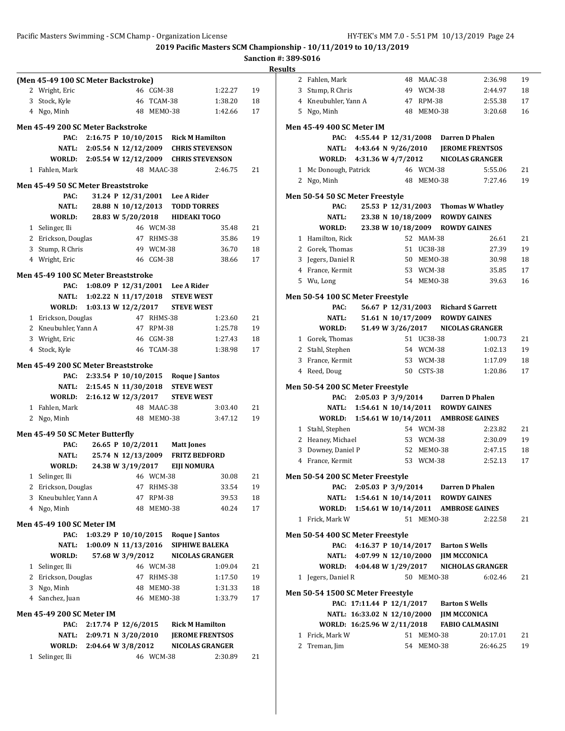**2019 Pacific Masters SCM Championship - 10/11/2019 to 10/13/2019**

|   | (Men 45-49 100 SC Meter Backstroke)      |                                             |                    |               |                                     |                                                  |    |
|---|------------------------------------------|---------------------------------------------|--------------------|---------------|-------------------------------------|--------------------------------------------------|----|
|   | 2 Wright, Eric                           |                                             |                    | 46 CGM-38     |                                     | 1:22.27                                          | 19 |
| 3 | Stock, Kyle                              |                                             |                    | 46 TCAM-38    |                                     | 1:38.20                                          | 18 |
|   | 4 Ngo, Minh                              |                                             |                    | 48 MEM0-38    |                                     | 1:42.66                                          | 17 |
|   | <b>Men 45-49 200 SC Meter Backstroke</b> |                                             |                    |               |                                     |                                                  |    |
|   | PAC:                                     | $2:16.75$ P $10/10/2015$                    |                    |               | <b>Rick M Hamilton</b>              |                                                  |    |
|   | NATL:                                    | $2:05.54 \text{ N } 12/12/2009$             |                    |               |                                     | <b>CHRIS STEVENSON</b>                           |    |
|   |                                          | WORLD: 2:05.54 W 12/12/2009 CHRIS STEVENSON |                    |               |                                     |                                                  |    |
|   | 1 Fahlen, Mark                           |                                             |                    | 48 MAAC-38    |                                     | 2:46.75                                          | 21 |
|   |                                          |                                             |                    |               |                                     |                                                  |    |
|   | Men 45-49 50 SC Meter Breaststroke       |                                             |                    |               |                                     |                                                  |    |
|   | PAC:                                     |                                             |                    |               | 31.24 P 12/31/2001 Lee A Rider      |                                                  |    |
|   | NATL:                                    |                                             | 28.88 N 10/12/2013 |               | <b>TODD TORRES</b>                  |                                                  |    |
|   | WORLD:                                   |                                             | 28.83 W 5/20/2018  |               | <b>HIDEAKI TOGO</b>                 |                                                  |    |
|   | 1 Selinger, Ili                          |                                             |                    | 46 WCM-38     |                                     | 35.48                                            | 21 |
|   | 2 Erickson, Douglas                      |                                             |                    | 47 RHMS-38    |                                     | 35.86                                            | 19 |
|   | 3 Stump, R Chris                         |                                             |                    | 49 WCM-38     |                                     | 36.70                                            | 18 |
|   | 4 Wright, Eric                           |                                             |                    | 46 CGM-38     |                                     | 38.66                                            | 17 |
|   | Men 45-49 100 SC Meter Breaststroke      |                                             |                    |               |                                     |                                                  |    |
|   | PAC:                                     | 1:08.09 P 12/31/2001 Lee A Rider            |                    |               |                                     |                                                  |    |
|   |                                          | NATL: 1:02.22 N 11/17/2018                  |                    |               | <b>STEVE WEST</b>                   |                                                  |    |
|   | WORLD:                                   | $1:03.13 \text{ W } 12/2/2017$              |                    |               | <b>STEVE WEST</b>                   |                                                  |    |
|   | 1 Erickson, Douglas                      |                                             |                    | 47 RHMS-38    |                                     | 1:23.60                                          | 21 |
|   | 2 Kneubuhler, Yann A                     |                                             |                    | 47 RPM-38     |                                     | 1:25.78                                          | 19 |
|   | 3 Wright, Eric                           |                                             |                    | 46 CGM-38     |                                     | 1:27.43                                          | 18 |
|   | 4 Stock, Kyle                            |                                             |                    | 46 TCAM-38    |                                     | 1:38.98                                          | 17 |
|   | Men 45-49 200 SC Meter Breaststroke      |                                             |                    |               |                                     |                                                  |    |
|   | PAC:                                     | 2:33.54 P 10/10/2015                        |                    |               |                                     |                                                  |    |
|   |                                          | NATL: 2:15.45 N 11/30/2018                  |                    |               | Roque J Santos<br><b>STEVE WEST</b> |                                                  |    |
|   |                                          | WORLD: 2:16.12 W 12/3/2017                  |                    |               | <b>STEVE WEST</b>                   |                                                  |    |
|   | 1 Fahlen, Mark                           |                                             |                    | 48 MAAC-38    |                                     | 3:03.40                                          | 21 |
|   | 2 Ngo, Minh                              |                                             |                    | 48 MEM0-38    |                                     | 3:47.12                                          | 19 |
|   |                                          |                                             |                    |               |                                     |                                                  |    |
|   | Men 45-49 50 SC Meter Butterfly          |                                             |                    |               |                                     |                                                  |    |
|   | PAC:                                     |                                             | 26.65 P 10/2/2011  |               | <b>Matt Jones</b>                   |                                                  |    |
|   | NATL:                                    |                                             | 25.74 N 12/13/2009 |               | <b>FRITZ BEDFORD</b>                |                                                  |    |
|   | WORLD:                                   |                                             | 24.38 W 3/19/2017  |               | <b>EIJI NOMURA</b>                  |                                                  |    |
|   | 1 Selinger, Ili                          |                                             |                    | 46 WCM-38     |                                     | 30.08                                            | 21 |
|   | 2 Erickson, Douglas                      |                                             | 47                 | RHMS-38       |                                     | 33.54                                            | 19 |
|   | 3 Kneubuhler, Yann A                     |                                             | 47                 | <b>RPM-38</b> |                                     | 39.53                                            | 18 |
|   | 4 Ngo, Minh                              |                                             | 48                 | MEMO-38       |                                     | 40.24                                            | 17 |
|   | <b>Men 45-49 100 SC Meter IM</b>         |                                             |                    |               |                                     |                                                  |    |
|   | PAC:                                     | 1:03.29 P 10/10/2015                        |                    |               | <b>Roque J Santos</b>               |                                                  |    |
|   | NATL:                                    | 1:00.09 N 11/13/2016                        |                    |               | <b>SIPHIWE BALEKA</b>               |                                                  |    |
|   | WORLD:                                   |                                             | 57.68 W 3/9/2012   |               |                                     | <b>NICOLAS GRANGER</b>                           |    |
|   | 1 Selinger, Ili                          |                                             |                    | 46 WCM-38     |                                     | 1:09.04                                          | 21 |
|   | 2 Erickson, Douglas                      |                                             |                    | 47 RHMS-38    |                                     | 1:17.50                                          | 19 |
|   | 3 Ngo, Minh                              |                                             |                    | 48 MEM0-38    |                                     | 1:31.33                                          | 18 |
|   | 4 Sanchez, Juan                          |                                             |                    | 46 MEM0-38    |                                     | 1:33.79                                          | 17 |
|   |                                          |                                             |                    |               |                                     |                                                  |    |
|   | Men 45-49 200 SC Meter IM                |                                             |                    |               |                                     |                                                  |    |
|   | PAC:                                     | 2:17.74 P 12/6/2015                         |                    |               | <b>Rick M Hamilton</b>              |                                                  |    |
|   | NATL:<br>WORLD:                          | 2:09.71 N 3/20/2010<br>2:04.64 W 3/8/2012   |                    |               |                                     | <b>JEROME FRENTSOS</b><br><b>NICOLAS GRANGER</b> |    |
| 1 | Selinger, Ili                            |                                             |                    | 46 WCM-38     |                                     | 2:30.89                                          | 21 |
|   |                                          |                                             |                    |               |                                     |                                                  |    |

|   | 2 Fahlen, Mark                    |                             |                    | 48 MAAC-38 |                                          | 2:36.98                              | 19 |
|---|-----------------------------------|-----------------------------|--------------------|------------|------------------------------------------|--------------------------------------|----|
|   | 3 Stump, R Chris                  |                             |                    | 49 WCM-38  |                                          | 2:44.97                              | 18 |
|   |                                   |                             |                    |            |                                          |                                      |    |
|   | 4 Kneubuhler, Yann A              |                             |                    | 47 RPM-38  |                                          | 2:55.38                              | 17 |
|   | 5 Ngo, Minh                       |                             |                    | 48 MEM0-38 |                                          | 3:20.68                              | 16 |
|   | <b>Men 45-49 400 SC Meter IM</b>  |                             |                    |            |                                          |                                      |    |
|   | PAC:                              |                             |                    |            |                                          | 4:55.44 P 12/31/2008 Darren D Phalen |    |
|   | NATL:                             | 4:43.64 N 9/26/2010         |                    |            |                                          | <b>JEROME FRENTSOS</b>               |    |
|   | WORLD: 4:31.36 W 4/7/2012         |                             |                    |            |                                          | <b>NICOLAS GRANGER</b>               |    |
| 1 | Mc Donough, Patrick               |                             |                    | 46 WCM-38  |                                          | 5:55.06                              | 21 |
|   |                                   |                             |                    | 48 MEM0-38 |                                          |                                      |    |
|   | 2 Ngo, Minh                       |                             |                    |            |                                          | 7:27.46                              | 19 |
|   | Men 50-54 50 SC Meter Freestyle   |                             |                    |            |                                          |                                      |    |
|   | PAC:                              |                             |                    |            |                                          | 25.53 P 12/31/2003 Thomas W Whatley  |    |
|   | <b>NATL:</b>                      |                             | 23.38 N 10/18/2009 |            | <b>ROWDY GAINES</b>                      |                                      |    |
|   | <b>WORLD:</b>                     |                             |                    |            | 23.38 W 10/18/2009 ROWDY GAINES          |                                      |    |
|   | 1 Hamilton, Rick                  |                             |                    | 52 MAM-38  |                                          | 26.61                                | 21 |
|   | 2 Gorek, Thomas                   |                             |                    | 51 UC38-38 |                                          | 27.39                                | 19 |
|   |                                   |                             |                    |            |                                          |                                      |    |
|   | 3 Jegers, Daniel R                |                             |                    | 50 MEMO-38 |                                          | 30.98                                | 18 |
|   | 4 France, Kermit                  |                             |                    | 53 WCM-38  |                                          | 35.85                                | 17 |
|   | 5 Wu, Long                        |                             |                    | 54 MEMO-38 |                                          | 39.63                                | 16 |
|   | Men 50-54 100 SC Meter Freestyle  |                             |                    |            |                                          |                                      |    |
|   | PAC:                              |                             |                    |            |                                          | 56.67 P 12/31/2003 Richard S Garrett |    |
|   | <b>NATL:</b>                      |                             |                    |            | 51.61 N 10/17/2009 ROWDY GAINES          |                                      |    |
|   | WORLD:                            |                             | 51.49 W 3/26/2017  |            |                                          | <b>NICOLAS GRANGER</b>               |    |
|   |                                   |                             |                    |            |                                          |                                      |    |
|   | 1 Gorek, Thomas                   |                             |                    | 51 UC38-38 |                                          | 1:00.73                              | 21 |
|   | 2 Stahl, Stephen                  |                             |                    | 54 WCM-38  |                                          | 1:02.13                              | 19 |
|   | 3 France, Kermit                  |                             |                    | 53 WCM-38  |                                          | 1:17.09                              | 18 |
|   | 4 Reed, Doug                      |                             |                    | 50 CSTS-38 |                                          | 1:20.86                              | 17 |
|   | Men 50-54 200 SC Meter Freestyle  |                             |                    |            |                                          |                                      |    |
|   | PAC:                              |                             |                    |            |                                          | 2:05.03 P 3/9/2014 Darren D Phalen   |    |
|   |                                   |                             |                    |            | NATL: 1:54.61 N 10/14/2011 ROWDY GAINES  |                                      |    |
|   | WORLD:                            | 1:54.61 W 10/14/2011        |                    |            |                                          | <b>AMBROSE GAINES</b>                |    |
|   |                                   |                             |                    |            |                                          |                                      |    |
|   | 1 Stahl, Stephen                  |                             |                    | 54 WCM-38  |                                          | 2:23.82                              | 21 |
|   | 2 Heaney, Michael                 |                             |                    | 53 WCM-38  |                                          | 2:30.09                              | 19 |
|   | 3 Downey, Daniel P                |                             |                    | 52 MEM0-38 |                                          | 2:47.15                              | 18 |
|   | 4 France, Kermit                  |                             |                    | 53 WCM-38  |                                          | 2:52.13                              | 17 |
|   | Men 50-54 200 SC Meter Freestyle  |                             |                    |            |                                          |                                      |    |
|   |                                   | PAC: $2:05.03$ P $3/9/2014$ |                    |            |                                          | Darren D Phalen                      |    |
|   | <b>NATL:</b>                      |                             |                    |            | 1:54.61 N 10/14/2011 ROWDY GAINES        |                                      |    |
|   | WORLD:                            | 1:54.61 W 10/14/2011        |                    |            |                                          |                                      |    |
|   |                                   |                             |                    |            |                                          | <b>AMBROSE GAINES</b>                |    |
|   | 1 Frick, Mark W                   |                             |                    | 51 MEM0-38 |                                          | 2:22.58                              | 21 |
|   | Men 50-54 400 SC Meter Freestyle  |                             |                    |            |                                          |                                      |    |
|   | PAC:                              |                             |                    |            | 4:16.37 P 10/14/2017 Barton S Wells      |                                      |    |
|   | <b>NATL:</b>                      | 4:07.99 N 12/10/2000        |                    |            | <b>JIM MCCONICA</b>                      |                                      |    |
|   | WORLD: 4:04.48 W 1/29/2017        |                             |                    |            |                                          | NICHOLAS GRANGER                     |    |
|   | 1 Jegers, Daniel R                |                             |                    | 50 MEMO-38 |                                          | 6:02.46                              | 21 |
|   |                                   |                             |                    |            |                                          |                                      |    |
|   | Men 50-54 1500 SC Meter Freestyle |                             |                    |            |                                          |                                      |    |
|   |                                   |                             |                    |            | PAC: 17:11.44 P 12/1/2017 Barton S Wells |                                      |    |
|   |                                   | NATL: 16:33.02 N 12/10/2000 |                    |            | <b>JIM MCCONICA</b>                      |                                      |    |
|   | WORLD: 16:25.96 W 2/11/2018       |                             |                    |            |                                          | <b>FABIO CALMASINI</b>               |    |
| 1 | Frick, Mark W                     |                             | 51                 | MEMO-38    |                                          | 20:17.01                             | 21 |
|   | Treman, Jim                       |                             | 54                 | MEMO-38    |                                          | 26:46.25                             |    |
| 2 |                                   |                             |                    |            |                                          |                                      | 19 |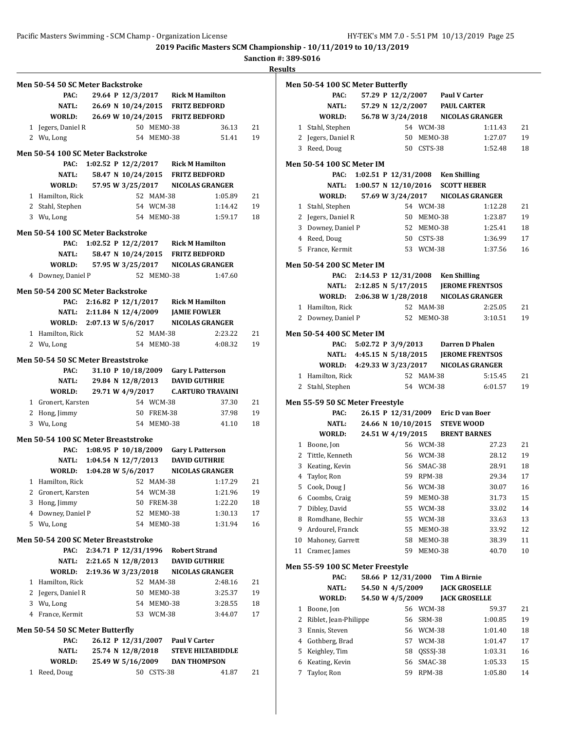**Sanction #: 389-S016**

|   | <b>Men 50-54 50 SC Meter Backstroke</b>  |                                            |                   |            |                                  |                                                      |    |
|---|------------------------------------------|--------------------------------------------|-------------------|------------|----------------------------------|------------------------------------------------------|----|
|   | PAC:                                     |                                            |                   |            |                                  | 29.64 P 12/3/2017 Rick M Hamilton                    |    |
|   | <b>NATL:</b>                             |                                            |                   |            |                                  | 26.69 N 10/24/2015 FRITZ BEDFORD                     |    |
|   | WORLD:                                   |                                            |                   |            |                                  | 26.69 W 10/24/2015 FRITZ BEDFORD                     |    |
|   | 1 Jegers, Daniel R                       |                                            |                   | 50 MEMO-38 |                                  | 36.13                                                | 21 |
|   | 2 Wu, Long                               |                                            |                   | 54 MEMO-38 |                                  | 51.41                                                | 19 |
|   |                                          |                                            |                   |            |                                  |                                                      |    |
|   | <b>Men 50-54 100 SC Meter Backstroke</b> |                                            |                   |            |                                  |                                                      |    |
|   | PAC:                                     | 1:02.52 P $12/2/2017$ Rick M Hamilton      |                   |            |                                  |                                                      |    |
|   | <b>NATL:</b>                             |                                            |                   |            |                                  | 58.47 N 10/24/2015 FRITZ BEDFORD                     |    |
|   | WORLD:                                   |                                            |                   |            |                                  | 57.95 W 3/25/2017 NICOLAS GRANGER                    |    |
|   | 1 Hamilton, Rick                         |                                            |                   | 52 MAM-38  |                                  | 1:05.89                                              | 21 |
|   | 2 Stahl, Stephen                         |                                            |                   | 54 WCM-38  |                                  | 1:14.42                                              | 19 |
|   | 3 Wu, Long                               |                                            |                   | 54 MEMO-38 |                                  | 1:59.17                                              | 18 |
|   | <b>Men 50-54 100 SC Meter Backstroke</b> |                                            |                   |            |                                  |                                                      |    |
|   |                                          |                                            |                   |            |                                  |                                                      |    |
|   | <b>NATL:</b>                             | PAC: 1:02.52 P 12/2/2017 Rick M Hamilton   |                   |            |                                  | 58.47 N 10/24/2015 FRITZ BEDFORD                     |    |
|   |                                          |                                            |                   |            |                                  | WORLD: 57.95 W 3/25/2017 NICOLAS GRANGER             |    |
|   |                                          |                                            |                   |            |                                  |                                                      |    |
|   | 4 Downey, Daniel P                       |                                            |                   | 52 MEM0-38 |                                  | 1:47.60                                              |    |
|   | Men 50-54 200 SC Meter Backstroke        |                                            |                   |            |                                  |                                                      |    |
|   |                                          | PAC: 2:16.82 P 12/1/2017 Rick M Hamilton   |                   |            |                                  |                                                      |    |
|   |                                          | NATL: 2:11.84 N 12/4/2009 JAMIE FOWLER     |                   |            |                                  |                                                      |    |
|   |                                          |                                            |                   |            |                                  | WORLD: 2:07.13 W 5/6/2017 NICOLAS GRANGER            |    |
|   | 1 Hamilton, Rick                         |                                            |                   | 52 MAM-38  |                                  | 2:23.22                                              | 21 |
|   | 2 Wu, Long                               |                                            |                   | 54 MEM0-38 |                                  | 4:08.32                                              | 19 |
|   |                                          |                                            |                   |            |                                  |                                                      |    |
|   | Men 50-54 50 SC Meter Breaststroke       |                                            |                   |            |                                  |                                                      |    |
|   | PAC:                                     |                                            |                   |            |                                  | 31.10 P 10/18/2009 Gary L Patterson                  |    |
|   |                                          | NATL: 29.84 N 12/8/2013 DAVID GUTHRIE      |                   |            |                                  |                                                      |    |
|   | WORLD:                                   |                                            |                   |            |                                  | 29.71 W 4/9/2017 C.ARTURO TRAVAINI                   |    |
|   | 1 Gronert, Karsten                       |                                            |                   | 54 WCM-38  |                                  | 37.30                                                | 21 |
|   | 2 Hong, Jimmy                            |                                            |                   | 50 FREM-38 |                                  | 37.98                                                | 19 |
|   | 3 Wu, Long                               |                                            |                   | 54 MEMO-38 |                                  | 41.10                                                | 18 |
|   | Men 50-54 100 SC Meter Breaststroke      |                                            |                   |            |                                  |                                                      |    |
|   |                                          | PAC: 1:08.95 P 10/18/2009 Gary L Patterson |                   |            |                                  |                                                      |    |
|   |                                          | NATL: 1:04.54 N 12/7/2013 DAVID GUTHRIE    |                   |            |                                  |                                                      |    |
|   |                                          |                                            |                   |            |                                  | WORLD: $1:04.28 \text{ W } 5/6/2017$ NICOLAS GRANGER |    |
|   |                                          |                                            |                   |            |                                  |                                                      |    |
|   | 1 Hamilton, Rick                         |                                            |                   |            |                                  | 52 MAM-38 1:17.29                                    | 21 |
|   | 2 Gronert, Karsten                       |                                            |                   | 54 WCM-38  |                                  | 1:21.96                                              | 19 |
|   | 3 Hong, Jimmy                            |                                            | 50                | FREM-38    |                                  | 1:22.20                                              | 18 |
|   | 4 Downey, Daniel P                       |                                            |                   | 52 MEMO-38 |                                  | 1:30.13                                              | 17 |
|   | 5 Wu, Long                               |                                            |                   | 54 MEMO-38 |                                  | 1:31.94                                              | 16 |
|   | Men 50-54 200 SC Meter Breaststroke      |                                            |                   |            |                                  |                                                      |    |
|   | PAC:                                     | 2:34.71 P 12/31/1996                       |                   |            | Robert Strand                    |                                                      |    |
|   | NATL:                                    | 2:21.65 N 12/8/2013 DAVID GUTHRIE          |                   |            |                                  |                                                      |    |
|   | WORLD:                                   | 2:19.36 W 3/23/2018                        |                   |            |                                  | NICOLAS GRANGER                                      |    |
|   | 1 Hamilton, Rick                         |                                            |                   | 52 MAM-38  |                                  | 2:48.16                                              | 21 |
|   | 2 Jegers, Daniel R                       |                                            |                   | 50 MEMO-38 |                                  | 3:25.37                                              | 19 |
|   | 3 Wu, Long                               |                                            |                   | 54 MEMO-38 |                                  | 3:28.55                                              | 18 |
|   | 4 France, Kermit                         |                                            |                   | 53 WCM-38  |                                  | 3:44.07                                              | 17 |
|   |                                          |                                            |                   |            |                                  |                                                      |    |
|   | Men 50-54 50 SC Meter Butterfly          |                                            |                   |            |                                  |                                                      |    |
|   | PAC:                                     |                                            |                   |            | 26.12 P 12/31/2007 Paul V Carter |                                                      |    |
|   | <b>NATL:</b>                             |                                            | 25.74 N 12/8/2018 |            |                                  | <b>STEVE HILTABIDDLE</b>                             |    |
|   | WORLD:                                   |                                            |                   |            |                                  | 25.49 W 5/16/2009 DAN THOMPSON                       |    |
| 1 | Reed, Doug                               |                                            |                   | 50 CSTS-38 |                                  | 41.87                                                | 21 |
|   |                                          |                                            |                   |            |                                  |                                                      |    |

|    | Men 50-54 100 SC Meter Butterfly |  |                      |               |                                    |                                   |    |
|----|----------------------------------|--|----------------------|---------------|------------------------------------|-----------------------------------|----|
|    | PAC:                             |  |                      |               | 57.29 P 12/2/2007 Paul V Carter    |                                   |    |
|    | <b>NATL:</b>                     |  | 57.29 N 12/2/2007    |               | <b>PAUL CARTER</b>                 |                                   |    |
|    | WORLD:                           |  |                      |               |                                    | 56.78 W 3/24/2018 NICOLAS GRANGER |    |
|    | 1 Stahl, Stephen                 |  |                      | 54 WCM-38     |                                    | 1:11.43                           | 21 |
|    | 2 Jegers, Daniel R               |  |                      | 50 MEMO-38    |                                    | 1:27.07                           | 19 |
|    | 3 Reed, Doug                     |  |                      | 50 CSTS-38    |                                    | 1:52.48                           | 18 |
|    | Men 50-54 100 SC Meter IM        |  |                      |               |                                    |                                   |    |
|    | PAC:                             |  |                      |               | 1:02.51 P 12/31/2008 Ken Shilling  |                                   |    |
|    | <b>NATL:</b>                     |  | 1:00.57 N 12/10/2016 |               | <b>SCOTT HEBER</b>                 |                                   |    |
|    | WORLD:                           |  |                      |               |                                    | 57.69 W 3/24/2017 NICOLAS GRANGER |    |
|    | 1 Stahl, Stephen                 |  |                      | 54 WCM-38     |                                    | 1:12.28                           | 21 |
|    | 2 Jegers, Daniel R               |  |                      | 50 MEMO-38    |                                    | 1:23.87                           | 19 |
|    | 3 Downey, Daniel P               |  |                      | 52 MEMO-38    |                                    | 1:25.41                           | 18 |
|    | 4 Reed, Doug                     |  |                      | 50 CSTS-38    |                                    | 1:36.99                           | 17 |
|    | 5 France, Kermit                 |  |                      | 53 WCM-38     |                                    | 1:37.56                           | 16 |
|    | <b>Men 50-54 200 SC Meter IM</b> |  |                      |               |                                    |                                   |    |
|    | PAC:                             |  |                      |               | 2:14.53 P 12/31/2008 Ken Shilling  |                                   |    |
|    | NATL: 2:12.85 N 5/17/2015        |  |                      |               |                                    | <b>JEROME FRENTSOS</b>            |    |
|    | WORLD:                           |  | 2:06.38 W 1/28/2018  |               |                                    | <b>NICOLAS GRANGER</b>            |    |
| 1  | Hamilton, Rick                   |  |                      | 52 MAM-38     |                                    | 2:25.05                           | 21 |
|    | 2 Downey, Daniel P               |  |                      | 52 MEMO-38    |                                    | 3:10.51                           | 19 |
|    | Men 50-54 400 SC Meter IM        |  |                      |               |                                    |                                   |    |
|    | PAC:                             |  | 5:02.72 P 3/9/2013   |               | <b>Darren D Phalen</b>             |                                   |    |
|    | NATL: 4:45.15 N 5/18/2015        |  |                      |               |                                    | <b>JEROME FRENTSOS</b>            |    |
|    | WORLD:                           |  | 4:29.33 W 3/23/2017  |               |                                    | <b>NICOLAS GRANGER</b>            |    |
|    | 1 Hamilton, Rick                 |  |                      | 52 MAM-38     |                                    | 5:15.45                           | 21 |
| 2  | Stahl, Stephen                   |  |                      | 54 WCM-38     |                                    | 6:01.57                           | 19 |
|    | Men 55-59 50 SC Meter Freestyle  |  |                      |               |                                    |                                   |    |
|    | PAC:                             |  |                      |               | 26.15 P 12/31/2009 Eric D van Boer |                                   |    |
|    | NATL:                            |  | 24.66 N 10/10/2015   |               | <b>STEVE WOOD</b>                  |                                   |    |
|    | WORLD:                           |  | 24.51 W 4/19/2015    |               | <b>BRENT BARNES</b>                |                                   |    |
|    | 1 Boone, Jon                     |  |                      | 56 WCM-38     |                                    | 27.23                             | 21 |
|    | 2 Tittle, Kenneth                |  |                      | 56 WCM-38     |                                    | 28.12                             | 19 |
|    | 3 Keating, Kevin                 |  |                      | 56 SMAC-38    |                                    | 28.91                             | 18 |
|    | 4 Taylor, Ron                    |  |                      | 59 RPM-38     |                                    | 29.34                             | 17 |
| 5  | Cook, Doug J                     |  |                      | 56 WCM-38     |                                    | 30.07                             | 16 |
| 6  | Coombs, Craig                    |  | 59                   | MEMO-38       |                                    | 31.73                             | 15 |
| 7  | Dibley, David                    |  | 55                   | $WCM-38$      |                                    | 33.02                             | 14 |
| 8  | Romdhane, Bechir                 |  | 55                   | WCM-38        |                                    | 33.63                             | 13 |
| 9  | Ardourel, Franck                 |  | 55                   | MEMO-38       |                                    | 33.92                             | 12 |
| 10 | Mahoney, Garrett                 |  | 58                   | MEMO-38       |                                    | 38.39                             | 11 |
| 11 | Cramer, James                    |  | 59                   | MEMO-38       |                                    | 40.70                             | 10 |
|    | Men 55-59 100 SC Meter Freestyle |  |                      |               |                                    |                                   |    |
|    | PAC:                             |  | 58.66 P 12/31/2000   |               | <b>Tim A Birnie</b>                |                                   |    |
|    | NATL:                            |  | 54.50 N 4/5/2009     |               | <b>JACK GROSELLE</b>               |                                   |    |
|    | WORLD:                           |  | 54.50 W 4/5/2009     |               | <b>JACK GROSELLE</b>               |                                   |    |
| 1  | Boone, Jon                       |  | 56                   | WCM-38        |                                    | 59.37                             | 21 |
| 2  | Riblet, Jean-Philippe            |  | 56                   | SRM-38        |                                    | 1:00.85                           | 19 |
| 3  | Ennis, Steven                    |  | 56                   | WCM-38        |                                    | 1:01.40                           | 18 |
| 4  | Gothberg, Brad                   |  |                      | 57 WCM-38     |                                    | 1:01.47                           | 17 |
| 5  | Keighley, Tim                    |  | 58                   | QSSSJ-38      |                                    | 1:03.31                           | 16 |
| 6  | Keating, Kevin                   |  | 56                   | SMAC-38       |                                    | 1:05.33                           | 15 |
| 7  | Taylor, Ron                      |  | 59                   | <b>RPM-38</b> |                                    | 1:05.80                           | 14 |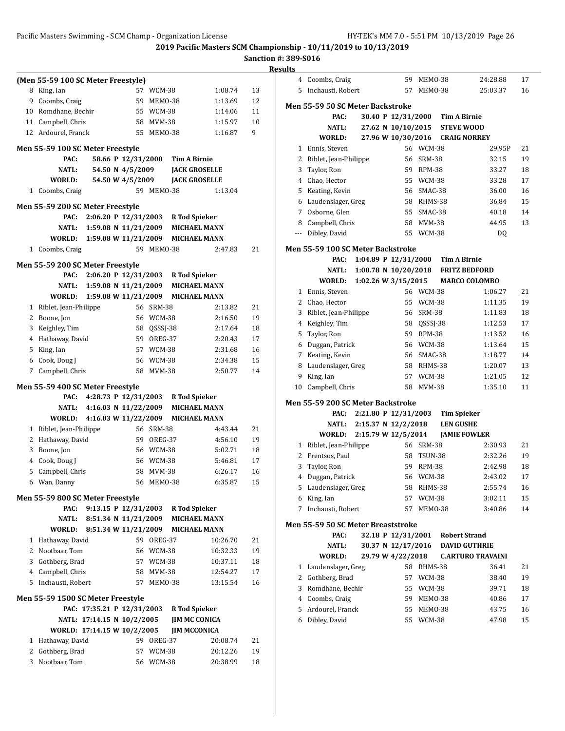**2019 Pacific Masters SCM Championship - 10/11/2019 to 10/13/2019**

**Sanction #: 389-S016**

|   |                                    |                            |             |                                          | эансион #: эо |                |
|---|------------------------------------|----------------------------|-------------|------------------------------------------|---------------|----------------|
|   |                                    |                            |             |                                          |               | <b>Results</b> |
|   | (Men 55-59 100 SC Meter Freestyle) |                            |             |                                          |               |                |
|   | 8 King, Ian                        |                            | 57 WCM-38   | 1:08.74                                  | 13            |                |
|   | 9 Coombs, Craig                    |                            | 59 MEMO-38  | 1:13.69                                  | 12            | Me             |
|   | 10 Romdhane, Bechir                |                            | 55 WCM-38   | 1:14.06                                  | 11            |                |
|   | 11 Campbell, Chris                 |                            | 58 MVM-38   | 1:15.97                                  | 10            |                |
|   | 12 Ardourel, Franck                |                            | 55 MEMO-38  | 1:16.87                                  | 9             |                |
|   | Men 55-59 100 SC Meter Freestyle   |                            |             |                                          |               |                |
|   | PAC:                               |                            |             | 58.66 P 12/31/2000 Tim A Birnie          |               |                |
|   | NATL:                              | 54.50 N 4/5/2009           |             | <b>JACK GROSELLE</b>                     |               |                |
|   | WORLD:                             | 54.50 W 4/5/2009           |             | <b>JACK GROSELLE</b>                     |               |                |
|   | 1 Coombs, Craig                    |                            | 59 MEMO-38  | 1:13.04                                  |               |                |
|   |                                    |                            |             |                                          |               |                |
|   | Men 55-59 200 SC Meter Freestyle   |                            |             |                                          |               |                |
|   | PAC:                               |                            |             | 2:06.20 P 12/31/2003 R Tod Spieker       |               |                |
|   |                                    |                            |             | NATL: 1:59.08 N 11/21/2009 MICHAEL MANN  |               |                |
|   |                                    |                            |             | WORLD: 1:59.08 W 11/21/2009 MICHAEL MANN |               |                |
|   | 1 Coombs, Craig                    |                            | 59 MEMO-38  | 2:47.83                                  | 21            | Me             |
|   |                                    |                            |             |                                          |               |                |
|   | Men 55-59 200 SC Meter Freestyle   |                            |             |                                          |               |                |
|   |                                    |                            |             | PAC: 2:06.20 P 12/31/2003 R Tod Spieker  |               |                |
|   |                                    |                            |             | NATL: 1:59.08 N 11/21/2009 MICHAEL MANN  |               |                |
|   |                                    |                            |             | WORLD: 1:59.08 W 11/21/2009 MICHAEL MANN |               |                |
|   | 1 Riblet, Jean-Philippe            |                            | 56 SRM-38   | 2:13.82                                  | 21            |                |
|   | 2 Boone, Jon                       |                            | 56 WCM-38   | 2:16.50                                  | 19            |                |
|   | 3 Keighley, Tim                    |                            | 58 QSSSJ-38 | 2:17.64                                  | 18            |                |
|   | 4 Hathaway, David                  |                            | 59 OREG-37  | 2:20.43                                  | 17            |                |
|   | 5 King, Ian                        |                            | 57 WCM-38   | 2:31.68                                  | 16            |                |
|   | 6 Cook, Doug J                     |                            | 56 WCM-38   | 2:34.38                                  | 15            |                |
|   | 7 Campbell, Chris                  |                            | 58 MVM-38   | 2:50.77                                  | 14            |                |
|   |                                    |                            |             |                                          |               |                |
|   | Men 55-59 400 SC Meter Freestyle   |                            |             |                                          |               |                |
|   |                                    |                            |             | PAC: 4:28.73 P 12/31/2003 R Tod Spieker  |               | Me             |
|   |                                    |                            |             | NATL: 4:16.03 N 11/22/2009 MICHAEL MANN  |               |                |
|   |                                    |                            |             | WORLD: 4:16.03 W 11/22/2009 MICHAEL MANN |               |                |
|   | 1 Riblet, Jean-Philippe            |                            | 56 SRM-38   | 4:43.44                                  | 21            |                |
|   | 2 Hathaway, David                  |                            | 59 OREG-37  | 4:56.10                                  | 19            |                |
|   | 3 Boone, Jon                       |                            | 56 WCM-38   | 5:02.71                                  | 18            |                |
|   | 4 Cook, Doug J                     |                            | 56 WCM-38   | 5:46.81                                  | 17            |                |
|   | 5 Campbell, Chris                  |                            | 58 MVM-38   | 6:26.17                                  | 16            |                |
|   | 6 Wan, Danny                       |                            | 56 MEM0-38  | 6:35.87                                  | 15            |                |
|   | Men 55-59 800 SC Meter Freestyle   |                            |             |                                          |               |                |
|   | PAC:                               |                            |             | 9:13.15 P 12/31/2003 R Tod Spieker       |               |                |
|   | NATL:                              |                            |             | 8:51.34 N 11/21/2009 MICHAEL MANN        |               |                |
|   | WORLD:                             |                            |             | 8:51.34 W 11/21/2009 MICHAEL MANN        |               | Me             |
|   |                                    |                            |             |                                          |               |                |
|   | 1 Hathaway, David                  |                            | 59 OREG-37  | 10:26.70                                 | 21            |                |
|   | 2 Nootbaar, Tom                    |                            | 56 WCM-38   | 10:32.33                                 | 19            |                |
|   | 3 Gothberg, Brad                   |                            | 57 WCM-38   | 10:37.11                                 | 18            |                |
|   | 4 Campbell, Chris                  |                            | 58 MVM-38   | 12:54.27                                 | 17            |                |
|   | 5 Inchausti, Robert                |                            | 57 MEMO-38  | 13:15.54                                 | 16            |                |
|   | Men 55-59 1500 SC Meter Freestyle  |                            |             |                                          |               |                |
|   |                                    |                            |             | PAC: 17:35.21 P 12/31/2003 R Tod Spieker |               |                |
|   |                                    | NATL: 17:14.15 N 10/2/2005 |             | <b>JIM MC CONICA</b>                     |               |                |
|   |                                    |                            |             |                                          |               |                |
|   | WORLD: 17:14.15 W 10/2/2005        |                            |             | <b>JIM MCCONICA</b>                      |               |                |
|   | 1 Hathaway, David                  |                            | 59 OREG-37  | 20:08.74                                 | 21            |                |
| 2 | Gothberg, Brad                     |                            | 57 WCM-38   | 20:12.26                                 | 19            |                |
| 3 | Nootbaar, Tom                      |                            | 56 WCM-38   | 20:38.99                                 | 18            |                |
|   |                                    |                            |             |                                          |               |                |

| lts |                                           |                        |               |                      |                          |    |
|-----|-------------------------------------------|------------------------|---------------|----------------------|--------------------------|----|
| 4   | Coombs, Craig                             | 59                     | MEMO-38       |                      | 24:28.88                 | 17 |
| 5   | Inchausti, Robert                         | 57                     | MEMO-38       |                      | 25:03.37                 | 16 |
|     | Men 55-59 50 SC Meter Backstroke          |                        |               |                      |                          |    |
|     | PAC:                                      | 30.40 P 12/31/2000     |               | Tim A Birnie         |                          |    |
|     | NATL:                                     | 27.62 N 10/10/2015     |               | <b>STEVE WOOD</b>    |                          |    |
|     | WORLD:                                    | 27.96 W 10/30/2016     |               | <b>CRAIG NORREY</b>  |                          |    |
| 1   | Ennis, Steven                             |                        | 56 WCM-38     |                      | 29.95P                   | 21 |
| 2   | Riblet, Jean-Philippe                     | 56                     | <b>SRM-38</b> |                      | 32.15                    | 19 |
| 3   | Taylor, Ron                               | 59                     | <b>RPM-38</b> |                      | 33.27                    | 18 |
| 4   | Chao, Hector                              | 55                     | WCM-38        |                      | 33.28                    | 17 |
| 5   | Keating, Kevin                            | 56                     | SMAC-38       |                      | 36.00                    | 16 |
| 6   | Laudenslager, Greg                        | 58                     | RHMS-38       |                      | 36.84                    | 15 |
| 7   | Osborne, Glen                             | 55                     | SMAC-38       |                      | 40.18                    | 14 |
| 8   | Campbell, Chris                           | 58                     | MVM-38        |                      | 44.95                    | 13 |
| --- | Dibley, David                             | 55                     | WCM-38        |                      | DQ                       |    |
|     | <b>Men 55-59 100 SC Meter Backstroke</b>  |                        |               |                      |                          |    |
|     | PAC:                                      | 1:04.89 P $12/31/2000$ |               | <b>Tim A Birnie</b>  |                          |    |
|     | NATL:                                     | 1:00.78 N 10/20/2018   |               | <b>FRITZ BEDFORD</b> |                          |    |
|     | WORLD:                                    | 1:02.26 W 3/15/2015    |               | <b>MARCO COLOMBO</b> |                          |    |
| 1   | Ennis, Steven                             |                        | 56 WCM-38     |                      | 1:06.27                  | 21 |
| 2   | Chao, Hector                              | 55                     | <b>WCM-38</b> |                      | 1:11.35                  | 19 |
| 3   | Riblet, Jean-Philippe                     | 56                     | SRM-38        |                      | 1:11.83                  | 18 |
| 4   | Keighley, Tim                             | 58                     | QSSSJ-38      |                      | 1:12.53                  | 17 |
| 5   | Taylor, Ron                               | 59                     | RPM-38        |                      | 1:13.52                  | 16 |
| 6   | Duggan, Patrick                           | 56                     | WCM-38        |                      | 1:13.64                  | 15 |
|     | 7 Keating, Kevin                          | 56                     | SMAC-38       |                      | 1:18.77                  | 14 |
| 8   | Laudenslager, Greg                        | 58                     | RHMS-38       |                      | 1:20.07                  | 13 |
| 9   | King, Ian                                 | 57                     | WCM-38        |                      | 1:21.05                  | 12 |
| 10  | Campbell, Chris                           | 58                     | MVM-38        |                      | 1:35.10                  | 11 |
|     |                                           |                        |               |                      |                          |    |
|     | Men 55-59 200 SC Meter Backstroke<br>PAC: | 2:21.80 P 12/31/2003   |               | <b>Tim Spieker</b>   |                          |    |
|     | NATL:                                     | 2:15.37 N 12/2/2018    |               | <b>LEN GUSHE</b>     |                          |    |
|     | WORLD:                                    | 2:15.79 W 12/5/2014    |               | <b>JAMIE FOWLER</b>  |                          |    |
| 1   | Riblet, Jean-Philippe                     |                        | 56 SRM-38     |                      | 2:30.93                  | 21 |
| 2   | Frentsos, Paul                            | 58                     | TSUN-38       |                      | 2:32.26                  | 19 |
| 3   | Taylor, Ron                               | 59                     | <b>RPM-38</b> |                      | 2:42.98                  | 18 |
| 4   | Duggan, Patrick                           | 56                     | WCM-38        |                      | 2:43.02                  | 17 |
| 5   | Laudenslager, Greg                        | 58                     | RHMS-38       |                      | 2:55.74                  | 16 |
| 6   | King, Ian                                 | 57                     | WCM-38        |                      | 3:02.11                  | 15 |
| 7   | Inchausti, Robert                         | 57                     | MEMO-38       |                      | 3:40.86                  | 14 |
|     | Men 55-59 50 SC Meter Breaststroke        |                        |               |                      |                          |    |
|     | PAC:                                      | 32.18 P 12/31/2001     |               | <b>Robert Strand</b> |                          |    |
|     | NATL:                                     | 30.37 N 12/17/2016     |               | <b>DAVID GUTHRIE</b> |                          |    |
|     | WORLD:                                    | 29.79 W 4/22/2018      |               |                      | <b>C.ARTURO TRAVAINI</b> |    |
| 1   | Laudenslager, Greg                        |                        | 58 RHMS-38    |                      | 36.41                    | 21 |
| 2   | Gothberg, Brad                            | 57                     | WCM-38        |                      | 38.40                    | 19 |
| 3   | Romdhane, Bechir                          | 55                     | <b>WCM-38</b> |                      | 39.71                    | 18 |
|     | 4 Coombs, Craig                           | 59                     | MEMO-38       |                      | 40.86                    | 17 |
| 5   | Ardourel, Franck                          | 55                     | MEMO-38       |                      | 43.75                    | 16 |
| 6   | Dibley, David                             | 55                     | <b>WCM-38</b> |                      | 47.98                    | 15 |
|     |                                           |                        |               |                      |                          |    |
|     |                                           |                        |               |                      |                          |    |
|     |                                           |                        |               |                      |                          |    |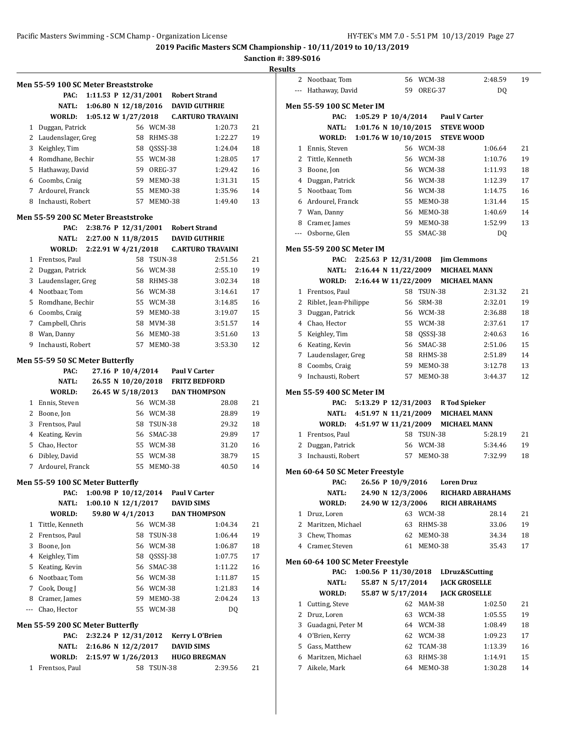L,

**2019 Pacific Masters SCM Championship - 10/11/2019 to 10/13/2019**

|              | Men 55-59 100 SC Meter Breaststroke |                                                 |                    |                |                                           |                          |    |
|--------------|-------------------------------------|-------------------------------------------------|--------------------|----------------|-------------------------------------------|--------------------------|----|
|              | PAC:                                | 1:11.53 P $12/31/2001$                          |                    |                | <b>Robert Strand</b>                      |                          |    |
|              | NATL:                               | 1:06.80 N $12/18/2016$                          |                    |                |                                           | <b>DAVID GUTHRIE</b>     |    |
|              | WORLD:                              | 1:05.12 W 1/27/2018                             |                    |                |                                           | <b>C.ARTURO TRAVAINI</b> |    |
|              | 1 Duggan, Patrick                   |                                                 |                    | 56 WCM-38      |                                           | 1:20.73                  | 21 |
|              | 2 Laudenslager, Greg                |                                                 |                    | 58 RHMS-38     |                                           | 1:22.27                  | 19 |
|              | 3 Keighley, Tim                     |                                                 | 58                 | QSSSJ-38       |                                           | 1:24.04                  | 18 |
|              | 4 Romdhane, Bechir                  |                                                 |                    | 55 WCM-38      |                                           | 1:28.05                  | 17 |
|              | 5 Hathaway, David                   |                                                 | 59                 | OREG-37        |                                           | 1:29.42                  | 16 |
|              | 6 Coombs, Craig                     |                                                 | 59                 | MEMO-38        |                                           | 1:31.31                  | 15 |
|              | 7 Ardourel, Franck                  |                                                 | 55                 | MEMO-38        |                                           | 1:35.96                  | 14 |
|              | 8 Inchausti, Robert                 |                                                 | 57                 | MEMO-38        |                                           | 1:49.40                  | 13 |
|              | Men 55-59 200 SC Meter Breaststroke |                                                 |                    |                |                                           |                          |    |
|              | PAC:                                | 2:38.76 P 12/31/2001                            |                    |                | <b>Robert Strand</b>                      |                          |    |
|              |                                     | NATL: 2:27.00 N 11/8/2015                       |                    |                |                                           | <b>DAVID GUTHRIE</b>     |    |
|              | WORLD:                              | 2:22.91 W 4/21/2018                             |                    |                |                                           | <b>C.ARTURO TRAVAINI</b> |    |
|              | 1 Frentsos, Paul                    |                                                 |                    | 58 TSUN-38     |                                           | 2:51.56                  | 21 |
|              | 2 Duggan, Patrick                   |                                                 |                    | 56 WCM-38      |                                           | 2:55.10                  | 19 |
| 3            | Laudenslager, Greg                  |                                                 |                    | 58 RHMS-38     |                                           | 3:02.34                  | 18 |
|              | 4 Nootbaar, Tom                     |                                                 |                    | 56 WCM-38      |                                           | 3:14.61                  | 17 |
| 5.           | Romdhane, Bechir                    |                                                 |                    | 55 WCM-38      |                                           | 3:14.85                  | 16 |
|              | 6 Coombs, Craig                     |                                                 | 59                 | MEMO-38        |                                           | 3:19.07                  | 15 |
|              | 7 Campbell, Chris                   |                                                 | 58                 | <b>MVM-38</b>  |                                           | 3:51.57                  | 14 |
| 8            | Wan, Danny                          |                                                 | 56                 | MEMO-38        |                                           | 3:51.60                  | 13 |
| 9            | Inchausti, Robert                   |                                                 | 57                 | MEMO-38        |                                           | 3:53.30                  | 12 |
|              | Men 55-59 50 SC Meter Butterfly     |                                                 |                    |                |                                           |                          |    |
|              | PAC:                                |                                                 | 27.16 P 10/4/2014  |                | <b>Paul V Carter</b>                      |                          |    |
|              | <b>NATL:</b>                        |                                                 | 26.55 N 10/20/2018 |                |                                           | <b>FRITZ BEDFORD</b>     |    |
|              | WORLD:                              |                                                 | 26.45 W 5/18/2013  |                |                                           | <b>DAN THOMPSON</b>      |    |
|              | 1 Ennis, Steven                     |                                                 |                    | 56 WCM-38      |                                           | 28.08                    | 21 |
|              | 2 Boone, Jon                        |                                                 |                    | 56 WCM-38      |                                           | 28.89                    | 19 |
| 3            | Frentsos, Paul                      |                                                 | 58                 | <b>TSUN-38</b> |                                           | 29.32                    | 18 |
|              | 4 Keating, Kevin                    |                                                 | 56                 | SMAC-38        |                                           | 29.89                    | 17 |
| 5            | Chao, Hector                        |                                                 |                    | 55 WCM-38      |                                           | 31.20                    | 16 |
| 6            | Dibley, David                       |                                                 | 55                 | <b>WCM-38</b>  |                                           | 38.79                    | 15 |
| 7            | Ardourel, Franck                    |                                                 | 55                 | MEMO-38        |                                           | 40.50                    | 14 |
|              | Men 55-59 100 SC Meter Butterfly    |                                                 |                    |                |                                           |                          |    |
|              | PAC:<br>NATL:                       | 1:00.98 P $10/12/2014$<br>1:00.10 N $12/1/2017$ |                    |                | <b>Paul V Carter</b><br><b>DAVID SIMS</b> |                          |    |
|              | WORLD:                              |                                                 | 59.80 W 4/1/2013   |                |                                           | <b>DAN THOMPSON</b>      |    |
| 1            | Tittle, Kenneth                     |                                                 |                    | 56 WCM-38      |                                           | 1:04.34                  | 21 |
| 2            | Frentsos, Paul                      |                                                 | 58                 | TSUN-38        |                                           | 1:06.44                  | 19 |
| 3            | Boone, Jon                          |                                                 |                    | 56 WCM-38      |                                           | 1:06.87                  | 18 |
| 4            | Keighley, Tim                       |                                                 | 58                 | QSSSJ-38       |                                           | 1:07.75                  | 17 |
| 5            | Keating, Kevin                      |                                                 | 56                 | SMAC-38        |                                           | 1:11.22                  | 16 |
| 6            | Nootbaar, Tom                       |                                                 |                    | 56 WCM-38      |                                           | 1:11.87                  | 15 |
| 7            | Cook, Doug J                        |                                                 |                    | 56 WCM-38      |                                           | 1:21.83                  | 14 |
| 8            | Cramer, James                       |                                                 | 59                 | MEMO-38        |                                           | 2:04.24                  | 13 |
| $---$        | Chao, Hector                        |                                                 |                    | 55 WCM-38      |                                           | DQ                       |    |
|              | Men 55-59 200 SC Meter Butterfly    |                                                 |                    |                |                                           |                          |    |
|              | PAC:                                | 2:32.24 P 12/31/2012                            |                    |                |                                           | <b>Kerry L O'Brien</b>   |    |
|              | NATL:                               | 2:16.86 N 12/2/2017                             |                    |                | <b>DAVID SIMS</b>                         |                          |    |
|              | <b>WORLD:</b>                       | 2:15.97 W 1/26/2013                             |                    |                |                                           | <b>HUGO BREGMAN</b>      |    |
| $\mathbf{1}$ | Frentsos, Paul                      |                                                 |                    | 58 TSUN-38     |                                           | 2:39.56                  | 21 |
|              |                                     |                                                 |                    |                |                                           |                          |    |

| 2                        | Nootbaar, Tom                     |                      | 56       | WCM-38             |                                   | 2:48.59            | 19       |
|--------------------------|-----------------------------------|----------------------|----------|--------------------|-----------------------------------|--------------------|----------|
| $\overline{\phantom{a}}$ | Hathaway, David                   |                      | 59       | OREG-37            |                                   | DQ                 |          |
|                          |                                   |                      |          |                    |                                   |                    |          |
|                          | Men 55-59 100 SC Meter IM         |                      |          |                    |                                   |                    |          |
|                          | PAC:                              |                      |          |                    | 1:05.29 P 10/4/2014 Paul V Carter |                    |          |
|                          | NATL:                             | 1:01.76 N 10/10/2015 |          |                    | <b>STEVE WOOD</b>                 |                    |          |
|                          | WORLD:                            | 1:01.76 W 10/10/2015 |          |                    | <b>STEVE WOOD</b>                 |                    |          |
| 1                        | Ennis, Steven                     |                      |          | 56 WCM-38          |                                   | 1:06.64            | 21       |
| 2                        | Tittle, Kenneth                   |                      |          | 56 WCM-38          |                                   | 1:10.76            | 19       |
| 3                        | Boone, Jon                        |                      |          | 56 WCM-38          |                                   | 1:11.93            | 18       |
| 4                        | Duggan, Patrick                   |                      |          | 56 WCM-38          |                                   | 1:12.39            | 17       |
| 5                        | Nootbaar, Tom                     |                      |          | 56 WCM-38          |                                   | 1:14.75            | 16       |
| 6                        | Ardourel, Franck                  |                      | 55       | MEMO-38            |                                   | 1:31.44            | 15       |
|                          | 7 Wan, Danny                      |                      |          | 56 MEMO-38         |                                   | 1:40.69            | 14       |
| 8                        | Cramer, James                     |                      |          | 59 MEM0-38         |                                   | 1:52.99            | 13       |
| $---$                    | Osborne, Glen                     |                      |          | 55 SMAC-38         |                                   | DQ                 |          |
|                          |                                   |                      |          |                    |                                   |                    |          |
|                          | Men 55-59 200 SC Meter IM         |                      |          |                    |                                   |                    |          |
|                          | PAC:                              | 2:25.63 P 12/31/2008 |          |                    | <b>Jim Clemmons</b>               |                    |          |
|                          | NATL:                             | 2:16.44 N 11/22/2009 |          |                    | <b>MICHAEL MANN</b>               |                    |          |
|                          | <b>WORLD:</b>                     | 2:16.44 W 11/22/2009 |          |                    | <b>MICHAEL MANN</b>               |                    |          |
| $\mathbf{1}$             | Frentsos, Paul                    |                      |          | 58 TSUN-38         |                                   | 2:31.32            | 21       |
| 2                        | Riblet, Jean-Philippe             |                      | 56       | SRM-38             |                                   | 2:32.01            | 19       |
| 3                        | Duggan, Patrick                   |                      |          | 56 WCM-38          |                                   | 2:36.88            | 18       |
| 4                        | Chao, Hector                      |                      |          | 55 WCM-38          |                                   | 2:37.61            | 17       |
| 5                        | Keighley, Tim                     |                      |          | 58 QSSSJ-38        |                                   | 2:40.63            | 16       |
| 6                        | Keating, Kevin                    |                      | 56       | SMAC-38            |                                   | 2:51.06            | 15       |
|                          | 7 Laudenslager, Greg              |                      |          | 58 RHMS-38         |                                   | 2:51.89            | 14       |
| 8                        | Coombs, Craig                     |                      |          | 59 MEMO-38         |                                   | 3:12.78            | 13       |
| 9                        | Inchausti, Robert                 |                      | 57       | MEMO-38            |                                   | 3:44.37            | 12       |
|                          |                                   |                      |          |                    |                                   |                    |          |
|                          |                                   |                      |          |                    |                                   |                    |          |
|                          | <b>Men 55-59 400 SC Meter IM</b>  |                      |          |                    |                                   |                    |          |
|                          | PAC:                              | 5:13.29 P 12/31/2003 |          |                    | R Tod Spieker                     |                    |          |
|                          | NATL:                             | 4:51.97 N 11/21/2009 |          |                    | <b>MICHAEL MANN</b>               |                    |          |
|                          | WORLD:                            | 4:51.97 W 11/21/2009 |          |                    | <b>MICHAEL MANN</b>               |                    |          |
|                          | 1 Frentsos, Paul                  |                      |          | 58 TSUN-38         |                                   | 5:28.19            | 21       |
| 2                        | Duggan, Patrick                   |                      |          | 56 WCM-38          |                                   | 5:34.46            | 19       |
| 3                        | Inchausti, Robert                 |                      | 57       | MEMO-38            |                                   | 7:32.99            | 18       |
|                          | Men 60-64 50 SC Meter Freestyle   |                      |          |                    |                                   |                    |          |
|                          | PAC:                              | 26.56 P 10/9/2016    |          |                    | <b>Loren Druz</b>                 |                    |          |
|                          | NATL:                             | 24.90 N 12/3/2006    |          |                    | <b>RICHARD ABRAHAMS</b>           |                    |          |
|                          | WORLD:                            | 24.90 W 12/3/2006    |          |                    | <b>RICH ABRAHAMS</b>              |                    |          |
| 1                        | Druz, Loren                       |                      |          | 63 WCM-38          |                                   | 28.14              | 21       |
| 2                        | Maritzen, Michael                 |                      | 63       | RHMS-38            |                                   | 33.06              | 19       |
| 3                        | Chew, Thomas                      |                      | 62       | MEMO-38            |                                   | 34.34              | 18       |
|                          | 4 Cramer, Steven                  |                      | 61       | MEMO-38            |                                   | 35.43              | 17       |
|                          |                                   |                      |          |                    |                                   |                    |          |
|                          | Men 60-64 100 SC Meter Freestyle  |                      |          |                    |                                   |                    |          |
|                          | PAC:                              | 1:00.56 P 11/30/2018 |          |                    | LDruz&SCutting                    |                    |          |
|                          | <b>NATL:</b>                      | 55.87 N 5/17/2014    |          |                    | <b>JACK GROSELLE</b>              |                    |          |
|                          | WORLD:                            | 55.87 W 5/17/2014    |          |                    | <b>JACK GROSELLE</b>              |                    |          |
| 1                        | Cutting, Steve                    |                      |          | 62 MAM-38          |                                   | 1:02.50            | 21       |
| $\overline{2}$           | Druz, Loren                       |                      | 63       | WCM-38             |                                   | 1:05.55            | 19       |
| 3                        | Guadagni, Peter M                 |                      | 64       | WCM-38             |                                   | 1:08.49            | 18       |
| 4                        | O'Brien, Kerry                    |                      | 62       | WCM-38             |                                   | 1:09.23            | 17       |
| 5                        | Gass, Matthew                     |                      | 62       | TCAM-38            |                                   | 1:13.39            | 16       |
| 6<br>7                   | Maritzen, Michael<br>Aikele, Mark |                      | 63<br>64 | RHMS-38<br>MEMO-38 |                                   | 1:14.91<br>1:30.28 | 15<br>14 |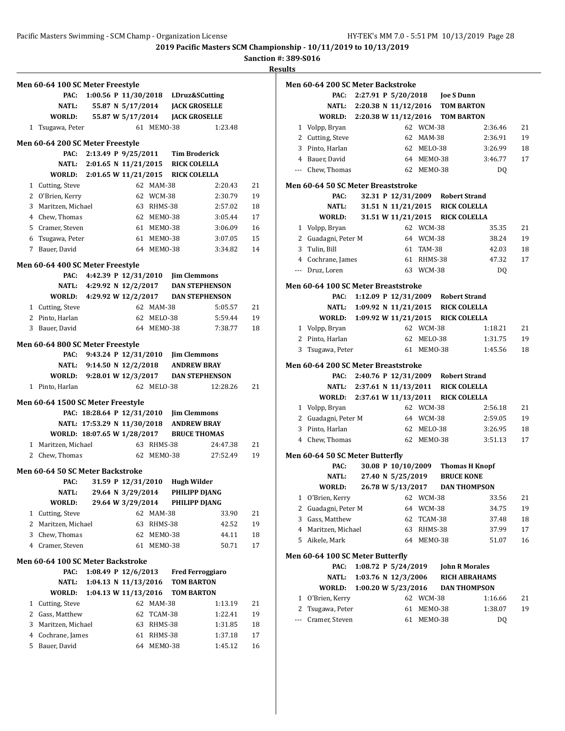|        | Men 60-64 100 SC Meter Freestyle                   |                             |                      |                    |                                         |                      |          |
|--------|----------------------------------------------------|-----------------------------|----------------------|--------------------|-----------------------------------------|----------------------|----------|
|        | PAC:                                               |                             |                      |                    | 1:00.56 P 11/30/2018 LDruz&SCutting     |                      |          |
|        | <b>NATL:</b>                                       |                             |                      |                    | 55.87 N 5/17/2014 JACK GROSELLE         |                      |          |
|        | WORLD:                                             |                             | 55.87 W 5/17/2014    |                    | <b>JACK GROSELLE</b>                    |                      |          |
|        | 1 Tsugawa, Peter                                   |                             |                      | 61 MEM0-38         |                                         | 1:23.48              |          |
|        |                                                    |                             |                      |                    |                                         |                      |          |
|        | Men 60-64 200 SC Meter Freestyle                   |                             |                      |                    |                                         |                      |          |
|        |                                                    | PAC: 2:13.49 P 9/25/2011    |                      |                    | <b>Tim Broderick</b>                    |                      |          |
|        |                                                    | NATL: 2:01.65 N 11/21/2015  |                      |                    | <b>RICK COLELLA</b>                     |                      |          |
|        | WORLD: 2:01.65 W 11/21/2015                        |                             |                      |                    | <b>RICK COLELLA</b>                     |                      |          |
|        | 1 Cutting, Steve                                   |                             |                      | 62 MAM-38          |                                         | 2:20.43              | 21       |
|        | 2 O'Brien, Kerry                                   |                             |                      | 62 WCM-38          |                                         | 2:30.79              | 19       |
| 3      | Maritzen, Michael                                  |                             |                      | 63 RHMS-38         |                                         | 2:57.02              | 18       |
|        | 4 Chew, Thomas                                     |                             |                      | 62 MEM0-38         |                                         | 3:05.44              | 17       |
|        | 5 Cramer, Steven                                   |                             |                      | 61 MEM0-38         |                                         | 3:06.09              | 16       |
| 6      | Tsugawa, Peter                                     |                             |                      | 61 MEM0-38         |                                         | 3:07.05              | 15       |
|        | 7 Bauer, David                                     |                             |                      | 64 MEM0-38         |                                         | 3:34.82              | 14       |
|        |                                                    |                             |                      |                    |                                         |                      |          |
|        | Men 60-64 400 SC Meter Freestyle                   | PAC: 4:42.39 P 12/31/2010   |                      |                    | <b>Jim Clemmons</b>                     |                      |          |
|        |                                                    | NATL: 4:29.92 N 12/2/2017   |                      |                    | <b>DAN STEPHENSON</b>                   |                      |          |
|        | WORLD: 4:29.92 W 12/2/2017                         |                             |                      |                    | <b>DAN STEPHENSON</b>                   |                      |          |
|        | 1 Cutting, Steve                                   |                             |                      | 62 MAM-38          |                                         | 5:05.57              | 21       |
|        | 2 Pinto, Harlan                                    |                             |                      | 62 MELO-38         |                                         | 5:59.44              | 19       |
|        | 3 Bauer, David                                     |                             |                      | 64 MEMO-38         |                                         | 7:38.77              | 18       |
|        |                                                    |                             |                      |                    |                                         |                      |          |
|        | Men 60-64 800 SC Meter Freestyle                   |                             |                      |                    |                                         |                      |          |
|        |                                                    | PAC: 9:43.24 P 12/31/2010   |                      |                    | <b>Jim Clemmons</b>                     |                      |          |
|        |                                                    | NATL: 9:14.50 N 12/2/2018   |                      |                    | <b>ANDREW BRAY</b>                      |                      |          |
|        | WORLD: 9:28.01 W 12/3/2017                         |                             |                      |                    | <b>DAN STEPHENSON</b>                   |                      |          |
|        | 1 Pinto, Harlan                                    |                             |                      | 62 MELO-38         |                                         | 12:28.26             | 21       |
|        | Men 60-64 1500 SC Meter Freestyle                  |                             |                      |                    |                                         |                      |          |
|        |                                                    |                             |                      |                    | PAC: 18:28.64 P 12/31/2010 Jim Clemmons |                      |          |
|        |                                                    | NATL: 17:53.29 N 11/30/2018 |                      |                    | <b>ANDREW BRAY</b>                      |                      |          |
|        |                                                    |                             |                      |                    | <b>BRUCE THOMAS</b>                     |                      |          |
|        | WORLD: 18:07.65 W 1/28/2017<br>1 Maritzen, Michael |                             | 63 RHMS-38           |                    |                                         |                      |          |
|        |                                                    |                             |                      |                    |                                         | 24:47.38<br>27:52.49 | 21       |
| 2      | Chew, Thomas                                       |                             |                      | 62 MEM0-38         |                                         |                      | 19       |
|        | <b>Men 60-64 50 SC Meter Backstroke</b>            |                             |                      |                    |                                         |                      |          |
|        |                                                    |                             |                      |                    | PAC: 31.59 P 12/31/2010 Hugh Wilder     |                      |          |
|        | NATL:                                              |                             | 29.64 N 3/29/2014    |                    | <b>PHILIPP DJANG</b>                    |                      |          |
|        | WORLD:                                             |                             | 29.64 W 3/29/2014    |                    | PHILIPP DJANG                           |                      |          |
| 1      | Cutting, Steve                                     |                             |                      | 62 MAM-38          |                                         | 33.90                | 21       |
| 2      | Maritzen, Michael                                  |                             | 63                   | RHMS-38            |                                         | 42.52                | 19       |
| 3      | Chew, Thomas                                       |                             | 62                   | MEMO-38            |                                         | 44.11                | 18       |
|        | 4 Cramer, Steven                                   |                             | 61                   | MEMO-38            |                                         | 50.71                | 17       |
|        |                                                    |                             |                      |                    |                                         |                      |          |
|        |                                                    |                             |                      |                    |                                         |                      |          |
|        | <b>Men 60-64 100 SC Meter Backstroke</b>           |                             |                      |                    |                                         |                      |          |
|        | PAC:                                               |                             | 1:08.49 P 12/6/2013  |                    | <b>Fred Ferroggiaro</b>                 |                      |          |
|        | NATL:                                              |                             | 1:04.13 N 11/13/2016 |                    | <b>TOM BARTON</b>                       |                      |          |
|        | WORLD:                                             |                             | 1:04.13 W 11/13/2016 |                    | <b>TOM BARTON</b>                       |                      |          |
| 1      | Cutting, Steve                                     |                             |                      | 62 MAM-38          |                                         | 1:13.19              | 21       |
| 2      | Gass, Matthew                                      |                             |                      | 62 TCAM-38         |                                         | 1:22.41              | 19       |
| 3      | Maritzen, Michael                                  |                             |                      | 63 RHMS-38         |                                         | 1:31.85              | 18       |
| 4<br>5 | Cochrane, James<br>Bauer, David                    |                             | 61<br>64             | RHMS-38<br>MEMO-38 |                                         | 1:37.18<br>1:45.12   | 17<br>16 |

|                | Men 60-64 200 SC Meter Backstroke   |                                         |            |                     |                       |    |
|----------------|-------------------------------------|-----------------------------------------|------------|---------------------|-----------------------|----|
|                | PAC:                                |                                         |            |                     |                       |    |
|                | NATL:                               | 2:20.38 N 11/12/2016 TOM BARTON         |            |                     |                       |    |
|                | WORLD:                              | 2:20.38 W 11/12/2016 TOM BARTON         |            |                     |                       |    |
| 1              | Volpp, Bryan                        |                                         | 62 WCM-38  |                     | 2:36.46               | 21 |
|                | 2 Cutting, Steve                    | 62                                      | MAM-38     |                     | 2:36.91               | 19 |
|                | 3 Pinto, Harlan                     |                                         | 62 MELO-38 |                     | 3:26.99               | 18 |
|                | 4 Bauer, David                      |                                         | 64 MEM0-38 |                     | 3:46.77               | 17 |
|                | --- Chew, Thomas                    |                                         | 62 MEMO-38 |                     | DQ                    |    |
|                | Men 60-64 50 SC Meter Breaststroke  |                                         |            |                     |                       |    |
|                | PAC:                                | 32.31 P 12/31/2009 Robert Strand        |            |                     |                       |    |
|                | NATL:                               | 31.51 N 11/21/2015                      |            | <b>RICK COLELLA</b> |                       |    |
|                | WORLD:                              | 31.51 W 11/21/2015 RICK COLELLA         |            |                     |                       |    |
|                | 1 Volpp, Bryan                      |                                         | 62 WCM-38  |                     | 35.35                 | 21 |
| 2              | Guadagni, Peter M                   |                                         | 64 WCM-38  |                     | 38.24                 | 19 |
| 3              | Tulin, Bill                         | 61                                      | TAM-38     |                     | 42.03                 | 18 |
|                | 4 Cochrane, James                   |                                         | 61 RHMS-38 |                     | 47.32                 | 17 |
| ---            | Druz, Loren                         |                                         | 63 WCM-38  |                     | DQ                    |    |
|                | Men 60-64 100 SC Meter Breaststroke |                                         |            |                     |                       |    |
|                | PAC:                                | 1:12.09 P 12/31/2009 Robert Strand      |            |                     |                       |    |
|                | <b>NATL:</b>                        | 1:09.92 N 11/21/2015 RICK COLELLA       |            |                     |                       |    |
|                | WORLD:                              | 1:09.92 W 11/21/2015                    |            | <b>RICK COLELLA</b> |                       |    |
|                | 1 Volpp, Bryan                      |                                         | 62 WCM-38  |                     | 1:18.21               | 21 |
|                | 2 Pinto, Harlan                     |                                         | 62 MELO-38 |                     | 1:31.75               | 19 |
| 3              | Tsugawa, Peter                      |                                         | 61 MEMO-38 |                     | 1:45.56               | 18 |
|                | Men 60-64 200 SC Meter Breaststroke |                                         |            |                     |                       |    |
|                | PAC:                                | 2:40.76 P 12/31/2009 Robert Strand      |            |                     |                       |    |
|                |                                     | NATL: 2:37.61 N 11/13/2011 RICK COLELLA |            |                     |                       |    |
|                | WORLD:                              | 2:37.61 W 11/13/2011                    |            | <b>RICK COLELLA</b> |                       |    |
|                | 1 Volpp, Bryan                      |                                         | 62 WCM-38  |                     | 2:56.18               | 21 |
|                | 2 Guadagni, Peter M                 |                                         | 64 WCM-38  |                     | 2:59.05               | 19 |
|                | 3 Pinto, Harlan                     |                                         | 62 MELO-38 |                     | 3:26.95               | 18 |
|                | 4 Chew, Thomas                      | 62                                      | MEMO-38    |                     | 3:51.13               | 17 |
|                | Men 60-64 50 SC Meter Butterfly     |                                         |            |                     |                       |    |
|                | PAC:                                | 30.08 P 10/10/2009                      |            |                     | <b>Thomas H Knopf</b> |    |
|                | NATL:                               | 27.40 N 5/25/2019                       |            | <b>BRUCE KONE</b>   |                       |    |
|                | WORLD:                              | 26.78 W 5/13/2017                       |            |                     | <b>DAN THOMPSON</b>   |    |
| 1              | O'Brien, Kerry                      | 62                                      | WCM-38     |                     | 33.56                 | 21 |
| 2              | Guadagni, Peter M                   | 64                                      | WCM-38     |                     | 34.75                 | 19 |
| 3              | Gass, Matthew                       | 62                                      | TCAM-38    |                     | 37.48                 | 18 |
| $\overline{4}$ | Maritzen, Michael                   | 63                                      | RHMS-38    |                     | 37.99                 | 17 |
| 5              | Aikele, Mark                        | 64                                      | MEMO-38    |                     | 51.07                 | 16 |
|                | Men 60-64 100 SC Meter Butterfly    |                                         |            |                     |                       |    |
|                | PAC:                                | 1:08.72 P 5/24/2019                     |            |                     | <b>John R Morales</b> |    |
|                | NATL:                               | 1:03.76 N 12/3/2006                     |            |                     | <b>RICH ABRAHAMS</b>  |    |
|                | WORLD:                              | 1:00.20 W 5/23/2016                     |            |                     | <b>DAN THOMPSON</b>   |    |
| 1              | O'Brien, Kerry                      | 62                                      | WCM-38     |                     | 1:16.66               | 21 |
| 2              | Tsugawa, Peter                      | 61                                      | MEMO-38    |                     | 1:38.07               | 19 |
| ---            | Cramer, Steven                      | 61                                      | MEMO-38    |                     | DQ                    |    |
|                |                                     |                                         |            |                     |                       |    |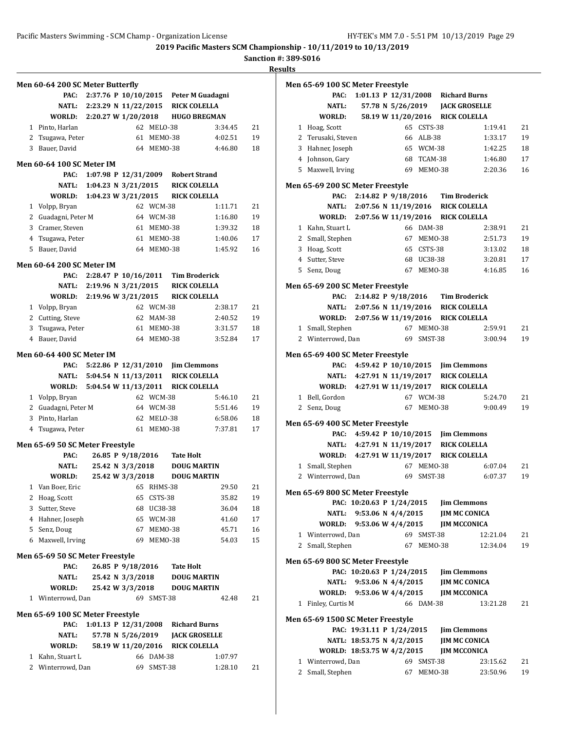**Sanction #: 389-S016**

|   | Men 60-64 200 SC Meter Butterfly        |                           |                      |            |                                         |         |    |
|---|-----------------------------------------|---------------------------|----------------------|------------|-----------------------------------------|---------|----|
|   | PAC:                                    |                           |                      |            | 2:37.76 P 10/10/2015 Peter M Guadagni   |         |    |
|   |                                         |                           |                      |            | NATL: 2:23.29 N 11/22/2015 RICK COLELLA |         |    |
|   | WORLD: 2:20.27 W 1/20/2018 HUGO BREGMAN |                           |                      |            |                                         |         |    |
|   | 1 Pinto, Harlan                         |                           |                      | 62 MELO-38 |                                         | 3:34.45 | 21 |
|   | 2 Tsugawa, Peter                        |                           |                      | 61 MEMO-38 |                                         | 4:02.51 | 19 |
| 3 | Bauer, David                            |                           |                      | 64 MEMO-38 |                                         | 4:46.80 | 18 |
|   |                                         |                           |                      |            |                                         |         |    |
|   | <b>Men 60-64 100 SC Meter IM</b>        |                           |                      |            |                                         |         |    |
|   | PAC:                                    |                           |                      |            | 1:07.98 P 12/31/2009 Robert Strand      |         |    |
|   | NATL:                                   | 1:04.23 N 3/21/2015       |                      |            | <b>RICK COLELLA</b>                     |         |    |
|   | <b>WORLD:</b>                           | 1:04.23 W 3/21/2015       |                      |            | <b>RICK COLELLA</b>                     |         |    |
|   | 1 Volpp, Bryan                          |                           |                      | 62 WCM-38  |                                         | 1:11.71 | 21 |
|   | 2 Guadagni, Peter M                     |                           |                      | 64 WCM-38  |                                         | 1:16.80 | 19 |
|   | 3 Cramer, Steven                        |                           |                      | 61 MEMO-38 |                                         | 1:39.32 | 18 |
|   | 4 Tsugawa, Peter                        |                           |                      | 61 MEMO-38 |                                         | 1:40.06 | 17 |
| 5 | Bauer, David                            |                           |                      | 64 MEMO-38 |                                         | 1:45.92 | 16 |
|   | <b>Men 60-64 200 SC Meter IM</b>        |                           |                      |            |                                         |         |    |
|   |                                         |                           |                      |            | PAC: 2:28.47 P 10/16/2011 Tim Broderick |         |    |
|   |                                         | NATL: 2:19.96 N 3/21/2015 |                      |            | <b>RICK COLELLA</b>                     |         |    |
|   | WORLD: 2:19.96 W 3/21/2015              |                           |                      |            | RICK COLELLA                            |         |    |
|   | 1 Volpp, Bryan                          |                           |                      | 62 WCM-38  |                                         | 2:38.17 | 21 |
|   | 2 Cutting, Steve                        |                           |                      | 62 MAM-38  |                                         | 2:40.52 | 19 |
| 3 | Tsugawa, Peter                          |                           |                      | 61 MEM0-38 |                                         | 3:31.57 | 18 |
|   | 4 Bauer, David                          |                           |                      | 64 MEMO-38 |                                         | 3:52.84 | 17 |
|   |                                         |                           |                      |            |                                         |         |    |
|   | Men 60-64 400 SC Meter IM               |                           |                      |            |                                         |         |    |
|   | PAC:                                    |                           |                      |            | 5:22.86 P 12/31/2010 Jim Clemmons       |         |    |
|   |                                         |                           |                      |            | NATL: 5:04.54 N 11/13/2011 RICK COLELLA |         |    |
|   | WORLD:                                  | 5:04.54 W 11/13/2011      |                      |            | <b>RICK COLELLA</b>                     |         |    |
|   | 1 Volpp, Bryan                          |                           |                      | 62 WCM-38  |                                         | 5:46.10 | 21 |
|   | 2 Guadagni, Peter M                     |                           |                      | 64 WCM-38  |                                         | 5:51.46 | 19 |
|   | 3 Pinto, Harlan                         |                           |                      | 62 MELO-38 |                                         | 6:58.06 | 18 |
| 4 | Tsugawa, Peter                          |                           |                      | 61 MEMO-38 |                                         | 7:37.81 | 17 |
|   | Men 65-69 50 SC Meter Freestyle         |                           |                      |            |                                         |         |    |
|   | PAC:                                    |                           | 26.85 P 9/18/2016    |            | <b>Tate Holt</b>                        |         |    |
|   | <b>NATL:</b>                            |                           | 25.42 N 3/3/2018     |            | <b>DOUG MARTIN</b>                      |         |    |
|   | WORLD:                                  |                           | 25.42 W 3/3/2018     |            | <b>DOUG MARTIN</b>                      |         |    |
| 1 | Van Boer, Eric                          |                           | 65                   | RHMS-38    |                                         | 29.50   | 21 |
|   | 2 Hoag, Scott                           |                           | 65                   | CSTS-38    |                                         | 35.82   | 19 |
|   | 3 Sutter, Steve                         |                           | 68                   | UC38-38    |                                         | 36.04   | 18 |
|   | 4 Hahner, Joseph                        |                           | 65                   | WCM-38     |                                         | 41.60   | 17 |
|   | 5 Senz, Doug                            |                           | 67                   | MEMO-38    |                                         | 45.71   | 16 |
|   | 6 Maxwell, Irving                       |                           | 69                   | MEMO-38    |                                         | 54.03   | 15 |
|   |                                         |                           |                      |            |                                         |         |    |
|   | Men 65-69 50 SC Meter Freestyle         |                           |                      |            |                                         |         |    |
|   | PAC:                                    |                           | 26.85 P 9/18/2016    |            | <b>Tate Holt</b>                        |         |    |
|   | NATL:                                   |                           | 25.42 N 3/3/2018     |            | <b>DOUG MARTIN</b>                      |         |    |
|   | WORLD:                                  |                           | 25.42 W 3/3/2018     |            | <b>DOUG MARTIN</b>                      |         |    |
| 1 | Winterrowd, Dan                         |                           |                      | 69 SMST-38 |                                         | 42.48   | 21 |
|   | Men 65-69 100 SC Meter Freestyle        |                           |                      |            |                                         |         |    |
|   | PAC:                                    |                           | 1:01.13 P 12/31/2008 |            | <b>Richard Burns</b>                    |         |    |
|   | NATL:                                   |                           | 57.78 N 5/26/2019    |            | <b>JACK GROSELLE</b>                    |         |    |
|   | WORLD:                                  |                           | 58.19 W 11/20/2016   |            | <b>RICK COLELLA</b>                     |         |    |
| 1 | Kahn, Stuart L                          |                           |                      | 66 DAM-38  |                                         | 1:07.97 |    |
|   | 2 Winterrowd, Dan                       |                           | 69                   | SMST-38    |                                         | 1:28.10 | 21 |
|   |                                         |                           |                      |            |                                         |         |    |

|              | Men 65-69 100 SC Meter Freestyle  |                                          |                    |            |                                    |          |    |
|--------------|-----------------------------------|------------------------------------------|--------------------|------------|------------------------------------|----------|----|
|              | PAC:                              |                                          |                    |            | 1:01.13 P 12/31/2008 Richard Burns |          |    |
|              | <b>NATL:</b>                      |                                          |                    |            | 57.78 N 5/26/2019 JACK GROSELLE    |          |    |
|              | WORLD:                            |                                          | 58.19 W 11/20/2016 |            | <b>RICK COLELLA</b>                |          |    |
|              | 1 Hoag, Scott                     |                                          |                    | 65 CSTS-38 |                                    | 1:19.41  | 21 |
|              | 2 Terusaki, Steven                |                                          |                    | 66 ALB-38  |                                    | 1:33.17  | 19 |
|              | 3 Hahner, Joseph                  |                                          |                    | 65 WCM-38  |                                    | 1:42.25  | 18 |
|              | 4 Johnson, Gary                   |                                          |                    | 68 TCAM-38 |                                    | 1:46.80  | 17 |
|              | 5 Maxwell, Irving                 |                                          |                    | 69 MEM0-38 |                                    | 2:20.36  | 16 |
|              |                                   |                                          |                    |            |                                    |          |    |
|              | Men 65-69 200 SC Meter Freestyle  |                                          |                    |            |                                    |          |    |
|              | PAC:                              | 2:14.82 P 9/18/2016                      |                    |            | Tim Broderick                      |          |    |
|              | NATL:                             |                                          |                    |            | 2:07.56 N 11/19/2016 RICK COLELLA  |          |    |
|              |                                   | WORLD: 2:07.56 W 11/19/2016 RICK COLELLA |                    |            |                                    |          |    |
|              | 1 Kahn, Stuart L                  |                                          |                    | 66 DAM-38  |                                    | 2:38.91  | 21 |
|              | 2 Small, Stephen                  |                                          |                    | 67 MEMO-38 |                                    | 2:51.73  | 19 |
|              | 3 Hoag, Scott                     |                                          |                    | 65 CSTS-38 |                                    | 3:13.02  | 18 |
|              | 4 Sutter, Steve                   |                                          |                    | 68 UC38-38 |                                    | 3:20.81  | 17 |
|              | 5 Senz, Doug                      |                                          |                    | 67 MEM0-38 |                                    | 4:16.85  | 16 |
|              | Men 65-69 200 SC Meter Freestyle  |                                          |                    |            |                                    |          |    |
|              |                                   | PAC: 2:14.82 P 9/18/2016 Tim Broderick   |                    |            |                                    |          |    |
|              |                                   | NATL: 2:07.56 N 11/19/2016 RICK COLELLA  |                    |            |                                    |          |    |
|              | WORLD:                            |                                          |                    |            |                                    |          |    |
|              |                                   | 2:07.56 W 11/19/2016 RICK COLELLA        |                    |            |                                    |          |    |
|              | 1 Small, Stephen                  |                                          |                    | 67 MEMO-38 |                                    | 2:59.91  | 21 |
|              | 2 Winterrowd, Dan                 |                                          |                    | 69 SMST-38 |                                    | 3:00.94  | 19 |
|              | Men 65-69 400 SC Meter Freestyle  |                                          |                    |            |                                    |          |    |
|              |                                   | PAC: 4:59.42 P 10/10/2015 Jim Clemmons   |                    |            |                                    |          |    |
|              |                                   | NATL: 4:27.91 N 11/19/2017 RICK COLELLA  |                    |            |                                    |          |    |
|              |                                   | WORLD: 4:27.91 W 11/19/2017              |                    |            | <b>RICK COLELLA</b>                |          |    |
|              | 1 Bell, Gordon                    |                                          |                    | 67 WCM-38  |                                    | 5:24.70  | 21 |
| $\mathbf{2}$ | Senz, Doug                        |                                          |                    | 67 MEMO-38 |                                    | 9:00.49  | 19 |
|              |                                   |                                          |                    |            |                                    |          |    |
|              | Men 65-69 400 SC Meter Freestyle  |                                          |                    |            |                                    |          |    |
|              |                                   | PAC: 4:59.42 P 10/10/2015 Jim Clemmons   |                    |            |                                    |          |    |
|              |                                   | NATL: 4:27.91 N 11/19/2017 RICK COLELLA  |                    |            |                                    |          |    |
|              |                                   | WORLD: 4:27.91 W 11/19/2017              |                    |            | <b>RICK COLELLA</b>                |          |    |
|              | 1 Small, Stephen                  |                                          |                    | 67 MEMO-38 |                                    | 6:07.04  | 21 |
|              | 2 Winterrowd, Dan                 |                                          | 69                 | SMST-38    |                                    | 6:07.37  | 19 |
|              | Men 65-69 800 SC Meter Freestyle  |                                          |                    |            |                                    |          |    |
|              |                                   | PAC: 10:20.63 P 1/24/2015 Jim Clemmons   |                    |            |                                    |          |    |
|              | NATL:                             | 9:53.06 N $4/4/2015$                     |                    |            | <b>JIM MC CONICA</b>               |          |    |
|              | WORLD:                            | $9:53.06 W$ 4/4/2015                     |                    |            | <b>JIM MCCONICA</b>                |          |    |
|              | 1 Winterrowd, Dan                 |                                          |                    | 69 SMST-38 |                                    | 12:21.04 | 21 |
|              | 2 Small, Stephen                  |                                          |                    | 67 MEMO-38 |                                    | 12:34.04 | 19 |
|              |                                   |                                          |                    |            |                                    |          |    |
|              | Men 65-69 800 SC Meter Freestyle  |                                          |                    |            |                                    |          |    |
|              |                                   | PAC: 10:20.63 P 1/24/2015                |                    |            | <b>Jim Clemmons</b>                |          |    |
|              | NATL:                             | 9:53.06 N $4/4/2015$                     |                    |            | <b>JIM MC CONICA</b>               |          |    |
|              |                                   | WORLD: 9:53.06 W 4/4/2015                |                    |            | <b>JIM MCCONICA</b>                |          |    |
|              | 1 Finley, Curtis M                |                                          |                    | 66 DAM-38  |                                    | 13:21.28 | 21 |
|              | Men 65-69 1500 SC Meter Freestyle |                                          |                    |            |                                    |          |    |
|              |                                   |                                          |                    |            | <b>Jim Clemmons</b>                |          |    |
|              |                                   | PAC: 19:31.11 P 1/24/2015                |                    |            |                                    |          |    |
|              |                                   | NATL: 18:53.75 N 4/2/2015                |                    |            | <b>JIM MC CONICA</b>               |          |    |
|              |                                   | WORLD: 18:53.75 W 4/2/2015               |                    |            | <b>JIM MCCONICA</b>                |          |    |
|              | 1 Winterrowd, Dan                 |                                          |                    | 69 SMST-38 |                                    | 23:15.62 | 21 |
|              | 2 Small, Stephen                  |                                          |                    | 67 MEMO-38 |                                    | 23:50.96 | 19 |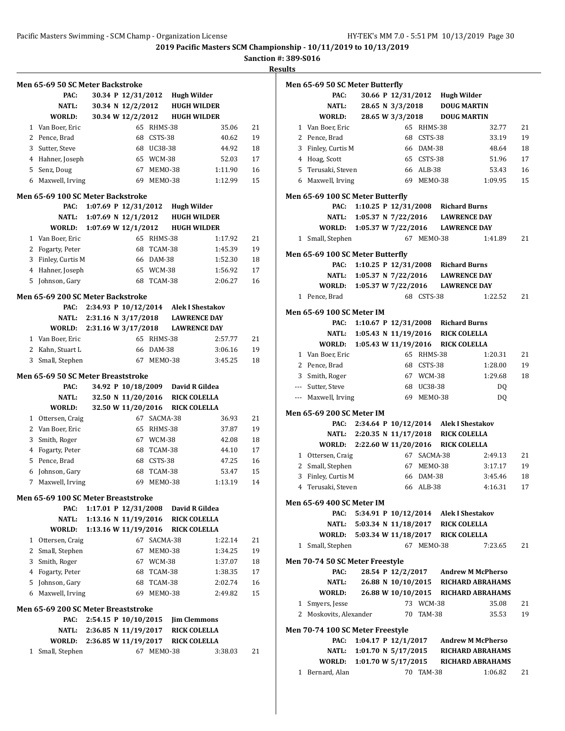**Sanction #: 389-S016**

**Results**

|              | Men 65-69 50 SC Meter Backstroke            |                        |                    |            |                                            |         |    |
|--------------|---------------------------------------------|------------------------|--------------------|------------|--------------------------------------------|---------|----|
|              | PAC:                                        |                        | 30.34 P 12/31/2012 |            | Hugh Wilder                                |         |    |
|              | NATL:                                       |                        | 30.34 N 12/2/2012  |            | <b>HUGH WILDER</b>                         |         |    |
|              | WORLD:                                      |                        | 30.34 W 12/2/2012  |            | <b>HUGH WILDER</b>                         |         |    |
| 1            | Van Boer, Eric                              |                        | 65                 | RHMS-38    |                                            | 35.06   | 21 |
|              | 2 Pence, Brad                               |                        | 68                 | CSTS-38    |                                            | 40.62   | 19 |
| 3            | Sutter, Steve                               |                        | 68                 | UC38-38    |                                            | 44.92   | 18 |
|              | 4 Hahner, Joseph                            |                        | 65                 | WCM-38     |                                            | 52.03   | 17 |
| 5            | Senz, Doug                                  |                        | 67                 | MEMO-38    |                                            | 1:11.90 | 16 |
| 6            | Maxwell, Irving                             |                        | 69                 | MEMO-38    |                                            | 1:12.99 | 15 |
|              | Men 65-69 100 SC Meter Backstroke           |                        |                    |            |                                            |         |    |
|              | PAC:                                        | 1:07.69 P $12/31/2012$ |                    |            | Hugh Wilder                                |         |    |
|              | NATL:                                       | 1:07.69 N $12/1/2012$  |                    |            | <b>HUGH WILDER</b>                         |         |    |
|              | WORLD:                                      | 1:07.69 W 12/1/2012    |                    |            | <b>HUGH WILDER</b>                         |         |    |
|              | 1 Van Boer, Eric                            |                        |                    | 65 RHMS-38 |                                            | 1:17.92 | 21 |
|              | 2 Fogarty, Peter                            |                        | 68                 | TCAM-38    |                                            | 1:45.39 | 19 |
| 3            | Finley, Curtis M                            |                        | 66                 | DAM-38     |                                            | 1:52.30 | 18 |
| 4            | Hahner, Joseph                              |                        | 65                 | WCM-38     |                                            | 1:56.92 | 17 |
| 5            | Johnson, Gary                               |                        | 68                 | TCAM-38    |                                            | 2:06.27 | 16 |
|              | Men 65-69 200 SC Meter Backstroke           |                        |                    |            |                                            |         |    |
|              | PAC:                                        |                        |                    |            | 2:34.93 P 10/12/2014 Alek I Shestakov      |         |    |
|              | NATL:                                       | 2:31.16 N 3/17/2018    |                    |            | <b>LAWRENCE DAY</b>                        |         |    |
|              | WORLD:                                      | 2:31.16 W 3/17/2018    |                    |            | <b>LAWRENCE DAY</b>                        |         |    |
|              | 1 Van Boer, Eric                            |                        |                    | 65 RHMS-38 |                                            | 2:57.77 | 21 |
|              | 2 Kahn, Stuart L                            |                        | 66                 | DAM-38     |                                            | 3:06.16 | 19 |
| 3            | Small, Stephen                              |                        |                    | 67 MEM0-38 |                                            | 3:45.25 | 18 |
|              |                                             |                        |                    |            |                                            |         |    |
|              | Men 65-69 50 SC Meter Breaststroke          |                        |                    |            |                                            |         |    |
|              | PAC:                                        |                        | 32.50 N 11/20/2016 |            | 34.92 P 10/18/2009 David R Gildea          |         |    |
|              | NATL:<br>WORLD:                             |                        | 32.50 W 11/20/2016 |            | <b>RICK COLELLA</b><br><b>RICK COLELLA</b> |         |    |
| $\mathbf{1}$ | Ottersen, Craig                             |                        | 67                 | SACMA-38   |                                            | 36.93   | 21 |
|              | 2 Van Boer, Eric                            |                        | 65                 | RHMS-38    |                                            | 37.87   | 19 |
| 3            | Smith, Roger                                |                        |                    | 67 WCM-38  |                                            | 42.08   | 18 |
| 4            | Fogarty, Peter                              |                        | 68                 | TCAM-38    |                                            | 44.10   | 17 |
| 5.           | Pence, Brad                                 |                        |                    | 68 CSTS-38 |                                            | 47.25   | 16 |
|              | 6 Johnson, Gary                             |                        | 68                 | TCAM-38    |                                            | 53.47   | 15 |
| $7^{\circ}$  | Maxwell, Irving                             |                        | 69                 | MEMO-38    |                                            | 1:13.19 | 14 |
|              |                                             |                        |                    |            |                                            |         |    |
|              | Men 65-69 100 SC Meter Breaststroke<br>PAC: | 1:17.01 P $12/31/2008$ |                    |            | David R Gildea                             |         |    |
|              | <b>NATL:</b>                                | 1:13.16 N 11/19/2016   |                    |            | <b>RICK COLELLA</b>                        |         |    |
|              | WORLD:                                      | 1:13.16 W 11/19/2016   |                    |            | <b>RICK COLELLA</b>                        |         |    |
| $\mathbf{1}$ | Ottersen, Craig                             |                        | 67                 | SACMA-38   |                                            | 1:22.14 | 21 |
|              | 2 Small, Stephen                            |                        | 67                 | MEMO-38    |                                            | 1:34.25 | 19 |
| 3            | Smith, Roger                                |                        |                    | 67 WCM-38  |                                            | 1:37.07 | 18 |
|              | 4 Fogarty, Peter                            |                        |                    | 68 TCAM-38 |                                            | 1:38.35 | 17 |
|              | 5 Johnson, Gary                             |                        | 68                 | TCAM-38    |                                            | 2:02.74 | 16 |
| 6            | Maxwell, Irving                             |                        | 69                 | MEMO-38    |                                            | 2:49.82 | 15 |
|              |                                             |                        |                    |            |                                            |         |    |
|              | Men 65-69 200 SC Meter Breaststroke         |                        |                    |            |                                            |         |    |
|              | PAC:                                        | 2:54.15 P 10/10/2015   |                    |            | <b>Jim Clemmons</b>                        |         |    |
|              | NATL:                                       | 2:36.85 N 11/19/2017   |                    |            | <b>RICK COLELLA</b>                        |         |    |
| 1            | WORLD:<br>Small, Stephen                    | 2:36.85 W 11/19/2017   |                    | 67 MEMO-38 | <b>RICK COLELLA</b>                        | 3:38.03 | 21 |
|              |                                             |                        |                    |            |                                            |         |    |
|              |                                             |                        |                    |            |                                            |         |    |

|              | Men 65-69 50 SC Meter Butterfly          |                       |                    |             |                                                               |                                     |          |
|--------------|------------------------------------------|-----------------------|--------------------|-------------|---------------------------------------------------------------|-------------------------------------|----------|
|              | PAC:                                     |                       |                    |             | 30.66 P 12/31/2012 Hugh Wilder                                |                                     |          |
|              | NATL:                                    |                       | 28.65 N 3/3/2018   |             | <b>DOUG MARTIN</b>                                            |                                     |          |
|              | WORLD:                                   |                       | 28.65 W 3/3/2018   |             | <b>DOUG MARTIN</b>                                            |                                     |          |
|              | 1 Van Boer, Eric                         |                       | 65                 | RHMS-38     |                                                               | 32.77                               | 21       |
|              | 2 Pence, Brad                            |                       |                    | 68 CSTS-38  |                                                               | 33.19                               | 19       |
| 3            | Finley, Curtis M                         |                       |                    | 66 DAM-38   |                                                               | 48.64                               | 18       |
|              | 4 Hoag, Scott                            |                       |                    | 65 CSTS-38  |                                                               | 51.96                               | 17       |
| 5            | Terusaki, Steven                         |                       |                    | 66 ALB-38   |                                                               | 53.43                               | 16       |
|              | 6 Maxwell, Irving                        |                       |                    | 69 MEMO-38  |                                                               | 1:09.95                             | 15       |
|              |                                          |                       |                    |             |                                                               |                                     |          |
|              | Men 65-69 100 SC Meter Butterfly<br>PAC: |                       |                    |             | 1:10.25 P 12/31/2008 Richard Burns                            |                                     |          |
|              |                                          |                       |                    |             |                                                               |                                     |          |
|              |                                          |                       |                    |             | NATL: 1:05.37 N 7/22/2016 LAWRENCE DAY<br><b>LAWRENCE DAY</b> |                                     |          |
|              | WORLD: 1:05.37 W 7/22/2016               |                       |                    |             |                                                               |                                     |          |
| $\mathbf{1}$ | Small, Stephen                           |                       | 67                 | MEMO-38     |                                                               | 1:41.89                             | 21       |
|              | Men 65-69 100 SC Meter Butterfly         |                       |                    |             |                                                               |                                     |          |
|              | PAC:                                     |                       |                    |             | 1:10.25 P 12/31/2008 Richard Burns                            |                                     |          |
|              | NATL:                                    | 1:05.37 N $7/22/2016$ |                    |             | <b>LAWRENCE DAY</b>                                           |                                     |          |
|              | <b>WORLD:</b>                            | 1:05.37 W 7/22/2016   |                    |             | <b>LAWRENCE DAY</b>                                           |                                     |          |
|              | 1 Pence, Brad                            |                       |                    | 68 CSTS-38  |                                                               | 1:22.52                             | 21       |
|              |                                          |                       |                    |             |                                                               |                                     |          |
|              | <b>Men 65-69 100 SC Meter IM</b>         |                       |                    |             |                                                               |                                     |          |
|              | PAC:                                     |                       |                    |             | 1:10.67 P 12/31/2008 Richard Burns                            |                                     |          |
|              | NATL:                                    | 1:05.43 N 11/19/2016  |                    |             | <b>RICK COLELLA</b>                                           |                                     |          |
|              | WORLD:                                   | 1:05.43 W 11/19/2016  |                    |             | <b>RICK COLELLA</b>                                           |                                     |          |
|              | 1 Van Boer, Eric                         |                       |                    | 65 RHMS-38  |                                                               | 1:20.31                             | 21       |
|              | 2 Pence, Brad                            |                       |                    | 68 CSTS-38  |                                                               | 1:28.00                             | 19       |
|              | 3 Smith, Roger                           |                       |                    | 67 WCM-38   |                                                               | 1:29.68                             | 18       |
|              | --- Sutter, Steve                        |                       |                    | 68 UC38-38  |                                                               | DQ                                  |          |
|              | --- Maxwell, Irving                      |                       |                    | 69 MEMO-38  |                                                               | DQ                                  |          |
|              | <b>Men 65-69 200 SC Meter IM</b>         |                       |                    |             |                                                               |                                     |          |
|              | PAC:                                     |                       |                    |             | 2:34.64 P 10/12/2014 Alek I Shestakov                         |                                     |          |
|              | NATL:                                    | 2:20.35 N 11/17/2018  |                    |             | <b>RICK COLELLA</b>                                           |                                     |          |
|              | WORLD: 2:22.60 W 11/20/2016              |                       |                    |             | <b>RICK COLELLA</b>                                           |                                     |          |
|              | 1 Ottersen, Craig                        |                       |                    | 67 SACMA-38 |                                                               | 2:49.13                             | 21       |
|              | 2 Small, Stephen                         |                       |                    | 67 MEMO-38  |                                                               | 3:17.17                             | 19       |
| 3            | Finley, Curtis M                         |                       |                    | 66 DAM-38   |                                                               | 3:45.46                             | 18       |
| 4            | Terusaki, Steven                         |                       |                    | 66 ALB-38   |                                                               | 4:16.31                             | 17       |
|              |                                          |                       |                    |             |                                                               |                                     |          |
|              | <b>Men 65-69 400 SC Meter IM</b>         |                       |                    |             |                                                               |                                     |          |
|              | PAC:                                     |                       |                    |             | 5:34.91 P 10/12/2014 Alek I Shestakov                         |                                     |          |
|              | NATL:                                    | 5:03.34 N 11/18/2017  |                    |             | <b>RICK COLELLA</b>                                           |                                     |          |
|              | <b>WORLD:</b>                            | 5:03.34 W 11/18/2017  |                    |             | <b>RICK COLELLA</b>                                           |                                     |          |
| $\mathbf{1}$ | Small, Stephen                           |                       |                    | 67 MEM0-38  |                                                               | 7:23.65                             | 21       |
|              | Men 70-74 50 SC Meter Freestyle          |                       |                    |             |                                                               |                                     |          |
|              | PAC:                                     |                       | 28.54 P 12/2/2017  |             |                                                               | <b>Andrew M McPherso</b>            |          |
|              | NATL:                                    |                       | 26.88 N 10/10/2015 |             |                                                               | <b>RICHARD ABRAHAMS</b>             |          |
|              | WORLD:                                   |                       |                    |             |                                                               | 26.88 W 10/10/2015 RICHARD ABRAHAMS |          |
| 1            | Smyers, Jesse                            |                       |                    | 73 WCM-38   |                                                               | 35.08                               |          |
|              | 2 Moskovits, Alexander                   |                       |                    | 70 TAM-38   |                                                               | 35.53                               | 21<br>19 |
|              |                                          |                       |                    |             |                                                               |                                     |          |
|              | Men 70-74 100 SC Meter Freestyle         |                       |                    |             |                                                               |                                     |          |
|              | PAC:                                     | 1:04.17 P 12/1/2017   |                    |             |                                                               | <b>Andrew M McPherso</b>            |          |
|              | NATL:                                    | 1:01.70 N $5/17/2015$ |                    |             |                                                               | <b>RICHARD ABRAHAMS</b>             |          |
|              | WORLD: 1:01.70 W 5/17/2015               |                       |                    |             |                                                               | <b>RICHARD ABRAHAMS</b>             |          |

1 Bernard, Alan 70 TAM-38 1:06.82 21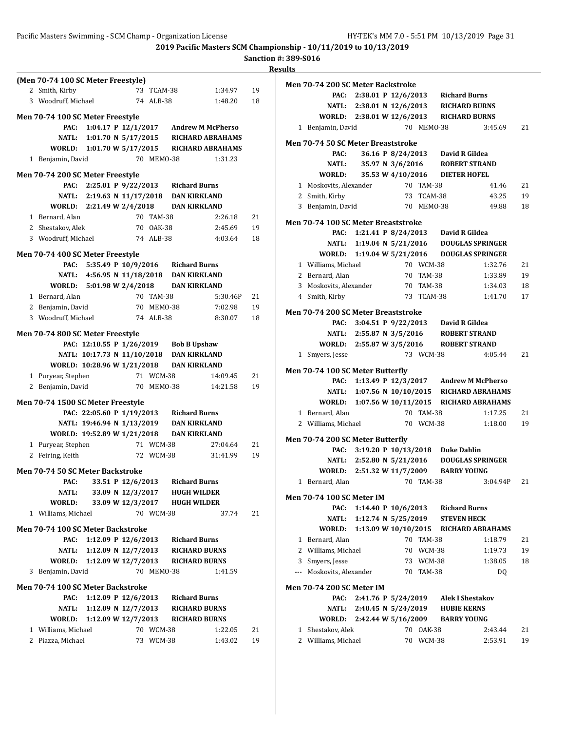|              | (Men 70-74 100 SC Meter Freestyle)        |                             |                   |                        |                                                                                     |          |    |
|--------------|-------------------------------------------|-----------------------------|-------------------|------------------------|-------------------------------------------------------------------------------------|----------|----|
|              | 2 Smith, Kirby                            |                             |                   | 73 TCAM-38             |                                                                                     | 1:34.97  | 19 |
|              | 3 Woodruff, Michael                       |                             |                   | 74 ALB-38              |                                                                                     | 1:48.20  | 18 |
|              | Men 70-74 100 SC Meter Freestyle          |                             |                   |                        |                                                                                     |          |    |
|              | PAC:                                      |                             |                   |                        | 1:04.17 P 12/1/2017 Andrew M McPherso                                               |          |    |
|              |                                           |                             |                   |                        | NATL: 1:01.70 N 5/17/2015 RICHARD ABRAHAMS                                          |          |    |
|              |                                           |                             |                   |                        | WORLD: 1:01.70 W 5/17/2015 RICHARD ABRAHAMS                                         |          |    |
|              | 1 Benjamin, David                         |                             |                   | 70 MEMO-38             |                                                                                     | 1:31.23  |    |
|              | Men 70-74 200 SC Meter Freestyle          |                             |                   |                        |                                                                                     |          |    |
|              |                                           |                             |                   |                        | PAC: 2:25.01 P 9/22/2013 Richard Burns                                              |          |    |
|              |                                           | NATL: 2:19.63 N 11/17/2018  |                   |                        | <b>DAN KIRKLAND</b>                                                                 |          |    |
|              |                                           | WORLD: 2:21.49 W 2/4/2018   |                   |                        | DAN KIRKLAND                                                                        |          |    |
|              | 1 Bernard, Alan                           |                             |                   | 70 TAM-38              |                                                                                     | 2:26.18  | 21 |
|              | 2 Shestakov, Alek                         |                             |                   | 70 OAK-38              |                                                                                     | 2:45.69  | 19 |
|              | 3 Woodruff, Michael                       |                             |                   | 74 ALB-38              |                                                                                     | 4:03.64  | 18 |
|              |                                           |                             |                   |                        |                                                                                     |          |    |
|              | Men 70-74 400 SC Meter Freestyle          |                             |                   |                        |                                                                                     |          |    |
|              |                                           |                             |                   |                        | PAC: 5:35.49 P 10/9/2016 Richard Burns                                              |          |    |
|              |                                           |                             |                   |                        | NATL: 4:56.95 N 11/18/2018 DAN KIRKLAND                                             |          |    |
|              |                                           | WORLD: 5:01.98 W 2/4/2018   |                   |                        | <b>DAN KIRKLAND</b>                                                                 |          |    |
|              | 1 Bernard, Alan                           |                             |                   | 70 TAM-38              |                                                                                     | 5:30.46P | 21 |
|              | 2 Benjamin, David                         |                             |                   | 70 MEMO-38             |                                                                                     | 7:02.98  | 19 |
|              | 3 Woodruff, Michael                       |                             |                   | 74 ALB-38              |                                                                                     | 8:30.07  | 18 |
|              | Men 70-74 800 SC Meter Freestyle          |                             |                   |                        |                                                                                     |          |    |
|              |                                           |                             |                   |                        | PAC: 12:10.55 P 1/26/2019 Bob B Upshaw                                              |          |    |
|              |                                           |                             |                   |                        | NATL: 10:17.73 N 11/10/2018 DAN KIRKLAND                                            |          |    |
|              |                                           | WORLD: 10:28.96 W 1/21/2018 |                   |                        | <b>DAN KIRKLAND</b>                                                                 |          |    |
|              | 1 Puryear, Stephen                        |                             |                   | 71 WCM-38              |                                                                                     | 14:09.45 | 21 |
|              | 2 Benjamin, David                         |                             |                   | 70 MEMO-38             |                                                                                     | 14:21.58 | 19 |
|              |                                           |                             |                   |                        |                                                                                     |          |    |
|              | Men 70-74 1500 SC Meter Freestyle         |                             |                   |                        | PAC: 22:05.60 P 1/19/2013 Richard Burns                                             |          |    |
|              |                                           |                             |                   |                        |                                                                                     |          |    |
|              |                                           |                             |                   |                        | NATL: 19:46.94 N 1/13/2019 DAN KIRKLAND<br>WORLD: 19:52.89 W 1/21/2018 DAN KIRKLAND |          |    |
|              | 1 Puryear, Stephen                        |                             |                   | 71 WCM-38              |                                                                                     | 27:04.64 | 21 |
|              | 2 Feiring, Keith                          |                             |                   | 72 WCM-38              |                                                                                     | 31:41.99 | 19 |
|              |                                           |                             |                   |                        |                                                                                     |          |    |
|              | Men 70-74 50 SC Meter Backstroke          |                             |                   |                        |                                                                                     |          |    |
|              |                                           |                             |                   |                        | PAC: 33.51 P 12/6/2013 Richard Burns                                                |          |    |
|              | NATL:                                     |                             | 33.09 N 12/3/2017 |                        | <b>HUGH WILDER</b>                                                                  |          |    |
|              | WORLD:                                    |                             | 33.09 W 12/3/2017 |                        | <b>HUGH WILDER</b>                                                                  |          |    |
|              | 1 Williams, Michael                       |                             |                   | 70 WCM-38              |                                                                                     | 37.74    | 21 |
|              | Men 70-74 100 SC Meter Backstroke         |                             |                   |                        |                                                                                     |          |    |
|              | PAC:                                      |                             |                   |                        | 1:12.09 P 12/6/2013 Richard Burns                                                   |          |    |
|              | NATL:                                     | 1:12.09 N 12/7/2013         |                   |                        | <b>RICHARD BURNS</b>                                                                |          |    |
|              | WORLD:                                    | 1:12.09 W 12/7/2013         |                   |                        | <b>RICHARD BURNS</b>                                                                |          |    |
| 3            | Benjamin, David                           |                             |                   | 70 MEMO-38             |                                                                                     | 1:41.59  |    |
|              |                                           |                             |                   |                        |                                                                                     |          |    |
|              | Men 70-74 100 SC Meter Backstroke<br>PAC: | 1:12.09 P 12/6/2013         |                   |                        | <b>Richard Burns</b>                                                                |          |    |
|              | NATL:                                     | 1:12.09 N 12/7/2013         |                   |                        | <b>RICHARD BURNS</b>                                                                |          |    |
|              | <b>WORLD:</b>                             | 1:12.09 W 12/7/2013         |                   |                        | <b>RICHARD BURNS</b>                                                                |          |    |
|              |                                           |                             |                   |                        |                                                                                     |          |    |
| $\mathbf{1}$ | Williams, Michael                         |                             |                   | 70 WCM-38<br>73 WCM-38 |                                                                                     | 1:22.05  | 21 |
|              | 2 Piazza, Michael                         |                             |                   |                        |                                                                                     | 1:43.02  | 19 |

|              | Men 70-74 200 SC Meter Backstroke          |                           |                     |                        |                                                         |                                              |          |
|--------------|--------------------------------------------|---------------------------|---------------------|------------------------|---------------------------------------------------------|----------------------------------------------|----------|
|              |                                            |                           |                     |                        | PAC: 2:38.01 P 12/6/2013 Richard Burns                  |                                              |          |
|              |                                            |                           |                     |                        | NATL: 2:38.01 N 12/6/2013 RICHARD BURNS                 |                                              |          |
|              | WORLD: 2:38.01 W 12/6/2013 RICHARD BURNS   |                           |                     |                        |                                                         |                                              |          |
|              | 1 Benjamin, David                          |                           |                     | 70 MEMO-38             |                                                         | 3:45.69                                      | 21       |
|              | Men 70-74 50 SC Meter Breaststroke         |                           |                     |                        |                                                         |                                              |          |
|              | PAC:                                       |                           |                     |                        | 36.16 P 8/24/2013 David R Gildea                        |                                              |          |
|              | NATL:                                      |                           | 35.97 N 3/6/2016    |                        | <b>ROBERT STRAND</b>                                    |                                              |          |
|              | WORLD:                                     |                           |                     |                        | 35.53 W 4/10/2016 DIETER HOFEL                          |                                              |          |
|              | 1 Moskovits, Alexander                     |                           |                     | 70 TAM-38              |                                                         | 41.46                                        | 21       |
|              | 2 Smith, Kirby                             |                           |                     | 73 TCAM-38             |                                                         | 43.25                                        | 19       |
|              | 3 Benjamin, David                          |                           |                     | 70 MEMO-38             |                                                         | 49.88                                        | 18       |
|              |                                            |                           |                     |                        |                                                         |                                              |          |
|              | Men 70-74 100 SC Meter Breaststroke        |                           |                     |                        |                                                         |                                              |          |
|              | PAC:                                       |                           |                     |                        | 1:21.41 P 8/24/2013 David R Gildea                      |                                              |          |
|              |                                            |                           |                     |                        |                                                         | NATL: 1:19.04 N 5/21/2016 DOUGLAS SPRINGER   |          |
|              |                                            |                           |                     |                        |                                                         | WORLD: 1:19.04 W 5/21/2016 DOUGLAS SPRINGER  |          |
|              | 1 Williams, Michael                        |                           |                     | 70 WCM-38<br>70 TAM-38 |                                                         | 1:32.76                                      | 21<br>19 |
|              | 2 Bernard, Alan<br>3 Moskovits, Alexander  |                           |                     | 70 TAM-38              |                                                         | 1:33.89<br>1:34.03                           | 18       |
|              | 4 Smith, Kirby                             |                           |                     | 73 TCAM-38             |                                                         | 1:41.70                                      | 17       |
|              |                                            |                           |                     |                        |                                                         |                                              |          |
|              | <b>Men 70-74 200 SC Meter Breaststroke</b> |                           |                     |                        |                                                         |                                              |          |
|              | PAC:                                       |                           |                     |                        | 3:04.51 P 9/22/2013 David R Gildea                      |                                              |          |
|              |                                            |                           |                     |                        | NATL: 2:55.87 N 3/5/2016 ROBERT STRAND                  |                                              |          |
|              | WORLD: 2:55.87 W 3/5/2016 ROBERT STRAND    |                           |                     |                        |                                                         |                                              |          |
| 1            | Smyers, Jesse                              |                           |                     | 73 WCM-38              |                                                         | 4:05.44                                      | 21       |
|              | Men 70-74 100 SC Meter Butterfly           |                           |                     |                        |                                                         |                                              |          |
|              |                                            |                           |                     |                        |                                                         | PAC: 1:13.49 P 12/3/2017 Andrew M McPherso   |          |
|              |                                            |                           |                     |                        |                                                         | NATL: 1:07.56 N 10/10/2015 RICHARD ABRAHAMS  |          |
|              |                                            |                           |                     |                        |                                                         | WORLD: 1:07.56 W 10/11/2015 RICHARD ABRAHAMS |          |
|              | 1 Bernard, Alan                            |                           |                     | 70 TAM-38              |                                                         | 1:17.25                                      | 21       |
|              | 2 Williams, Michael                        |                           |                     | 70 WCM-38              |                                                         | 1:18.00                                      | 19       |
|              | Men 70-74 200 SC Meter Butterfly           |                           |                     |                        |                                                         |                                              |          |
|              |                                            |                           |                     |                        | PAC: 3:19.20 P 10/13/2018 Duke Dahlin                   |                                              |          |
|              |                                            |                           |                     |                        |                                                         | NATL: 2:52.80 N 5/21/2016 DOUGLAS SPRINGER   |          |
|              | WORLD: 2:51.32 W 11/7/2009 BARRY YOUNG     |                           |                     |                        |                                                         |                                              |          |
|              | 1 Bernard, Alan                            |                           |                     | 70 TAM-38              |                                                         | 3:04.94P                                     | 21       |
|              |                                            |                           |                     |                        |                                                         |                                              |          |
|              | <b>Men 70-74 100 SC Meter IM</b>           |                           |                     |                        |                                                         |                                              |          |
|              | PAC:<br>NATL:                              |                           | 1:12.74 N 5/25/2019 |                        | 1:14.40 P 10/6/2013 Richard Burns<br><b>STEVEN HECK</b> |                                              |          |
|              | <b>WORLD:</b>                              |                           |                     |                        |                                                         | 1:13.09 W 10/10/2015 RICHARD ABRAHAMS        |          |
|              | 1 Bernard, Alan                            |                           |                     | 70 TAM-38              |                                                         | 1:18.79                                      | 21       |
|              | 2 Williams, Michael                        |                           |                     | 70 WCM-38              |                                                         | 1:19.73                                      | 19       |
|              | 3 Smyers, Jesse                            |                           |                     | 73 WCM-38              |                                                         | 1:38.05                                      | 18       |
|              | --- Moskovits, Alexander                   |                           |                     | 70 TAM-38              |                                                         | DQ                                           |          |
|              |                                            |                           |                     |                        |                                                         |                                              |          |
|              | Men 70-74 200 SC Meter IM                  |                           |                     |                        |                                                         |                                              |          |
|              | PAC:                                       | 2:41.76 P 5/24/2019       |                     |                        | <b>Alek I Shestakov</b>                                 |                                              |          |
|              |                                            | NATL: 2:40.45 N 5/24/2019 |                     |                        | <b>HUBIE KERNS</b>                                      |                                              |          |
|              | WORLD: 2:42.44 W 5/16/2009 BARRY YOUNG     |                           |                     |                        |                                                         |                                              |          |
| $\mathbf{1}$ | Shestakov, Alek                            |                           |                     | 70 OAK-38              |                                                         | 2:43.44                                      | 21       |
|              | 2 Williams, Michael                        |                           |                     | 70 WCM-38              |                                                         | 2:53.91                                      | 19       |
|              |                                            |                           |                     |                        |                                                         |                                              |          |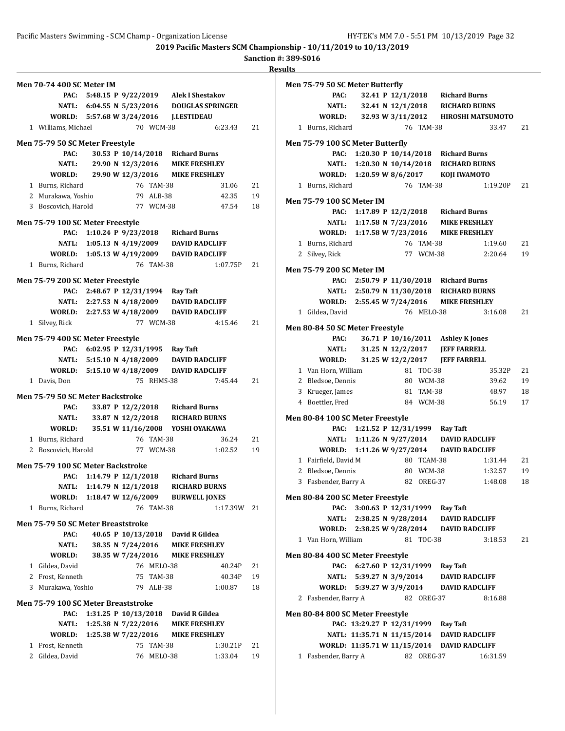**Sanction #: 389-S016**

| <b>Men 70-74 400 SC Meter IM</b>    |                                    |                   |            |                                            |             |    |
|-------------------------------------|------------------------------------|-------------------|------------|--------------------------------------------|-------------|----|
|                                     |                                    |                   |            | PAC: 5:48.15 P 9/22/2019 Alek I Shestakov  |             |    |
|                                     |                                    |                   |            | NATL: 6:04.55 N 5/23/2016 DOUGLAS SPRINGER |             |    |
|                                     |                                    |                   |            | WORLD: 5:57.68 W 3/24/2016 J.LESTIDEAU     |             |    |
| 1 Williams, Michael                 |                                    |                   | 70 WCM-38  |                                            | 6:23.43     | 21 |
| Men 75-79 50 SC Meter Freestyle     |                                    |                   |            |                                            |             |    |
| PAC:                                |                                    |                   |            | 30.53 P 10/14/2018 Richard Burns           |             |    |
| NATL:                               |                                    |                   |            | 29.90 N 12/3/2016 MIKE FRESHLEY            |             |    |
|                                     |                                    |                   |            | WORLD: 29.90 W 12/3/2016 MIKE FRESHLEY     |             |    |
| 1 Burns, Richard                    |                                    |                   | 76 TAM-38  |                                            | 31.06       | 21 |
| 2 Murakawa, Yoshio                  |                                    | 79 ALB-38         |            |                                            | 42.35       | 19 |
| 3 Boscovich, Harold                 |                                    | 77 WCM-38         |            |                                            | 47.54       | 18 |
| Men 75-79 100 SC Meter Freestyle    |                                    |                   |            |                                            |             |    |
|                                     |                                    |                   |            | PAC: 1:10.24 P 9/23/2018 Richard Burns     |             |    |
|                                     |                                    |                   |            | NATL: 1:05.13 N 4/19/2009 DAVID RADCLIFF   |             |    |
|                                     |                                    |                   |            | WORLD: 1:05.13 W 4/19/2009 DAVID RADCLIFF  |             |    |
| 1 Burns, Richard                    |                                    |                   | 76 TAM-38  |                                            | 1:07.75P    | 21 |
|                                     |                                    |                   |            |                                            |             |    |
| Men 75-79 200 SC Meter Freestyle    |                                    |                   |            | PAC: 2:48.67 P 12/31/1994 Ray Taft         |             |    |
|                                     | NATL: 2:27.53 N 4/18/2009          |                   |            | <b>DAVID RADCLIFF</b>                      |             |    |
| WORLD: 2:27.53 W 4/18/2009          |                                    |                   |            | <b>DAVID RADCLIFF</b>                      |             |    |
| 1 Silvey, Rick                      |                                    |                   | 77 WCM-38  |                                            | 4:15.46     | 21 |
|                                     |                                    |                   |            |                                            |             |    |
| Men 75-79 400 SC Meter Freestyle    |                                    |                   |            |                                            |             |    |
|                                     | PAC: 6:02.95 P 12/31/1995 Ray Taft |                   |            |                                            |             |    |
|                                     |                                    |                   |            | NATL: 5:15.10 N 4/18/2009 DAVID RADCLIFF   |             |    |
| 1 Davis, Don                        |                                    |                   | 75 RHMS-38 | WORLD: 5:15.10 W 4/18/2009 DAVID RADCLIFF  | 7:45.44     | 21 |
|                                     |                                    |                   |            |                                            |             |    |
| Men 75-79 50 SC Meter Backstroke    |                                    |                   |            |                                            |             |    |
| PAC:                                |                                    |                   |            | 33.87 P 12/2/2018 Richard Burns            |             |    |
|                                     |                                    |                   |            | NATL: 33.87 N 12/2/2018 RICHARD BURNS      |             |    |
|                                     |                                    |                   |            | WORLD: 35.51 W 11/16/2008 YOSHI OYAKAWA    |             |    |
| 1 Burns, Richard                    |                                    |                   | 76 TAM-38  |                                            | 36.24       | 21 |
| 2 Boscovich, Harold                 |                                    |                   | 77 WCM-38  |                                            | 1:02.52     | 19 |
| Men 75-79 100 SC Meter Backstroke   |                                    |                   |            |                                            |             |    |
|                                     |                                    |                   |            | PAC: 1:14.79 P 12/1/2018 Richard Burns     |             |    |
|                                     | NATL: 1:14.79 N 12/1/2018          |                   |            | <b>RICHARD BURNS</b>                       |             |    |
| WORLD:                              | 1:18.47 W 12/6/2009                |                   |            | <b>BURWELL JONES</b>                       |             |    |
| 1 Burns, Richard                    |                                    |                   | 76 TAM-38  |                                            | 1:17.39W 21 |    |
| Men 75-79 50 SC Meter Breaststroke  |                                    |                   |            |                                            |             |    |
| PAC:                                |                                    |                   |            | 40.65 P 10/13/2018 David R Gildea          |             |    |
| NATL:                               |                                    | 38.35 N 7/24/2016 |            | <b>MIKE FRESHLEY</b>                       |             |    |
| <b>WORLD:</b>                       |                                    | 38.35 W 7/24/2016 |            | <b>MIKE FRESHLEY</b>                       |             |    |
| 1 Gildea, David                     |                                    |                   | 76 MELO-38 |                                            | 40.24P      | 21 |
| 2 Frost, Kenneth                    |                                    |                   | 75 TAM-38  |                                            | 40.34P      | 19 |
| 3 Murakawa, Yoshio                  |                                    |                   | 79 ALB-38  |                                            | 1:00.87     | 18 |
| Men 75-79 100 SC Meter Breaststroke |                                    |                   |            |                                            |             |    |
| PAC:                                | 1:31.25 P $10/13/2018$             |                   |            | David R Gildea                             |             |    |
| NATL:                               | 1:25.38 N 7/22/2016                |                   |            | <b>MIKE FRESHLEY</b>                       |             |    |
| WORLD: 1:25.38 W 7/22/2016          |                                    |                   |            | <b>MIKE FRESHLEY</b>                       |             |    |
| 1 Frost, Kenneth                    |                                    |                   | 75 TAM-38  |                                            | 1:30.21P    | 21 |
| 2 Gildea, David                     |                                    |                   | 76 MELO-38 |                                            | 1:33.04     | 19 |

| Men 75-79 50 SC Meter Butterfly  |                             |                     |            |                                          |                          |    |
|----------------------------------|-----------------------------|---------------------|------------|------------------------------------------|--------------------------|----|
| PAC:                             |                             |                     |            | 32.41 P 12/1/2018 Richard Burns          |                          |    |
| NATL:                            |                             |                     |            | 32.41 N 12/1/2018 RICHARD BURNS          |                          |    |
| WORLD:                           |                             | 32.93 W 3/11/2012   |            |                                          | <b>HIROSHI MATSUMOTO</b> |    |
| 1 Burns, Richard                 |                             |                     | 76 TAM-38  |                                          | 33.47                    | 21 |
| Men 75-79 100 SC Meter Butterfly |                             |                     |            |                                          |                          |    |
|                                  |                             |                     |            | 1:20.30 P 10/14/2018 Richard Burns       |                          |    |
| PAC:                             |                             |                     |            | 1:20.30 N 10/14/2018 RICHARD BURNS       |                          |    |
| NATL:                            |                             |                     |            |                                          |                          |    |
| WORLD: 1:20.59 W 8/6/2017        |                             |                     |            | <b>KOJI IWAMOTO</b>                      |                          |    |
| 1 Burns, Richard                 |                             |                     | 76 TAM-38  |                                          | 1:19.20P                 | 21 |
| Men 75-79 100 SC Meter IM        |                             |                     |            |                                          |                          |    |
|                                  |                             |                     |            | PAC: 1:17.89 P 12/2/2018 Richard Burns   |                          |    |
| NATL:                            |                             | 1:17.58 N 7/23/2016 |            | <b>MIKE FRESHLEY</b>                     |                          |    |
|                                  |                             |                     |            | WORLD: 1:17.58 W 7/23/2016 MIKE FRESHLEY |                          |    |
| 1 Burns, Richard                 |                             |                     | 76 TAM-38  |                                          | 1:19.60                  | 21 |
| 2 Silvey, Rick                   |                             |                     | 77 WCM-38  |                                          | 2:20.64                  | 19 |
|                                  |                             |                     |            |                                          |                          |    |
| <b>Men 75-79 200 SC Meter IM</b> |                             |                     |            |                                          |                          |    |
|                                  |                             |                     |            | PAC: 2:50.79 P 11/30/2018 Richard Burns  |                          |    |
|                                  |                             |                     |            | NATL: 2:50.79 N 11/30/2018 RICHARD BURNS |                          |    |
| WORLD: 2:55.45 W 7/24/2016       |                             |                     |            | <b>MIKE FRESHLEY</b>                     |                          |    |
| 1 Gildea, David                  |                             |                     | 76 MELO-38 |                                          | 3:16.08                  | 21 |
| Men 80-84 50 SC Meter Freestyle  |                             |                     |            |                                          |                          |    |
| PAC:                             |                             |                     |            | 36.71 P 10/16/2011 Ashley K Jones        |                          |    |
| <b>NATL:</b>                     |                             | 31.25 N 12/2/2017   |            | <b>JEFF FARRELL</b>                      |                          |    |
| WORLD:                           |                             | 31.25 W 12/2/2017   |            | <b>JEFF FARRELL</b>                      |                          |    |
| 1 Van Horn, William              |                             |                     | 81 TOC-38  |                                          | 35.32P                   | 21 |
| 2 Bledsoe, Dennis                |                             |                     | 80 WCM-38  |                                          | 39.62                    | 19 |
| 3 Krueger, James                 |                             |                     | 81 TAM-38  |                                          | 48.97                    | 18 |
| 4 Boettler, Fred                 |                             |                     | 84 WCM-38  |                                          | 56.19                    | 17 |
|                                  |                             |                     |            |                                          |                          |    |
| Men 80-84 100 SC Meter Freestyle |                             |                     |            |                                          |                          |    |
| PAC:                             |                             |                     |            | 1:21.52 P 12/31/1999 Ray Taft            |                          |    |
|                                  |                             |                     |            | NATL: 1:11.26 N 9/27/2014 DAVID RADCLIFF |                          |    |
| <b>WORLD:</b>                    |                             |                     |            | 1:11.26 W 9/27/2014 DAVID RADCLIFF       |                          |    |
| 1 Fairfield, David M             |                             |                     | 80 TCAM-38 |                                          | 1:31.44                  | 21 |
| 2 Bledsoe, Dennis                |                             |                     | 80 WCM-38  |                                          | 1:32.57                  | 19 |
| 3 Fasbender, Barry A             |                             |                     | 82 OREG-37 |                                          | 1:48.08                  | 18 |
|                                  |                             |                     |            |                                          |                          |    |
| Men 80-84 200 SC Meter Freestyle |                             |                     |            |                                          |                          |    |
| PAC:                             | 3:00.63 P 12/31/1999        |                     |            | <b>Ray Taft</b>                          |                          |    |
| NATL:                            | 2:38.25 N 9/28/2014         |                     |            | <b>DAVID RADCLIFF</b>                    |                          |    |
| WORLD: 2:38.25 W 9/28/2014       |                             |                     |            | <b>DAVID RADCLIFF</b>                    |                          |    |
| 1 Van Horn, William              |                             |                     | 81 TOC-38  |                                          | 3:18.53                  | 21 |
| Men 80-84 400 SC Meter Freestyle |                             |                     |            |                                          |                          |    |
|                                  |                             |                     |            | PAC: 6:27.60 P 12/31/1999 Ray Taft       |                          |    |
|                                  | NATL: 5:39.27 N 3/9/2014    |                     |            | <b>DAVID RADCLIFF</b>                    |                          |    |
| WORLD: 5:39.27 W 3/9/2014        |                             |                     |            | <b>DAVID RADCLIFF</b>                    |                          |    |
| 2 Fasbender, Barry A             |                             |                     | 82 OREG-37 |                                          | 8:16.88                  |    |
|                                  |                             |                     |            |                                          |                          |    |
| Men 80-84 800 SC Meter Freestyle |                             |                     |            |                                          |                          |    |
|                                  | PAC: 13:29.27 P 12/31/1999  |                     |            | <b>Ray Taft</b>                          |                          |    |
|                                  | NATL: 11:35.71 N 11/15/2014 |                     |            | <b>DAVID RADCLIFF</b>                    |                          |    |
| WORLD: 11:35.71 W 11/15/2014     |                             |                     |            | <b>DAVID RADCLIFF</b>                    |                          |    |
| 1 Fasbender, Barry A             |                             | 82 OREG-37          |            |                                          | 16:31.59                 |    |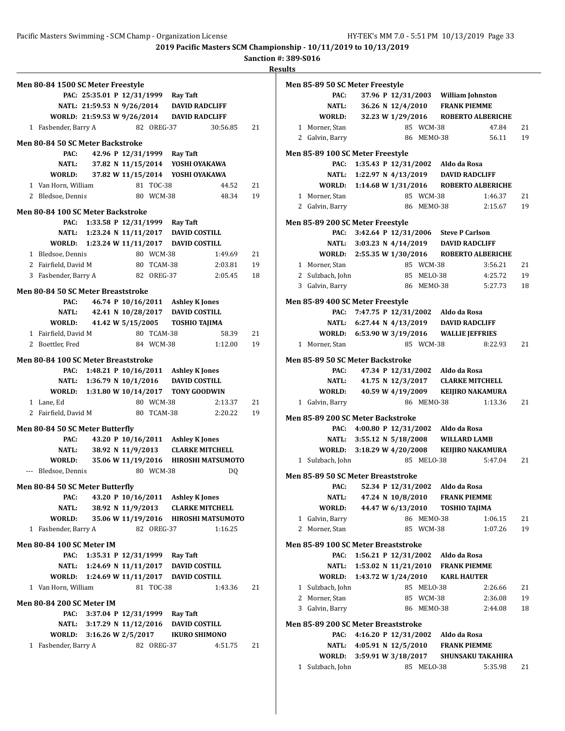**2019 Pacific Masters SCM Championship - 10/11/2019 to 10/13/2019**

**Sanction #: 389-S016**

**Results**

|                                     |  |                                                                        |                        |                          | Ņ  |
|-------------------------------------|--|------------------------------------------------------------------------|------------------------|--------------------------|----|
| Men 80-84 1500 SC Meter Freestyle   |  |                                                                        |                        |                          |    |
|                                     |  | PAC: 25:35.01 P 12/31/1999 Ray Taft                                    |                        |                          |    |
|                                     |  | NATL: 21:59.53 N 9/26/2014 DAVID RADCLIFF                              |                        |                          |    |
|                                     |  | WORLD: 21:59.53 W 9/26/2014 DAVID RADCLIFF                             |                        |                          |    |
| 1 Fasbender, Barry A                |  | 82 OREG-37                                                             |                        | 30:56.85                 | 21 |
| Men 80-84 50 SC Meter Backstroke    |  |                                                                        |                        |                          |    |
| PAC:                                |  | 42.96 P 12/31/1999 Ray Taft                                            |                        |                          |    |
| NATL:                               |  | 37.82 N 11/15/2014 YOSHI OYAKAWA                                       |                        |                          |    |
|                                     |  | WORLD: 37.82 W 11/15/2014 YOSHI OYAKAWA                                |                        |                          |    |
| 1 Van Horn, William                 |  | 81 TOC-38                                                              |                        | 44.52                    | 21 |
| 2 Bledsoe, Dennis                   |  | 80 WCM-38                                                              |                        | 48.34                    | 19 |
| Men 80-84 100 SC Meter Backstroke   |  |                                                                        |                        |                          |    |
|                                     |  | PAC: 1:33.58 P 12/31/1999 Ray Taft                                     |                        |                          |    |
|                                     |  | NATL: 1:23.24 N 11/11/2017 DAVID COSTILL                               |                        |                          |    |
|                                     |  | WORLD: 1:23.24 W 11/11/2017 DAVID COSTILL                              |                        |                          |    |
| 1 Bledsoe, Dennis                   |  | 80 WCM-38                                                              |                        | 1:49.69                  | 21 |
| 2 Fairfield, David M                |  | 80 TCAM-38                                                             |                        | 2:03.81                  | 19 |
| 3 Fasbender, Barry A                |  | 82 OREG-37                                                             |                        | 2:05.45                  | 18 |
|                                     |  |                                                                        |                        |                          |    |
| Men 80-84 50 SC Meter Breaststroke  |  |                                                                        |                        |                          |    |
| PAC:                                |  | 46.74 P 10/16/2011 Ashley K Jones                                      |                        |                          |    |
| NATL:                               |  | 42.41 N 10/28/2017 DAVID COSTILL                                       |                        |                          |    |
| WORLD:                              |  | 41.42 W 5/15/2005 TOSHIO TAJIMA                                        |                        |                          |    |
| 1 Fairfield, David M                |  | 80 TCAM-38                                                             |                        | 58.39                    | 21 |
| 2 Boettler, Fred                    |  | 84 WCM-38                                                              |                        | 1:12.00                  | 19 |
| Men 80-84 100 SC Meter Breaststroke |  |                                                                        |                        |                          |    |
|                                     |  | PAC: 1:48.21 P 10/16/2011 Ashley K Jones                               |                        |                          |    |
|                                     |  | NATL: 1:36.79 N 10/1/2016 DAVID COSTILL                                |                        |                          |    |
|                                     |  | WORLD: 1:31.80 W 10/14/2017 TONY GOODWIN                               |                        |                          |    |
| 1 Lane, Ed                          |  | 80 WCM-38                                                              |                        | 2:13.37                  | 21 |
| 2 Fairfield, David M                |  | 80 TCAM-38                                                             |                        | 2:20.22                  | 19 |
| Men 80-84 50 SC Meter Butterfly     |  |                                                                        |                        |                          |    |
| PAC:                                |  | 43.20 P 10/16/2011 Ashley K Jones                                      |                        |                          |    |
| NATL:                               |  | 38.92 N 11/9/2013                                                      | <b>CLARKE MITCHELL</b> |                          |    |
| WORLD:                              |  | 35.06 W 11/19/2016                                                     |                        | <b>HIROSHI MATSUMOTO</b> |    |
| --- Bledsoe, Dennis                 |  | 80 WCM-38                                                              |                        | DQ                       |    |
|                                     |  |                                                                        |                        |                          |    |
| Men 80-84 50 SC Meter Butterfly     |  |                                                                        |                        |                          |    |
| PAC:                                |  | 43.20 P 10/16/2011 Ashley K Jones<br>38.92 N 11/9/2013 CLARKE MITCHELL |                        |                          |    |
| <b>NATL:</b><br>WORLD:              |  | 35.06 W 11/19/2016 HIROSHI MATSUMOTO                                   |                        |                          |    |
| 1 Fasbender, Barry A                |  | 82 OREG-37                                                             |                        | 1:16.25                  |    |
|                                     |  |                                                                        |                        |                          |    |
| <b>Men 80-84 100 SC Meter IM</b>    |  |                                                                        |                        |                          |    |
| PAC:                                |  | 1:35.31 P 12/31/1999 Ray Taft                                          |                        |                          |    |
| NATL:                               |  | 1:24.69 N 11/11/2017 DAVID COSTILL                                     |                        |                          |    |
| WORLD:                              |  | 1:24.69 W 11/11/2017 DAVID COSTILL                                     |                        |                          |    |
| 1 Van Horn, William                 |  | 81 TOC-38                                                              |                        | 1:43.36                  | 21 |
| <b>Men 80-84 200 SC Meter IM</b>    |  |                                                                        |                        |                          |    |
| PAC:                                |  | 3:37.04 P 12/31/1999 Ray Taft                                          |                        |                          |    |
|                                     |  | NATL: 3:17.29 N 11/12/2016 DAVID COSTILL                               |                        |                          |    |
|                                     |  | WORLD: 3:16.26 W 2/5/2017                                              | IKURO SHIMONO          |                          |    |
| 1 Fasbender, Barry A                |  | 82 OREG-37                                                             |                        | 4:51.75                  | 21 |
|                                     |  |                                                                        |                        |                          |    |
|                                     |  |                                                                        |                        |                          |    |

|   | Men 85-89 50 SC Meter Freestyle         |                           |                    |            |                                              |         |    |
|---|-----------------------------------------|---------------------------|--------------------|------------|----------------------------------------------|---------|----|
|   | PAC:                                    |                           |                    |            | 37.96 P 12/31/2003 William Johnston          |         |    |
|   | NATL:                                   |                           |                    |            | 36.26 N 12/4/2010 FRANK PIEMME               |         |    |
|   | WORLD:                                  |                           |                    |            | 32.23 W 1/29/2016 ROBERTO ALBERICHE          |         |    |
| 1 | Morner, Stan                            |                           |                    | 85 WCM-38  |                                              | 47.84   | 21 |
|   | 2 Galvin, Barry                         |                           |                    | 86 MEMO-38 |                                              | 56.11   | 19 |
|   |                                         |                           |                    |            |                                              |         |    |
|   | Men 85-89 100 SC Meter Freestyle        |                           |                    |            |                                              |         |    |
|   | PAC:                                    |                           |                    |            | 1:35.43 P 12/31/2002 Aldo da Rosa            |         |    |
|   | <b>NATL:</b>                            |                           |                    |            | 1:22.97 N 4/13/2019 DAVID RADCLIFF           |         |    |
|   |                                         |                           |                    |            | WORLD: 1:14.68 W 1/31/2016 ROBERTO ALBERICHE |         |    |
|   | 1 Morner, Stan                          |                           |                    | 85 WCM-38  |                                              | 1:46.37 | 21 |
|   | 2 Galvin, Barry                         |                           |                    | 86 MEMO-38 |                                              | 2:15.67 | 19 |
|   | Men 85-89 200 SC Meter Freestyle        |                           |                    |            |                                              |         |    |
|   | PAC:                                    |                           |                    |            | 3:42.64 P 12/31/2006 Steve P Carlson         |         |    |
|   |                                         |                           |                    |            | NATL: 3:03.23 N 4/14/2019 DAVID RADCLIFF     |         |    |
|   |                                         |                           |                    |            | WORLD: 2:55.35 W 1/30/2016 ROBERTO ALBERICHE |         |    |
|   | 1 Morner, Stan                          |                           |                    | 85 WCM-38  |                                              | 3:56.21 | 21 |
|   | 2 Sulzbach, John                        |                           |                    | 85 MELO-38 |                                              | 4:25.72 | 19 |
|   | 3 Galvin, Barry                         |                           |                    | 86 MEM0-38 |                                              | 5:27.73 | 18 |
|   |                                         |                           |                    |            |                                              |         |    |
|   | Men 85-89 400 SC Meter Freestyle        |                           |                    |            |                                              |         |    |
|   | PAC:                                    |                           |                    |            | 7:47.75 P 12/31/2002 Aldo da Rosa            |         |    |
|   |                                         |                           |                    |            | NATL: 6:27.44 N 4/13/2019 DAVID RADCLIFF     |         |    |
|   |                                         |                           |                    |            | WORLD: 6:53.90 W 3/19/2016 WALLIE JEFFRIES   |         |    |
|   | 1 Morner, Stan                          |                           |                    | 85 WCM-38  |                                              | 8:22.93 | 21 |
|   | <b>Men 85-89 50 SC Meter Backstroke</b> |                           |                    |            |                                              |         |    |
|   | PAC:                                    |                           |                    |            | 47.34 P 12/31/2002 Aldo da Rosa              |         |    |
|   | NATL:                                   |                           |                    |            | 41.75 N 12/3/2017 CLARKE MITCHELL            |         |    |
|   | WORLD:                                  |                           | 40.59 W 4/19/2009  |            | <b>KEIJIRO NAKAMURA</b>                      |         |    |
|   | 1 Galvin, Barry                         |                           |                    | 86 MEMO-38 |                                              | 1:13.36 | 21 |
|   |                                         |                           |                    |            |                                              |         |    |
|   | Men 85-89 200 SC Meter Backstroke       |                           |                    |            |                                              |         |    |
|   |                                         |                           |                    |            | PAC: 4:00.80 P 12/31/2002 Aldo da Rosa       |         |    |
|   |                                         | NATL: 3:55.12 N 5/18/2008 |                    |            | <b>WILLARD LAMB</b>                          |         |    |
|   | WORLD: 3:18.29 W 4/20/2008              |                           |                    |            | <b>KEIJIRO NAKAMURA</b>                      |         |    |
|   | 1 Sulzbach, John                        |                           |                    | 85 MELO-38 |                                              | 5:47.04 | 21 |
|   | Men 85-89 50 SC Meter Breaststroke      |                           |                    |            |                                              |         |    |
|   | PAC:                                    |                           | 52.34 P 12/31/2002 |            | Aldo da Rosa                                 |         |    |
|   | <b>NATL:</b>                            |                           | 47.24 N 10/8/2010  |            | <b>FRANK PIEMME</b>                          |         |    |
|   | <b>WORLD:</b>                           |                           | 44.47 W 6/13/2010  |            | <b>TOSHIO TAJIMA</b>                         |         |    |
|   | 1 Galvin, Barry                         |                           |                    | 86 MEMO-38 |                                              | 1:06.15 | 21 |
|   | 2 Morner, Stan                          |                           |                    | 85 WCM-38  |                                              | 1:07.26 | 19 |
|   |                                         |                           |                    |            |                                              |         |    |
|   | Men 85-89 100 SC Meter Breaststroke     |                           |                    |            |                                              |         |    |
|   | PAC:                                    | 1:56.21 P $12/31/2002$    |                    |            | Aldo da Rosa                                 |         |    |
|   | NATL:                                   |                           |                    |            | 1:53.02 N 11/21/2010 FRANK PIEMME            |         |    |
|   | WORLD:                                  | 1:43.72 W 1/24/2010       |                    |            | <b>KARL HAUTER</b>                           |         |    |
|   | 1 Sulzbach, John                        |                           |                    | 85 MELO-38 |                                              | 2:26.66 | 21 |
|   | 2 Morner, Stan                          |                           | 85                 | WCM-38     |                                              | 2:36.08 | 19 |
|   | 3 Galvin, Barry                         |                           |                    | 86 MEMO-38 |                                              | 2:44.08 | 18 |
|   | Men 85-89 200 SC Meter Breaststroke     |                           |                    |            |                                              |         |    |
|   | PAC:                                    | 4:16.20 P 12/31/2002      |                    |            | Aldo da Rosa                                 |         |    |
|   | NATL:                                   | 4:05.91 N 12/5/2010       |                    |            | <b>FRANK PIEMME</b>                          |         |    |
|   | <b>WORLD:</b>                           | 3:59.91 W 3/18/2017       |                    |            | <b>SHUNSAKU TAKAHIRA</b>                     |         |    |
|   |                                         |                           |                    |            |                                              |         |    |

1 Sulzbach, John 85 MELO-38 5:35.98 21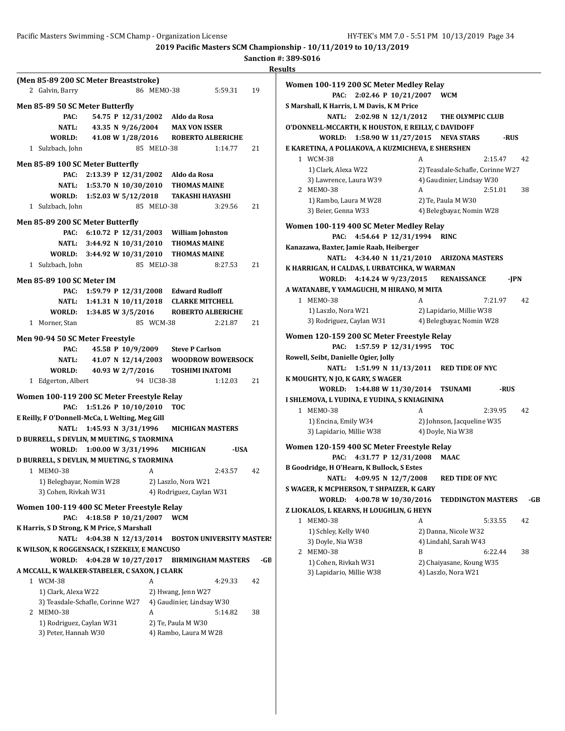# **Sanction #: 389-S016**

|                                                 |                           |                           |                                  |     | <b>Results</b>    |
|-------------------------------------------------|---------------------------|---------------------------|----------------------------------|-----|-------------------|
| (Men 85-89 200 SC Meter Breaststroke)           |                           |                           |                                  |     | Women 10          |
| 2 Galvin, Barry                                 | 86 MEM0-38                |                           | 5:59.31                          | 19  |                   |
| Men 85-89 50 SC Meter Butterfly                 |                           |                           |                                  |     | S Marshall,       |
| PAC:                                            | 54.75 P 12/31/2002        | Aldo da Rosa              |                                  |     |                   |
| <b>NATL:</b>                                    | 43.35 N 9/26/2004         |                           | <b>MAX VON ISSER</b>             |     | <b>O'DONNELI</b>  |
| WORLD:                                          | 41.08 W 1/28/2016         |                           | <b>ROBERTO ALBERICHE</b>         |     |                   |
| 1 Sulzbach, John                                | 85 MELO-38                |                           | 1:14.77                          | 21  | <b>E KARETIN</b>  |
|                                                 |                           |                           |                                  |     | 1 WCM             |
| Men 85-89 100 SC Meter Butterfly                |                           |                           |                                  |     | $1)$ C            |
|                                                 | PAC: 2:13.39 P 12/31/2002 | Aldo da Rosa              |                                  |     | 3) La             |
| NATL: 1:53.70 N 10/30/2010                      |                           |                           | <b>THOMAS MAINE</b>              |     | 2 MEN             |
| WORLD: 1:52.03 W 5/12/2018                      |                           |                           | <b>TAKASHI HAYASHI</b>           |     | 1) R              |
| 1 Sulzbach, John                                | 85 MELO-38                |                           | 3:29.56                          | 21  | $3)$ B            |
| Men 85-89 200 SC Meter Butterfly                |                           |                           |                                  |     | Women 10          |
| PAC:                                            | 6:10.72 P 12/31/2003      |                           | <b>William Johnston</b>          |     |                   |
| NATL: 3:44.92 N 10/31/2010                      |                           |                           | <b>THOMAS MAINE</b>              |     | Kanazawa,         |
| WORLD: 3:44.92 W 10/31/2010                     |                           |                           | <b>THOMAS MAINE</b>              |     |                   |
| 1 Sulzbach, John                                | 85 MELO-38                |                           | 8:27.53                          | 21  | <b>K HARRIGA</b>  |
|                                                 |                           |                           |                                  |     |                   |
| <b>Men 85-89 100 SC Meter IM</b>                |                           |                           |                                  |     | <b>A WATANAI</b>  |
| PAC:                                            | 1:59.79 P 12/31/2008      |                           | <b>Edward Rudloff</b>            |     | 1 MEN             |
| NATL: 1:41.31 N 10/11/2018                      |                           |                           | <b>CLARKE MITCHELL</b>           |     | 1) La             |
| WORLD: 1:34.85 W 3/5/2016                       |                           |                           | <b>ROBERTO ALBERICHE</b>         |     | $3)$ R            |
| 1 Morner, Stan                                  | 85 WCM-38                 |                           | 2:21.87                          | 21  |                   |
| Men 90-94 50 SC Meter Freestyle                 |                           |                           |                                  |     | Women 12          |
| PAC:                                            | 45.58 P 10/9/2009         |                           | <b>Steve P Carlson</b>           |     |                   |
| <b>NATL:</b>                                    | 41.07 N 12/14/2003        |                           | <b>WOODROW BOWERSOCK</b>         |     | Rowell, Seil      |
| WORLD:                                          | 40.93 W 2/7/2016          |                           | <b>TOSHIMI INATOMI</b>           |     |                   |
| 1 Edgerton, Albert                              | 94 UC38-38                |                           | 1:12.03                          | 21  | <b>K MOUGHT</b>   |
| Women 100-119 200 SC Meter Freestyle Relay      |                           |                           |                                  |     |                   |
| PAC:                                            | 1:51.26 P 10/10/2010      | <b>TOC</b>                |                                  |     | <b>I SHLEMOV</b>  |
| E Reilly, F O'Donnell-McCa, L Welting, Meg Gill |                           |                           |                                  |     | 1 MEM             |
| <b>NATL:</b>                                    | 1:45.93 N 3/31/1996       |                           | <b>MICHIGAN MASTERS</b>          |     | $1)$ E            |
| D BURRELL, S DEVLIN, M MUETING, S TAORMINA      |                           |                           |                                  |     | 3) La             |
| WORLD: 1:00.00 W 3/31/1996                      |                           | <b>MICHIGAN</b>           | -USA                             |     | Women 12          |
| D BURRELL, S DEVLIN, M MUETING, S TAORMINA      |                           |                           |                                  |     |                   |
| 1 MEMO-38                                       | A                         |                           | 2:43.57                          | 42  | <b>B</b> Goodridg |
| 1) Belegbayar, Nomin W28                        |                           | 2) Laszlo, Nora W21       |                                  |     |                   |
| 3) Cohen, Rivkah W31                            |                           | 4) Rodriguez, Caylan W31  |                                  |     | S WAGER, K        |
|                                                 |                           |                           |                                  |     |                   |
| Women 100-119 400 SC Meter Freestyle Relay      |                           |                           |                                  |     | <b>Z LIOKALO:</b> |
| PAC:                                            | 4:18.58 P 10/21/2007      | <b>WCM</b>                |                                  |     | 1 MEM             |
| K Harris, S D Strong, K M Price, S Marshall     |                           |                           |                                  |     | $1)$ So           |
| <b>NATL:</b>                                    | 4:04.38 N 12/13/2014      |                           | <b>BOSTON UNIVERSITY MASTER!</b> |     | 3) D              |
| K WILSON, K ROGGENSACK, I SZEKELY, E MANCUSO    |                           |                           |                                  |     | 2 MEN             |
| WORLD:                                          | 4:04.28 W 10/27/2017      |                           | <b>BIRMINGHAM MASTERS</b>        | -GB | $1)$ C            |
| A MCCALL, K WALKER-STABELER, C SAXON, J CLARK   |                           |                           |                                  |     | 3) La             |
| 1 WCM-38                                        | A                         |                           | 4:29.33                          | 42  |                   |
| 1) Clark, Alexa W22                             |                           | 2) Hwang, Jenn W27        |                                  |     |                   |
| 3) Teasdale-Schafle, Corinne W27                |                           | 4) Gaudinier, Lindsay W30 |                                  |     |                   |
| 2 MEMO-38                                       | A                         |                           | 5:14.82                          | 38  |                   |
| 1) Rodriguez, Caylan W31                        |                           | 2) Te, Paula M W30        |                                  |     |                   |
| 3) Peter, Hannah W30                            |                           | 4) Rambo, Laura M W28     |                                  |     |                   |
|                                                 |                           |                           |                                  |     |                   |

| Women 100-119 200 SC Meter Medley Relay            |                                  |      |
|----------------------------------------------------|----------------------------------|------|
| 2:02.46 P 10/21/2007<br>PAC:                       | <b>WCM</b>                       |      |
| S Marshall, K Harris, L M Davis, K M Price         |                                  |      |
| NATL:<br>2:02.98 N 12/1/2012                       | THE OLYMPIC CLUB                 |      |
| O'DONNELL-MCCARTH, K HOUSTON, E REILLY, C DAVIDOFF |                                  |      |
| WORLD:<br>1:58.90 W 11/27/2015                     | <b>NEVA STARS</b>                | -RUS |
| E KARETINA, A POLIAKOVA, A KUZMICHEVA, E SHERSHEN  |                                  |      |
| 1 WCM-38                                           | A<br>2:15.47                     | 42   |
| 1) Clark, Alexa W22                                | 2) Teasdale-Schafle, Corinne W27 |      |
| 3) Lawrence, Laura W39                             | 4) Gaudinier, Lindsay W30        |      |
| 2 MEMO-38                                          | 2:51.01<br>A                     | 38   |
| 1) Rambo, Laura M W28                              | 2) Te, Paula M W30               |      |
| 3) Beier, Genna W33                                | 4) Belegbayar, Nomin W28         |      |
| Women 100-119 400 SC Meter Medley Relay            |                                  |      |
| 4:54.64 P 12/31/1994<br>PAC:                       | <b>RINC</b>                      |      |
| Kanazawa, Baxter, Jamie Raab, Heiberger            |                                  |      |
| <b>NATL:</b><br>4:34.40 N 11/21/2010               | <b>ARIZONA MASTERS</b>           |      |
| K HARRIGAN, H CALDAS, L URBATCHKA, W WARMAN        |                                  |      |
| WORLD:<br>4:14.24 W 9/23/2015                      | <b>RENAISSANCE</b>               | -JPN |
| A WATANABE, Y YAMAGUCHI, M HIRANO, M MITA          |                                  |      |
| 1 MEM0-38                                          | A<br>7:21.97                     | 42   |
| 1) Laszlo, Nora W21                                | 2) Lapidario, Millie W38         |      |
| 3) Rodriguez, Caylan W31                           | 4) Belegbayar, Nomin W28         |      |
|                                                    |                                  |      |
| Women 120-159 200 SC Meter Freestyle Relay         |                                  |      |
| 1:57.59 P 12/31/1995<br>PAC:                       | <b>TOC</b>                       |      |
| Rowell, Seibt, Danielle Ogier, Jolly               |                                  |      |
| 1:51.99 N 11/13/2011<br>NATL:                      | <b>RED TIDE OF NYC</b>           |      |
| K MOUGHTY, N JO, K GARY, S WAGER                   |                                  |      |
| WORLD:<br>1:44.88 W 11/30/2014                     | <b>TSUNAMI</b><br>-RUS           |      |
| I SHLEMOVA, L YUDINA, E YUDINA, S KNIAGININA       |                                  |      |
| 1 MEM0-38                                          | A<br>2:39.95                     | 42   |
|                                                    |                                  |      |
| 1) Encina, Emily W34                               | 2) Johnson, Jacqueline W35       |      |
| 3) Lapidario, Millie W38                           | 4) Doyle, Nia W38                |      |
| Women 120-159 400 SC Meter Freestyle Relay         |                                  |      |
| 4:31.77 P 12/31/2008<br>PAC:                       | MAAC                             |      |
| B Goodridge, H O'Hearn, K Bullock, S Estes         |                                  |      |
| 4:09.95 N 12/7/2008<br><b>NATL:</b>                | <b>RED TIDE OF NYC</b>           |      |
| S WAGER, K MCPHERSON, T SHPAIZER, K GARY           |                                  |      |
| 4:00.78 W 10/30/2016<br>WORLD:                     | <b>TEDDINGTON MASTERS</b>        | -GB  |
| Z LIOKALOS, L KEARNS, H LOUGHLIN, G HEYN           |                                  |      |
| 1 MEM0-38                                          | A<br>5:33.55                     | 42   |
| 1) Schley, Kelly W40                               | 2) Danna, Nicole W32             |      |
| 3) Doyle, Nia W38                                  | 4) Lindahl, Sarah W43            |      |
| 2 MEM0-38                                          | B<br>6:22.44                     | 38   |
| 1) Cohen, Rivkah W31                               | 2) Chaiyasane, Koung W35         |      |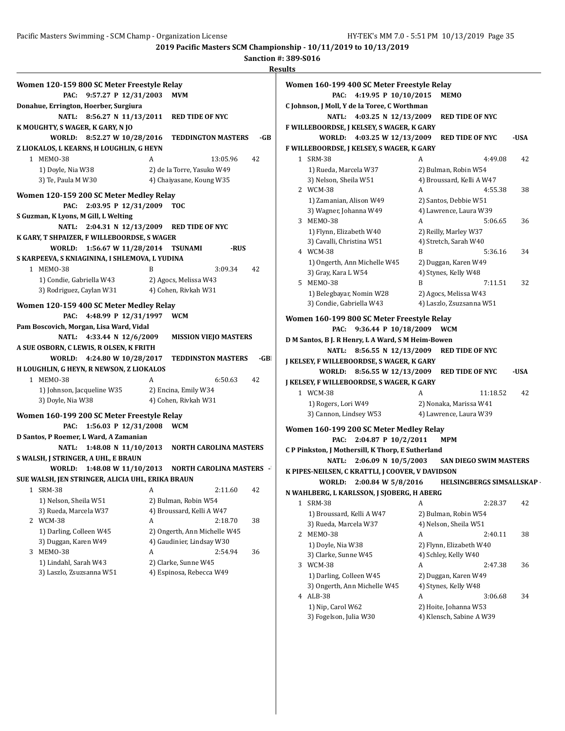**Sanction #: 389-S016 Results**

| Women 120-159 800 SC Meter Freestyle Relay<br>PAC:    | 9:57.27 P 12/31/2003                       | <b>MVM</b>                                           |      |
|-------------------------------------------------------|--------------------------------------------|------------------------------------------------------|------|
| Donahue, Errington, Hoerber, Surgiura                 | NATL: 8:56.27 N 11/13/2011 RED TIDE OF NYC |                                                      |      |
| K MOUGHTY, S WAGER, K GARY, N JO                      |                                            |                                                      |      |
|                                                       | WORLD: 8:52.27 W 10/28/2016                | <b>TEDDINGTON MASTERS</b>                            | -GB  |
| Z LIOKALOS, L KEARNS, H LOUGHLIN, G HEYN<br>1 MEMO-38 |                                            | 13:05.96                                             | 42   |
| 1) Doyle, Nia W38                                     |                                            | 2) de la Torre, Yasuko W49                           |      |
| 3) Te, Paula M W30                                    |                                            | 4) Chaiyasane, Koung W35                             |      |
|                                                       |                                            |                                                      |      |
| Women 120-159 200 SC Meter Medley Relay<br>PAC:       | 2:03.95 P 12/31/2009                       | <b>TOC</b>                                           |      |
| S Guzman, K Lyons, M Gill, L Welting                  |                                            |                                                      |      |
|                                                       | NATL: 2:04.31 N 12/13/2009                 | <b>RED TIDE OF NYC</b>                               |      |
| K GARY, T SHPAIZER, F WILLEBOORDSE, S WAGER           |                                            |                                                      |      |
|                                                       | WORLD: 1:56.67 W 11/28/2014 TSUNAMI        | -RUS                                                 |      |
| S KARPEEVA, S KNIAGININA, I SHLEMOVA, L YUDINA        |                                            |                                                      |      |
| 1 MEMO-38                                             | R                                          | 3:09.34                                              | 42   |
| 1) Condie, Gabriella W43                              |                                            | 2) Agocs, Melissa W43                                |      |
| 3) Rodriguez, Caylan W31                              |                                            | 4) Cohen, Rivkah W31                                 |      |
|                                                       |                                            |                                                      |      |
| Women 120-159 400 SC Meter Medley Relay               |                                            |                                                      |      |
|                                                       | PAC: 4:48.99 P 12/31/1997                  | <b>WCM</b>                                           |      |
| Pam Boscovich, Morgan, Lisa Ward, Vidal               |                                            |                                                      |      |
|                                                       |                                            |                                                      |      |
|                                                       | NATL: 4:33.44 N 12/6/2009                  | <b>MISSION VIEJO MASTERS</b>                         |      |
| A SUE OSBORN, C LEWIS, R OLSEN, K FRITH               |                                            |                                                      |      |
|                                                       | WORLD: 4:24.80 W 10/28/2017                | <b>TEDDINSTON MASTERS</b>                            | -GBI |
| H LOUGHLIN, G HEYN, R NEWSON, Z LIOKALOS<br>1 MEMO-38 | A                                          | 6:50.63                                              | 42   |
|                                                       |                                            |                                                      |      |
| 1) Johnson, Jacqueline W35<br>3) Doyle, Nia W38       |                                            | 2) Encina, Emily W34<br>4) Cohen, Rivkah W31         |      |
|                                                       |                                            |                                                      |      |
| Women 160-199 200 SC Meter Freestyle Relay            |                                            |                                                      |      |
| PAC:                                                  | 1:56.03 P 12/31/2008                       | <b>WCM</b>                                           |      |
| D Santos, P Roemer, L Ward, A Zamanian                |                                            |                                                      |      |
| NATL:                                                 | 1:48.08 N 11/10/2013                       | <b>NORTH CAROLINA MASTERS</b>                        |      |
| S WALSH, J STRINGER, A UHL, E BRAUN                   |                                            | WORLD: 1:48.08 W 11/10/2013 NORTH CAROLINA MASTERS - |      |
| SUE WALSH, JEN STRINGER, ALICIA UHL, ERIKA BRAUN      |                                            |                                                      |      |
| 1                                                     | А                                          |                                                      | 42   |
| <b>SRM-38</b><br>1) Nelson, Sheila W51                |                                            | 2:11.60<br>2) Bulman, Robin W54                      |      |
| 3) Rueda, Marcela W37                                 |                                            | 4) Broussard, Kelli A W47                            |      |
| <b>WCM-38</b><br>2                                    | A                                          | 2:18.70                                              | 38   |
| 1) Darling, Colleen W45                               |                                            | 2) Ongerth, Ann Michelle W45                         |      |
| 3) Duggan, Karen W49                                  |                                            | 4) Gaudinier, Lindsay W30                            |      |
| MEMO-38<br>3                                          | A                                          | 2:54.94                                              | 36   |
| 1) Lindahl, Sarah W43                                 |                                            | 2) Clarke, Sunne W45                                 |      |
| 3) Laszlo, Zsuzsanna W51                              |                                            | 4) Espinosa, Rebecca W49                             |      |

|   | Women 160-199 400 SC Meter Freestyle Relay            |   |                                                  |      |
|---|-------------------------------------------------------|---|--------------------------------------------------|------|
|   | PAC: 4:19.95 P 10/10/2015                             |   | <b>MEMO</b>                                      |      |
|   | C Johnson, J Moll, Y de la Toree, C Worthman          |   |                                                  |      |
|   | NATL:<br>4:03.25 N 12/13/2009                         |   | <b>RED TIDE OF NYC</b>                           |      |
|   | F WILLEBOORDSE, J KELSEY, S WAGER, K GARY             |   |                                                  |      |
|   | WORLD: 4:03.25 W 12/13/2009                           |   | <b>RED TIDE OF NYC</b>                           | -USA |
|   | F WILLEBOORDSE, J KELSEY, S WAGER, K GARY             |   |                                                  |      |
|   | 1 SRM-38                                              | A | 4:49.08                                          | 42   |
|   | 1) Rueda, Marcela W37                                 |   | 2) Bulman, Robin W54                             |      |
|   | 3) Nelson, Sheila W51                                 |   | 4) Broussard, Kelli A W47                        |      |
|   | 2 WCM-38                                              | A | 4:55.38                                          | 38   |
|   | 1) Zamanian, Alison W49                               |   | 2) Santos, Debbie W51                            |      |
|   | 3) Wagner, Johanna W49<br>3 MEM0-38                   | A | 4) Lawrence, Laura W39<br>5:06.65                | 36   |
|   |                                                       |   | 2) Reilly, Marley W37                            |      |
|   | 1) Flynn, Elizabeth W40<br>3) Cavalli, Christina W51  |   | 4) Stretch, Sarah W40                            |      |
|   | 4 WCM-38                                              | B | 5:36.16                                          | 34   |
|   | 1) Ongerth, Ann Michelle W45                          |   | 2) Duggan, Karen W49                             |      |
|   | 3) Gray, Kara L W54                                   |   | 4) Stynes, Kelly W48                             |      |
|   | 5 MEMO-38                                             | B | 7:11.51                                          | 32   |
|   | 1) Belegbayar, Nomin W28                              |   | 2) Agocs, Melissa W43                            |      |
|   | 3) Condie, Gabriella W43                              |   | 4) Laszlo, Zsuzsanna W51                         |      |
|   | Women 160-199 800 SC Meter Freestyle Relay            |   |                                                  |      |
|   | 9:36.44 P 10/18/2009<br>PAC:                          |   | <b>WCM</b>                                       |      |
|   | D M Santos, B J. R Henry, L A Ward, S M Heim-Bowen    |   |                                                  |      |
|   |                                                       |   |                                                  |      |
|   |                                                       |   |                                                  |      |
|   | NATL: 8:56.55 N 12/13/2009                            |   | <b>RED TIDE OF NYC</b>                           |      |
|   | J KELSEY, F WILLEBOORDSE, S WAGER, K GARY             |   |                                                  |      |
|   | WORLD: 8:56.55 W 12/13/2009                           |   | <b>RED TIDE OF NYC</b>                           | -USA |
|   | J KELSEY, F WILLEBOORDSE, S WAGER, K GARY<br>1 WCM-38 | A | 11:18.52                                         | 42   |
|   |                                                       |   |                                                  |      |
|   | 1) Rogers, Lori W49<br>3) Cannon, Lindsey W53         |   | 2) Nonaka, Marissa W41<br>4) Lawrence, Laura W39 |      |
|   |                                                       |   |                                                  |      |
|   | Women 160-199 200 SC Meter Medley Relay               |   |                                                  |      |
|   | 2:04.87 P 10/2/2011<br>PAC:                           |   | MPM                                              |      |
|   | C P Pinkston, J Mothersill, K Thorp, E Sutherland     |   |                                                  |      |
|   | NATL: 2:06.09 N 10/5/2003                             |   | <b>SAN DIEGO SWIM MASTERS</b>                    |      |
|   | K PIPES-NEILSEN, C KRATTLI, J COOVER, V DAVIDSON      |   |                                                  |      |
|   | WORLD: 2:00.84 W 5/8/2016                             |   | <b>HELSINGBERGS SIMSALLSKAP</b>                  |      |
|   | N WAHLBERG, L KARLSSON, J SJOBERG, H ABERG            |   |                                                  |      |
|   | 1 SRM-38                                              | A | 2:28.37                                          | 42   |
|   | 1) Broussard, Kelli A W47                             |   | 2) Bulman, Robin W54                             |      |
| 2 | 3) Rueda, Marcela W37<br>MEMO-38                      | A | 4) Nelson, Sheila W51<br>2:40.11                 |      |
|   |                                                       |   |                                                  | 38   |
|   | 1) Doyle, Nia W38                                     |   | 2) Flynn, Elizabeth W40<br>4) Schley, Kelly W40  |      |
|   | 3) Clarke, Sunne W45<br>3 WCM-38                      | A | 2:47.38                                          | 36   |
|   | 1) Darling, Colleen W45                               |   | 2) Duggan, Karen W49                             |      |
|   | 3) Ongerth, Ann Michelle W45                          |   | 4) Stynes, Kelly W48                             |      |

1) Nip, Carol W62 2) Hoite, Johanna W53 3) Fogelson, Julia W30 4) Klensch, Sabine A W39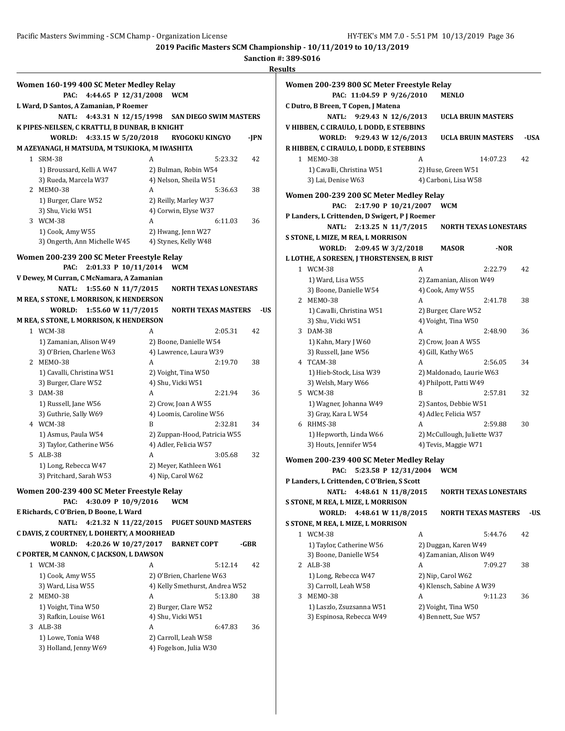**Sanction #: 389-S016**

**Results Women 160-199 400 SC Meter Medley Relay PAC: 4:44.65 P 12/31/2008 WCM L Ward, D Santos, A Zamanian, P Roemer NATL: 4:43.31 N 12/15/1998 SAN DIEGO SWIM MASTERS K PIPES-NEILSEN, C KRATTLI, B DUNBAR, B KNIGHT WORLD: 4:33.15 W 5/20/2018 RYOGOKU KINGYO -JPN M AZEYANAGI, H MATSUDA, M TSUKIOKA, M IWASHITA** 1 SRM-38 A 5:23.32 42 1) Broussard, Kelli A W47 2) Bulman, Robin W54 3) Rueda, Marcela W37 4) Nelson, Sheila W51 2 MEMO-38 A 5:36.63 38 1) Burger, Clare W52 2) Reilly, Marley W37 3) Shu, Vicki W51 4) Corwin, Elyse W37 3 WCM-38 A 6:11.03 36 1) Cook, Amy W55 2) Hwang, Jenn W27 3) Ongerth, Ann Michelle W45 4) Stynes, Kelly W48 **Women 200-239 200 SC Meter Freestyle Relay PAC: 2:01.33 P 10/11/2014 WCM V Dewey, M Curran, C McNamara, A Zamanian NATL: 1:55.60 N 11/7/2015 NORTH TEXAS LONESTARS M REA, S STONE, L MORRISON, K HENDERSON WORLD: 1:55.60 W 11/7/2015 NORTH TEXAS MASTERS** - US **M REA, S STONE, L MORRISON, K HENDERSON** 1 WCM-38 A 2:05.31 42 1) Zamanian, Alison W49 2) Boone, Danielle W54 3) O'Brien, Charlene W63 4) Lawrence, Laura W39 2 MEMO-38 A 2:19.70 38 1) Cavalli, Christina W51 2) Voight, Tina W50 3) Burger, Clare W52 4) Shu, Vicki W51 3 DAM-38 A 2:21.94 36 1) Russell, Jane W56 2) Crow, Joan A W55 3) Guthrie, Sally W69 4) Loomis, Caroline W56 4 WCM-38 B 2:32.81 34 1) Asmus, Paula W54 2) Zuppan-Hood, Patricia W55 3) Taylor, Catherine W56 4) Adler, Felicia W57 5 ALB-38 A 3:05.68 32 1) Long, Rebecca W47 2) Meyer, Kathleen W61 3) Pritchard, Sarah W53 4) Nip, Carol W62 **Women 200-239 400 SC Meter Freestyle Relay PAC: 4:30.09 P 10/9/2016 WCM E Richards, C O'Brien, D Boone, L Ward NATL: 4:21.32 N 11/22/2015 PUGET SOUND MASTERS C DAVIS, Z COURTNEY, L DOHERTY, A MOORHEAD WORLD: 4:20.26 W 10/27/2017 BARNET COPT -GBR C PORTER, M CANNON, C JACKSON, L DAWSON** 1 WCM-38 A 5:12.14 42 1) Cook, Amy W55 2) O'Brien, Charlene W63 3) Ward, Lisa W55 4) Kelly Smethurst, Andrea W52 2 MEMO-38 A 5:13.80 38 1) Voight, Tina W50 2) Burger, Clare W52 3) Rafkin, Louise W61 4) Shu, Vicki W51 3 ALB-38 A 6:47.83 36 1) Lowe, Tonia W48 2) Carroll, Leah W58 3) Holland, Jenny W69 4) Fogelson, Julia W30

|   | Women 200-239 800 SC Meter Freestyle Relay                                 |                       |                                                     |          |      |
|---|----------------------------------------------------------------------------|-----------------------|-----------------------------------------------------|----------|------|
|   | PAC: 11:04.59 P 9/26/2010                                                  |                       | <b>MENLO</b>                                        |          |      |
|   | C Dutro, B Breen, T Copen, J Matena                                        |                       |                                                     |          |      |
|   | <b>NATL:</b><br>9:29.43 N 12/6/2013                                        |                       | <b>UCLA BRUIN MASTERS</b>                           |          |      |
|   | V HIBBEN, C CIRAULO, L DODD, E STEBBINS                                    |                       |                                                     |          |      |
|   | <b>WORLD:</b><br>9:29.43 W 12/6/2013                                       |                       | <b>UCLA BRUIN MASTERS</b>                           |          | -USA |
|   | R HIBBEN, C CIRAULO, L DODD, E STEBBINS                                    |                       |                                                     |          |      |
|   | 1 MEMO-38                                                                  | A                     |                                                     | 14:07.23 | 42   |
|   | 1) Cavalli, Christina W51                                                  |                       | 2) Huse, Green W51                                  |          |      |
|   | 3) Lai, Denise W63                                                         |                       | 4) Carboni, Lisa W58                                |          |      |
|   | Women 200-239 200 SC Meter Medley Relay                                    |                       |                                                     |          |      |
|   | 2:17.90 P 10/21/2007<br>PAC:                                               |                       | WCM                                                 |          |      |
|   | P Landers, L Crittenden, D Swigert, P J Roemer                             |                       |                                                     |          |      |
|   | <b>NATL:</b><br>2:13.25 N 11/7/2015                                        |                       | <b>NORTH TEXAS LONESTARS</b>                        |          |      |
|   | S STONE, L MIZE, M REA, L MORRISON                                         |                       |                                                     |          |      |
|   | <b>WORLD:</b><br>2:09.45 W 3/2/2018                                        |                       | <b>MASOR</b>                                        | -NOR     |      |
|   | L LOTHE, A SORESEN, J THORSTENSEN, B RIST                                  |                       |                                                     |          |      |
|   | 1 WCM-38                                                                   | A                     |                                                     | 2:22.79  | 42   |
|   | 1) Ward, Lisa W55                                                          |                       | 2) Zamanian, Alison W49                             |          |      |
|   | 3) Boone, Danielle W54<br>2 MEMO-38                                        | 4) Cook, Amy W55<br>A |                                                     | 2:41.78  | 38   |
|   | 1) Cavalli, Christina W51                                                  |                       | 2) Burger, Clare W52                                |          |      |
|   | 3) Shu, Vicki W51                                                          |                       | 4) Voight, Tina W50                                 |          |      |
|   | 3 DAM-38                                                                   | A                     |                                                     | 2:48.90  | 36   |
|   | 1) Kahn, Mary J W60                                                        |                       | 2) Crow, Joan A W55                                 |          |      |
|   | 3) Russell, Jane W56                                                       | 4) Gill, Kathy W65    |                                                     |          |      |
|   | 4 TCAM-38                                                                  | A                     |                                                     | 2:56.05  | 34   |
|   | 1) Hieb-Stock, Lisa W39                                                    |                       | 2) Maldonado, Laurie W63                            |          |      |
|   | 3) Welsh, Mary W66                                                         |                       | 4) Philpott, Patti W49                              |          |      |
|   | 5 WCM-38                                                                   | B                     |                                                     | 2:57.81  | 32   |
|   | 1) Wagner, Johanna W49                                                     |                       | 2) Santos, Debbie W51                               |          |      |
|   | 3) Gray, Kara L W54                                                        |                       | 4) Adler, Felicia W57                               |          |      |
|   | 6 RHMS-38                                                                  | A                     |                                                     | 2:59.88  | 30   |
|   | 1) Hepworth, Linda W66<br>3) Houts, Jennifer W54                           |                       | 2) McCullough, Juliette W37<br>4) Tevis, Maggie W71 |          |      |
|   |                                                                            |                       |                                                     |          |      |
|   | Women 200-239 400 SC Meter Medley Relay                                    |                       |                                                     |          |      |
|   | 5:23.58 P 12/31/2004<br>PAC:                                               |                       | <b>WCM</b>                                          |          |      |
|   | P Landers, L Crittenden, C O'Brien, S Scott                                |                       |                                                     |          |      |
|   | NATL: 4:48.61 N 11/8/2015                                                  |                       | <b>NORTH TEXAS LONESTARS</b>                        |          |      |
|   | S STONE, M REA, L MIZE, L MORRISON                                         |                       |                                                     |          |      |
|   | <b>WORLD:</b><br>4:48.61 W 11/8/2015<br>S STONE, M REA, L MIZE, L MORRISON |                       | <b>NORTH TEXAS MASTERS</b>                          |          | -US  |
|   | 1 WCM-38                                                                   | A                     |                                                     |          | 42   |
|   | 1) Taylor, Catherine W56                                                   |                       | 2) Duggan, Karen W49                                | 5:44.76  |      |
|   | 3) Boone, Danielle W54                                                     |                       | 4) Zamanian, Alison W49                             |          |      |
|   | 2 ALB-38                                                                   | A                     |                                                     | 7:09.27  | 38   |
|   | 1) Long, Rebecca W47                                                       | 2) Nip, Carol W62     |                                                     |          |      |
|   | 3) Carroll, Leah W58                                                       |                       | 4) Klensch, Sabine A W39                            |          |      |
| 3 | MEMO-38                                                                    | A                     |                                                     | 9:11.23  | 36   |
|   | 1) Laszlo, Zsuzsanna W51                                                   |                       | 2) Voight, Tina W50                                 |          |      |
|   | 3) Espinosa, Rebecca W49                                                   |                       | 4) Bennett, Sue W57                                 |          |      |
|   |                                                                            |                       |                                                     |          |      |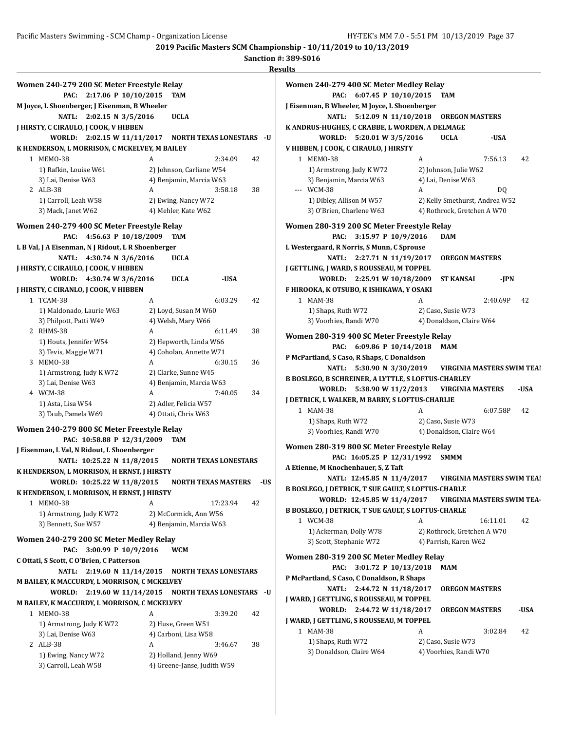|   |                                                    |                                               |   |                                                      |                                 | IVC. |
|---|----------------------------------------------------|-----------------------------------------------|---|------------------------------------------------------|---------------------------------|------|
|   | Women 240-279 200 SC Meter Freestyle Relay         |                                               |   |                                                      |                                 |      |
|   | PAC:                                               | 2:17.06 P 10/10/2015                          |   | <b>TAM</b>                                           |                                 |      |
|   | M Joyce, L Shoenberger, J Eisenman, B Wheeler      |                                               |   |                                                      |                                 |      |
|   | <b>NATL:</b>                                       | 2:02.15 N 3/5/2016                            |   | <b>UCLA</b>                                          |                                 |      |
|   | J HIRSTY, C CIRAULO, J COOK, V HIBBEN              |                                               |   |                                                      |                                 |      |
|   | WORLD:                                             | 2:02.15 W 11/11/2017 NORTH TEXAS LONESTARS -U |   |                                                      |                                 |      |
|   | K HENDERSON, L MORRISON, C MCKELVEY, M BAILEY      |                                               |   |                                                      |                                 |      |
|   | 1 MEMO-38                                          |                                               | A |                                                      | 2:34.09                         | 42   |
|   | 1) Rafkin, Louise W61                              |                                               |   | 2) Johnson, Carliane W54                             |                                 |      |
|   | 3) Lai, Denise W63                                 |                                               |   | 4) Benjamin, Marcia W63                              |                                 |      |
|   | 2 ALB-38                                           |                                               | A |                                                      | 3:58.18                         | 38   |
|   | 1) Carroll, Leah W58                               |                                               |   | 2) Ewing, Nancy W72                                  |                                 |      |
|   | 3) Mack, Janet W62                                 |                                               |   | 4) Mehler, Kate W62                                  |                                 |      |
|   |                                                    |                                               |   |                                                      |                                 |      |
|   | Women 240-279 400 SC Meter Freestyle Relay         |                                               |   |                                                      |                                 |      |
|   | PAC:                                               | 4:56.63 P 10/18/2009                          |   | TAM                                                  |                                 |      |
|   | L B Val, J A Eisenman, N J Ridout, L R Shoenberger |                                               |   |                                                      |                                 |      |
|   | <b>NATL:</b>                                       | 4:30.74 N 3/6/2016                            |   | <b>UCLA</b>                                          |                                 |      |
|   | J HIRSTY, C CIRAULO, J COOK, V HIBBEN              |                                               |   |                                                      |                                 |      |
|   | WORLD:                                             | 4:30.74 W 3/6/2016                            |   | <b>UCLA</b>                                          | -USA                            |      |
|   | J HIRSTY, C CIRANLO, J COOK, V HIBBEN              |                                               |   |                                                      |                                 |      |
|   | 1 TCAM-38                                          |                                               | A |                                                      | 6:03.29                         | 42   |
|   | 1) Maldonado, Laurie W63                           |                                               |   | 2) Loyd, Susan M W60                                 |                                 |      |
|   | 3) Philpott, Patti W49                             |                                               |   | 4) Welsh, Mary W66                                   |                                 |      |
|   | 2 RHMS-38                                          |                                               | A |                                                      | 6:11.49                         | 38   |
|   | 1) Houts, Jennifer W54                             |                                               |   | 2) Hepworth, Linda W66                               |                                 |      |
|   | 3) Tevis, Maggie W71                               |                                               |   | 4) Coholan, Annette W71                              |                                 |      |
|   | 3 MEMO-38                                          |                                               | A |                                                      | 6:30.15                         | 36   |
|   | 1) Armstrong, Judy K W72                           |                                               |   | 2) Clarke, Sunne W45                                 |                                 |      |
|   | 3) Lai, Denise W63                                 |                                               |   | 4) Benjamin, Marcia W63                              |                                 |      |
|   | 4 WCM-38                                           |                                               | A |                                                      | 7:40.05                         | 34   |
|   | 1) Asta, Lisa W54                                  |                                               |   | 2) Adler, Felicia W57                                |                                 |      |
|   | 3) Taub, Pamela W69                                |                                               |   | 4) Ottati, Chris W63                                 |                                 |      |
|   | Women 240-279 800 SC Meter Freestyle Relay         |                                               |   |                                                      |                                 |      |
|   |                                                    | PAC: 10:58.88 P 12/31/2009                    |   | TAM                                                  |                                 |      |
|   | J Eisenman, L Val, N Ridout, L Shoenberger         |                                               |   |                                                      |                                 |      |
|   |                                                    | NATL: 10:25.22 N 11/8/2015                    |   |                                                      | <b>NORTH TEXAS LONESTARS</b>    |      |
|   | K HENDERSON, L MORRISON, H ERNST, J HIRSTY         |                                               |   |                                                      |                                 |      |
|   |                                                    | WORLD: 10:25.22 W 11/8/2015                   |   |                                                      | NORTH TEXAS MASTERS             | -US  |
|   | K HENDERSON, L MORRISON, H ERNST, J HIRSTY         |                                               |   |                                                      |                                 |      |
| 1 | MEMO-38                                            |                                               | A |                                                      | 17:23.94                        | 42   |
|   | 1) Armstrong, Judy K W72                           |                                               |   | 2) McCormick, Ann W56                                |                                 |      |
|   | 3) Bennett, Sue W57                                |                                               |   | 4) Benjamin, Marcia W63                              |                                 |      |
|   |                                                    |                                               |   |                                                      |                                 |      |
|   | Women 240-279 200 SC Meter Medley Relay            |                                               |   |                                                      |                                 |      |
|   | PAC:                                               | 3:00.99 P 10/9/2016                           |   | <b>WCM</b>                                           |                                 |      |
|   |                                                    |                                               |   |                                                      |                                 |      |
|   | C Ottati, S Scott, C O'Brien, C Patterson          |                                               |   |                                                      |                                 |      |
|   | NATL:                                              | 2:19.60 N 11/14/2015                          |   | <b>NORTH TEXAS LONESTARS</b>                         |                                 |      |
|   | M BAILEY, K MACCURDY, L MORRISON, C MCKELVEY       |                                               |   |                                                      |                                 |      |
|   |                                                    | WORLD: 2:19.60 W 11/14/2015                   |   |                                                      | <b>NORTH TEXAS LONESTARS -U</b> |      |
|   | M BAILEY, K MACCURDY, L MORRISON, C MCKELVEY       |                                               |   |                                                      |                                 |      |
|   | 1 MEMO-38                                          |                                               | A |                                                      | 3:39.20                         | 42   |
|   | 1) Armstrong, Judy K W72                           |                                               |   | 2) Huse, Green W51                                   |                                 |      |
|   | 3) Lai, Denise W63                                 |                                               |   | 4) Carboni, Lisa W58                                 |                                 |      |
|   | 2 ALB-38                                           |                                               | A |                                                      | 3:46.67                         | 38   |
|   | 1) Ewing, Nancy W72<br>3) Carroll, Leah W58        |                                               |   | 2) Holland, Jenny W69<br>4) Greene-Janse, Judith W59 |                                 |      |

| Women 240-279 400 SC Meter Medley Relay                                                              |   |                                                |          |      |
|------------------------------------------------------------------------------------------------------|---|------------------------------------------------|----------|------|
| PAC:<br>6:07.45 P $10/10/2015$                                                                       |   | TAM                                            |          |      |
| J Eisenman, B Wheeler, M Joyce, L Shoenberger                                                        |   |                                                |          |      |
| <b>NATL:</b><br>5:12.09 N 11/10/2018                                                                 |   | <b>OREGON MASTERS</b>                          |          |      |
| K ANDRUS-HUGHES, C CRABBE, L WORDEN, A DELMAGE                                                       |   |                                                |          |      |
| WORLD:<br>5:20.01 W 3/5/2016                                                                         |   | <b>UCLA</b>                                    | -USA     |      |
| V HIBBEN, J COOK, C CIRAULO, J HIRSTY                                                                |   |                                                |          |      |
| 1 MEM0-38                                                                                            | A |                                                | 7:56.13  | 42   |
| 1) Armstrong, Judy K W72                                                                             |   | 2) Johnson, Julie W62                          |          |      |
| 3) Benjamin, Marcia W63<br>--- WCM-38                                                                | A | 4) Lai, Denise W63                             | DQ       |      |
| 1) Dibley, Allison M W57                                                                             |   | 2) Kelly Smethurst, Andrea W52                 |          |      |
| 3) O'Brien, Charlene W63                                                                             |   | 4) Rothrock, Gretchen A W70                    |          |      |
|                                                                                                      |   |                                                |          |      |
| Women 280-319 200 SC Meter Freestyle Relay                                                           |   |                                                |          |      |
| 3:15.97 P 10/9/2016<br>PAC:                                                                          |   | <b>DAM</b>                                     |          |      |
| L Westergaard, R Norris, S Munn, C Sprouse                                                           |   |                                                |          |      |
| <b>NATL:</b><br>2:27.71 N 11/19/2017                                                                 |   | <b>OREGON MASTERS</b>                          |          |      |
| J GETTLING, J WARD, S ROUSSEAU, M TOPPEL                                                             |   |                                                |          |      |
| WORLD:<br>2:25.91 W 10/18/2009                                                                       |   | <b>ST KANSAI</b>                               | -JPN     |      |
| F HIROOKA, K OTSUBO, K ISHIKAWA, Y OSAKI                                                             |   |                                                |          |      |
| 1 MAM-38                                                                                             | A |                                                | 2:40.69P | 42   |
| 1) Shaps, Ruth W72<br>3) Voorhies, Randi W70                                                         |   | 2) Caso, Susie W73<br>4) Donaldson, Claire W64 |          |      |
|                                                                                                      |   |                                                |          |      |
| Women 280-319 400 SC Meter Freestyle Relay                                                           |   |                                                |          |      |
| 6:09.86 P 10/14/2018<br>PAC:                                                                         |   | <b>MAM</b>                                     |          |      |
| P McPartland, S Caso, R Shaps, C Donaldson                                                           |   |                                                |          |      |
|                                                                                                      |   |                                                |          |      |
| <b>NATL:</b><br>5:30.90 N 3/30/2019                                                                  |   | <b>VIRGINIA MASTERS SWIM TEAI</b>              |          |      |
|                                                                                                      |   |                                                |          |      |
| WORLD:<br>5:38.90 W 11/2/2013                                                                        |   | <b>VIRGINIA MASTERS</b>                        |          | -USA |
| B BOSLEGO, B SCHREINER, A LYTTLE, S LOFTUS-CHARLEY<br>J DETRICK, L WALKER, M BARRY, S LOFTUS-CHARLIE |   |                                                |          |      |
| 1 MAM-38                                                                                             | A |                                                | 6:07.58P | 42   |
| 1) Shaps, Ruth W72                                                                                   |   | 2) Caso, Susie W73                             |          |      |
| 3) Voorhies, Randi W70                                                                               |   | 4) Donaldson, Claire W64                       |          |      |
| Women 280-319 800 SC Meter Freestyle Relay                                                           |   |                                                |          |      |
| PAC: 16:05.25 P 12/31/1992                                                                           |   | <b>SMMM</b>                                    |          |      |
| A Etienne, M Knochenhauer, S, Z Taft                                                                 |   |                                                |          |      |
| NATL: 12:45.85 N 11/4/2017                                                                           |   | <b>VIRGINIA MASTERS SWIM TEAI</b>              |          |      |
| <b>B BOSLEGO, J DETRICK, T SUE GAULT, S LOFTUS-CHARLE</b>                                            |   |                                                |          |      |
| WORLD: 12:45.85 W 11/4/2017                                                                          |   | <b>VIRGINIA MASTERS SWIM TEA-</b>              |          |      |
| B BOSLEGO, J DETRICK, T SUE GAULT, S LOFTUS-CHARLE                                                   |   |                                                |          |      |
| 1 WCM-38                                                                                             | A |                                                | 16:11.01 | 42   |
| 1) Ackerman, Dolly W78                                                                               |   | 2) Rothrock, Gretchen A W70                    |          |      |
| 3) Scott, Stephanie W72                                                                              |   | 4) Parrish, Karen W62                          |          |      |
| Women 280-319 200 SC Meter Medley Relay                                                              |   |                                                |          |      |
| PAC:<br>3:01.72 P 10/13/2018                                                                         |   | MAM                                            |          |      |
| P McPartland, S Caso, C Donaldson, R Shaps                                                           |   |                                                |          |      |
| <b>NATL:</b><br>2:44.72 N 11/18/2017                                                                 |   | <b>OREGON MASTERS</b>                          |          |      |
|                                                                                                      |   |                                                |          |      |
| J WARD, J GETTLING, S ROUSSEAU, M TOPPEL<br><b>WORLD:</b><br>2:44.72 W 11/18/2017                    |   | <b>OREGON MASTERS</b>                          |          | -USA |
|                                                                                                      |   |                                                |          |      |
| 1 MAM-38                                                                                             | A |                                                | 3:02.84  | 42   |
| J WARD, J GETTLING, S ROUSSEAU, M TOPPEL<br>1) Shaps, Ruth W72<br>3) Donaldson, Claire W64           |   | 2) Caso, Susie W73<br>4) Voorhies, Randi W70   |          |      |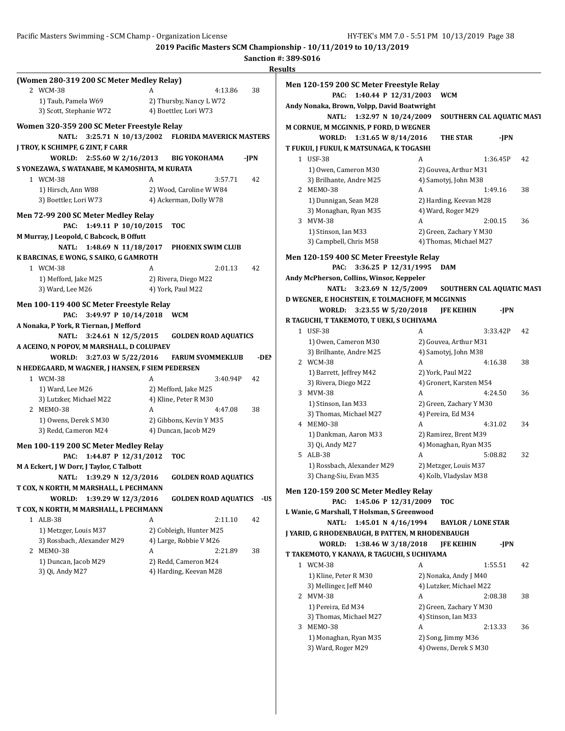**2019 Pacific Masters SCM Championship - 10/11/2019 to 10/13/2019 Sanction #: 389-S016**

|                                                       |                                                     |      | <b>Results</b>                                                            |                           |    |
|-------------------------------------------------------|-----------------------------------------------------|------|---------------------------------------------------------------------------|---------------------------|----|
| (Women 280-319 200 SC Meter Medley Relay)<br>2 WCM-38 | 4:13.86<br>A                                        | 38   | Men 120-159 200 SC Meter Freestyle Relay<br>PAC: 1:40.44 P 12/31/2003 WCM |                           |    |
| 1) Taub, Pamela W69<br>3) Scott, Stephanie W72        | 2) Thursby, Nancy L W72<br>4) Boettler, Lori W73    |      | Andy Nonaka, Brown, Volpp, David Boatwright                               |                           |    |
|                                                       |                                                     |      | NATL: 1:32.97 N 10/24/2009                                                | SOUTHERN CAL AQUATIC MAST |    |
| Women 320-359 200 SC Meter Freestyle Relay            |                                                     |      | M CORNUE, M MCGINNIS, P FORD, D WEGNER                                    |                           |    |
|                                                       | NATL: 3:25.71 N 10/13/2002 FLORIDA MAVERICK MASTERS |      | WORLD: 1:31.65 W 8/14/2016                                                | -JPN<br><b>THE STAR</b>   |    |
| J TROY, K SCHIMPF, G ZINT, F CARR                     |                                                     |      | T FUKUI, J FUKUI, K MATSUNAGA, K TOGASHI                                  |                           |    |
| WORLD: 2:55.60 W 2/16/2013                            | <b>BIG YOKOHAMA</b>                                 | -JPN | 1 USF-38                                                                  | A<br>1:36.45P             | 42 |
| S YONEZAWA, S WATANABE, M KAMOSHITA, M KURATA         |                                                     |      | 1) Owen, Cameron M30                                                      | 2) Gouvea, Arthur M31     |    |
| 1 WCM-38                                              | A<br>3:57.71                                        | 42   | 3) Brilhante, Andre M25                                                   | 4) Samotyj, John M38      |    |
| 1) Hirsch, Ann W88                                    | 2) Wood, Caroline W W84                             |      | 2 MEMO-38                                                                 | 1:49.16<br>A              | 38 |
| 3) Boettler, Lori W73                                 | 4) Ackerman, Dolly W78                              |      | 1) Dunnigan, Sean M28                                                     | 2) Harding, Keevan M28    |    |
| Men 72-99 200 SC Meter Medley Relay                   |                                                     |      | 3) Monaghan, Ryan M35                                                     | 4) Ward, Roger M29        |    |
| PAC: 1:49.11 P 10/10/2015                             | TOC                                                 |      | 3 MVM-38                                                                  | A<br>2:00.15              | 36 |
| M Murray, J Leopold, C Babcock, B Offutt              |                                                     |      | 1) Stinson, Ian M33                                                       | 2) Green, Zachary Y M30   |    |
| NATL: 1:48.69 N 11/18/2017                            | PHOENIX SWIM CLUB                                   |      | 3) Campbell, Chris M58                                                    | 4) Thomas, Michael M27    |    |
| K BARCINAS, E WONG, S SAIKO, G GAMROTH                |                                                     |      | Men 120-159 400 SC Meter Freestyle Relay                                  |                           |    |
| 1 WCM-38                                              | 2:01.13<br>A                                        | 42   | PAC: 3:36.25 P 12/31/1995                                                 | <b>DAM</b>                |    |
| 1) Mefford, Jake M25                                  | 2) Rivera, Diego M22                                |      | Andy McPherson, Collins, Winsor, Keppeler                                 |                           |    |
| 3) Ward, Lee M26                                      | 4) York, Paul M22                                   |      | NATL: 3:23.69 N 12/5/2009                                                 | SOUTHERN CAL AQUATIC MAST |    |
|                                                       |                                                     |      | D WEGNER, E HOCHSTEIN, E TOLMACHOFF, M MCGINNIS                           |                           |    |
| Men 100-119 400 SC Meter Freestyle Relay              |                                                     |      | WORLD: 3:23.55 W 5/20/2018                                                | <b>JFE KEIHIN</b><br>-JPN |    |
| PAC: 3:49.97 P 10/14/2018 WCM                         |                                                     |      | R TAGUCHI, T TAKEMOTO, T UEKI, S UCHIYAMA                                 |                           |    |
| A Nonaka, P York, R Tiernan, J Mefford                |                                                     |      | 1 USF-38                                                                  | A<br>3:33.42P             | 42 |
| NATL: 3:24.61 N 12/5/2015                             | <b>GOLDEN ROAD AQUATICS</b>                         |      | 1) Owen, Cameron M30                                                      | 2) Gouvea, Arthur M31     |    |
| A ACEINO, N POPOV, M MARSHALL, D COLUPAEV             |                                                     |      | 3) Brilhante, Andre M25                                                   | 4) Samotyj, John M38      |    |
| WORLD: 3:27.03 W 5/22/2016                            | <b>FARUM SVOMMEKLUB</b>                             | -DEI | 2 WCM-38                                                                  | A<br>4:16.38              | 38 |
| N HEDEGAARD, M WAGNER, J HANSEN, F SIEM PEDERSEN      |                                                     |      | 1) Barrett, Jeffrey M42                                                   | 2) York, Paul M22         |    |
| 1 WCM-38                                              | 3:40.94P<br>A                                       | 42   | 3) Rivera, Diego M22                                                      | 4) Gronert, Karsten M54   |    |
| 1) Ward, Lee M26                                      | 2) Mefford, Jake M25                                |      | 3 MVM-38                                                                  | 4:24.50<br>A              | 36 |
| 3) Lutzker, Michael M22                               | 4) Kline, Peter R M30                               |      | 1) Stinson, Ian M33                                                       | 2) Green, Zachary Y M30   |    |
| 2 MEMO-38                                             | 4:47.08<br>A                                        | 38   | 3) Thomas, Michael M27                                                    | 4) Pereira, Ed M34        |    |
| 1) Owens, Derek S M30                                 | 2) Gibbons, Kevin Y M35                             |      | 4 MEMO-38                                                                 | A<br>4:31.02              | 34 |
| 3) Redd, Cameron M24                                  | 4) Duncan, Jacob M29                                |      | 1) Dankman, Aaron M33                                                     | 2) Ramirez, Brent M39     |    |
| Men 100-119 200 SC Meter Medley Relay                 |                                                     |      | 3) Qi, Andy M27                                                           | 4) Monaghan, Ryan M35     |    |
| PAC: 1:44.87 P 12/31/2012                             | <b>TOC</b>                                          |      | 5 ALB-38                                                                  | 5:08.82<br>A              | 32 |
|                                                       |                                                     |      | 1) Rossbach, Alexander M29                                                | 2) Metzger, Louis M37     |    |
| M A Eckert, J W Dorr, J Taylor, C Talbott             |                                                     |      | 3) Chang-Siu, Evan M35                                                    | 4) Kolb, Vladyslav M38    |    |
| NATL: 1:39.29 N 12/3/2016                             | <b>GOLDEN ROAD AQUATICS</b>                         |      |                                                                           |                           |    |
| T COX, N KORTH, M MARSHALL, L PECHMANN                |                                                     |      | Men 120-159 200 SC Meter Medley Relay                                     |                           |    |
| WORLD: 1:39.29 W 12/3/2016                            | <b>GOLDEN ROAD AQUATICS -US</b>                     |      | PAC: 1:45.06 P 12/31/2009                                                 | <b>TOC</b>                |    |
| T COX, N KORTH, M MARSHALL, L PECHMANN                |                                                     |      | L Wanie, G Marshall, T Holsman, S Greenwood                               |                           |    |
| 1 ALB-38                                              | A<br>2:11.10                                        | 42   | NATL: 1:45.01 N 4/16/1994                                                 | <b>BAYLOR / LONE STAR</b> |    |
| 1) Metzger, Louis M37                                 | 2) Cobleigh, Hunter M25                             |      | J YARID, G RHODENBAUGH, B PATTEN, M RHODENBAUGH                           |                           |    |
| 3) Rossbach, Alexander M29                            | 4) Large, Robbie V M26                              |      | WORLD: 1:38.46 W 3/18/2018                                                | <b>JFE KEIHIN</b><br>-JPN |    |
| 2 MEMO-38                                             | 2:21.89<br>A                                        | 38   | T TAKEMOTO, Y KANAYA, R TAGUCHI, S UCHIYAMA                               |                           |    |
| 1) Duncan, Jacob M29                                  | 2) Redd, Cameron M24                                |      | 1 WCM-38                                                                  | 1:55.51<br>A              | 42 |
| 3) Qi, Andy M27                                       | 4) Harding, Keevan M28                              |      | 1) Kline, Peter R M30                                                     | 2) Nonaka, Andy J M40     |    |
|                                                       |                                                     |      | 3) Mellinger, Jeff M40                                                    | 4) Lutzker, Michael M22   |    |
|                                                       |                                                     |      | 2 MVM-38                                                                  | A<br>2:08.38              | 38 |
|                                                       |                                                     |      | 1) Pereira, Ed M34                                                        | 2) Green, Zachary Y M30   |    |
|                                                       |                                                     |      | 3) Thomas, Michael M27                                                    | 4) Stinson, Ian M33       |    |
|                                                       |                                                     |      | 3 MEM0-38                                                                 | 2:13.33<br>A              | 36 |
|                                                       |                                                     |      | 1) Monaghan, Ryan M35                                                     | 2) Song, Jimmy M36        |    |
|                                                       |                                                     |      | 3) Ward, Roger M29                                                        | 4) Owens, Derek S M30     |    |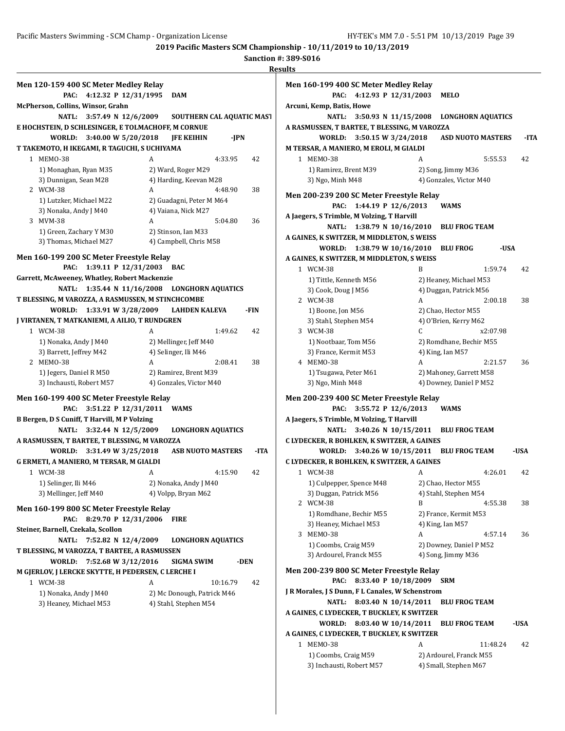**Sanction #: 389-S016**

|                                                                                                    | Men 120-159 400 SC Meter Medley Relay           | Men 1                        |
|----------------------------------------------------------------------------------------------------|-------------------------------------------------|------------------------------|
| 4:12.32 P 12/31/1995<br>PAC:                                                                       | <b>DAM</b>                                      |                              |
| McPherson, Collins, Winsor, Grahn                                                                  |                                                 | Arcuni                       |
| <b>NATL:</b><br>3:57.49 N 12/6/2009                                                                | SOUTHERN CAL AQUATIC MAST                       |                              |
| E HOCHSTEIN, D SCHLESINGER, E TOLMACHOFF, M CORNUE                                                 |                                                 | <b>A RASM</b>                |
| 3:40.00 W 5/20/2018<br>WORLD:                                                                      | <b>JFE KEIHIN</b><br>-JPN                       |                              |
| T TAKEMOTO, H IKEGAMI, R TAGUCHI, S UCHIYAMA                                                       |                                                 | <b>M TER</b>                 |
| 1 MEMO-38                                                                                          | 4:33.95<br>A<br>42                              |                              |
| 1) Monaghan, Ryan M35                                                                              | 2) Ward, Roger M29                              |                              |
| 3) Dunnigan, Sean M28                                                                              | 4) Harding, Keevan M28                          |                              |
| 2 WCM-38                                                                                           | A<br>4:48.90<br>38                              | Men <sub>2</sub>             |
| 1) Lutzker, Michael M22<br>3) Nonaka, Andy J M40                                                   | 2) Guadagni, Peter M M64<br>4) Vaiana, Nick M27 |                              |
| 3 MVM-38                                                                                           | 5:04.80<br>A<br>36                              | A Jaego                      |
| 1) Green, Zachary Y M30                                                                            | 2) Stinson, Ian M33                             |                              |
| 3) Thomas, Michael M27                                                                             | 4) Campbell, Chris M58                          | A GAIN                       |
|                                                                                                    |                                                 |                              |
| Men 160-199 200 SC Meter Freestyle Relay                                                           |                                                 | <b>A GAIN</b>                |
| 1:39.11 P 12/31/2003<br>PAC:                                                                       | <b>BAC</b>                                      |                              |
| Garrett, McAweeney, Whatley, Robert Mackenzie<br>1:35.44 N 11/16/2008                              | <b>LONGHORN AQUATICS</b>                        |                              |
| NATL:<br>T BLESSING, M VAROZZA, A RASMUSSEN, M STINCHCOMBE                                         |                                                 |                              |
| 1:33.91 W 3/28/2009<br>WORLD:                                                                      | <b>LAHDEN KALEVA</b><br>-FIN                    |                              |
| J VIRTANEN, T MATKANIEMI, A AILIO, T RUNDGREN                                                      |                                                 |                              |
| 1 WCM-38                                                                                           | 1:49.62<br>42<br>A                              |                              |
| 1) Nonaka, Andy J M40                                                                              | 2) Mellinger, Jeff M40                          |                              |
| 3) Barrett, Jeffrey M42                                                                            | 4) Selinger, Ili M46                            |                              |
| 2 MEMO-38                                                                                          | 2:08.41<br>A<br>38                              |                              |
| 1) Jegers, Daniel R M50                                                                            | 2) Ramirez, Brent M39                           |                              |
| 3) Inchausti, Robert M57                                                                           | 4) Gonzales, Victor M40                         |                              |
|                                                                                                    |                                                 |                              |
|                                                                                                    |                                                 |                              |
| Men 160-199 400 SC Meter Freestyle Relay<br>PAC:                                                   | <b>WAMS</b>                                     | Men 2                        |
| 3:51.22 P 12/31/2011<br>B Bergen, D S Cuniff, T Harvill, M P Volzing                               |                                                 | A Jaego                      |
| NATL: 3:32.44 N 12/5/2009                                                                          | <b>LONGHORN AQUATICS</b>                        |                              |
| A RASMUSSEN, T BARTEE, T BLESSING, M VAROZZA                                                       |                                                 |                              |
| <b>WORLD:</b><br>3:31.49 W 3/25/2018                                                               | <b>ASB NUOTO MASTERS</b><br>-ITA                |                              |
| G ERMETI, A MANIERO, M TERSAR, M GIALDI                                                            |                                                 |                              |
| 1 WCM-38                                                                                           | 4:15.90<br>42                                   |                              |
| 1) Selinger, Ili M46                                                                               | 2) Nonaka, Andy J M40                           |                              |
| 3) Mellinger, Jeff M40                                                                             | 4) Volpp, Bryan M62                             |                              |
| Men 160-199 800 SC Meter Freestyle Relay                                                           |                                                 |                              |
| 8:29.70 P 12/31/2006<br>PAC:                                                                       | <b>FIRE</b>                                     | <b>CLYDE</b><br><b>CLYDE</b> |
| Steiner, Barnell, Czekala, Scollon                                                                 |                                                 |                              |
| <b>NATL:</b><br>7:52.82 N 12/4/2009                                                                | <b>LONGHORN AQUATICS</b>                        |                              |
|                                                                                                    |                                                 |                              |
| 7:52.68 W 3/12/2016<br>WORLD:                                                                      | SIGMA SWIM<br>-DEN                              |                              |
| T BLESSING, M VAROZZA, T BARTEE, A RASMUSSEN<br>M GJERLOV, J LERCKE SKYTTE, H PEDERSEN, C LERCHE I |                                                 |                              |
| 1 WCM-38                                                                                           | A<br>10:16.79<br>42                             |                              |
| 1) Nonaka, Andy J M40                                                                              | 2) Mc Donough, Patrick M46                      | Men 2<br>J R Moi             |
| 3) Heaney, Michael M53                                                                             | 4) Stahl, Stephen M54                           |                              |
|                                                                                                    |                                                 | A GAIN                       |
|                                                                                                    |                                                 | A GAIN                       |

|                           | Men 160-199 400 SC Meter Medley Relay            |    |                                    |          |      |
|---------------------------|--------------------------------------------------|----|------------------------------------|----------|------|
| PAC:                      | 4:12.93 P 12/31/2003                             |    | <b>MELO</b>                        |          |      |
| Arcuni, Kemp, Batis, Howe |                                                  |    |                                    |          |      |
| NATL:                     | 3:50.93 N $11/15/2008$                           |    | <b>LONGHORN AQUATICS</b>           |          |      |
|                           | A RASMUSSEN, T BARTEE, T BLESSING, M VAROZZA     |    |                                    |          |      |
| WORLD:                    | 3:50.15 W 3/24/2018                              |    | <b>ASD NUOTO MASTERS</b>           |          | -ITA |
|                           | M TERSAR, A MANIERO, M EROLI, M GIALDI           |    |                                    |          |      |
| 1 MEMO-38                 |                                                  | A  |                                    | 5:55.53  | 42   |
| 1) Ramirez, Brent M39     |                                                  |    | 2) Song, Jimmy M36                 |          |      |
| 3) Ngo, Minh M48          |                                                  |    | 4) Gonzales, Victor M40            |          |      |
|                           | Men 200-239 200 SC Meter Freestyle Relay         |    |                                    |          |      |
| PAC:                      | 1:44.19 P 12/6/2013                              |    | <b>WAMS</b>                        |          |      |
|                           | A Jaegers, S Trimble, M Volzing, T Harvill       |    |                                    |          |      |
| <b>NATL:</b>              | 1:38.79 N 10/16/2010                             |    | <b>BLU FROG TEAM</b>               |          |      |
|                           | A GAINES, K SWITZER, M MIDDLETON, S WEISS        |    |                                    |          |      |
| WORLD:                    | 1:38.79 W 10/16/2010                             |    | <b>BLU FROG</b>                    | -USA     |      |
|                           | A GAINES, K SWITZER, M MIDDLETON, S WEISS        |    |                                    |          |      |
| 1 WCM-38                  |                                                  | B  |                                    | 1:59.74  | 42   |
| 1) Tittle, Kenneth M56    |                                                  |    | 2) Heaney, Michael M53             |          |      |
| 3) Cook, Doug J M56       |                                                  |    | 4) Duggan, Patrick M56             |          |      |
| 2 WCM-38                  |                                                  | A  |                                    | 2:00.18  | 38   |
| 1) Boone, Jon M56         |                                                  |    | 2) Chao, Hector M55                |          |      |
| 3) Stahl, Stephen M54     |                                                  |    | 4) O'Brien, Kerry M62              |          |      |
| 3 WCM-38                  |                                                  | C. |                                    | x2:07.98 |      |
| 1) Nootbaar, Tom M56      |                                                  |    | 2) Romdhane, Bechir M55            |          |      |
| 3) France, Kermit M53     |                                                  |    | 4) King, Ian M57                   |          |      |
| 4 MEMO-38                 |                                                  | A  |                                    | 2:21.57  | 36   |
| 1) Tsugawa, Peter M61     |                                                  |    | 2) Mahoney, Garrett M58            |          |      |
| 3) Ngo, Minh M48          |                                                  |    | 4) Downey, Daniel P M52            |          |      |
|                           | Men 200-239 400 SC Meter Freestyle Relay         |    |                                    |          |      |
| PAC:                      | 3:55.72 P 12/6/2013                              |    | <b>WAMS</b>                        |          |      |
|                           | A Jaegers, S Trimble, M Volzing, T Harvill       |    |                                    |          |      |
| <b>NATL:</b>              |                                                  |    | 3:40.26 N 10/15/2011 BLU FROG TEAM |          |      |
|                           | C LYDECKER, R BOHLKEN, K SWITZER, A GAINES       |    |                                    |          |      |
| WORLD:                    |                                                  |    | 3:40.26 W 10/15/2011 BLU FROG TEAM |          | -USA |
|                           | C LYDECKER, R BOHLKEN, K SWITZER, A GAINES       |    |                                    |          |      |
| 1 WCM-38                  |                                                  | А  |                                    | 4:26.01  | 42   |
| 1) Culpepper, Spence M48  |                                                  |    | 2) Chao, Hector M55                |          |      |
| 3) Duggan, Patrick M56    |                                                  |    | 4) Stahl, Stephen M54              |          |      |
| 2 WCM-38                  |                                                  | B  |                                    | 4:55.38  | 38   |
| 1) Romdhane, Bechir M55   |                                                  |    | 2) France, Kermit M53              |          |      |
| 3) Heaney, Michael M53    |                                                  |    | 4) King, Ian M57                   |          |      |
| 3 MEMO-38                 |                                                  | A  |                                    | 4:57.14  | 36   |
| 1) Coombs, Craig M59      |                                                  |    | 2) Downey, Daniel P M52            |          |      |
| 3) Ardourel, Franck M55   |                                                  |    | 4) Song, Jimmy M36                 |          |      |
|                           | Men 200-239 800 SC Meter Freestyle Relay         |    |                                    |          |      |
| PAC:                      | 8:33.40 P 10/18/2009                             |    | <b>SRM</b>                         |          |      |
|                           | J R Morales, J S Dunn, F L Canales, W Schenstrom |    |                                    |          |      |
| <b>NATL:</b>              | 8:03.40 N 10/14/2011                             |    | <b>BLU FROG TEAM</b>               |          |      |
|                           | A GAINES, C LYDECKER, T BUCKLEY, K SWITZER       |    |                                    |          |      |
|                           | WORLD: 8:03.40 W 10/14/2011 BLU FROG TEAM        |    |                                    |          | -USA |
|                           | A GAINES, C LYDECKER, T BUCKLEY, K SWITZER       |    |                                    |          |      |
| 1 MEMO-38                 |                                                  | A  |                                    | 11:48.24 | 42   |
|                           |                                                  |    |                                    |          |      |
| 1) Coombs, Craig M59      |                                                  |    | 2) Ardourel, Franck M55            |          |      |
| 3) Inchausti, Robert M57  |                                                  |    | 4) Small, Stephen M67              |          |      |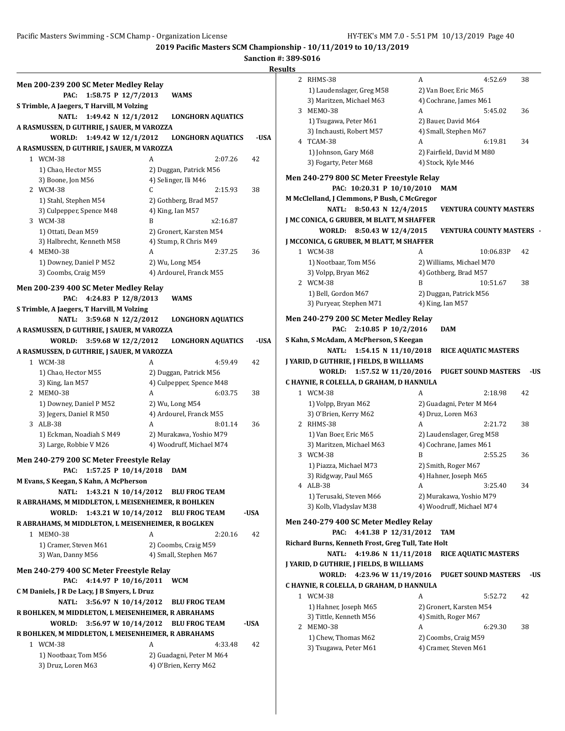**2019 Pacific Masters SCM Championship - 10/11/2019 to 10/13/2019**

**Sanction #: 389-S016**

|                                                                                   |                                                | R    |
|-----------------------------------------------------------------------------------|------------------------------------------------|------|
| Men 200-239 200 SC Meter Medley Relay                                             |                                                |      |
| 1:58.75 P 12/7/2013<br>PAC:                                                       | <b>WAMS</b>                                    |      |
| S Trimble, A Jaegers, T Harvill, M Volzing                                        |                                                |      |
| NATL: 1:49.42 N 12/1/2012                                                         | <b>LONGHORN AQUATICS</b>                       |      |
| A RASMUSSEN, D GUTHRIE, J SAUER, M VAROZZA                                        |                                                |      |
| 1:49.42 W 12/1/2012<br>WORLD:                                                     | <b>LONGHORN AQUATICS</b>                       | -USA |
| A RASMUSSEN, D GUTHRIE, J SAUER, M VAROZZA                                        |                                                |      |
| 1 WCM-38                                                                          | A<br>2:07.26                                   | 42   |
| 1) Chao, Hector M55<br>3) Boone, Jon M56                                          | 2) Duggan, Patrick M56<br>4) Selinger, Ili M46 |      |
| 2 WCM-38                                                                          | 2:15.93<br>C                                   | 38   |
| 1) Stahl, Stephen M54                                                             | 2) Gothberg, Brad M57                          |      |
| 3) Culpepper, Spence M48                                                          | 4) King, Ian M57                               |      |
| 3 WCM-38                                                                          | B<br>x2:16.87                                  |      |
| 1) Ottati, Dean M59                                                               | 2) Gronert, Karsten M54                        |      |
| 3) Halbrecht, Kenneth M58                                                         | 4) Stump, R Chris M49                          |      |
| 4 MEMO-38                                                                         | A<br>2:37.25                                   | 36   |
| 1) Downey, Daniel P M52<br>3) Coombs, Craig M59                                   | 2) Wu, Long M54<br>4) Ardourel, Franck M55     |      |
|                                                                                   |                                                |      |
| Men 200-239 400 SC Meter Medley Relay                                             |                                                |      |
| 4:24.83 P 12/8/2013<br>PAC:                                                       | <b>WAMS</b>                                    |      |
| S Trimble, A Jaegers, T Harvill, M Volzing                                        |                                                |      |
| <b>NATL:</b><br>3:59.68 N 12/2/2012<br>A RASMUSSEN, D GUTHRIE, J SAUER, M VAROZZA | <b>LONGHORN AQUATICS</b>                       |      |
| WORLD:<br>3:59.68 W 12/2/2012                                                     | LONGHORN AQUATICS                              | -USA |
| A RASMUSSEN, D GUTHRIE, J SAUER, M VAROZZA                                        |                                                |      |
| 1 WCM-38                                                                          | 4:59.49<br>A                                   | 42   |
| 1) Chao, Hector M55                                                               | 2) Duggan, Patrick M56                         |      |
| 3) King, Ian M57                                                                  | 4) Culpepper, Spence M48                       |      |
| 2 MEMO-38                                                                         | A<br>6:03.75                                   | 38   |
| 1) Downey, Daniel P M52                                                           | 2) Wu, Long M54                                |      |
| 3) Jegers, Daniel R M50<br>3 ALB-38                                               | 4) Ardourel, Franck M55<br>A<br>8:01.14        | 36   |
| 1) Eckman, Noadiah S M49                                                          | 2) Murakawa, Yoshio M79                        |      |
| 3) Large, Robbie V M26                                                            | 4) Woodruff, Michael M74                       |      |
|                                                                                   |                                                |      |
| Men 240-279 200 SC Meter Freestyle Relay                                          |                                                |      |
| PAC: 1:57.25 P 10/14/2018 DAM<br>M Evans, S Keegan, S Kahn, A McPherson           |                                                |      |
| NATL:                                                                             | 1:43.21 N 10/14/2012 BLU FROG TEAM             |      |
| R ABRAHAMS, M MIDDLETON, L MEISENHEIMER, R BOHLKEN                                |                                                |      |
| 1:43.21 W 10/14/2012<br>WORLD:                                                    | <b>BLU FROG TEAM</b>                           | -USA |
| R ABRAHAMS, M MIDDLETON, L MEISENHEIMER, R BOGLKEN                                |                                                |      |
| 1 MEMO-38                                                                         | A<br>2:20.16                                   | 42   |
| 1) Cramer, Steven M61                                                             | 2) Coombs, Craig M59                           |      |
| 3) Wan, Danny M56                                                                 | 4) Small, Stephen M67                          |      |
| Men 240-279 400 SC Meter Freestyle Relay                                          |                                                |      |
| 4:14.97 P 10/16/2011<br>PAC:                                                      | <b>WCM</b>                                     |      |
| C M Daniels, J R De Lacy, J B Smyers, L Druz                                      |                                                |      |
| 3:56.97 N 10/14/2012<br>NATL:                                                     | <b>BLU FROG TEAM</b>                           |      |
| R BOHLKEN, M MIDDLETON, L MEISENHEIMER, R ABRAHAMS                                |                                                |      |
| 3:56.97 W 10/14/2012<br>WORLD:                                                    | <b>BLU FROG TEAM</b>                           | -USA |
| R BOHLKEN, M MIDDLETON, L MEISENHEIMER, R ABRAHAMS                                |                                                |      |
| 1 WCM-38                                                                          | A<br>4:33.48                                   | 42   |
| 1) Nootbaar, Tom M56                                                              | 2) Guadagni, Peter M M64                       |      |
| 3) Druz, Loren M63                                                                | 4) O'Brien, Kerry M62                          |      |

| 2 | RHMS-38                                            | A | 4:52.69                                       | 38         |
|---|----------------------------------------------------|---|-----------------------------------------------|------------|
|   | 1) Laudenslager, Greg M58                          |   | 2) Van Boer, Eric M65                         |            |
|   | 3) Maritzen, Michael M63                           |   | 4) Cochrane, James M61                        |            |
|   | 3 MEMO-38                                          | A | 5:45.02                                       | 36         |
|   | 1) Tsugawa, Peter M61                              |   | 2) Bauer, David M64                           |            |
|   | 3) Inchausti, Robert M57                           |   | 4) Small, Stephen M67                         |            |
|   | 4 TCAM-38                                          | A | 6:19.81                                       | 34         |
|   | 1) Johnson, Gary M68                               |   | 2) Fairfield, David M M80                     |            |
|   | 3) Fogarty, Peter M68                              |   | 4) Stock, Kyle M46                            |            |
|   |                                                    |   |                                               |            |
|   | Men 240-279 800 SC Meter Freestyle Relay           |   |                                               |            |
|   | PAC: 10:20.31 P 10/10/2010                         |   | MAM                                           |            |
|   | M McClelland, J Clemmons, P Bush, C McGregor       |   |                                               |            |
|   | <b>NATL:</b><br>8:50.43 N 12/4/2015                |   | <b>VENTURA COUNTY MASTERS</b>                 |            |
|   | J MC CONICA, G GRUBER, M BLATT, M SHAFFER          |   |                                               |            |
|   | WORLD:<br>8:50.43 W 12/4/2015                      |   | <b>VENTURA COUNTY MASTERS</b>                 |            |
|   | J MCCONICA, G GRUBER, M BLATT, M SHAFFER           |   |                                               |            |
|   | 1 WCM-38                                           | A | 10:06.83P                                     | 42         |
|   | 1) Nootbaar, Tom M56                               |   | 2) Williams, Michael M70                      |            |
|   | 3) Volpp, Bryan M62<br>2 WCM-38                    | B | 4) Gothberg, Brad M57                         |            |
|   |                                                    |   | 10:51.67                                      | 38         |
|   | 1) Bell, Gordon M67<br>3) Puryear, Stephen M71     |   | 2) Duggan, Patrick M56                        |            |
|   |                                                    |   | 4) King, Ian M57                              |            |
|   | Men 240-279 200 SC Meter Medley Relay              |   |                                               |            |
|   | PAC:<br>2:10.85 P $10/2/2016$                      |   | <b>DAM</b>                                    |            |
|   | S Kahn, S McAdam, A McPherson, S Keegan            |   |                                               |            |
|   | <b>NATL:</b><br>1:54.15 N $11/10/2018$             |   |                                               |            |
|   |                                                    |   | <b>RICE AQUATIC MASTERS</b>                   |            |
|   | J YARID, D GUTHRIE, J FIELDS, B WILLIAMS           |   |                                               |            |
|   | WORLD:<br>1:57.52 W 11/20/2016                     |   | <b>PUGET SOUND MASTERS</b>                    |            |
|   | C HAYNIE, R COLELLA, D GRAHAM, D HANNULA           |   |                                               |            |
|   | 1 WCM-38                                           | A | 2:18.98                                       | 42         |
|   | 1) Volpp, Bryan M62                                |   | 2) Guadagni, Peter M M64                      |            |
|   | 3) O'Brien, Kerry M62                              |   | 4) Druz, Loren M63                            |            |
|   | 2 RHMS-38                                          | A | 2:21.72                                       | 38         |
|   | 1) Van Boer, Eric M65                              |   | 2) Laudenslager, Greg M58                     |            |
|   | 3) Maritzen, Michael M63                           |   | 4) Cochrane, James M61                        |            |
|   | 3 WCM-38                                           | B | 2:55.25                                       | 36         |
|   | 1) Piazza, Michael M73                             |   | 2) Smith, Roger M67                           |            |
|   | 3) Ridgway, Paul M65                               |   | 4) Hahner, Joseph M65                         |            |
|   | 4 ALB-38                                           | А | 3:25.40                                       | 34         |
|   | 1) Terusaki, Steven M66                            |   | 2) Murakawa, Yoshio M79                       |            |
|   | 3) Kolb, Vladyslav M38                             |   | 4) Woodruff, Michael M74                      |            |
|   |                                                    |   |                                               |            |
|   | Men 240-279 400 SC Meter Medley Relay              |   |                                               |            |
|   | 4:41.38 P 12/31/2012<br>PAC:                       |   | TAM                                           |            |
|   | Richard Burns, Kenneth Frost, Greg Tull, Tate Holt |   |                                               |            |
|   | 4:19.86 N 11/11/2018<br><b>NATL:</b>               |   | <b>RICE AQUATIC MASTERS</b>                   |            |
|   | J YARID, D GUTHRIE, J FIELDS, B WILLIAMS           |   |                                               |            |
|   | WORLD:<br>4:23.96 W 11/19/2016                     |   | <b>PUGET SOUND MASTERS</b>                    |            |
|   | C HAYNIE, R COLELLA, D GRAHAM, D HANNULA           |   |                                               |            |
|   | 1 WCM-38                                           | A | 5:52.72                                       | 42         |
|   | 1) Hahner, Joseph M65                              |   | 2) Gronert, Karsten M54                       |            |
|   | 3) Tittle, Kenneth M56                             |   | 4) Smith, Roger M67                           |            |
|   | 2 MEMO-38                                          | A | 6:29.30                                       | 38         |
|   | 1) Chew, Thomas M62<br>3) Tsugawa, Peter M61       |   | 2) Coombs, Craig M59<br>4) Cramer, Steven M61 | -US<br>-US |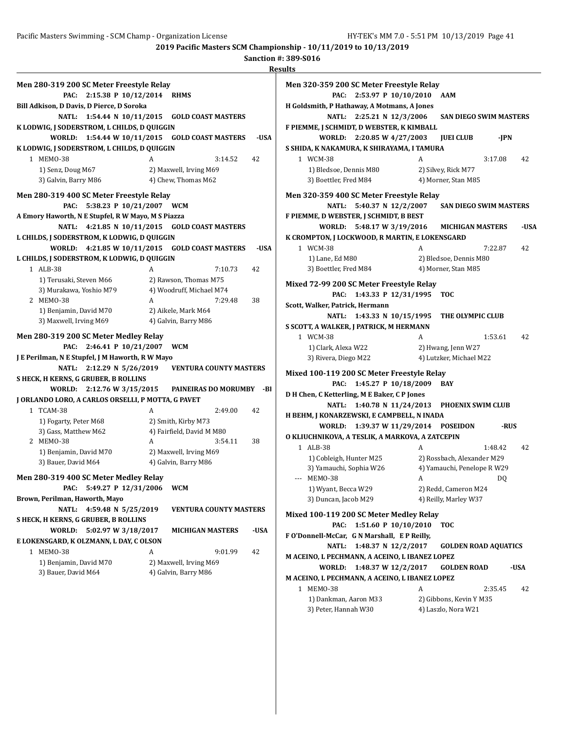| Men 280-319 200 SC Meter Freestyle Relay           |                                                        |
|----------------------------------------------------|--------------------------------------------------------|
| 2:15.38 P 10/12/2014<br>PAC:                       | <b>RHMS</b>                                            |
| Bill Adkison, D Davis, D Pierce, D Soroka          |                                                        |
| <b>NATL:</b><br>1:54.44 N $10/11/2015$             | <b>GOLD COAST MASTERS</b>                              |
| K LODWIG, J SODERSTROM, L CHILDS, D QUIGGIN        |                                                        |
| WORLD:<br>1:54.44 W 10/11/2015                     | <b>GOLD COAST MASTERS</b><br>-USA                      |
| K LODWIG, J SODERSTROM, L CHILDS, D QUIGGIN        |                                                        |
| 1 MEMO-38                                          | A<br>3:14.52<br>42                                     |
| 1) Senz, Doug M67                                  | 2) Maxwell, Irving M69                                 |
| 3) Galvin, Barry M86                               | 4) Chew, Thomas M62                                    |
|                                                    |                                                        |
| Men 280-319 400 SC Meter Freestyle Relay           |                                                        |
| 5:38.23 P 10/21/2007<br>PAC:                       | <b>WCM</b>                                             |
| A Emory Haworth, N E Stupfel, R W Mayo, M S Piazza |                                                        |
| <b>NATL:</b>                                       | 4:21.85 N 10/11/2015 GOLD COAST MASTERS                |
| L CHILDS, J SODERSTROM, K LODWIG, D QUIGGIN        |                                                        |
| WORLD:                                             | 4:21.85 W 10/11/2015 GOLD COAST MASTERS<br>-USA        |
| L CHILDS, J SODERSTROM, K LODWIG, D QUIGGIN        |                                                        |
| 1 ALB-38                                           | A<br>7:10.73<br>42                                     |
| 1) Terusaki, Steven M66                            | 2) Rawson, Thomas M75                                  |
| 3) Murakawa, Yoshio M79                            | 4) Woodruff, Michael M74                               |
| 2 MEMO-38                                          | A<br>7:29.48<br>38                                     |
| 1) Benjamin, David M70                             | 2) Aikele, Mark M64                                    |
| 3) Maxwell, Irving M69                             | 4) Galvin, Barry M86                                   |
| Men 280-319 200 SC Meter Medley Relay              |                                                        |
| 2:46.41 P 10/21/2007<br>PAC:                       | <b>WCM</b>                                             |
| J E Perilman, N E Stupfel, J M Haworth, R W Mayo   |                                                        |
| NATL:                                              | 2:12.29 N 5/26/2019    VENTURA COUNTY MASTERS          |
| S HECK, H KERNS, G GRUBER, B ROLLINS               |                                                        |
|                                                    | WORLD: 2:12.76 W 3/15/2015 PAINEIRAS DO MORUMBY<br>-BI |
| J ORLANDO LORO, A CARLOS ORSELLI, P MOTTA, G PAVET |                                                        |
| 1 TCAM-38                                          | A<br>2:49.00<br>42                                     |
|                                                    | 2) Smith, Kirby M73                                    |
| 1) Fogarty, Peter M68<br>3) Gass, Matthew M62      | 4) Fairfield, David M M80                              |
| 2 MEMO-38                                          | A<br>3:54.11<br>38                                     |
| 1) Benjamin, David M70                             | 2) Maxwell, Irving M69                                 |
| 3) Bauer, David M64                                | 4) Galvin, Barry M86                                   |
|                                                    |                                                        |
| Men 280-319 400 SC Meter Medley Relay              |                                                        |
| 5:49.27 P 12/31/2006<br>PAC:                       | WCM                                                    |
| Brown, Perilman, Haworth, Mayo                     |                                                        |
| <b>NATL:</b><br>4:59.48 N 5/25/2019                | <b>VENTURA COUNTY MASTERS</b>                          |
| S HECK, H KERNS, G GRUBER, B ROLLINS               |                                                        |
| <b>WORLD:</b><br>5:02.97 W 3/18/2017               | <b>MICHIGAN MASTERS</b><br>-USA                        |
| E LOKENSGARD, K OLZMANN, L DAY, C OLSON            |                                                        |
| 1 MEMO-38                                          | A<br>9:01.99<br>42                                     |
| 1) Benjamin, David M70                             | 2) Maxwell, Irving M69                                 |
| 3) Bauer, David M64                                | 4) Galvin, Barry M86                                   |
|                                                    |                                                        |

| Men 320-359 200 SC Meter Freestyle Relay                 |                                            |   |                                                           |         |      |
|----------------------------------------------------------|--------------------------------------------|---|-----------------------------------------------------------|---------|------|
| PAC:                                                     | 2:53.97 P 10/10/2010                       |   | AAM                                                       |         |      |
| H Goldsmith, P Hathaway, A Motmans, A Jones              |                                            |   |                                                           |         |      |
|                                                          | NATL: 2:25.21 N 12/3/2006                  |   | <b>SAN DIEGO SWIM MASTERS</b>                             |         |      |
| F PIEMME, J SCHMIDT, D WEBSTER, K KIMBALL                |                                            |   |                                                           |         |      |
|                                                          | WORLD: 2:20.85 W 4/27/2003                 |   | <b>JUEI CLUB</b>                                          | -JPN    |      |
| S SHIDA, K NAKAMURA, K SHIRAYAMA, I TAMURA               |                                            |   |                                                           |         |      |
| 1 WCM-38                                                 |                                            | A |                                                           | 3:17.08 | 42   |
| 1) Bledsoe, Dennis M80                                   |                                            |   | 2) Silvey, Rick M77                                       |         |      |
| 3) Boettler, Fred M84                                    |                                            |   | 4) Morner, Stan M85                                       |         |      |
| Men 320-359 400 SC Meter Freestyle Relay                 |                                            |   |                                                           |         |      |
| NATL:                                                    | 5:40.37 N 12/2/2007 SAN DIEGO SWIM MASTERS |   |                                                           |         |      |
| F PIEMME, D WEBSTER, J SCHMIDT, B BEST                   |                                            |   |                                                           |         |      |
|                                                          | WORLD: 5:48.17 W 3/19/2016                 |   | <b>MICHIGAN MASTERS</b>                                   |         | -USA |
| K CROMPTON, J LOCKWOOD, R MARTIN, E LOKENSGARD           |                                            |   |                                                           |         |      |
| 1 WCM-38                                                 |                                            | A |                                                           | 7:22.87 | 42   |
| 1) Lane, Ed M80                                          |                                            |   | 2) Bledsoe, Dennis M80                                    |         |      |
| 3) Boettler, Fred M84                                    |                                            |   | 4) Morner, Stan M85                                       |         |      |
| Mixed 72-99 200 SC Meter Freestyle Relay                 |                                            |   |                                                           |         |      |
| PAC:                                                     | 1:43.33 P 12/31/1995                       |   | <b>TOC</b>                                                |         |      |
| Scott, Walker, Patrick, Hermann                          |                                            |   |                                                           |         |      |
|                                                          | NATL: 1:43.33 N 10/15/1995                 |   | THE OLYMPIC CLUB                                          |         |      |
| S SCOTT, A WALKER, J PATRICK, M HERMANN                  |                                            |   |                                                           |         |      |
| 1 WCM-38                                                 |                                            | A |                                                           | 1:53.61 | 42   |
| 1) Clark, Alexa W22                                      |                                            |   | 2) Hwang, Jenn W27                                        |         |      |
| 3) Rivera, Diego M22                                     |                                            |   | 4) Lutzker, Michael M22                                   |         |      |
| Mixed 100-119 200 SC Meter Freestyle Relay               |                                            |   |                                                           |         |      |
| PAC:                                                     | 1:45.27 P 10/18/2009                       |   | BAY                                                       |         |      |
| D H Chen, C Ketterling, M E Baker, C P Jones             |                                            |   |                                                           |         |      |
| NATL:                                                    | 1:40.78 N 11/24/2013                       |   | <b>PHOENIX SWIM CLUB</b>                                  |         |      |
| H BEHM, J KONARZEWSKI, E CAMPBELL, N INADA               |                                            |   |                                                           |         |      |
| <b>WORLD:</b>                                            | 1:39.37 W 11/29/2014 POSEIDON              |   |                                                           | -RUS    |      |
| O KLIUCHNIKOVA, A TESLIK, A MARKOVA, A ZATCEPIN          |                                            |   |                                                           |         |      |
| 1 ALB-38                                                 |                                            | A |                                                           | 1:48.42 | 42   |
| 1) Cobleigh, Hunter M25                                  |                                            |   | 2) Rossbach, Alexander M29<br>4) Yamauchi, Penelope R W29 |         |      |
| 3) Yamauchi, Sophia W26<br>--- MEMO-38                   |                                            | A |                                                           | DQ      |      |
| 1) Wyant, Becca W29                                      |                                            |   | 2) Redd, Cameron M24                                      |         |      |
| 3) Duncan, Jacob M29                                     |                                            |   | 4) Reilly, Marley W37                                     |         |      |
|                                                          |                                            |   |                                                           |         |      |
| Mixed 100-119 200 SC Meter Medley Relay                  |                                            |   |                                                           |         |      |
| PAC:                                                     | 1:51.60 P 10/10/2010                       |   | тос                                                       |         |      |
| F O'Donnell-McCar, G N Marshall, E P Reilly,             |                                            |   |                                                           |         |      |
| <b>NATL:</b>                                             | 1:48.37 N 12/2/2017                        |   | <b>GOLDEN ROAD AQUATICS</b>                               |         |      |
| M ACEINO, L PECHMANN, A ACEINO, L IBANEZ LOPEZ           |                                            |   |                                                           |         |      |
| WORLD:<br>M ACEINO, L PECHMANN, A ACEINO, L IBANEZ LOPEZ | 1:48.37 W 12/2/2017                        |   | <b>GOLDEN ROAD</b>                                        |         | -USA |
| 1 MEM0-38                                                |                                            | A |                                                           | 2:35.45 | 42   |
| 1) Dankman, Aaron M33                                    |                                            |   | 2) Gibbons, Kevin Y M35                                   |         |      |
| 3) Peter, Hannah W30                                     |                                            |   | 4) Laszlo, Nora W21                                       |         |      |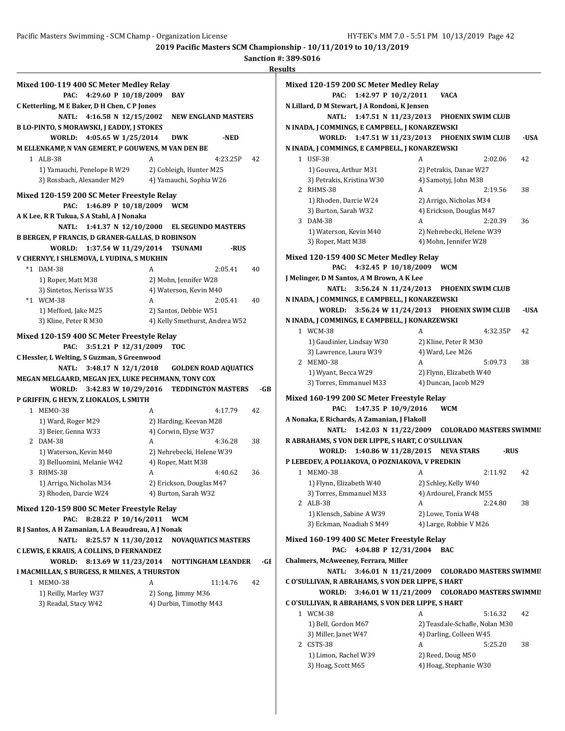|    |                                                         |                                | ке  |
|----|---------------------------------------------------------|--------------------------------|-----|
|    | Mixed 100-119 400 SC Meter Medley Relay                 |                                |     |
|    | PAC:<br>4:29.60 P 10/18/2009                            | <b>BAY</b>                     |     |
|    | C Ketterling, M E Baker, D H Chen, C P Jones            |                                |     |
|    | 4:16.58 N $12/15/2002$<br>NATL:                         | <b>NEW ENGLAND MASTERS</b>     |     |
|    | <b>B LO-PINTO, S MORAWSKI, J EADDY, J STOKES</b>        |                                |     |
|    | 4:05.65 W 1/25/2014<br>WORLD:                           | <b>DWK</b><br>-NED             |     |
|    | M ELLENKAMP, N VAN GEMERT, P GOUWENS, M VAN DEN BE      |                                |     |
|    | 1 ALB-38                                                | A<br>4:23.25P                  | 42  |
|    | 1) Yamauchi, Penelope R W29                             | 2) Cobleigh, Hunter M25        |     |
|    | 3) Rossbach, Alexander M29                              | 4) Yamauchi, Sophia W26        |     |
|    | Mixed 120-159 200 SC Meter Freestyle Relay              |                                |     |
|    | 1:46.89 P 10/18/2009<br>PAC:                            | <b>WCM</b>                     |     |
|    | A K Lee, R R Tukua, S A Stahl, A J Nonaka               |                                |     |
|    | 1:41.37 N $12/10/2000$<br><b>NATL:</b>                  | <b>EL SEGUNDO MASTERS</b>      |     |
|    | <b>B BERGEN, P FRANCIS, D GRANER-GALLAS, D ROBINSON</b> |                                |     |
|    | 1:37.54 W 11/29/2014<br>WORLD:                          | <b>TSUNAMI</b><br>-RUS         |     |
|    | V CHERNYY, I SHLEMOVA, L YUDINA, S MUKHIN               |                                |     |
| *1 | DAM-38                                                  | 2:05.41<br>A                   | 40  |
|    | 1) Roper, Matt M38                                      | 2) Mohn, Jennifer W28          |     |
|    | 3) Sintetos, Nerissa W35                                | 4) Waterson, Kevin M40         |     |
|    | *1 WCM-38                                               | 2:05.41<br>A                   | 40  |
|    | 1) Mefford, Jake M25                                    | 2) Santos, Debbie W51          |     |
|    | 3) Kline, Peter R M30                                   | 4) Kelly Smethurst, Andrea W52 |     |
|    | Mixed 120-159 400 SC Meter Freestyle Relay              |                                |     |
|    | 3:51.21 P 12/31/2009<br>PAC:                            | <b>TOC</b>                     |     |
|    | C Hessler, L Welting, S Guzman, S Greenwood             |                                |     |
|    | $3:48.17 \text{ N } 12/1/2018$<br><b>NATL:</b>          | <b>GOLDEN ROAD AQUATICS</b>    |     |
|    | MEGAN MELGAARD, MEGAN JEX, LUKE PECHMANN, TONY COX      |                                |     |
|    | 3:42.83 W 10/29/2016<br>WORLD:                          | <b>TEDDINGTON MASTERS</b>      | -GB |
|    | P GRIFFIN, G HEYN, Z LIOKALOS, L SMITH                  |                                |     |
|    | 1 MEMO-38                                               | A<br>4:17.79                   | 42  |
|    | 1) Ward, Roger M29                                      | 2) Harding, Keevan M28         |     |
|    | 3) Beier, Genna W33                                     | 4) Corwin, Elyse W37           |     |
|    | 2 DAM-38                                                | A<br>4:36.28                   | 38  |
|    | 1) Waterson, Kevin M40                                  | 2) Nehrebecki, Helene W39      |     |
|    | 3) Belluomini, Melanie W42                              | 4) Roper, Matt M38             |     |
| 3  | RHMS-38                                                 | 4:40.62<br>A                   | 36  |
|    | 1) Arrigo, Nicholas M34                                 | 2) Erickson, Douglas M47       |     |
|    | 3) Rhoden, Darcie W24                                   | 4) Burton, Sarah W32           |     |
|    | Mixed 120-159 800 SC Meter Freestyle Relay              |                                |     |
|    | 8:28.22 P 10/16/2011<br>PAC:                            | <b>WCM</b>                     |     |
|    | R J Santos, A H Zamanian, L A Beaudreau, A J Nonak      |                                |     |
|    | <b>NATL:</b><br>8:25.57 N 11/30/2012                    | <b>NOVAQUATICS MASTERS</b>     |     |
|    | C LEWIS, E KRAUS, A COLLINS, D FERNANDEZ                |                                |     |
|    | WORLD:<br>8:13.69 W 11/23/2014                          | <b>NOTTINGHAM LEANDER</b>      | -GE |
|    | I MACMILLAN, S BURGESS, R MILNES, A THURSTON            |                                |     |
|    | 1 MEMO-38                                               | A<br>11:14.76                  | 42  |
|    | 1) Reilly, Marley W37                                   | 2) Song, Jimmy M36             |     |
|    | 3) Readal, Stacy W42                                    | 4) Durbin, Timothy M43         |     |
|    |                                                         |                                |     |
|    |                                                         |                                |     |
|    |                                                         |                                |     |
|    |                                                         |                                |     |
|    |                                                         |                                |     |

| Mixed 120-159 200 SC Meter Medley Relay                                             |                                                |
|-------------------------------------------------------------------------------------|------------------------------------------------|
| PAC:<br>1:42.97 P 10/2/2011                                                         | <b>VACA</b>                                    |
| N Lillard, D M Stewart, J A Rondoni, K Jensen                                       |                                                |
| <b>NATL:</b><br>1:47.51 N 11/23/2013                                                | <b>PHOENIX SWIM CLUB</b>                       |
| N INADA, J COMMINGS, E CAMPBELL, J KONARZEWSKI                                      |                                                |
| WORLD:                                                                              | 1:47.51 W 11/23/2013 PHOENIX SWIM CLUB<br>-USA |
| N INADA, J COMMINGS, E CAMPBELL, J KONARZEWSKI                                      |                                                |
| 1 USF-38                                                                            | 42<br>A<br>2:02.06                             |
| 1) Gouvea, Arthur M31                                                               | 2) Petrakis, Danae W27                         |
| 3) Petrakis, Kristina W30                                                           | 4) Samotyj, John M38                           |
| 2 RHMS-38                                                                           | A<br>2:19.56<br>38                             |
| 1) Rhoden, Darcie W24                                                               | 2) Arrigo, Nicholas M34                        |
| 3) Burton, Sarah W32                                                                | 4) Erickson, Douglas M47                       |
| 3 DAM-38                                                                            | A<br>2:20.39<br>36                             |
| 1) Waterson, Kevin M40                                                              | 2) Nehrebecki, Helene W39                      |
| 3) Roper, Matt M38                                                                  | 4) Mohn, Jennifer W28                          |
| Mixed 120-159 400 SC Meter Medley Relay                                             |                                                |
| 4:32.45 P 10/18/2009<br>PAC:                                                        | <b>WCM</b>                                     |
| J Melinger, D M Santos, A M Brown, A K Lee                                          |                                                |
| 3:56.24 N $11/24/2013$<br>NATL:                                                     | <b>PHOENIX SWIM CLUB</b>                       |
| N INADA, J COMMINGS, E CAMPBELL, J KONARZEWSKI                                      |                                                |
| WORLD:<br>3:56.24 W 11/24/2013                                                      | <b>PHOENIX SWIM CLUB</b><br>-USA               |
| N INADA, J COMMINGS, E CAMPBELL, J KONARZEWSKI                                      |                                                |
| 1 WCM-38                                                                            | 4:32.35P<br>42<br>A                            |
| 1) Gaudinier, Lindsay W30                                                           | 2) Kline, Peter R M30                          |
| 3) Lawrence, Laura W39                                                              | 4) Ward, Lee M26                               |
| 2 MEMO-38                                                                           | A<br>5:09.73<br>38                             |
| 1) Wyant, Becca W29                                                                 | 2) Flynn, Elizabeth W40                        |
| 3) Torres, Emmanuel M33                                                             | 4) Duncan, Jacob M29                           |
|                                                                                     |                                                |
| Mixed 160-199 200 SC Meter Freestyle Relay                                          |                                                |
| 1:47.35 P 10/9/2016<br>PAC:                                                         | <b>WCM</b>                                     |
| A Nonaka, E Richards, A Zamanian, J Flakoll                                         |                                                |
| 1:42.03 N 11/22/2009<br><b>NATL:</b>                                                | <b>COLORADO MASTERS SWIMMII</b>                |
| R ABRAHAMS, S VON DER LIPPE, S HART, C O'SULLIVAN                                   |                                                |
| WORLD:<br>1:40.86 W 11/28/2015                                                      | <b>NEVA STARS</b><br>-RUS                      |
| P LEBEDEV, A POLIAKOVA, O POZNIAKOVA, V PREDKIN                                     |                                                |
| 1 MEM0-38                                                                           | 2:11.92<br>42<br>А                             |
| 1) Flynn, Elizabeth W40                                                             | 2) Schley, Kelly W40                           |
| 3) Torres, Emmanuel M33                                                             | 4) Ardourel, Franck M55                        |
| 2 ALB-38                                                                            | 2:24.80<br>38<br>A                             |
| 1) Klensch, Sabine A W39                                                            | 2) Lowe, Tonia W48                             |
| 3) Eckman, Noadiah S M49                                                            | 4) Large, Robbie V M26                         |
| Mixed 160-199 400 SC Meter Freestyle Relay                                          |                                                |
| 4:04.88 P 12/31/2004<br>PAC:                                                        | <b>BAC</b>                                     |
| Chalmers, McAweeney, Ferrara, Miller                                                |                                                |
| <b>NATL:</b><br>3:46.01 N 11/21/2009                                                | <b>COLORADO MASTERS SWIMMII</b>                |
| C O'SULLIVAN, R ABRAHAMS, S VON DER LIPPE, S HART                                   |                                                |
|                                                                                     |                                                |
| 3:46.01 W 11/21/2009<br>WORLD:<br>C O'SULLIVAN, R ABRAHAMS, S VON DER LIPPE, S HART | <b>COLORADO MASTERS SWIMMII</b>                |
|                                                                                     |                                                |
| 1 WCM-38                                                                            | A<br>5:16.32<br>42                             |
| 1) Bell, Gordon M67                                                                 | 2) Teasdale-Schafle, Nolan M30                 |
| 3) Miller, Janet W47                                                                | 4) Darling, Colleen W45                        |
| 2 CSTS-38                                                                           | A<br>5:25.20<br>38                             |
| 1) Limon, Rachel W39                                                                | 2) Reed, Doug M50                              |
| 3) Hoag, Scott M65                                                                  | 4) Hoag, Stephanie W30                         |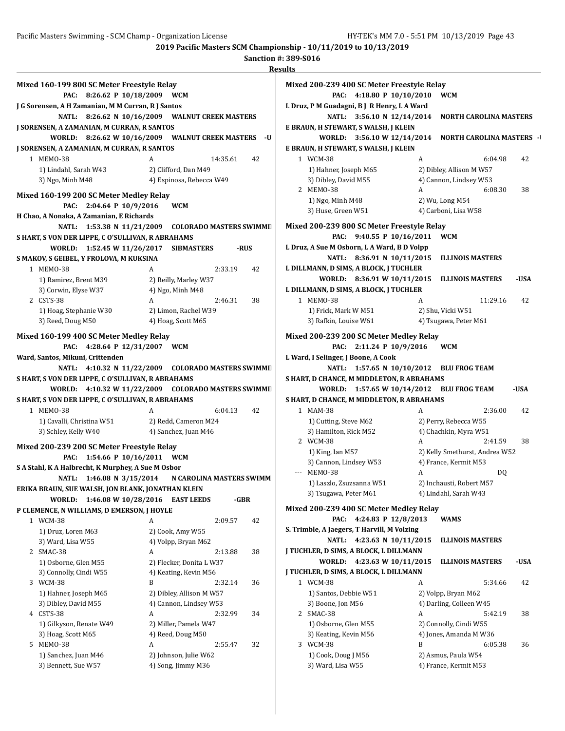| Mixed 160-199 800 SC Meter Freestyle Relay                                 |   |                                              |      |
|----------------------------------------------------------------------------|---|----------------------------------------------|------|
| PAC:<br>8:26.62 P 10/18/2009                                               |   | <b>WCM</b>                                   |      |
| J G Sorensen, A H Zamanian, M M Curran, R J Santos                         |   |                                              |      |
| <b>NATL:</b>                                                               |   | 8:26.62 N 10/16/2009 WALNUT CREEK MASTERS    |      |
| <b>J SORENSEN, A ZAMANIAN, M CURRAN, R SANTOS</b>                          |   |                                              |      |
| WORLD:                                                                     |   | 8:26.62 W 10/16/2009 WALNUT CREEK MASTERS    | -U   |
| J SORENSEN, A ZAMANIAN, M CURRAN, R SANTOS                                 |   |                                              |      |
| 1 MEMO-38                                                                  | A | 14:35.61                                     | 42   |
| 1) Lindahl, Sarah W43                                                      |   | 2) Clifford, Dan M49                         |      |
| 3) Ngo, Minh M48                                                           |   | 4) Espinosa, Rebecca W49                     |      |
| Mixed 160-199 200 SC Meter Medley Relay                                    |   |                                              |      |
| 2:04.64 P 10/9/2016<br>PAC:                                                |   | <b>WCM</b>                                   |      |
| H Chao, A Nonaka, A Zamanian, E Richards                                   |   |                                              |      |
| <b>NATL:</b>                                                               |   |                                              |      |
| 1:53.38 N 11/21/2009                                                       |   | <b>COLORADO MASTERS SWIMMII</b>              |      |
| S HART, S VON DER LIPPE, C O'SULLIVAN, R ABRAHAMS                          |   |                                              |      |
| 1:52.45 W 11/26/2017<br>WORLD:                                             |   | SIBMASTERS                                   | -RUS |
| S MAKOV, S GEIBEL, Y FROLOVA, M KUKSINA                                    |   |                                              |      |
| 1 MEMO-38                                                                  | A | 2:33.19                                      | 42   |
| 1) Ramirez, Brent M39                                                      |   | 2) Reilly, Marley W37                        |      |
| 3) Corwin, Elyse W37                                                       |   | 4) Ngo, Minh M48                             |      |
| 2 CSTS-38                                                                  | A | 2:46.31                                      | 38   |
| 1) Hoag, Stephanie W30                                                     |   | 2) Limon, Rachel W39                         |      |
| 3) Reed, Doug M50                                                          |   | 4) Hoag, Scott M65                           |      |
| Mixed 160-199 400 SC Meter Medley Relay                                    |   |                                              |      |
| 4:28.64 P 12/31/2007<br>PAC:                                               |   | <b>WCM</b>                                   |      |
| Ward, Santos, Mikuni, Crittenden                                           |   |                                              |      |
| 4:10.32 N $11/22/2009$<br>NATL:                                            |   |                                              |      |
|                                                                            |   | <b>COLORADO MASTERS SWIMMII</b>              |      |
| S HART, S VON DER LIPPE, C O'SULLIVAN, R ABRAHAMS                          |   |                                              |      |
| WORLD:                                                                     |   | 4:10.32 W 11/22/2009 COLORADO MASTERS SWIMMI |      |
| S HART, S VON DER LIPPE, C O'SULLIVAN, R ABRAHAMS                          |   |                                              |      |
| 1 MEMO-38                                                                  | A | 6:04.13                                      | 42   |
| 1) Cavalli, Christina W51                                                  |   | 2) Redd, Cameron M24                         |      |
| 3) Schley, Kelly W40                                                       |   | 4) Sanchez, Juan M46                         |      |
|                                                                            |   |                                              |      |
| Mixed 200-239 200 SC Meter Freestyle Relay<br>PAC:<br>1:54.66 P 10/16/2011 |   | <b>WCM</b>                                   |      |
| S A Stahl, K A Halbrecht, K Murphey, A Sue M Osbor                         |   |                                              |      |
| <b>NATL:</b><br>1:46.08 N 3/15/2014                                        |   | N CAROLINA MASTERS SWIMM                     |      |
| ERIKA BRAUN, SUE WALSH, JON BLANK, JONATHAN KLEIN                          |   |                                              |      |
| WORLD:                                                                     |   | <b>EAST LEEDS</b>                            | -GBR |
| 1:46.08 W 10/28/2016<br>P CLEMENCE, N WILLIAMS, D EMERSON, J HOYLE         |   |                                              |      |
| 1 WCM-38                                                                   | A |                                              | 42   |
|                                                                            |   | 2:09.57                                      |      |
| 1) Druz, Loren M63                                                         |   | 2) Cook, Amy W55                             |      |
| 3) Ward, Lisa W55                                                          |   | 4) Volpp, Bryan M62                          |      |
| 2 SMAC-38                                                                  | A | 2:13.88                                      | 38   |
| 1) Osborne, Glen M55                                                       |   | 2) Flecker, Donita L W37                     |      |
| 3) Connolly, Cindi W55                                                     |   | 4) Keating, Kevin M56                        |      |
| 3 WCM-38                                                                   | B | 2:32.14                                      | 36   |
| 1) Hahner, Joseph M65                                                      |   | 2) Dibley, Allison M W57                     |      |
| 3) Dibley, David M55                                                       |   | 4) Cannon, Lindsey W53                       |      |
| 4 CSTS-38                                                                  | A | 2:32.99                                      | 34   |
| 1) Gilkyson, Renate W49                                                    |   | 2) Miller, Pamela W47                        |      |
| 3) Hoag, Scott M65                                                         |   | 4) Reed, Doug M50                            |      |
| 5 MEMO-38                                                                  | A | 2:55.47                                      | 32   |
| 1) Sanchez, Juan M46<br>3) Bennett, Sue W57                                |   | 2) Johnson, Julie W62<br>4) Song, Jimmy M36  |      |

|                          | Mixed 200-239 400 SC Meter Freestyle Relay  |   |                                  |      |
|--------------------------|---------------------------------------------|---|----------------------------------|------|
|                          | 4:18.80 P 10/10/2010<br>PAC:                |   | <b>WCM</b>                       |      |
|                          | L Druz, P M Guadagni, B J R Henry, L A Ward |   |                                  |      |
|                          | <b>NATL:</b><br>3:56.10 N 12/14/2014        |   | <b>NORTH CAROLINA MASTERS</b>    |      |
|                          | E BRAUN, H STEWART, S WALSH, J KLEIN        |   |                                  |      |
|                          | WORLD:<br>3:56.10 W 12/14/2014              |   | <b>NORTH CAROLINA MASTERS -1</b> |      |
|                          | E BRAUN, H STEWART, S WALSH, J KLEIN        |   |                                  |      |
|                          | 1 WCM-38                                    | A | 6:04.98                          | 42   |
|                          | 1) Hahner, Joseph M65                       |   | 2) Dibley, Allison M W57         |      |
|                          | 3) Dibley, David M55                        |   | 4) Cannon, Lindsey W53           |      |
|                          | 2 MEMO-38                                   | A | 6:08.30                          | 38   |
|                          | 1) Ngo, Minh M48                            |   | 2) Wu, Long M54                  |      |
|                          | 3) Huse, Green W51                          |   | 4) Carboni, Lisa W58             |      |
|                          |                                             |   |                                  |      |
|                          | Mixed 200-239 800 SC Meter Freestyle Relay  |   |                                  |      |
|                          | PAC:<br>9:40.55 P 10/16/2011                |   | <b>WCM</b>                       |      |
|                          | L Druz, A Sue M Osborn, L A Ward, B D Volpp |   |                                  |      |
|                          | <b>NATL:</b><br>8:36.91 N 10/11/2015        |   | <b>ILLINOIS MASTERS</b>          |      |
|                          | L DILLMANN, D SIMS, A BLOCK, J TUCHLER      |   |                                  |      |
|                          | 8:36.91 W 10/11/2015<br>WORLD:              |   | <b>ILLINOIS MASTERS</b>          | -USA |
|                          | L DILLMANN, D SIMS, A BLOCK, J TUCHLER      |   |                                  |      |
|                          | 1 MEM0-38                                   | A | 11:29.16                         | 42   |
|                          | 1) Frick, Mark W M51                        |   | 2) Shu, Vicki W51                |      |
|                          | 3) Rafkin, Louise W61                       |   | 4) Tsugawa, Peter M61            |      |
|                          | Mixed 200-239 200 SC Meter Medley Relay     |   |                                  |      |
|                          | 2:11.24 P 10/9/2016<br>PAC:                 |   | <b>WCM</b>                       |      |
|                          | L Ward, I Selinger, J Boone, A Cook         |   |                                  |      |
|                          | <b>NATL:</b><br>1:57.65 N 10/10/2012        |   | <b>BLU FROG TEAM</b>             |      |
|                          | S HART, D CHANCE, M MIDDLETON, R ABRAHAMS   |   |                                  |      |
|                          | WORLD:<br>1:57.65 W 10/14/2012              |   | <b>BLU FROG TEAM</b>             | -USA |
|                          | S HART, D CHANCE, M MIDDLETON, R ABRAHAMS   |   |                                  |      |
|                          | 1 MAM-38                                    | A | 2:36.00                          | 42   |
|                          | 1) Cutting, Steve M62                       |   | 2) Perry, Rebecca W55            |      |
|                          | 3) Hamilton, Rick M52                       |   |                                  |      |
|                          |                                             |   |                                  |      |
|                          |                                             |   | 4) Chachkin, Myra W51            |      |
|                          | 2 WCM-38                                    | A | 2:41.59                          | 38   |
|                          | 1) King, Ian M57                            |   | 2) Kelly Smethurst, Andrea W52   |      |
|                          | 3) Cannon, Lindsey W53                      |   | 4) France, Kermit M53            |      |
| $\overline{\phantom{a}}$ | <b>MEMO-38</b>                              | A | DQ                               |      |
|                          | 1) Laszlo, Zsuzsanna W51                    |   | 2) Inchausti, Robert M57         |      |
|                          | 3) Tsugawa, Peter M61                       |   | 4) Lindahl, Sarah W43            |      |
|                          | Mixed 200-239 400 SC Meter Medley Relay     |   |                                  |      |
|                          | PAC:<br>4:24.83 P 12/8/2013                 |   | WAMS                             |      |
|                          | S. Trimble, A Jaegers, T Harvill, M Volzing |   |                                  |      |
|                          | <b>NATL:</b><br>4:23.63 N 10/11/2015        |   | <b>ILLINOIS MASTERS</b>          |      |
|                          | J TUCHLER, D SIMS, A BLOCK, L DILLMANN      |   |                                  |      |
|                          | WORLD:<br>4:23.63 W 10/11/2015              |   | <b>ILLINOIS MASTERS</b>          | -USA |
|                          | J TUCHLER, D SIMS, A BLOCK, L DILLMANN      |   |                                  |      |
|                          | 1 WCM-38                                    | A | 5:34.66                          | 42   |
|                          | 1) Santos, Debbie W51                       |   | 2) Volpp, Bryan M62              |      |
|                          | 3) Boone, Jon M56                           |   | 4) Darling, Colleen W45          |      |
|                          | 2 SMAC-38                                   | A | 5:42.19                          | 38   |
|                          | 1) Osborne, Glen M55                        |   | 2) Connolly, Cindi W55           |      |
|                          | 3) Keating, Kevin M56                       |   | 4) Jones, Amanda M W36           |      |
|                          | 3 WCM-38                                    | B | 6:05.38                          | 36   |
|                          | 1) Cook, Doug J M56                         |   | 2) Asmus, Paula W54              |      |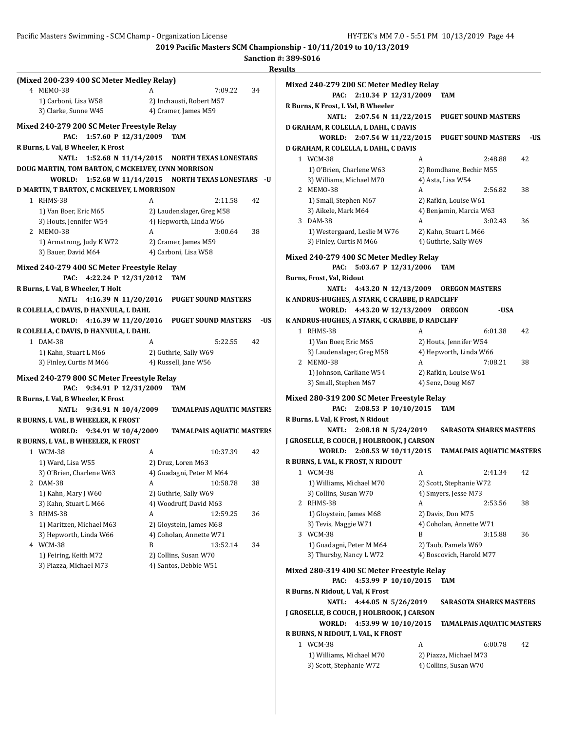**2019 Pacific Masters SCM Championship - 10/11/2019 to 10/13/2019 Sanction #: 389-S016**

|                                                                                |                                                      |     | <b>Results</b>                                                                                             |                                         |         |    |  |  |
|--------------------------------------------------------------------------------|------------------------------------------------------|-----|------------------------------------------------------------------------------------------------------------|-----------------------------------------|---------|----|--|--|
| (Mixed 200-239 400 SC Meter Medley Relay)<br>4 MEM0-38<br>1) Carboni, Lisa W58 | 7:09.22<br>A<br>2) Inchausti, Robert M57             | 34  | Mixed 240-279 200 SC Meter Medley Relay<br>PAC: 2:10.34 P 12/31/2009<br>R Burns, K Frost, L Val, B Wheeler | TAM                                     |         |    |  |  |
| 3) Clarke, Sunne W45                                                           | 4) Cramer, James M59                                 |     | NATL: 2:07.54 N 11/22/2015                                                                                 | <b>PUGET SOUND MASTERS</b>              |         |    |  |  |
| Mixed 240-279 200 SC Meter Freestyle Relay                                     |                                                      |     | D GRAHAM, R COLELLA, L DAHL, C DAVIS                                                                       |                                         |         |    |  |  |
| PAC: 1:57.60 P 12/31/2009<br>TAM                                               |                                                      |     | WORLD: 2:07.54 W 11/22/2015<br>-US<br><b>PUGET SOUND MASTERS</b>                                           |                                         |         |    |  |  |
| R Burns, L Val, B Wheeler, K Frost                                             |                                                      |     | D GRAHAM, R COLELLA, L DAHL, C DAVIS                                                                       |                                         |         |    |  |  |
|                                                                                | NATL: 1:52.68 N 11/14/2015 NORTH TEXAS LONESTARS     |     | 1 WCM-38                                                                                                   | A                                       | 2:48.88 | 42 |  |  |
| DOUG MARTIN, TOM BARTON, C MCKELVEY, LYNN MORRISON                             |                                                      |     | 1) O'Brien, Charlene W63                                                                                   | 2) Romdhane, Bechir M55                 |         |    |  |  |
|                                                                                | WORLD: 1:52.68 W 11/14/2015 NORTH TEXAS LONESTARS -U |     | 3) Williams, Michael M70                                                                                   | 4) Asta, Lisa W54                       |         |    |  |  |
| D MARTIN, T BARTON, C MCKELVEY, L MORRISON                                     |                                                      |     | 2 MEMO-38                                                                                                  | A                                       | 2:56.82 | 38 |  |  |
| 1 RHMS-38                                                                      | 2:11.58<br>A                                         | 42  | 1) Small, Stephen M67                                                                                      | 2) Rafkin, Louise W61                   |         |    |  |  |
| 1) Van Boer, Eric M65                                                          | 2) Laudenslager, Greg M58                            |     | 3) Aikele, Mark M64                                                                                        | 4) Benjamin, Marcia W63                 |         |    |  |  |
| 3) Houts, Jennifer W54                                                         | 4) Hepworth, Linda W66                               |     | 3 DAM-38                                                                                                   | A                                       | 3:02.43 | 36 |  |  |
| 2 MEMO-38                                                                      | 3:00.64<br>A                                         | 38  | 1) Westergaard, Leslie M W76                                                                               | 2) Kahn, Stuart L M66                   |         |    |  |  |
| 1) Armstrong, Judy K W72                                                       | 2) Cramer, James M59                                 |     | 3) Finley, Curtis M M66                                                                                    | 4) Guthrie, Sally W69                   |         |    |  |  |
| 3) Bauer, David M64                                                            | 4) Carboni, Lisa W58                                 |     |                                                                                                            | Mixed 240-279 400 SC Meter Medley Relay |         |    |  |  |
| Mixed 240-279 400 SC Meter Freestyle Relay                                     |                                                      |     | PAC: 5:03.67 P 12/31/2006 TAM                                                                              |                                         |         |    |  |  |
| PAC: 4:22.24 P 12/31/2012 TAM                                                  |                                                      |     | Burns, Frost, Val, Ridout                                                                                  |                                         |         |    |  |  |
| R Burns, L Val, B Wheeler, T Holt                                              |                                                      |     | NATL: 4:43.20 N 12/13/2009<br><b>OREGON MASTERS</b>                                                        |                                         |         |    |  |  |
| NATL: 4:16.39 N 11/20/2016<br><b>PUGET SOUND MASTERS</b>                       |                                                      |     | K ANDRUS-HUGHES, A STARK, C CRABBE, D RADCLIFF                                                             |                                         |         |    |  |  |
| R COLELLA, C DAVIS, D HANNULA, L DAHL                                          |                                                      |     | WORLD: 4:43.20 W 12/13/2009 OREGON                                                                         |                                         | -USA    |    |  |  |
| WORLD: 4:16.39 W 11/20/2016                                                    | <b>PUGET SOUND MASTERS</b>                           | -US | K ANDRUS-HUGHES, A STARK, C CRABBE, D RADCLIFF                                                             |                                         |         |    |  |  |
| R COLELLA, C DAVIS, D HANNULA, L DAHL                                          |                                                      |     | 1 RHMS-38                                                                                                  | A                                       | 6:01.38 | 42 |  |  |
| 1 DAM-38                                                                       | 5:22.55<br>A                                         | 42  | 1) Van Boer, Eric M65                                                                                      | 2) Houts, Jennifer W54                  |         |    |  |  |
| 1) Kahn, Stuart L M66                                                          | 2) Guthrie, Sally W69                                |     | 3) Laudenslager, Greg M58                                                                                  | 4) Hepworth, Linda W66                  |         |    |  |  |
| 3) Finley, Curtis M M66                                                        | 4) Russell, Jane W56                                 |     | 2 MEMO-38                                                                                                  | A                                       | 7:08.21 | 38 |  |  |
| Mixed 240-279 800 SC Meter Freestyle Relay                                     |                                                      |     | 1) Johnson, Carliane W54                                                                                   | 2) Rafkin, Louise W61                   |         |    |  |  |
| PAC: 9:34.91 P 12/31/2009                                                      | TAM                                                  |     | 3) Small, Stephen M67                                                                                      | 4) Senz, Doug M67                       |         |    |  |  |
| R Burns, L Val, B Wheeler, K Frost                                             |                                                      |     | Mixed 280-319 200 SC Meter Freestyle Relay                                                                 |                                         |         |    |  |  |
| NATL: 9:34.91 N 10/4/2009<br><b>TAMALPAIS AQUATIC MASTERS</b>                  |                                                      |     | PAC: 2:08.53 P 10/10/2015<br><b>TAM</b>                                                                    |                                         |         |    |  |  |
| R BURNS, L VAL, B WHEELER, K FROST                                             |                                                      |     | R Burns, L Val, K Frost, N Ridout                                                                          |                                         |         |    |  |  |
| WORLD: 9:34.91 W 10/4/2009                                                     | <b>TAMALPAIS AQUATIC MASTERS</b>                     |     | NATL: 2:08.18 N 5/24/2019                                                                                  | <b>SARASOTA SHARKS MASTERS</b>          |         |    |  |  |
| R BURNS, L VAL, B WHEELER, K FROST                                             |                                                      |     | J GROSELLE, B COUCH, J HOLBROOK, J CARSON                                                                  |                                         |         |    |  |  |
| 1 WCM-38                                                                       | 10:37.39<br>A                                        | 42  | WORLD: 2:08.53 W 10/11/2015                                                                                | <b>TAMALPAIS AQUATIC MASTERS</b>        |         |    |  |  |
| 1) Ward, Lisa W55                                                              | 2) Druz, Loren M63                                   |     | R BURNS, L VAL, K FROST, N RIDOUT                                                                          |                                         |         |    |  |  |
| 3) O'Brien, Charlene W63                                                       | 4) Guadagni, Peter M M64                             |     | 1 WCM-38                                                                                                   | A                                       | 2:41.34 | 42 |  |  |
| 2 DAM-38                                                                       | A<br>10:58.78                                        | 38  | 1) Williams, Michael M70                                                                                   | 2) Scott, Stephanie W72                 |         |    |  |  |
| 1) Kahn, Mary J W60                                                            | 2) Guthrie, Sally W69                                |     | 3) Collins, Susan W70                                                                                      | 4) Smyers, Jesse M73                    |         |    |  |  |
| 3) Kahn, Stuart L M66                                                          | 4) Woodruff, David M63                               |     | 2 RHMS-38                                                                                                  | A                                       | 2:53.56 | 38 |  |  |
| 3 RHMS-38                                                                      | 12:59.25<br>A                                        | 36  | 1) Gloystein, James M68                                                                                    | 2) Davis, Don M75                       |         |    |  |  |
| 1) Maritzen, Michael M63                                                       | 2) Gloystein, James M68                              |     | 3) Tevis, Maggie W71                                                                                       | 4) Coholan, Annette W71                 |         |    |  |  |
| 3) Hepworth, Linda W66                                                         | 4) Coholan, Annette W71                              |     | 3 WCM-38                                                                                                   | B                                       | 3:15.88 | 36 |  |  |
| 4 WCM-38                                                                       | B<br>13:52.14                                        | 34  | 1) Guadagni, Peter M M64                                                                                   | 2) Taub, Pamela W69                     |         |    |  |  |
| 1) Feiring, Keith M72                                                          | 2) Collins, Susan W70                                |     | 3) Thursby, Nancy L W72                                                                                    | 4) Boscovich, Harold M77                |         |    |  |  |
| 3) Piazza, Michael M73                                                         | 4) Santos, Debbie W51                                |     | Mixed 280-319 400 SC Meter Freestyle Relay                                                                 |                                         |         |    |  |  |
|                                                                                |                                                      |     | PAC: 4:53.99 P 10/10/2015                                                                                  | <b>TAM</b>                              |         |    |  |  |
|                                                                                |                                                      |     | R Burns, N Ridout, L Val, K Frost                                                                          |                                         |         |    |  |  |
|                                                                                |                                                      |     | NATL: 4:44.05 N 5/26/2019                                                                                  | <b>SARASOTA SHARKS MASTERS</b>          |         |    |  |  |
|                                                                                |                                                      |     | J GROSELLE, B COUCH, J HOLBROOK, J CARSON                                                                  |                                         |         |    |  |  |
|                                                                                |                                                      |     | WORLD: 4:53.99 W 10/10/2015                                                                                | <b>TAMALPAIS AQUATIC MASTERS</b>        |         |    |  |  |
|                                                                                |                                                      |     | R BURNS, N RIDOUT, L VAL, K FROST                                                                          |                                         |         |    |  |  |
|                                                                                |                                                      |     | 1 WCM-38                                                                                                   | A                                       | 6:00.78 | 42 |  |  |
|                                                                                |                                                      |     | 1) Williams, Michael M70                                                                                   | 2) Piazza, Michael M73                  |         |    |  |  |
|                                                                                |                                                      |     | 3) Scott, Stephanie W72                                                                                    | 4) Collins, Susan W70                   |         |    |  |  |
|                                                                                |                                                      |     |                                                                                                            |                                         |         |    |  |  |
|                                                                                |                                                      |     |                                                                                                            |                                         |         |    |  |  |